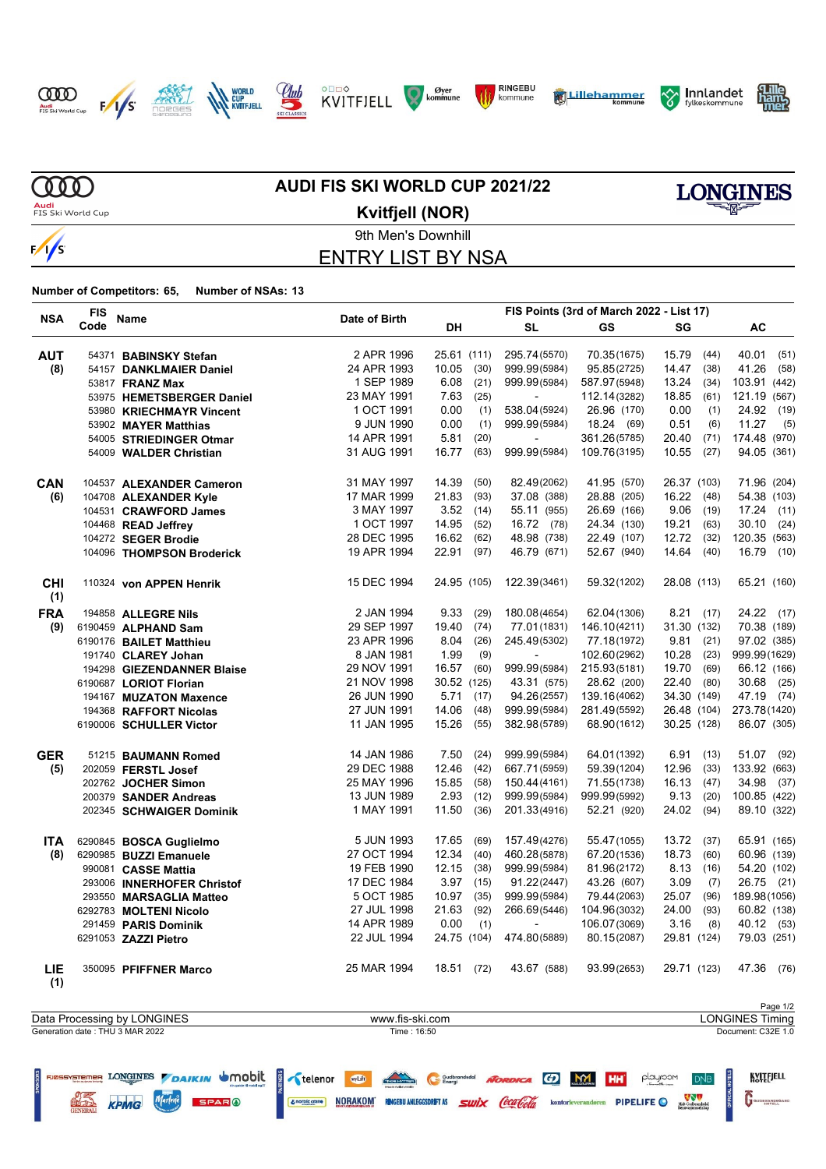

















# **AUDI FIS SKI WORLD CUP 2021/22**



9th Men's Downhill **Kvitfjell (NOR)**

# ENTRY LIST BY NSA

| <b>NSA</b>        | <b>FIS</b> |                            |               | FIS Points (3rd of March 2022 - List 17) |                          |              |               |               |  |  |
|-------------------|------------|----------------------------|---------------|------------------------------------------|--------------------------|--------------|---------------|---------------|--|--|
|                   | Code       | Name                       | Date of Birth | DH                                       | <b>SL</b>                | GS           | SG            | AC            |  |  |
| <b>AUT</b>        |            | 54371 BABINSKY Stefan      | 2 APR 1996    | 25.61 (111)                              | 295.74(5570)             | 70.35(1675)  | 15.79<br>(44) | 40.01<br>(51) |  |  |
| (8)               |            | 54157 DANKLMAIER Daniel    | 24 APR 1993   | 10.05<br>(30)                            | 999.99(5984)             | 95.85(2725)  | 14.47<br>(38) | 41.26<br>(58) |  |  |
|                   |            | 53817 FRANZ Max            | 1 SEP 1989    | 6.08<br>(21)                             | 999.99(5984)             | 587.97(5948) | 13.24<br>(34) | 103.91 (442)  |  |  |
|                   |            | 53975 HEMETSBERGER Daniel  | 23 MAY 1991   | 7.63<br>(25)                             |                          | 112.14(3282) | 18.85<br>(61) | 121.19 (567)  |  |  |
|                   |            | 53980 KRIECHMAYR Vincent   | 1 OCT 1991    | 0.00<br>(1)                              | 538.04(5924)             | 26.96 (170)  | 0.00<br>(1)   | 24.92<br>(19) |  |  |
|                   |            | 53902 MAYER Matthias       | 9 JUN 1990    | 0.00<br>(1)                              | 999.99(5984)             | 18.24 (69)   | 0.51<br>(6)   | 11.27<br>(5)  |  |  |
|                   |            | 54005 STRIEDINGER Otmar    | 14 APR 1991   | 5.81<br>(20)                             | $\overline{\phantom{a}}$ | 361.26(5785) | 20.40<br>(71) | 174.48 (970)  |  |  |
|                   |            | 54009 WALDER Christian     | 31 AUG 1991   | 16.77<br>(63)                            | 999.99(5984)             | 109.76(3195) | 10.55<br>(27) | 94.05 (361)   |  |  |
| <b>CAN</b>        |            | 104537 ALEXANDER Cameron   | 31 MAY 1997   | 14.39<br>(50)                            | 82.49(2062)              | 41.95 (570)  | 26.37 (103)   | 71.96 (204)   |  |  |
| (6)               |            | 104708 ALEXANDER Kyle      | 17 MAR 1999   | 21.83<br>(93)                            | 37.08 (388)              | 28.88 (205)  | 16.22 (48)    | 54.38 (103)   |  |  |
|                   |            | 104531 CRAWFORD James      | 3 MAY 1997    | $3.52$ (14)                              | 55.11 (955)              | 26.69 (166)  | 9.06<br>(19)  | 17.24 (11)    |  |  |
|                   |            | 104468 READ Jeffrey        | 1 OCT 1997    | 14.95<br>(52)                            | 16.72 (78)               | 24.34 (130)  | 19.21<br>(63) | 30.10<br>(24) |  |  |
|                   |            | 104272 SEGER Brodie        | 28 DEC 1995   | 16.62<br>(62)                            | 48.98 (738)              | 22.49 (107)  | 12.72<br>(32) | 120.35 (563)  |  |  |
|                   |            | 104096 THOMPSON Broderick  | 19 APR 1994   | 22.91<br>(97)                            | 46.79 (671)              | 52.67 (940)  | 14.64 (40)    | 16.79 (10)    |  |  |
| <b>CHI</b><br>(1) |            | 110324 von APPEN Henrik    | 15 DEC 1994   | 24.95 (105)                              | 122.39(3461)             | 59.32(1202)  | 28.08 (113)   | 65.21 (160)   |  |  |
| <b>FRA</b>        |            | 194858 ALLEGRE Nils        | 2 JAN 1994    | 9.33<br>(29)                             | 180.08(4654)             | 62.04(1306)  | 8.21(17)      | 24.22 (17)    |  |  |
| (9)               |            | 6190459 ALPHAND Sam        | 29 SEP 1997   | 19.40<br>(74)                            | 77.01(1831)              | 146.10(4211) | 31.30 (132)   | 70.38 (189)   |  |  |
|                   |            | 6190176 BAILET Matthieu    | 23 APR 1996   | 8.04<br>(26)                             | 245.49(5302)             | 77.18(1972)  | 9.81(21)      | 97.02 (385)   |  |  |
|                   |            | 191740 CLAREY Johan        | 8 JAN 1981    | 1.99<br>(9)                              |                          | 102.60(2962) | 10.28<br>(23) | 999.99(1629)  |  |  |
|                   |            | 194298 GIEZENDANNER Blaise | 29 NOV 1991   | 16.57<br>(60)                            | 999.99(5984)             | 215.93(5181) | 19.70<br>(69) | 66.12 (166)   |  |  |
|                   |            | 6190687 LORIOT Florian     | 21 NOV 1998   | 30.52 (125)                              | 43.31 (575)              | 28.62 (200)  | 22.40 (80)    | 30.68<br>(25) |  |  |
|                   |            | 194167 MUZATON Maxence     | 26 JUN 1990   | 5.71<br>(17)                             | 94.26(2557)              | 139.16(4062) | 34.30 (149)   | 47.19 (74)    |  |  |
|                   |            | 194368 RAFFORT Nicolas     | 27 JUN 1991   | 14.06<br>(48)                            | 999.99(5984)             | 281.49(5592) | 26.48 (104)   | 273.78(1420)  |  |  |
|                   |            | 6190006 SCHULLER Victor    | 11 JAN 1995   | 15.26<br>(55)                            | 382.98(5789)             | 68.90(1612)  | 30.25 (128)   | 86.07 (305)   |  |  |
| <b>GER</b>        |            | 51215 BAUMANN Romed        | 14 JAN 1986   | 7.50<br>(24)                             | 999.99(5984)             | 64.01(1392)  | 6.91(13)      | 51.07 (92)    |  |  |
| (5)               |            | 202059 FERSTL Josef        | 29 DEC 1988   | 12.46<br>(42)                            | 667.71 (5959)            | 59.39(1204)  | 12.96<br>(33) | 133.92 (663)  |  |  |
|                   |            | 202762 JOCHER Simon        | 25 MAY 1996   | 15.85<br>(58)                            | 150.44(4161)             | 71.55(1738)  | 16.13<br>(47) | 34.98<br>(37) |  |  |
|                   |            | 200379 SANDER Andreas      | 13 JUN 1989   | 2.93<br>(12)                             | 999.99(5984)             | 999.99(5992) | 9.13<br>(20)  | 100.85 (422)  |  |  |
|                   |            | 202345 SCHWAIGER Dominik   | 1 MAY 1991    | 11.50<br>(36)                            | 201.33(4916)             | 52.21 (920)  | 24.02<br>(94) | 89.10 (322)   |  |  |
| <b>ITA</b>        |            | 6290845 BOSCA Guglielmo    | 5 JUN 1993    | 17.65<br>(69)                            | 157.49(4276)             | 55.47(1055)  | 13.72<br>(37) | 65.91 (165)   |  |  |
| (8)               |            | 6290985 BUZZI Emanuele     | 27 OCT 1994   | 12.34<br>(40)                            | 460.28(5878)             | 67.20(1536)  | 18.73<br>(60) | 60.96 (139)   |  |  |
|                   |            | 990081 CASSE Mattia        | 19 FEB 1990   | 12.15<br>(38)                            | 999.99(5984)             | 81.96(2172)  | 8.13<br>(16)  | 54.20 (102)   |  |  |
|                   |            | 293006 INNERHOFER Christof | 17 DEC 1984   | $3.97$ (15)                              | 91.22(2447)              | 43.26 (607)  | 3.09<br>(7)   | 26.75 (21)    |  |  |
|                   |            | 293550 MARSAGLIA Matteo    | 5 OCT 1985    | 10.97<br>(35)                            | 999.99(5984)             | 79.44(2063)  | 25.07<br>(96) | 189.98 (1056) |  |  |
|                   |            | 6292783 MOLTENI Nicolo     | 27 JUL 1998   | 21.63<br>(92)                            | 266.69(5446)             | 104.96(3032) | 24.00<br>(93) | 60.82 (138)   |  |  |
|                   |            | 291459 PARIS Dominik       | 14 APR 1989   | 0.00<br>(1)                              | $\mathbf{r}$             | 106.07(3069) | 3.16<br>(8)   | 40.12 (53)    |  |  |
|                   |            | 6291053 ZAZZI Pietro       | 22 JUL 1994   | 24.75 (104)                              | 474.80(5889)             | 80.15(2087)  | 29.81 (124)   | 79.03 (251)   |  |  |
| LIE<br>(1)        |            | 350095 PFIFFNER Marco      | 25 MAR 1994   | 18.51 (72)                               | 43.67 (588)              | 93.99(2653)  | 29.71 (123)   | 47.36 (76)    |  |  |

|                                 |                 | Page 1/2               |
|---------------------------------|-----------------|------------------------|
| Data Processing by LONGINES     | www.fis-ski.com | <b>LONGINES Timing</b> |
| Generation date: THU 3 MAR 2022 | Time: 16:50     | Document: C32E 1.0     |
|                                 |                 |                        |

| Figures Tong The Markin Uniobil Celenor The Content Centre Content Content Content Content Content Content Content Content Content Content Content Content Content Content Content Content Content Content Content Content Con |                          |              |                |                      |                                                                 |  |  |  |                                                               | KVITEJELL     |
|--------------------------------------------------------------------------------------------------------------------------------------------------------------------------------------------------------------------------------|--------------------------|--------------|----------------|----------------------|-----------------------------------------------------------------|--|--|--|---------------------------------------------------------------|---------------|
|                                                                                                                                                                                                                                | <b>WEBS KPMG</b> Marlene | <b>SPARO</b> | & norbic crane | NORAKOM <sup>®</sup> | <b>RUGEBU ANLEGGSDRIFT AS SWIX COCA COLA</b> kontorleverandoren |  |  |  | <b>A</b> PIPELIFE $\bigcirc$ Mat Contrastelate $\overline{F}$ | GUDBRANDSGARD |

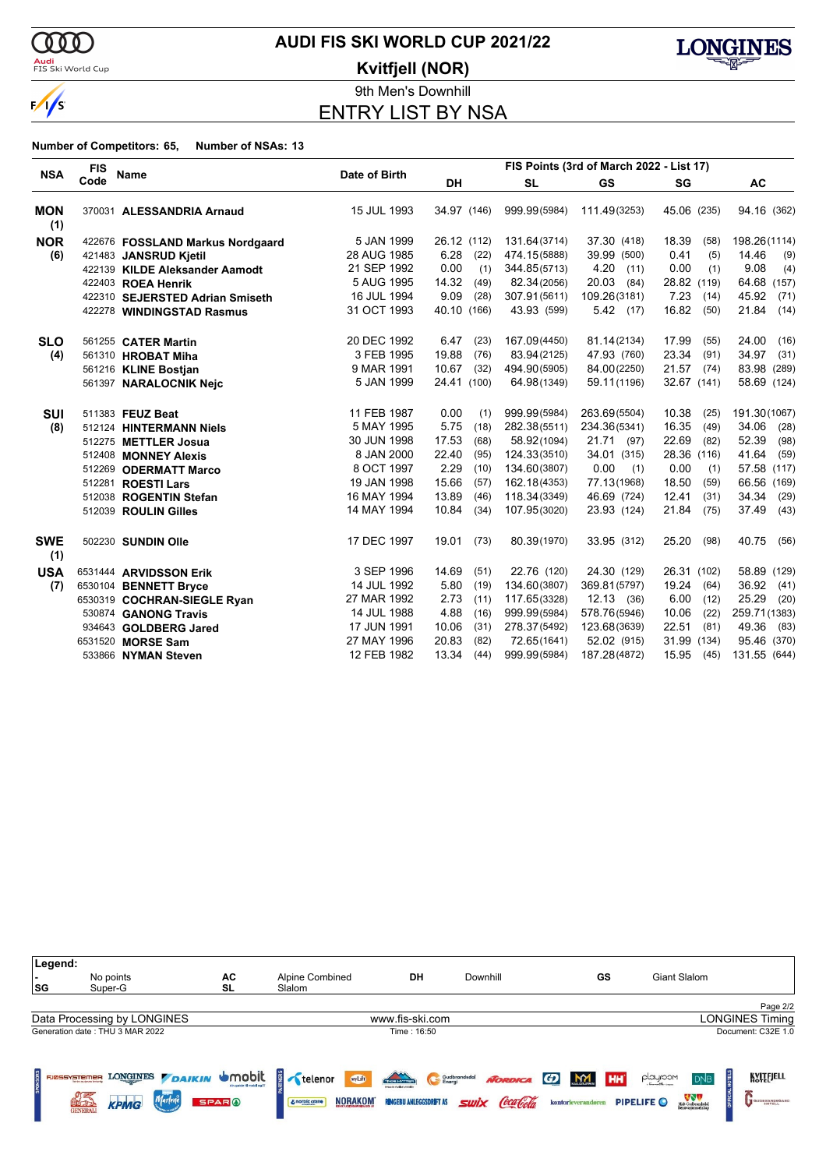

<mark>Audi</mark><br>FIS Ski World Cup

# **AUDI FIS SKI WORLD CUP 2021/22**

**Kvitfjell (NOR)**



9th Men's Downhill ENTRY LIST BY NSA

|                   | <b>FIS</b> |                                  |               | FIS Points (3rd of March 2022 - List 17) |              |               |               |               |  |  |
|-------------------|------------|----------------------------------|---------------|------------------------------------------|--------------|---------------|---------------|---------------|--|--|
| <b>NSA</b>        | Code       | <b>Name</b>                      | Date of Birth | DH                                       | <b>SL</b>    | <b>GS</b>     | SG            | <b>AC</b>     |  |  |
| <b>MON</b><br>(1) |            | 370031 ALESSANDRIA Arnaud        | 15 JUL 1993   | 34.97 (146)                              | 999.99(5984) | 111.49(3253)  | 45.06 (235)   | 94.16 (362)   |  |  |
| <b>NOR</b>        |            | 422676 FOSSLAND Markus Nordgaard | 5 JAN 1999    | 26.12 (112)                              | 131.64(3714) | 37.30 (418)   | 18.39<br>(58) | 198.26(1114)  |  |  |
| (6)               |            | 421483 JANSRUD Kjetil            | 28 AUG 1985   | 6.28<br>(22)                             | 474.15(5888) | 39.99 (500)   | 0.41<br>(5)   | 14.46<br>(9)  |  |  |
|                   |            | 422139 KILDE Aleksander Aamodt   | 21 SEP 1992   | 0.00<br>(1)                              | 344.85(5713) | 4.20<br>(11)  | 0.00<br>(1)   | 9.08<br>(4)   |  |  |
|                   |            | 422403 ROEA Henrik               | 5 AUG 1995    | 14.32<br>(49)                            | 82.34(2056)  | 20.03<br>(84) | 28.82 (119)   | 64.68 (157)   |  |  |
|                   |            | 422310 SEJERSTED Adrian Smiseth  | 16 JUL 1994   | 9.09<br>(28)                             | 307.91(5611) | 109.26(3181)  | 7.23<br>(14)  | 45.92<br>(71) |  |  |
|                   |            | 422278 WINDINGSTAD Rasmus        | 31 OCT 1993   | 40.10 (166)                              | 43.93 (599)  | 5.42(17)      | 16.82<br>(50) | 21.84<br>(14) |  |  |
| <b>SLO</b>        |            | 561255 CATER Martin              | 20 DEC 1992   | 6.47<br>(23)                             | 167.09(4450) | 81.14(2134)   | 17.99<br>(55) | 24.00<br>(16) |  |  |
| (4)               |            | 561310 HROBAT Miha               | 3 FEB 1995    | 19.88<br>(76)                            | 83.94(2125)  | 47.93 (760)   | 23.34<br>(91) | 34.97<br>(31) |  |  |
|                   |            | 561216 KLINE Bostjan             | 9 MAR 1991    | 10.67<br>(32)                            | 494.90(5905) | 84.00(2250)   | $21.57$ (74)  | 83.98 (289)   |  |  |
|                   |            | 561397 NARALOCNIK Nejc           | 5 JAN 1999    | 24.41 (100)                              | 64.98(1349)  | 59.11(1196)   | 32.67 (141)   | 58.69 (124)   |  |  |
| <b>SUI</b>        |            | 511383 FEUZ Beat                 | 11 FEB 1987   | 0.00<br>(1)                              | 999.99(5984) | 263.69(5504)  | 10.38<br>(25) | 191.30(1067)  |  |  |
| (8)               |            | 512124 HINTERMANN Niels          | 5 MAY 1995    | 5.75<br>(18)                             | 282.38(5511) | 234.36(5341)  | 16.35<br>(49) | 34.06<br>(28) |  |  |
|                   |            | 512275 METTLER Josua             | 30 JUN 1998   | 17.53<br>(68)                            | 58.92(1094)  | 21.71 (97)    | 22.69<br>(82) | 52.39<br>(98) |  |  |
|                   |            | 512408 MONNEY Alexis             | 8 JAN 2000    | 22.40<br>(95)                            | 124.33(3510) | 34.01 (315)   | 28.36 (116)   | 41.64<br>(59) |  |  |
|                   |            | 512269 ODERMATT Marco            | 8 OCT 1997    | 2.29<br>(10)                             | 134.60(3807) | 0.00<br>(1)   | 0.00<br>(1)   | 57.58 (117)   |  |  |
|                   |            | 512281 ROESTI Lars               | 19 JAN 1998   | 15.66<br>(57)                            | 162.18(4353) | 77.13(1968)   | 18.50<br>(59) | 66.56 (169)   |  |  |
|                   |            | 512038 ROGENTIN Stefan           | 16 MAY 1994   | 13.89<br>(46)                            | 118.34(3349) | 46.69 (724)   | 12.41<br>(31) | 34.34<br>(29) |  |  |
|                   |            | 512039 ROULIN Gilles             | 14 MAY 1994   | 10.84<br>(34)                            | 107.95(3020) | 23.93 (124)   | 21.84<br>(75) | 37.49<br>(43) |  |  |
| <b>SWE</b><br>(1) |            | 502230 SUNDIN Olle               | 17 DEC 1997   | 19.01<br>(73)                            | 80.39(1970)  | 33.95 (312)   | 25.20<br>(98) | 40.75<br>(56) |  |  |
| <b>USA</b>        |            | 6531444 ARVIDSSON Erik           | 3 SEP 1996    | 14.69<br>(51)                            | 22.76 (120)  | 24.30 (129)   | 26.31 (102)   | 58.89 (129)   |  |  |
| (7)               |            | 6530104 BENNETT Bryce            | 14 JUL 1992   | 5.80<br>(19)                             | 134.60(3807) | 369.81 (5797) | 19.24<br>(64) | 36.92<br>(41) |  |  |
|                   |            | 6530319 COCHRAN-SIEGLE Ryan      | 27 MAR 1992   | 2.73<br>(11)                             | 117.65(3328) | 12.13(36)     | 6.00<br>(12)  | 25.29<br>(20) |  |  |
|                   |            | 530874 GANONG Travis             | 14 JUL 1988   | 4.88<br>(16)                             | 999.99(5984) | 578.76(5946)  | 10.06<br>(22) | 259.71 (1383) |  |  |
|                   |            | 934643 GOLDBERG Jared            | 17 JUN 1991   | 10.06<br>(31)                            | 278.37(5492) | 123.68(3639)  | 22.51<br>(81) | 49.36<br>(83) |  |  |
|                   |            | 6531520 MORSE Sam                | 27 MAY 1996   | 20.83<br>(82)                            | 72.65(1641)  | 52.02 (915)   | 31.99 (134)   | 95.46 (370)   |  |  |
|                   |            | 533866 NYMAN Steven              | 12 FEB 1982   | 13.34<br>(44)                            | 999.99(5984) | 187.28(4872)  | 15.95<br>(45) | 131.55 (644)  |  |  |

| Legend:      |                                                                                                 |                                                   |                                                       |                                                                        |                                                     |                                                          |                                                                                      |                            |
|--------------|-------------------------------------------------------------------------------------------------|---------------------------------------------------|-------------------------------------------------------|------------------------------------------------------------------------|-----------------------------------------------------|----------------------------------------------------------|--------------------------------------------------------------------------------------|----------------------------|
|              | No points                                                                                       | AC                                                | <b>Alpine Combined</b>                                | DH                                                                     | Downhill                                            | GS                                                       | Giant Slalom                                                                         |                            |
| SG           | Super-G                                                                                         | SL                                                | Slalom                                                |                                                                        |                                                     |                                                          |                                                                                      |                            |
|              |                                                                                                 |                                                   |                                                       |                                                                        |                                                     |                                                          |                                                                                      | Page 2/2                   |
|              | Data Processing by LONGINES                                                                     |                                                   |                                                       | www.fis-ski.com                                                        |                                                     |                                                          |                                                                                      | LONGINES Timing            |
|              | Generation date: THU 3 MAR 2022                                                                 |                                                   |                                                       | Time: 16:50                                                            |                                                     |                                                          |                                                                                      | Document: C32E 1.0         |
| FJØSSYSTEMER | <b>Benden ag densen (entrevég</b><br>Marlene<br><b>KPMG</b><br><b>RECTABL</b><br><b>GENERAL</b> | LONGINES DAIKIN UMObit<br><b>SPAR<sup>O</sup></b> | wyLift<br>telenor<br><b>NORAKOM</b><br>& norbic crane | TNO HITTER<br>innoces weeker vestels<br><b>RINGEBU ANLEGGSDRIFT AS</b> | Gudbrandsdal<br><b>NORDICA</b><br>Coca Cola<br>swix | <b>MY</b><br>G)<br>HH <sup>*</sup><br>kontorleverandøren | playroom<br>D <sub>NB</sub><br>Midt-Gudbrandsdal<br>Renovasjonsselikup<br>PIPELIFE O | KVITEJELL<br>GUDBRANDSGARD |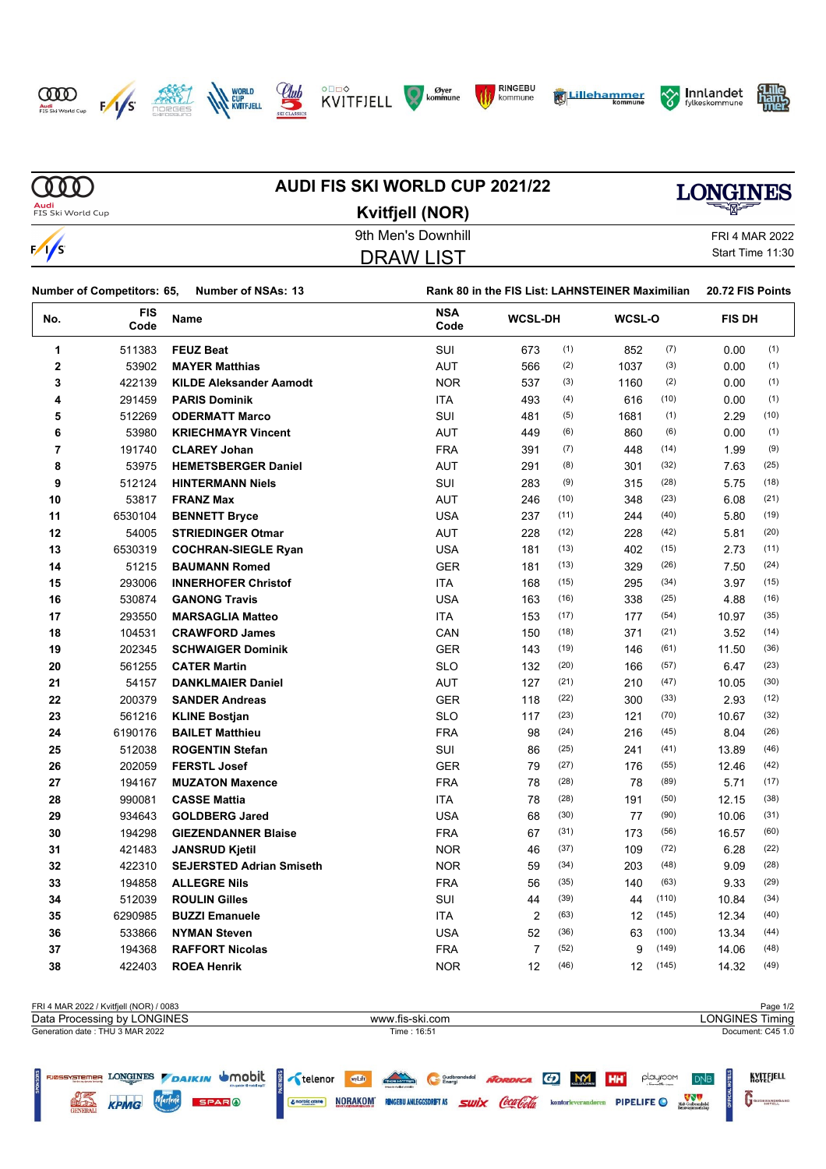



Marlene

**SPAR**<sup>0</sup>

KPMG











Midt-Gudbrandsdal<br>Renovasionsselskap

GUDBRANDSGARD



#### **MD AUDI FIS SKI WORLD CUP 2021/22 LONGINES Audi**<br>FIS Ski World Cup **Kvitfjell (NOR)** 9th Men's Downhill FRI 4 MAR 2022  $\frac{1}{s}$ Start Time 11:30 DRAW LIST

| <b>Number of Competitors: 65,</b><br><b>Number of NSAs: 13</b> |                    | Rank 80 in the FIS List: LAHNSTEINER Maximilian |                    |                |      |        |       | 20.72 FIS Points |               |  |
|----------------------------------------------------------------|--------------------|-------------------------------------------------|--------------------|----------------|------|--------|-------|------------------|---------------|--|
| No.                                                            | <b>FIS</b><br>Code | Name                                            | <b>NSA</b><br>Code | <b>WCSL-DH</b> |      | WCSL-O |       |                  | <b>FIS DH</b> |  |
| 1                                                              | 511383             | <b>FEUZ Beat</b>                                | SUI                | 673            | (1)  | 852    | (7)   | 0.00             | (1)           |  |
| $\mathbf 2$                                                    | 53902              | <b>MAYER Matthias</b>                           | <b>AUT</b>         | 566            | (2)  | 1037   | (3)   | 0.00             | (1)           |  |
| 3                                                              | 422139             | <b>KILDE Aleksander Aamodt</b>                  | <b>NOR</b>         | 537            | (3)  | 1160   | (2)   | 0.00             | (1)           |  |
| 4                                                              | 291459             | <b>PARIS Dominik</b>                            | ITA                | 493            | (4)  | 616    | (10)  | 0.00             | (1)           |  |
| 5                                                              | 512269             | <b>ODERMATT Marco</b>                           | SUI                | 481            | (5)  | 1681   | (1)   | 2.29             | (10)          |  |
| 6                                                              | 53980              | <b>KRIECHMAYR Vincent</b>                       | <b>AUT</b>         | 449            | (6)  | 860    | (6)   | 0.00             | (1)           |  |
| $\overline{7}$                                                 | 191740             | <b>CLAREY Johan</b>                             | <b>FRA</b>         | 391            | (7)  | 448    | (14)  | 1.99             | (9)           |  |
| 8                                                              | 53975              | <b>HEMETSBERGER Daniel</b>                      | AUT                | 291            | (8)  | 301    | (32)  | 7.63             | (25)          |  |
| 9                                                              | 512124             | <b>HINTERMANN Niels</b>                         | SUI                | 283            | (9)  | 315    | (28)  | 5.75             | (18)          |  |
| 10                                                             | 53817              | <b>FRANZ Max</b>                                | AUT                | 246            | (10) | 348    | (23)  | 6.08             | (21)          |  |
| 11                                                             | 6530104            | <b>BENNETT Bryce</b>                            | <b>USA</b>         | 237            | (11) | 244    | (40)  | 5.80             | (19)          |  |
| 12                                                             | 54005              | <b>STRIEDINGER Otmar</b>                        | AUT                | 228            | (12) | 228    | (42)  | 5.81             | (20)          |  |
| 13                                                             | 6530319            | <b>COCHRAN-SIEGLE Ryan</b>                      | <b>USA</b>         | 181            | (13) | 402    | (15)  | 2.73             | (11)          |  |
| 14                                                             | 51215              | <b>BAUMANN Romed</b>                            | <b>GER</b>         | 181            | (13) | 329    | (26)  | 7.50             | (24)          |  |
| 15                                                             | 293006             | <b>INNERHOFER Christof</b>                      | <b>ITA</b>         | 168            | (15) | 295    | (34)  | 3.97             | (15)          |  |
| 16                                                             | 530874             | <b>GANONG Travis</b>                            | <b>USA</b>         | 163            | (16) | 338    | (25)  | 4.88             | (16)          |  |
| 17                                                             | 293550             | <b>MARSAGLIA Matteo</b>                         | <b>ITA</b>         | 153            | (17) | 177    | (54)  | 10.97            | (35)          |  |
| 18                                                             | 104531             | <b>CRAWFORD James</b>                           | CAN                | 150            | (18) | 371    | (21)  | 3.52             | (14)          |  |
| 19                                                             | 202345             | <b>SCHWAIGER Dominik</b>                        | <b>GER</b>         | 143            | (19) | 146    | (61)  | 11.50            | (36)          |  |
| 20                                                             | 561255             | <b>CATER Martin</b>                             | <b>SLO</b>         | 132            | (20) | 166    | (57)  | 6.47             | (23)          |  |
| 21                                                             | 54157              | <b>DANKLMAIER Daniel</b>                        | AUT                | 127            | (21) | 210    | (47)  | 10.05            | (30)          |  |
| 22                                                             | 200379             | <b>SANDER Andreas</b>                           | <b>GER</b>         | 118            | (22) | 300    | (33)  | 2.93             | (12)          |  |
| 23                                                             | 561216             | <b>KLINE Bostjan</b>                            | <b>SLO</b>         | 117            | (23) | 121    | (70)  | 10.67            | (32)          |  |
| 24                                                             | 6190176            | <b>BAILET Matthieu</b>                          | <b>FRA</b>         | 98             | (24) | 216    | (45)  | 8.04             | (26)          |  |
| 25                                                             | 512038             | <b>ROGENTIN Stefan</b>                          | SUI                | 86             | (25) | 241    | (41)  | 13.89            | (46)          |  |
| 26                                                             | 202059             | <b>FERSTL Josef</b>                             | <b>GER</b>         | 79             | (27) | 176    | (55)  | 12.46            | (42)          |  |
| 27                                                             | 194167             | <b>MUZATON Maxence</b>                          | <b>FRA</b>         | 78             | (28) | 78     | (89)  | 5.71             | (17)          |  |
| 28                                                             | 990081             | <b>CASSE Mattia</b>                             | <b>ITA</b>         | 78             | (28) | 191    | (50)  | 12.15            | (38)          |  |
| 29                                                             | 934643             | <b>GOLDBERG Jared</b>                           | <b>USA</b>         | 68             | (30) | 77     | (90)  | 10.06            | (31)          |  |
| 30                                                             | 194298             | <b>GIEZENDANNER Blaise</b>                      | <b>FRA</b>         | 67             | (31) | 173    | (56)  | 16.57            | (60)          |  |
| 31                                                             | 421483             | <b>JANSRUD Kjetil</b>                           | <b>NOR</b>         | 46             | (37) | 109    | (72)  | 6.28             | (22)          |  |
| 32                                                             | 422310             | <b>SEJERSTED Adrian Smiseth</b>                 | <b>NOR</b>         | 59             | (34) | 203    | (48)  | 9.09             | (28)          |  |
| 33                                                             | 194858             | <b>ALLEGRE Nils</b>                             | <b>FRA</b>         | 56             | (35) | 140    | (63)  | 9.33             | (29)          |  |
| 34                                                             | 512039             | <b>ROULIN Gilles</b>                            | SUI                | 44             | (39) | 44     | (110) | 10.84            | (34)          |  |
| 35                                                             | 6290985            | <b>BUZZI Emanuele</b>                           | <b>ITA</b>         | 2              | (63) | 12     | (145) | 12.34            | (40)          |  |
| 36                                                             | 533866             | <b>NYMAN Steven</b>                             | <b>USA</b>         | 52             | (36) | 63     | (100) | 13.34            | (44)          |  |
| 37                                                             | 194368             | <b>RAFFORT Nicolas</b>                          | <b>FRA</b>         | $\overline{7}$ | (52) | 9      | (149) | 14.06            | (48)          |  |
| 38                                                             | 422403             | <b>ROEA Henrik</b>                              | <b>NOR</b>         | 12             | (46) | 12     | (145) | 14.32            | (49)          |  |

| FRI 4 MAR 2022 / Kvitfiell (NOR) / 0083         |                                                            | Page 1/2                                            |
|-------------------------------------------------|------------------------------------------------------------|-----------------------------------------------------|
| Data Processing by LONGINES                     | www.fis-ski.com                                            | <b>LONGINES Timing</b>                              |
| Generation date: THU 3 MAR 2022<br>Time : 16:51 |                                                            |                                                     |
| S FINDSPARED LONGINES DAIKIN UMObit             | <b>TAGE HOTEL</b><br>wyLift<br>NORDICA (F)<br>Gudbrandsdal | <b>KVITEJELL</b><br>MY HH<br>playroom<br><b>DNB</b> |

Congrission NORAKOM **RIGEBU ANLEGGSDRIFT AS SWIX** COLLOCION ROMATOPLY PIPELIFE O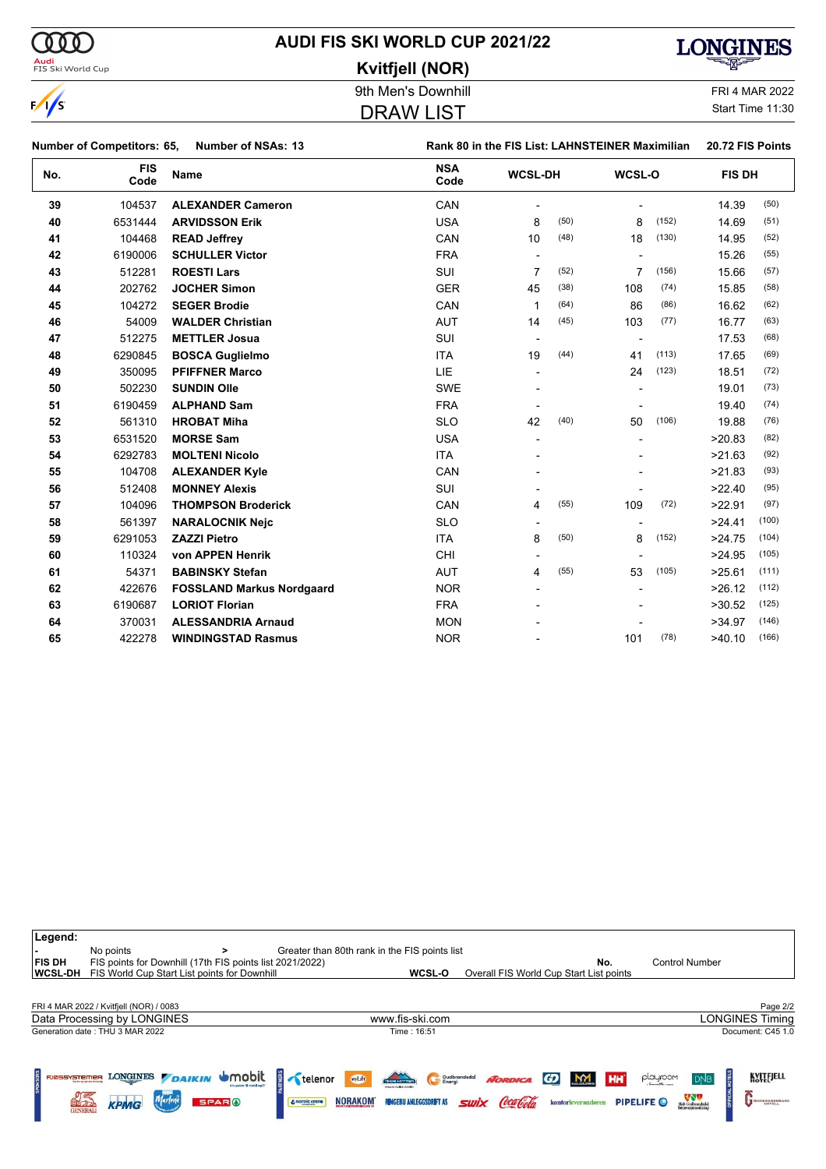| (000                              |                           | <b>AUDI FIS SKI WORLD CUP 2021/22</b>           | <b>LONGINES</b>       |
|-----------------------------------|---------------------------|-------------------------------------------------|-----------------------|
| Audi<br>FIS Ski World Cup         |                           | Kvitfjell (NOR)                                 |                       |
|                                   |                           | 9th Men's Downhill                              | <b>FRI 4 MAR 2022</b> |
| $\sqrt{s}$                        |                           | <b>DRAW LIST</b>                                | Start Time 11:30      |
| <b>Number of Competitors: 65,</b> | <b>Number of NSAs: 13</b> | Rank 80 in the FIS List: LAHNSTEINER Maximilian | 20.72 FIS Points      |

| No. | <b>FIS</b><br>Code | <b>Name</b>                      | <b>NSA</b><br>Code | <b>WCSL-DH</b>           |      | WCSL-O                   |       | <b>FIS DH</b> |       |
|-----|--------------------|----------------------------------|--------------------|--------------------------|------|--------------------------|-------|---------------|-------|
| 39  | 104537             | <b>ALEXANDER Cameron</b>         | CAN                |                          |      |                          |       | 14.39         | (50)  |
| 40  | 6531444            | <b>ARVIDSSON Erik</b>            | <b>USA</b>         | 8                        | (50) | 8                        | (152) | 14.69         | (51)  |
| 41  | 104468             | <b>READ Jeffrey</b>              | CAN                | 10                       | (48) | 18                       | (130) | 14.95         | (52)  |
| 42  | 6190006            | <b>SCHULLER Victor</b>           | <b>FRA</b>         |                          |      |                          |       | 15.26         | (55)  |
| 43  | 512281             | <b>ROESTI Lars</b>               | SUI                | 7                        | (52) | 7                        | (156) | 15.66         | (57)  |
| 44  | 202762             | <b>JOCHER Simon</b>              | <b>GER</b>         | 45                       | (38) | 108                      | (74)  | 15.85         | (58)  |
| 45  | 104272             | <b>SEGER Brodie</b>              | CAN                | 1                        | (64) | 86                       | (86)  | 16.62         | (62)  |
| 46  | 54009              | <b>WALDER Christian</b>          | <b>AUT</b>         | 14                       | (45) | 103                      | (77)  | 16.77         | (63)  |
| 47  | 512275             | <b>METTLER Josua</b>             | <b>SUI</b>         | $\overline{\phantom{a}}$ |      | $\overline{\phantom{a}}$ |       | 17.53         | (68)  |
| 48  | 6290845            | <b>BOSCA Guglielmo</b>           | <b>ITA</b>         | 19                       | (44) | 41                       | (113) | 17.65         | (69)  |
| 49  | 350095             | <b>PFIFFNER Marco</b>            | <b>LIE</b>         |                          |      | 24                       | (123) | 18.51         | (72)  |
| 50  | 502230             | <b>SUNDIN Olle</b>               | <b>SWE</b>         |                          |      |                          |       | 19.01         | (73)  |
| 51  | 6190459            | <b>ALPHAND Sam</b>               | <b>FRA</b>         |                          |      |                          |       | 19.40         | (74)  |
| 52  | 561310             | <b>HROBAT Miha</b>               | <b>SLO</b>         | 42                       | (40) | 50                       | (106) | 19.88         | (76)  |
| 53  | 6531520            | <b>MORSE Sam</b>                 | <b>USA</b>         |                          |      |                          |       | >20.83        | (82)  |
| 54  | 6292783            | <b>MOLTENI Nicolo</b>            | <b>ITA</b>         |                          |      |                          |       | >21.63        | (92)  |
| 55  | 104708             | <b>ALEXANDER Kyle</b>            | CAN                |                          |      |                          |       | >21.83        | (93)  |
| 56  | 512408             | <b>MONNEY Alexis</b>             | SUI                |                          |      |                          |       | >22.40        | (95)  |
| 57  | 104096             | <b>THOMPSON Broderick</b>        | CAN                | 4                        | (55) | 109                      | (72)  | >22.91        | (97)  |
| 58  | 561397             | <b>NARALOCNIK Nejc</b>           | <b>SLO</b>         |                          |      |                          |       | >24.41        | (100) |
| 59  | 6291053            | <b>ZAZZI Pietro</b>              | <b>ITA</b>         | 8                        | (50) | 8                        | (152) | >24.75        | (104) |
| 60  | 110324             | von APPEN Henrik                 | CHI                |                          |      |                          |       | >24.95        | (105) |
| 61  | 54371              | <b>BABINSKY Stefan</b>           | <b>AUT</b>         | 4                        | (55) | 53                       | (105) | >25.61        | (111) |
| 62  | 422676             | <b>FOSSLAND Markus Nordgaard</b> | <b>NOR</b>         |                          |      |                          |       | >26.12        | (112) |
| 63  | 6190687            | <b>LORIOT Florian</b>            | <b>FRA</b>         |                          |      |                          |       | >30.52        | (125) |
| 64  | 370031             | <b>ALESSANDRIA Arnaud</b>        | <b>MON</b>         |                          |      |                          |       | >34.97        | (146) |
| 65  | 422278             | <b>WINDINGSTAD Rasmus</b>        | <b>NOR</b>         |                          |      | 101                      | (78)  | >40.10        | (166) |

| Legend:<br><b>FIS DH</b><br><b>WCSL-DH</b> | No points<br>FIS points for Downhill (17th FIS points list 2021/2022)<br>FIS World Cup Start List points for Downhill |                                   | Greater than 80th rank in the FIS points list<br>WCSL-O                                                                 |                               | No.<br>Overall FIS World Cup Start List points                 | <b>Control Number</b>                                                                     |                            |
|--------------------------------------------|-----------------------------------------------------------------------------------------------------------------------|-----------------------------------|-------------------------------------------------------------------------------------------------------------------------|-------------------------------|----------------------------------------------------------------|-------------------------------------------------------------------------------------------|----------------------------|
|                                            | FRI 4 MAR 2022 / Kvitfjell (NOR) / 0083                                                                               |                                   |                                                                                                                         |                               |                                                                |                                                                                           | Page 2/2                   |
|                                            | Data Processing by LONGINES                                                                                           |                                   | www.fis-ski.com                                                                                                         |                               |                                                                |                                                                                           | <b>LONGINES Timing</b>     |
|                                            | Generation date: THU 3 MAR 2022                                                                                       |                                   | Time: 16:51                                                                                                             |                               |                                                                |                                                                                           | Document: C45 1.0          |
| FJØSSYSTEMER                               | LONGINES DAIKIN UMObit<br>Tendes ag despita l'entrevég<br><b>SPARO</b><br><b>KPMG</b><br><b>GENERAL</b>               | telenor<br>$\n  L norpic crane\n$ | THE HOTTER<br>wyLift<br>Gudbrandsdal<br><b>Imports sandor words</b><br><b>NORAKOM</b><br><b>RINGEBU ANLEGGSDRIFT AS</b> | <b>NORDICA</b><br><b>SWIX</b> | HH<br>M <sub>2</sub><br>$\boldsymbol{G}$<br>kontorleverandøren | playroom<br>D <sub>NB</sub><br>Midt-Gudbrandsdal<br>Renovasjonsselikup<br><b>PIPELIFE</b> | KVITEJELL<br>GUDBRANDSGARD |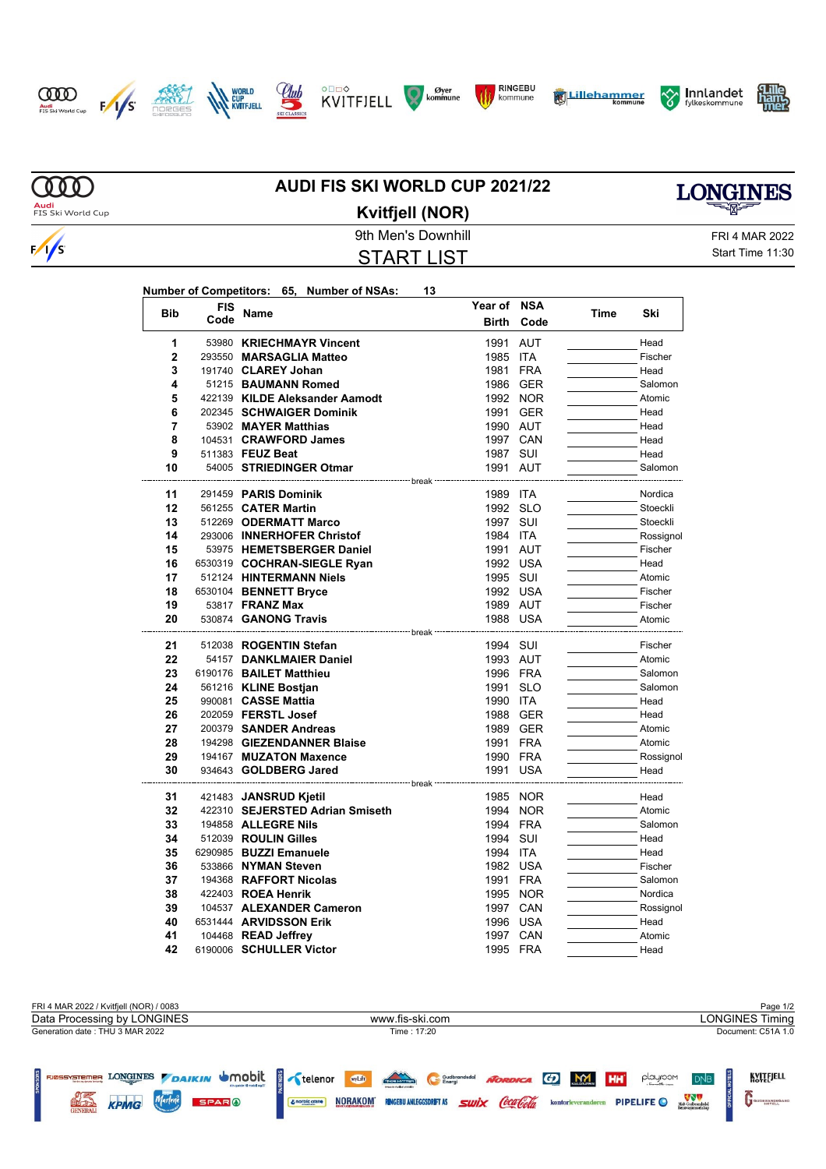















 $\infty$ Audi<br>FIS Ski World Cup

 $\frac{1}{s}$ 

### **AUDI FIS SKI WORLD CUP 2021/22 Kvitfjell (NOR)**



9th Men's Downhill FRI 4 MAR 2022 START LIST

Start Time 11:30

| Number of Competitors: 65, Number of NSAs: |  | 13 |
|--------------------------------------------|--|----|
|                                            |  |    |

| <b>Bib</b>     | <b>FIS</b> | Name                            | Year of NSA                    |            | Time | Ski       |
|----------------|------------|---------------------------------|--------------------------------|------------|------|-----------|
|                | Code       |                                 | <b>Birth</b>                   | Code       |      |           |
| 1              |            | 53980 KRIECHMAYR Vincent        | 1991                           | <b>AUT</b> |      | Head      |
| $\overline{2}$ |            | 293550 MARSAGLIA Matteo         | 1985 ITA                       |            |      | Fischer   |
| 3              |            | 191740 CLAREY Johan             | 1981 FRA                       |            |      | Head      |
| 4              |            | 51215 BAUMANN Romed             |                                | 1986 GER   |      | Salomon   |
| 5              |            | 422139 KILDE Aleksander Aamodt  |                                | 1992 NOR   |      | Atomic    |
| 6              |            | 202345 SCHWAIGER Dominik        | 1991                           | GER        |      | Head      |
| $\overline{7}$ |            | 53902 MAYER Matthias            | 1990 AUT                       |            |      | Head      |
| 8              |            | 104531 CRAWFORD James           | 1997 CAN                       |            |      | Head      |
| 9              |            | 511383 FEUZ Beat                | 1987 SUI                       |            |      | Head      |
| 10             |            | 54005 STRIEDINGER Otmar         | 1991 AUT                       |            |      | Salomon   |
| 11             |            | 291459 PARIS Dominik            | <sup></sup> break∶<br>1989 ITA |            |      | Nordica   |
| 12             |            | 561255 CATER Martin             | 1992 SLO                       |            |      | Stoeckli  |
| 13             |            | 512269 ODERMATT Marco           | 1997 SUI                       |            |      | Stoeckli  |
| 14             |            | 293006 INNERHOFER Christof      | 1984 ITA                       |            |      | Rossignol |
| 15             |            | 53975 HEMETSBERGER Daniel       | 1991 AUT                       |            |      | Fischer   |
| 16             |            | 6530319 COCHRAN-SIEGLE Ryan     | 1992 USA                       |            |      | Head      |
| 17             |            | 512124 HINTERMANN Niels         | 1995 SUI                       |            |      | Atomic    |
| 18             |            | 6530104 BENNETT Bryce           | 1992 USA                       |            |      | Fischer   |
| 19             |            | 53817 <b>FRANZ Max</b>          | 1989 AUT                       |            |      | Fischer   |
| 20             |            | 530874 GANONG Travis            | 1988 USA                       |            |      | Atomic    |
|                |            | --------------------- break     |                                |            |      |           |
| 21             |            | 512038 ROGENTIN Stefan          | 1994 SUI                       |            |      | Fischer   |
| 22             |            | 54157 DANKLMAIER Daniel         | 1993 AUT                       |            |      | Atomic    |
| 23             |            | 6190176 BAILET Matthieu         | 1996 FRA                       |            |      | Salomon   |
| 24             |            | 561216 KLINE Bostjan            | 1991 SLO                       |            |      | Salomon   |
| 25             |            | 990081 CASSE Mattia             | 1990 ITA                       |            |      | Head      |
| 26             |            | 202059 FERSTL Josef             |                                | 1988 GER   |      | Head      |
| 27             |            | 200379 SANDER Andreas           |                                | 1989 GER   |      | Atomic    |
| 28             |            | 194298 GIEZENDANNER Blaise      | 1991 FRA                       |            |      | Atomic    |
| 29             |            | 194167 MUZATON Maxence          | 1990 FRA                       |            |      | Rossignol |
| 30             |            | 934643 GOLDBERG Jared           | 1991 USA                       |            |      | Head      |
|                |            | --------------- break           |                                |            |      |           |
| 31             |            | 421483 JANSRUD Kjetil           |                                | 1985 NOR   |      | Head      |
| 32             |            | 422310 SEJERSTED Adrian Smiseth |                                | 1994 NOR   |      | Atomic    |
| 33             |            | 194858 ALLEGRE Nils             | 1994 FRA                       |            |      | Salomon   |
| 34             |            | 512039 ROULIN Gilles            | 1994 SUI                       |            |      | Head      |
| 35             |            | 6290985 BUZZI Emanuele          | 1994 ITA                       |            |      | Head      |
| 36             |            | 533866 NYMAN Steven             | 1982 USA                       |            |      | Fischer   |
| 37             |            | 194368 RAFFORT Nicolas          | 1991 FRA                       |            |      | Salomon   |
| 38             |            | 422403 ROEA Henrik              |                                | 1995 NOR   |      | Nordica   |
| 39             |            | 104537 ALEXANDER Cameron        |                                | 1997 CAN   |      | Rossignol |
| 40             |            | 6531444 ARVIDSSON Erik          | 1996 USA                       |            |      | Head      |
| 41             |            | 104468 READ Jeffrey             | 1997 CAN                       |            |      | Atomic    |
| 42             |            | 6190006 SCHULLER Victor         | 1995 FRA                       |            |      | Head      |

FRI 4 MAR 2022 / Kvitfjell (NOR) / 0083 Page 1/2<br>Data Processing by LONGINES **Page 1/2**<br>Data Processing by LONGINES Timing Data Processing by LONGINES www.fis-ski.com Generation date : THU 3 MAR 2022 Time : 17:20 Document: C51A 1.0 SYSTEMER LONGINES DAIKIN UMObit Stelenor White playroom KVITFJELL Gudbrandsdal NORDICA (D M) HH **DNB** Contrigence **NORAKOM NORGEU ANLEGGSDRFT AS SWIX CCLOCIA** kontorteverandoren PIPELIFE O **NORGE CONTROL** KPMG Marlene SPAR O GUDBRANDSGARD

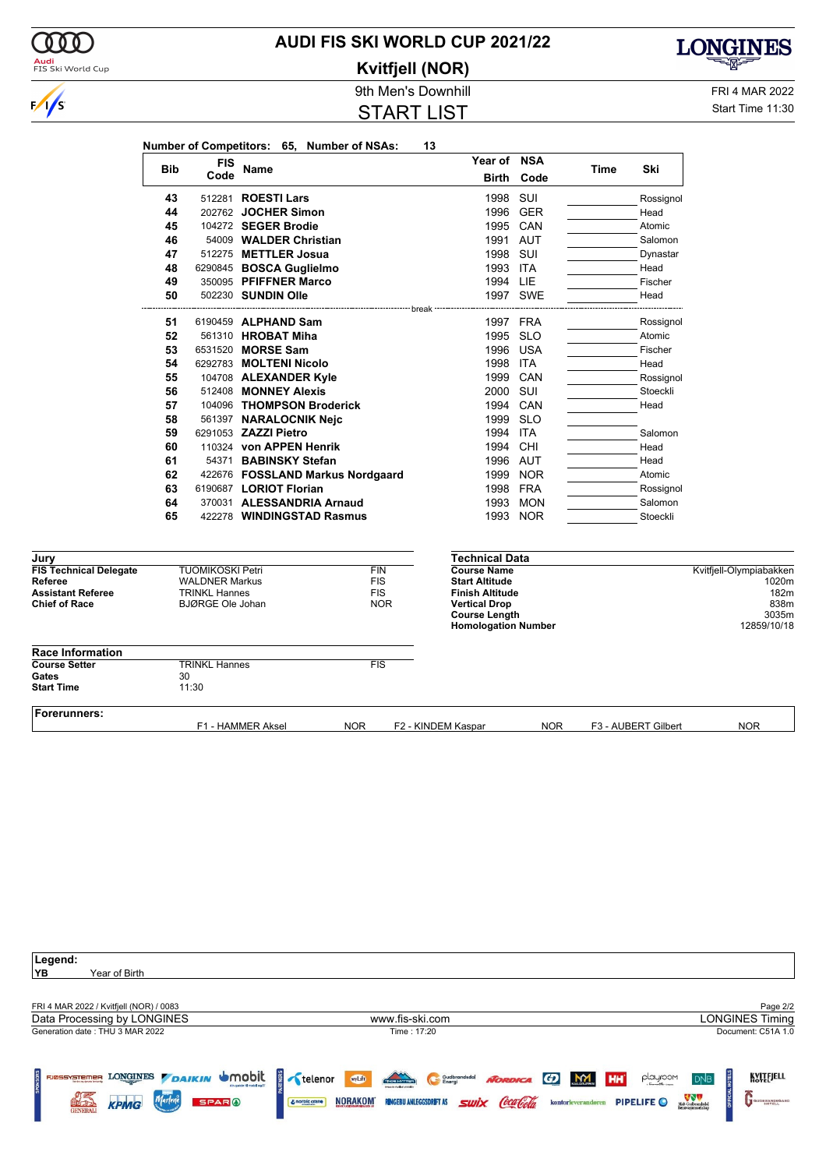

## **AUDI FIS SKI WORLD CUP 2021/22**

**Kvitfjell (NOR)**

START LIST



9th Men's Downhill FRI 4 MAR 2022 Start Time 11:30

|                                          |            |                                                  | Number of Competitors: 65, Number of NSAs: |                          | 13                 |                                                    |            |      |                     |                                  |
|------------------------------------------|------------|--------------------------------------------------|--------------------------------------------|--------------------------|--------------------|----------------------------------------------------|------------|------|---------------------|----------------------------------|
|                                          |            | <b>FIS</b>                                       |                                            |                          |                    | Year of NSA                                        |            |      |                     |                                  |
|                                          | <b>Bib</b> | Code                                             | Name                                       |                          |                    | <b>Birth</b>                                       | Code       | Time | Ski                 |                                  |
|                                          | 43         |                                                  | 512281 <b>ROESTI Lars</b>                  |                          |                    | 1998                                               | SUI        |      | Rossignol           |                                  |
|                                          | 44         |                                                  | 202762 JOCHER Simon                        |                          |                    | 1996                                               | <b>GER</b> |      | Head                |                                  |
|                                          | 45         |                                                  | 104272 SEGER Brodie                        |                          |                    | 1995                                               | CAN        |      | Atomic              |                                  |
|                                          | 46         |                                                  | 54009 WALDER Christian                     |                          |                    |                                                    | 1991 AUT   |      | Salomon             |                                  |
|                                          | 47         |                                                  | 512275 METTLER Josua                       |                          |                    | 1998                                               | SUI        |      | Dynastar            |                                  |
|                                          | 48         |                                                  | 6290845 BOSCA Guglielmo                    |                          |                    | 1993 ITA                                           |            |      | Head                |                                  |
|                                          | 49         |                                                  | 350095 PFIFFNER Marco                      |                          |                    | 1994 LIE                                           |            |      | Fischer             |                                  |
|                                          | 50         |                                                  | 502230 SUNDIN Olle                         |                          |                    |                                                    | 1997 SWE   |      | Head                |                                  |
|                                          |            |                                                  |                                            |                          | break              |                                                    |            |      |                     |                                  |
|                                          | 51         |                                                  | 6190459 ALPHAND Sam                        |                          |                    |                                                    | 1997 FRA   |      | Rossignol           |                                  |
|                                          | 52         |                                                  | 561310 HROBAT Miha                         |                          |                    | 1995                                               | <b>SLO</b> |      | Atomic              |                                  |
|                                          | 53         |                                                  | 6531520 MORSE Sam                          |                          |                    | 1996                                               | USA        |      | Fischer             |                                  |
|                                          | 54         |                                                  | 6292783 MOLTENI Nicolo                     |                          |                    | 1998                                               | <b>ITA</b> |      | Head                |                                  |
|                                          | 55         |                                                  | 104708 ALEXANDER Kyle                      |                          |                    | 1999                                               | CAN        |      | Rossignol           |                                  |
|                                          | 56         |                                                  | 512408 MONNEY Alexis                       |                          |                    | 2000                                               | SUI        |      | Stoeckli            |                                  |
|                                          | 57         |                                                  | 104096 THOMPSON Broderick                  |                          |                    | 1994                                               | CAN        |      | Head                |                                  |
|                                          | 58         |                                                  | 561397 NARALOCNIK Nejc                     |                          |                    | 1999                                               | <b>SLO</b> |      |                     |                                  |
|                                          | 59         |                                                  | 6291053 ZAZZI Pietro                       |                          |                    | 1994                                               | ITA        |      | Salomon             |                                  |
|                                          | 60         |                                                  | 110324 von APPEN Henrik                    |                          |                    | 1994                                               | CHI        |      | Head                |                                  |
|                                          | 61         |                                                  | 54371 BABINSKY Stefan                      |                          |                    |                                                    | 1996 AUT   |      | Head                |                                  |
|                                          | 62         |                                                  | 422676 FOSSLAND Markus Nordgaard           |                          |                    | 1999                                               | <b>NOR</b> |      | Atomic              |                                  |
|                                          | 63         |                                                  | 6190687 LORIOT Florian                     |                          |                    | 1998                                               | FRA        |      | Rossignol           |                                  |
|                                          | 64         |                                                  | 370031 ALESSANDRIA Arnaud                  |                          |                    | 1993                                               | MON        |      | Salomon             |                                  |
|                                          | 65         |                                                  | 422278 WINDINGSTAD Rasmus                  |                          |                    |                                                    | 1993 NOR   |      | Stoeckli            |                                  |
|                                          |            |                                                  |                                            |                          |                    |                                                    |            |      |                     |                                  |
| Jury                                     |            |                                                  |                                            |                          |                    | <b>Technical Data</b>                              |            |      |                     |                                  |
| <b>FIS Technical Delegate</b><br>Referee |            | <b>TUOMIKOSKI Petri</b><br><b>WALDNER Markus</b> |                                            | <b>FIN</b><br><b>FIS</b> |                    | <b>Course Name</b><br><b>Start Altitude</b>        |            |      |                     | Kvitfjell-Olympiabakken<br>1020m |
| <b>Assistant Referee</b>                 |            | <b>TRINKL Hannes</b>                             |                                            | <b>FIS</b>               |                    | <b>Finish Altitude</b>                             |            |      |                     | 182m                             |
| <b>Chief of Race</b>                     |            | <b>BJØRGE Ole Johan</b>                          |                                            | <b>NOR</b>               |                    | <b>Vertical Drop</b>                               |            |      |                     | 838m                             |
|                                          |            |                                                  |                                            |                          |                    | <b>Course Length</b><br><b>Homologation Number</b> |            |      |                     | 3035m<br>12859/10/18             |
| <b>Race Information</b>                  |            |                                                  |                                            |                          |                    |                                                    |            |      |                     |                                  |
| <b>Course Setter</b>                     |            | <b>TRINKL Hannes</b>                             |                                            | <b>FIS</b>               |                    |                                                    |            |      |                     |                                  |
| Gates                                    |            | 30                                               |                                            |                          |                    |                                                    |            |      |                     |                                  |
| <b>Start Time</b>                        |            | 11:30                                            |                                            |                          |                    |                                                    |            |      |                     |                                  |
| Forerunners:                             |            |                                                  | F1 - HAMMER Aksel                          | <b>NOR</b>               | F2 - KINDEM Kaspar |                                                    | NOR.       |      | F3 - AUBERT Gilbert | <b>NOR</b>                       |
|                                          |            |                                                  |                                            |                          |                    |                                                    |            |      |                     |                                  |

| Legend:                                                                                                            |                                                                                                                                                                                                    |                                                                                                                                        |  |  |
|--------------------------------------------------------------------------------------------------------------------|----------------------------------------------------------------------------------------------------------------------------------------------------------------------------------------------------|----------------------------------------------------------------------------------------------------------------------------------------|--|--|
| YB<br>Year of Birth                                                                                                |                                                                                                                                                                                                    |                                                                                                                                        |  |  |
|                                                                                                                    |                                                                                                                                                                                                    |                                                                                                                                        |  |  |
| FRI 4 MAR 2022 / Kvitfjell (NOR) / 0083                                                                            |                                                                                                                                                                                                    | Page 2/2                                                                                                                               |  |  |
| Data Processing by LONGINES                                                                                        | www.fis-ski.com                                                                                                                                                                                    | <b>LONGINES Timing</b>                                                                                                                 |  |  |
| Generation date: THU 3 MAR 2022                                                                                    | Time: 17:20                                                                                                                                                                                        | Document: C51A 1.0                                                                                                                     |  |  |
| <b>DAIKIN SMOOIL</b><br><b>LONGINES</b><br>FJØSSYSTEMER<br>Marlene<br><b>KPMG</b><br><b>SPARO</b><br><b>ELADER</b> | telenor<br>wyLift<br><b>MY</b><br>Gudbrandsdal<br><b>NORDICA</b><br>$\boldsymbol{G}$<br>swix Coca Cola<br><b>NORAKOM</b><br><b>RINGEBU ANLEGGSDRIFT AS</b><br>kontorleverandøren<br>& norbic crane | KVITEJELL<br>playroom<br>HH<br><b>DNB</b><br><b>OFFICIAL</b><br>Midt-Gudbrandsdal<br>Renovasjonsselikup<br>PIPELIFE O<br>GUDBRANDSGARD |  |  |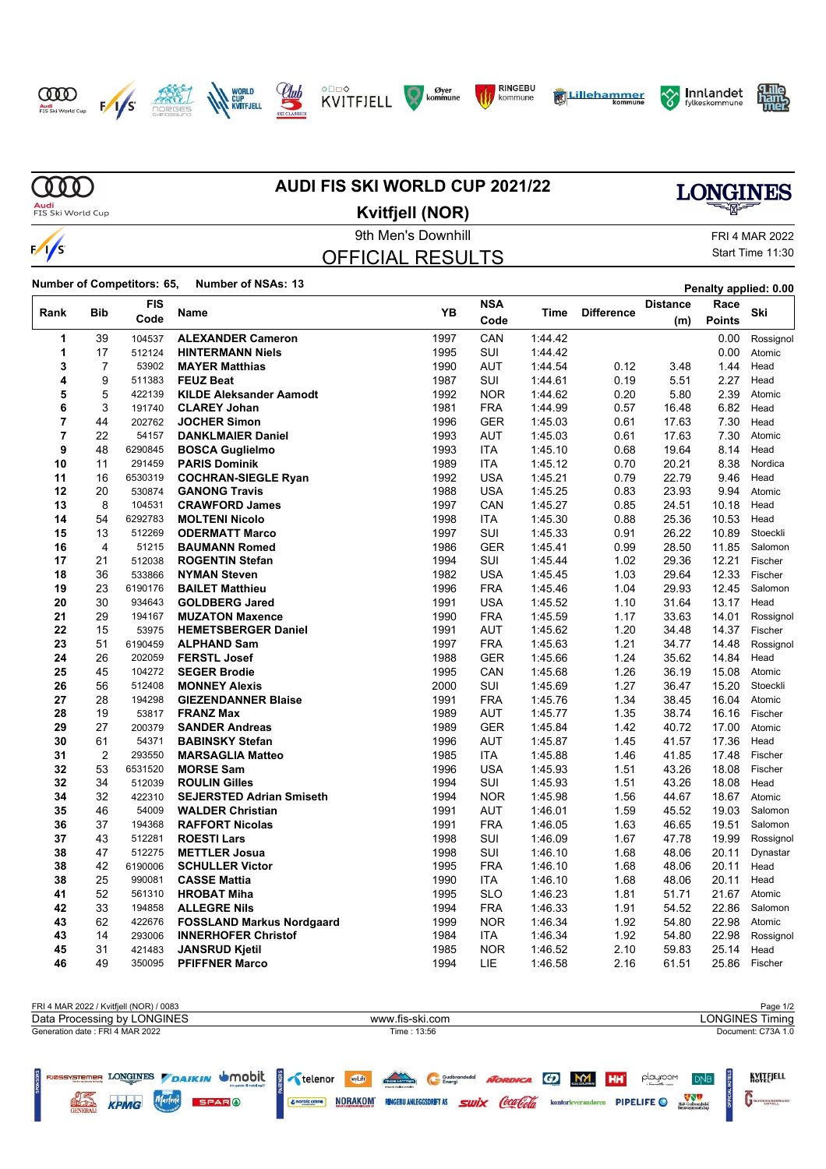















**MD Audi**<br>FIS Ski World Cup

 $\sqrt{s}$ 

# **AUDI FIS SKI WORLD CUP 2021/22**

# **LONGINES**

### 9th Men's Downhill FRI 4 MAR 2022 OFFICIAL RESULTS **Kvitfjell (NOR)**

Start Time 11:30

**CONSTRAINING MOTELL** 

**Number of Competitors: 65, Number of NSAs: <sup>13</sup> Penalty applied: 0.00**

**WATER SPING WATCHESPARE** 

|                |                | <b>FIS</b>       |                                                | YΒ           | <b>NSA</b> |                    |                   | <b>Distance</b> | Race           |                    |
|----------------|----------------|------------------|------------------------------------------------|--------------|------------|--------------------|-------------------|-----------------|----------------|--------------------|
| Rank           | Bib            | Code             | <b>Name</b>                                    |              | Code       | Time               | <b>Difference</b> | (m)             | <b>Points</b>  | Ski                |
| 1              | 39             | 104537           | <b>ALEXANDER Cameron</b>                       | 1997         | CAN        | 1:44.42            |                   |                 | 0.00           | Rossignol          |
| 1              | 17             | 512124           | <b>HINTERMANN Niels</b>                        | 1995         | SUI        | 1:44.42            |                   |                 | 0.00           | Atomic             |
| 3              | $\overline{7}$ | 53902            | <b>MAYER Matthias</b>                          | 1990         | <b>AUT</b> | 1:44.54            | 0.12              | 3.48            | 1.44           | Head               |
| 4              | 9              | 511383           | <b>FEUZ Beat</b>                               | 1987         | SUI        | 1:44.61            | 0.19              | 5.51            | 2.27           | Head               |
| 5              | 5              | 422139           | <b>KILDE Aleksander Aamodt</b>                 | 1992         | <b>NOR</b> | 1:44.62            | 0.20              | 5.80            | 2.39           | Atomic             |
| 6              | 3              | 191740           | <b>CLAREY Johan</b>                            | 1981         | <b>FRA</b> | 1:44.99            | 0.57              | 16.48           | 6.82           | Head               |
| $\overline{7}$ | 44             | 202762           | <b>JOCHER Simon</b>                            | 1996         | <b>GER</b> | 1:45.03            | 0.61              | 17.63           | 7.30           | Head               |
| 7              | 22             | 54157            | <b>DANKLMAIER Daniel</b>                       | 1993         | <b>AUT</b> | 1:45.03            | 0.61              | 17.63           | 7.30           | Atomic             |
| 9              | 48             | 6290845          | <b>BOSCA Guglielmo</b>                         | 1993         | ITA        | 1:45.10            | 0.68              | 19.64           | 8.14           | Head               |
| 10             | 11             | 291459           | <b>PARIS Dominik</b>                           | 1989         | <b>ITA</b> | 1:45.12            | 0.70              | 20.21           | 8.38           | Nordica            |
| 11             | 16             | 6530319          | <b>COCHRAN-SIEGLE Ryan</b>                     | 1992         | <b>USA</b> | 1:45.21            | 0.79              | 22.79           | 9.46           | Head               |
| 12             | 20             | 530874           | <b>GANONG Travis</b>                           | 1988         | <b>USA</b> | 1.45.25            | 0.83              | 23.93           | 9.94           | Atomic             |
| 13             | 8              | 104531           | <b>CRAWFORD James</b>                          | 1997         | CAN        | 1.45.27            | 0.85              | 24.51           | 10.18          | Head               |
| 14             | 54             | 6292783          | <b>MOLTENI Nicolo</b>                          | 1998         | <b>ITA</b> | 1.45.30            | 0.88              | 25.36           | 10.53          | Head               |
| 15             | 13             | 512269           | <b>ODERMATT Marco</b>                          | 1997         | SUI        | 1:45.33            | 0.91              | 26.22           | 10.89          | Stoeckli           |
| 16             | $\overline{4}$ | 51215            | <b>BAUMANN Romed</b>                           | 1986         | <b>GER</b> | 1:45.41            | 0.99              | 28.50           | 11.85          | Salomon            |
| 17             | 21             | 512038           | <b>ROGENTIN Stefan</b>                         | 1994         | SUI        | 1:45.44            | 1.02              | 29.36           | 12.21          | Fischer            |
| 18             | 36             | 533866           | <b>NYMAN Steven</b>                            | 1982         | <b>USA</b> | 1:45.45            | 1.03              | 29.64           | 12.33          | Fischer            |
| 19             | 23             | 6190176          | <b>BAILET Matthieu</b>                         | 1996         | <b>FRA</b> | 1:45.46            | 1.04              | 29.93           | 12.45          | Salomon            |
| 20             | 30             | 934643           | <b>GOLDBERG Jared</b>                          | 1991         | <b>USA</b> | 1:45.52            | 1.10              | 31.64           | 13.17          | Head               |
| 21             | 29             | 194167           | <b>MUZATON Maxence</b>                         | 1990         | <b>FRA</b> | 1:45.59            | 1.17              | 33.63           | 14.01          | Rossignol          |
| 22             | 15             | 53975            | <b>HEMETSBERGER Daniel</b>                     | 1991         | AUT        | 1:45.62            | 1.20              | 34.48           | 14.37          | Fischer            |
| 23             | 51             | 6190459          | <b>ALPHAND Sam</b>                             | 1997         | <b>FRA</b> | 1:45.63            | 1.21              | 34.77           | 14.48          | Rossignol          |
| 24             | 26             | 202059           | <b>FERSTL Josef</b>                            | 1988         | <b>GER</b> | 1:45.66            | 1.24              | 35.62           | 14.84          | Head               |
| 25<br>26       | 45<br>56       | 104272<br>512408 | <b>SEGER Brodie</b>                            | 1995<br>2000 | CAN<br>SUI | 1:45.68<br>1:45.69 | 1.26<br>1.27      | 36.19<br>36.47  | 15.08<br>15.20 | Atomic<br>Stoeckli |
| 27             | 28             | 194298           | <b>MONNEY Alexis</b>                           | 1991         | <b>FRA</b> | 1:45.76            | 1.34              | 38.45           | 16.04          | Atomic             |
| 28             | 19             | 53817            | <b>GIEZENDANNER Blaise</b><br><b>FRANZ Max</b> |              | <b>AUT</b> |                    |                   |                 | 16.16          |                    |
| 29             | 27             | 200379           | <b>SANDER Andreas</b>                          | 1989<br>1989 | <b>GER</b> | 1:45.77<br>1:45.84 | 1.35<br>1.42      | 38.74<br>40.72  | 17.00          | Fischer<br>Atomic  |
| 30             | 61             | 54371            | <b>BABINSKY Stefan</b>                         | 1996         | <b>AUT</b> | 1:45.87            | 1.45              | 41.57           | 17.36          | Head               |
| 31             | $\overline{2}$ | 293550           | <b>MARSAGLIA Matteo</b>                        | 1985         | <b>ITA</b> | 1:45.88            | 1.46              | 41.85           | 17.48          | Fischer            |
| 32             | 53             | 6531520          | <b>MORSE Sam</b>                               | 1996         | <b>USA</b> | 1.45.93            | 1.51              | 43.26           | 18.08          | Fischer            |
| 32             | 34             | 512039           | <b>ROULIN Gilles</b>                           | 1994         | SUI        | 1.45.93            | 1.51              | 43.26           | 18.08          | Head               |
| 34             | 32             | 422310           | <b>SEJERSTED Adrian Smiseth</b>                | 1994         | <b>NOR</b> | 1.45.98            | 1.56              | 44.67           | 18.67          | Atomic             |
| 35             | 46             | 54009            | <b>WALDER Christian</b>                        | 1991         | <b>AUT</b> | 1.46.01            | 1.59              | 45.52           | 19.03          | Salomon            |
| 36             | 37             | 194368           | <b>RAFFORT Nicolas</b>                         | 1991         | <b>FRA</b> | 1:46.05            | 1.63              | 46.65           | 19.51          | Salomon            |
| 37             | 43             | 512281           | <b>ROESTI Lars</b>                             | 1998         | SUI        | 1:46.09            | 1.67              | 47.78           | 19.99          | Rossignol          |
| 38             | 47             | 512275           | <b>METTLER Josua</b>                           | 1998         | SUI        | 1:46.10            | 1.68              | 48.06           | 20.11          | Dynastar           |
| 38             | 42             | 6190006          | <b>SCHULLER Victor</b>                         | 1995         | <b>FRA</b> | 1:46.10            | 1.68              | 48.06           | 20.11          | Head               |
| 38             | 25             | 990081           | <b>CASSE Mattia</b>                            | 1990         | ITA        | 1:46.10            | 1.68              | 48.06           | 20.11          | Head               |
| 41             | 52             | 561310           | <b>HROBAT Miha</b>                             | 1995         | <b>SLO</b> | 1:46.23            | 1.81              | 51.71           | 21.67          | Atomic             |
| 42             | 33             | 194858           | <b>ALLEGRE Nils</b>                            | 1994         | <b>FRA</b> | 1:46.33            | 1.91              | 54.52           | 22.86          | Salomon            |
| 43             | 62             | 422676           | <b>FOSSLAND Markus Nordgaard</b>               | 1999         | <b>NOR</b> | 1:46.34            | 1.92              | 54.80           | 22.98          | Atomic             |
| 43             | 14             | 293006           | <b>INNERHOFER Christof</b>                     | 1984         | ITA        | 1:46.34            | 1.92              | 54.80           | 22.98          | Rossignol          |
| 45             | 31             | 421483           | <b>JANSRUD Kjetil</b>                          | 1985         | <b>NOR</b> | 1:46.52            | 2.10              | 59.83           | 25.14          | Head               |
| 46             | 49             | 350095           | <b>PFIFFNER Marco</b>                          | 1994         | LIE        | 1:46.58            | 2.16              | 61.51           | 25.86          | Fischer            |

| FRI 4 MAR 2022 / Kvitfjell (NOR) / 0083 |                                                              | Page 1/2                                 |
|-----------------------------------------|--------------------------------------------------------------|------------------------------------------|
| Data Processing by LONGINES             | <b>LONGINES Timing</b>                                       |                                          |
| Generation date: FRI 4 MAR 2022         | Time: 13:56                                                  | Document: C73A 1.0                       |
|                                         |                                                              |                                          |
| RESERVED BY ANGELER AND STREET          | Thomas Hiverine<br>Noroica G M1 HH<br>wyLift<br>Gudbrandsdal | KVITEJELL<br>playroom<br>DN <sub>B</sub> |

Contriguence **NORAKOM RIGEBU ANLEGGSDRFT AS SWIX CCALCOLA** kontorieveranderen PIPELIFE O NEW DESCRIPTION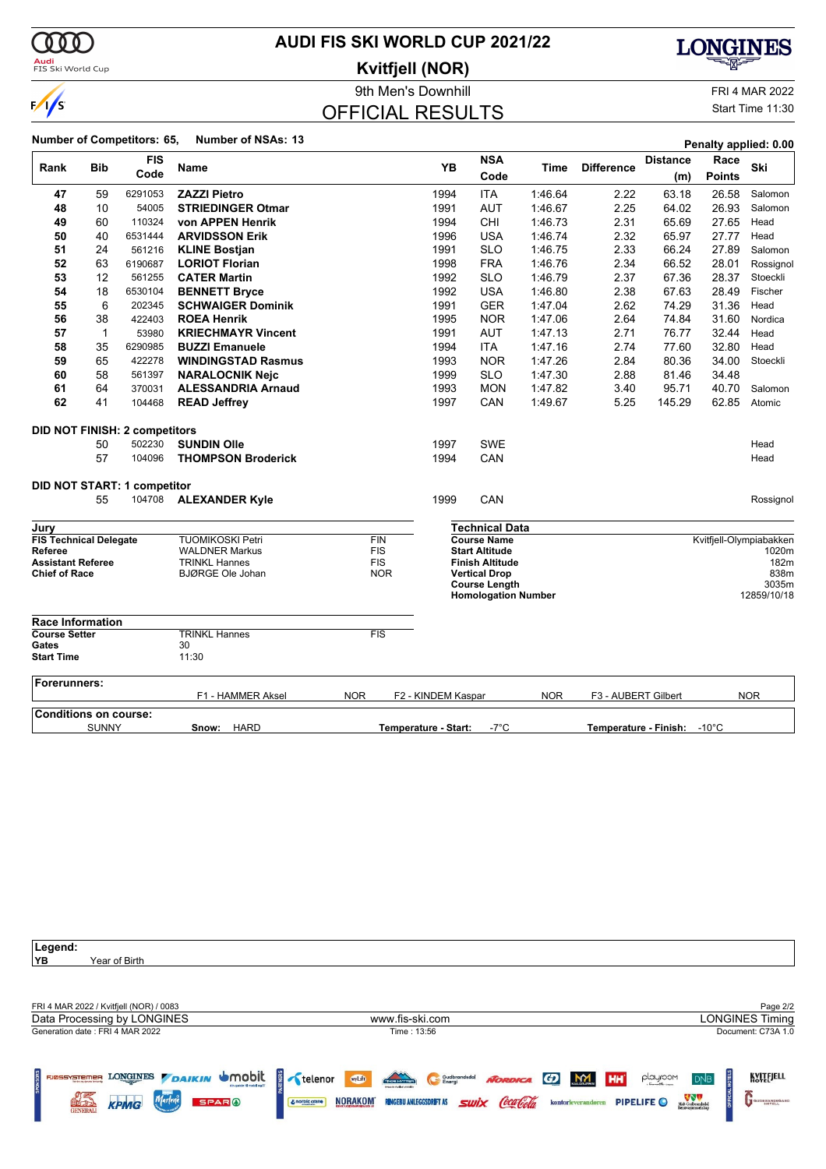

## **AUDI FIS SKI WORLD CUP 2021/22**

**Kvitfjell (NOR)**



### OFFICIAL RESULTS

**LONGINES** 

¥X.

Start Time 11:30

|                                       |              |                                      |                            |            |                      |      |                                             |            |                     |                             |               | Penalty applied: 0.00   |
|---------------------------------------|--------------|--------------------------------------|----------------------------|------------|----------------------|------|---------------------------------------------|------------|---------------------|-----------------------------|---------------|-------------------------|
| Rank                                  | <b>Bib</b>   | <b>FIS</b>                           | <b>Name</b>                |            |                      | YB   | <b>NSA</b>                                  | Time       | <b>Difference</b>   | <b>Distance</b>             | Race          | Ski                     |
|                                       |              | Code                                 |                            |            |                      |      | Code                                        |            |                     | (m)                         | <b>Points</b> |                         |
| 47                                    | 59           | 6291053                              | <b>ZAZZI Pietro</b>        |            |                      | 1994 | <b>ITA</b>                                  | 1:46.64    | 2.22                | 63.18                       | 26.58         | Salomon                 |
| 48                                    | 10           | 54005                                | <b>STRIEDINGER Otmar</b>   |            |                      | 1991 | <b>AUT</b>                                  | 1:46.67    | 2.25                | 64.02                       | 26.93         | Salomon                 |
| 49                                    | 60           | 110324                               | von APPEN Henrik           |            |                      | 1994 | CHI                                         | 1:46.73    | 2.31                | 65.69                       | 27.65         | Head                    |
| 50                                    | 40           | 6531444                              | <b>ARVIDSSON Erik</b>      |            |                      | 1996 | <b>USA</b>                                  | 1:46.74    | 2.32                | 65.97                       | 27.77         | Head                    |
| 51                                    | 24           | 561216                               | <b>KLINE Bostjan</b>       |            |                      | 1991 | <b>SLO</b>                                  | 1:46.75    | 2.33                | 66.24                       | 27.89         | Salomon                 |
| 52                                    | 63           | 6190687                              | <b>LORIOT Florian</b>      |            |                      | 1998 | <b>FRA</b>                                  | 1.46.76    | 2.34                | 66.52                       | 28.01         | Rossignol               |
| 53                                    | 12           | 561255                               | <b>CATER Martin</b>        |            |                      | 1992 | <b>SLO</b>                                  | 1.46.79    | 2.37                | 67.36                       | 28.37         | Stoeckli                |
| 54                                    | 18           | 6530104                              | <b>BENNETT Bryce</b>       |            |                      | 1992 | <b>USA</b>                                  | 1:46.80    | 2.38                | 67.63                       | 28.49         | Fischer                 |
| 55                                    | 6            | 202345                               | <b>SCHWAIGER Dominik</b>   |            |                      | 1991 | <b>GER</b>                                  | 1:47.04    | 2.62                | 74.29                       | 31.36         | Head                    |
| 56                                    | 38           | 422403                               | <b>ROEA Henrik</b>         |            |                      | 1995 | <b>NOR</b>                                  | 1:47.06    | 2.64                | 74.84                       | 31.60         | Nordica                 |
| 57                                    | $\mathbf{1}$ | 53980                                | <b>KRIECHMAYR Vincent</b>  |            |                      | 1991 | <b>AUT</b>                                  | 1:47.13    | 2.71                | 76.77                       | 32.44         | Head                    |
| 58                                    | 35           | 6290985                              | <b>BUZZI Emanuele</b>      |            |                      | 1994 | <b>ITA</b>                                  | 1:47.16    | 2.74                | 77.60                       | 32.80         | Head                    |
| 59                                    | 65           | 422278                               | <b>WINDINGSTAD Rasmus</b>  |            |                      | 1993 | <b>NOR</b>                                  | 1:47.26    | 2.84                | 80.36                       | 34.00         | Stoeckli                |
| 60                                    | 58           | 561397                               | <b>NARALOCNIK Nejc</b>     |            |                      | 1999 | <b>SLO</b>                                  | 1:47.30    | 2.88                | 81.46                       | 34.48         |                         |
| 61                                    | 64           | 370031                               | <b>ALESSANDRIA Arnaud</b>  |            |                      | 1993 | <b>MON</b>                                  | 1:47.82    | 3.40                | 95.71                       | 40.70         | Salomon                 |
| 62                                    | 41           | 104468                               | <b>READ Jeffrey</b>        |            |                      | 1997 | CAN                                         | 1:49.67    | 5.25                | 145.29                      | 62.85         | Atomic                  |
|                                       |              | <b>DID NOT FINISH: 2 competitors</b> |                            |            |                      |      |                                             |            |                     |                             |               |                         |
|                                       | 50           | 502230                               | <b>SUNDIN Olle</b>         |            |                      | 1997 | <b>SWE</b>                                  |            |                     |                             |               | Head                    |
|                                       | 57           | 104096                               | <b>THOMPSON Broderick</b>  |            |                      | 1994 | CAN                                         |            |                     |                             |               | Head                    |
|                                       |              | DID NOT START: 1 competitor          |                            |            |                      |      |                                             |            |                     |                             |               |                         |
|                                       | 55           | 104708                               | <b>ALEXANDER Kyle</b>      |            |                      | 1999 | CAN                                         |            |                     |                             |               | Rossignol               |
|                                       |              |                                      |                            |            |                      |      |                                             |            |                     |                             |               |                         |
| Jury<br><b>FIS Technical Delegate</b> |              |                                      | <b>TUOMIKOSKI Petri</b>    | FIN        |                      |      | <b>Technical Data</b><br><b>Course Name</b> |            |                     |                             |               | Kvitfjell-Olympiabakken |
| Referee                               |              |                                      | <b>WALDNER Markus</b>      | <b>FIS</b> |                      |      | <b>Start Altitude</b>                       |            |                     |                             |               | 1020m                   |
| <b>Assistant Referee</b>              |              |                                      | <b>TRINKL Hannes</b>       | <b>FIS</b> |                      |      | <b>Finish Altitude</b>                      |            |                     |                             |               | 182m                    |
| <b>Chief of Race</b>                  |              |                                      | <b>BJØRGE Ole Johan</b>    | <b>NOR</b> |                      |      | <b>Vertical Drop</b>                        |            |                     |                             |               | 838m                    |
|                                       |              |                                      |                            |            |                      |      | <b>Course Length</b>                        |            |                     |                             |               | 3035m                   |
|                                       |              |                                      |                            |            |                      |      | <b>Homologation Number</b>                  |            |                     |                             |               | 12859/10/18             |
| <b>Race Information</b>               |              |                                      |                            |            |                      |      |                                             |            |                     |                             |               |                         |
| <b>Course Setter</b>                  |              |                                      | <b>TRINKL Hannes</b><br>30 | <b>FIS</b> |                      |      |                                             |            |                     |                             |               |                         |
| Gates<br><b>Start Time</b>            |              |                                      | 11:30                      |            |                      |      |                                             |            |                     |                             |               |                         |
| <b>Forerunners:</b>                   |              |                                      |                            |            |                      |      |                                             |            |                     |                             |               |                         |
|                                       |              |                                      | F1 - HAMMER Aksel          | <b>NOR</b> | F2 - KINDEM Kaspar   |      |                                             | <b>NOR</b> | F3 - AUBERT Gilbert |                             |               | <b>NOR</b>              |
| <b>Conditions on course:</b>          |              |                                      |                            |            |                      |      |                                             |            |                     |                             |               |                         |
|                                       | <b>SUNNY</b> |                                      | <b>HARD</b><br>Snow:       |            | Temperature - Start: |      | $-7^{\circ}$ C                              |            |                     | Temperature - Finish: -10°C |               |                         |

| Legend:                                                            |                                                                                                                                             |                                                                        |  |  |  |
|--------------------------------------------------------------------|---------------------------------------------------------------------------------------------------------------------------------------------|------------------------------------------------------------------------|--|--|--|
| YB.<br>Year of Birth                                               |                                                                                                                                             |                                                                        |  |  |  |
|                                                                    |                                                                                                                                             |                                                                        |  |  |  |
|                                                                    |                                                                                                                                             |                                                                        |  |  |  |
| FRI 4 MAR 2022 / Kvitfjell (NOR) / 0083                            |                                                                                                                                             | Page 2/2                                                               |  |  |  |
| Data Processing by LONGINES                                        | www.fis-ski.com                                                                                                                             | <b>LONGINES Timing</b>                                                 |  |  |  |
| Generation date: FRI 4 MAR 2022                                    | Time: 13:56                                                                                                                                 | Document: C73A 1.0                                                     |  |  |  |
|                                                                    |                                                                                                                                             |                                                                        |  |  |  |
| LONGINES DAIKIN UMODIL<br>FJØSSYSTEMER                             | $\frac{3}{2}$ telenor<br>wyLift<br><b>TAXABLE DISTURBANCE</b><br>M<br>Gudbrandsdal<br><b>MORDICA</b><br>$\boldsymbol{G}$<br>HH <sup>*</sup> | KVITEJELL<br>playroom<br>D <sub>NB</sub>                               |  |  |  |
| <b>SPONSORS</b><br><b>Tendes ag destra l'estevig</b>               | innoces weeker vestels                                                                                                                      |                                                                        |  |  |  |
| Marlene<br><b>KPMG</b><br><b>SPARO</b><br>ELC LE<br><b>GENERAL</b> | NORAKOM <sup>®</sup><br>swix Coca Cola<br><b>RINGEBU ANLEGGSDRIFT AS</b><br>kontorleverandøren<br>& norbic crane                            | Midt-Gudbrandsdal<br>Renovasjonsselskap<br>PIPELIFE O<br>GUDBRANDSGARD |  |  |  |
|                                                                    |                                                                                                                                             |                                                                        |  |  |  |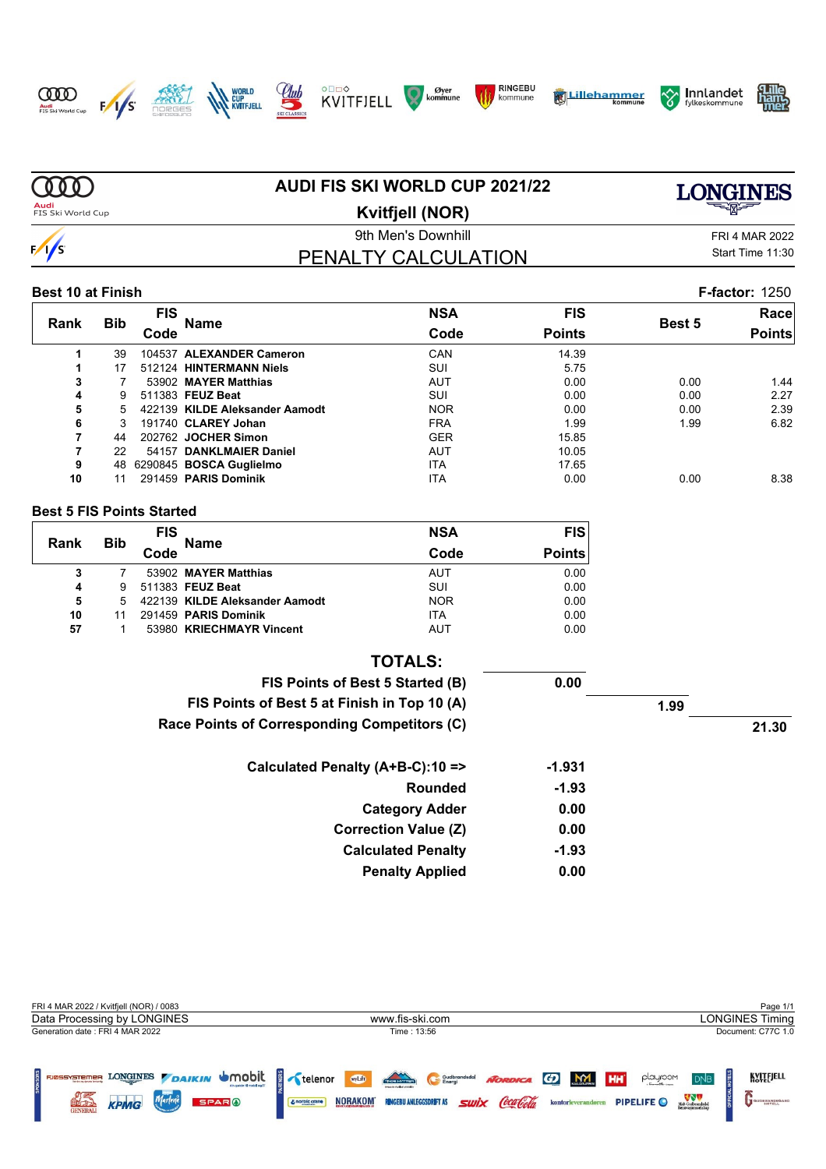

 $\infty$ 















| $\Omega$                  |            |            | AUDI FIS SKI WORLD CUP 2021/22 | <b>ONGINES</b>   |                       |        |                       |  |
|---------------------------|------------|------------|--------------------------------|------------------|-----------------------|--------|-----------------------|--|
| Audi<br>FIS Ski World Cup |            | 투짜는        |                                |                  |                       |        |                       |  |
|                           |            |            | 9th Men's Downhill             |                  | <b>FRI 4 MAR 2022</b> |        |                       |  |
| $\frac{1}{s}$             |            |            | PENALTY CALCULATION            | Start Time 11:30 |                       |        |                       |  |
| <b>Best 10 at Finish</b>  |            |            |                                |                  |                       |        | <b>F-factor: 1250</b> |  |
|                           |            | <b>FIS</b> |                                | <b>NSA</b>       | <b>FIS</b>            |        | Race                  |  |
| <b>Rank</b>               | <b>Bib</b> | Code       | Name                           | Code             | <b>Points</b>         | Best 5 | <b>Points</b>         |  |
| 1                         | 39         |            | 104537 ALEXANDER Cameron       | CAN              | 14.39                 |        |                       |  |
|                           | 17         |            | 512124 HINTERMANN Niels        | SUI              | 5.75                  |        |                       |  |
| 3                         |            |            | 53902 MAYER Matthias           | <b>AUT</b>       | 0.00                  | 0.00   | 1.44                  |  |
| 4                         | 9          |            | 511383 FEUZ Beat               | SUI              | 0.00                  | 0.00   | 2.27                  |  |
| 5                         | 5.         |            | 422139 KILDE Aleksander Aamodt | <b>NOR</b>       | 0.00                  | 0.00   | 2.39                  |  |
| 6                         |            |            | 191740 CLAREY Johan            | <b>FRA</b>       | 1.99                  | 1.99   | 6.82                  |  |
|                           | 44         |            | 202762 JOCHER Simon            | <b>GER</b>       | 15.85                 |        |                       |  |
|                           | 22         |            | 54157 DANKLMAIER Daniel        | <b>AUT</b>       | 10.05                 |        |                       |  |
| 9                         | 48         |            | 6290845 BOSCA Guglielmo        | <b>ITA</b>       | 17.65                 |        |                       |  |
| 10                        | 11         |            | 291459 PARIS Dominik           | <b>ITA</b>       | 0.00                  | 0.00   | 8.38                  |  |

**AUDI FIS SKI WORLD CUP 2021/22**

#### **Best 5 FIS Points Started**

| Rank | Bib | <b>FIS</b> | <b>Name</b>                    | <b>NSA</b> | <b>FIS</b>    |  |
|------|-----|------------|--------------------------------|------------|---------------|--|
|      |     | Code       |                                | Code       | <b>Points</b> |  |
| 3    |     |            | 53902 MAYER Matthias           | AUT        | 0.00          |  |
| 4    | 9   |            | 511383 FEUZ Beat               | SUI        | 0.00          |  |
| 5    | 5   |            | 422139 KILDE Aleksander Aamodt | <b>NOR</b> | 0.00          |  |
| 10   |     |            | 291459 PARIS Dominik           | <b>ITA</b> | 0.00          |  |
| 57   |     |            | 53980 KRIECHMAYR Vincent       | <b>AUT</b> | 0.00          |  |

|       |          | <b>TOTALS:</b>                               |
|-------|----------|----------------------------------------------|
|       | 0.00     | FIS Points of Best 5 Started (B)             |
| 1.99  |          | FIS Points of Best 5 at Finish in Top 10 (A) |
| 21.30 |          | Race Points of Corresponding Competitors (C) |
|       | $-1.931$ | Calculated Penalty (A+B-C):10 =>             |
|       | $-1.93$  | Rounded                                      |
|       | 0.00     | <b>Category Adder</b>                        |
|       | 0.00     | <b>Correction Value (Z)</b>                  |
|       | $-1.93$  | <b>Calculated Penalty</b>                    |
|       | 0.00     | <b>Penalty Applied</b>                       |

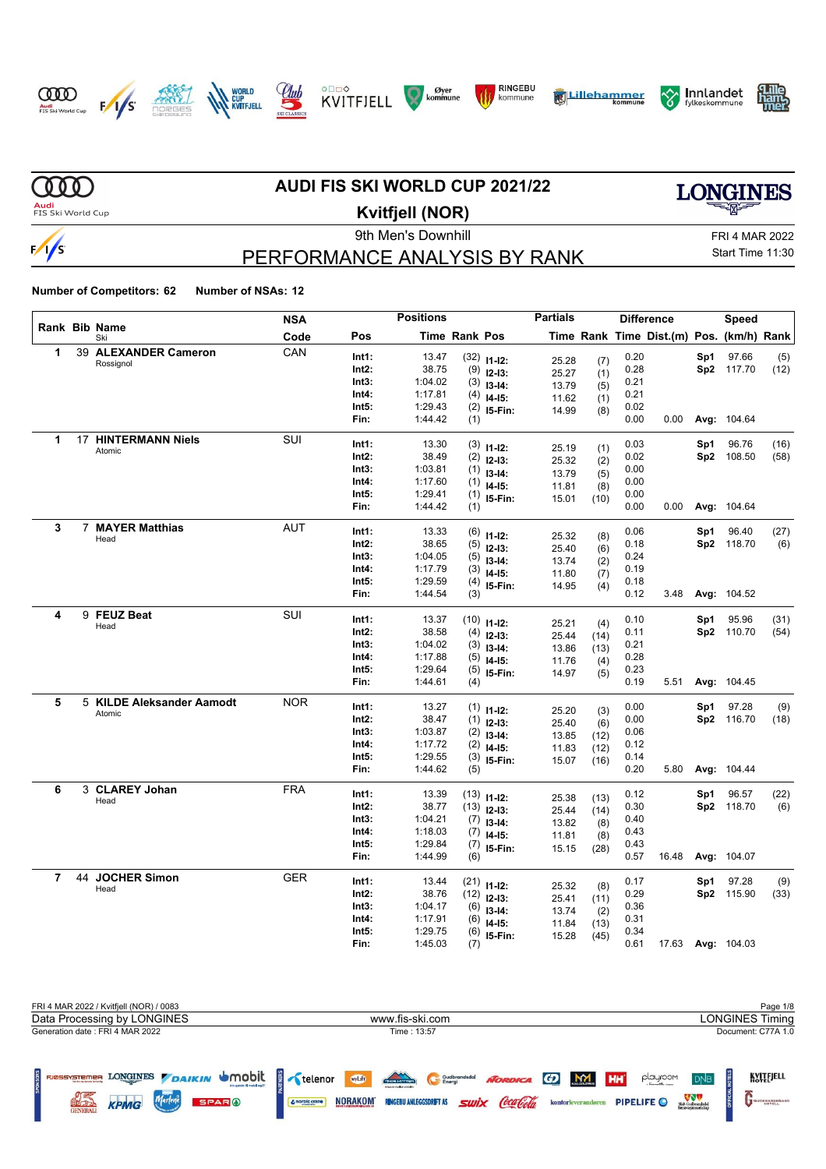















**MD AUDI FIS SKI WORLD CUP 2021/22 LONGINES Audi**<br>FIS Ski World Cup **Kvitfjell (NOR)** 9th Men's Downhill FRI 4 MAR 2022

### PERFORMANCE ANALYSIS BY RANK

Start Time 11:30

|                |    |                           | <b>NSA</b> |       | <b>Positions</b> |                      |               | <b>Partials</b> |              |      | <b>Difference</b>                        |     | Speed             |      |
|----------------|----|---------------------------|------------|-------|------------------|----------------------|---------------|-----------------|--------------|------|------------------------------------------|-----|-------------------|------|
|                |    | Rank Bib Name<br>Ski      | Code       | Pos   |                  | <b>Time Rank Pos</b> |               |                 |              |      | Time Rank Time Dist.(m) Pos. (km/h) Rank |     |                   |      |
| 1              |    | 39 ALEXANDER Cameron      | CAN        | Int1: | 13.47            |                      | $(32)$ 11-12: | 25.28           | (7)          | 0.20 |                                          | Sp1 | 97.66             | (5)  |
|                |    | Rossignol                 |            | Int2: | 38.75            |                      | $(9)$ 12-13:  | 25.27           | (1)          | 0.28 |                                          |     | Sp2 117.70        | (12) |
|                |    |                           |            | Int3: | 1:04.02          | (3)                  | $13-14:$      | 13.79           | (5)          | 0.21 |                                          |     |                   |      |
|                |    |                           |            | Int4: | 1:17.81          | (4)                  | $14-15$ :     | 11.62           | (1)          | 0.21 |                                          |     |                   |      |
|                |    |                           |            | Int5: | 1:29.43          |                      | $(2)$ 15-Fin: | 14.99           | (8)          | 0.02 |                                          |     |                   |      |
|                |    |                           |            | Fin:  | 1:44.42          | (1)                  |               |                 |              | 0.00 | 0.00                                     |     | Avg: 104.64       |      |
| 1              |    | 17 HINTERMANN Niels       | SUI        | Int1: | 13.30            |                      | $(3)$ 11-12:  |                 |              | 0.03 |                                          | Sp1 | 96.76             | (16) |
|                |    | Atomic                    |            | Int2: | 38.49            |                      | $(2)$ 12-13:  | 25.19<br>25.32  | (1)<br>(2)   | 0.02 |                                          |     | Sp2 108.50        | (58) |
|                |    |                           |            | Int3: | 1:03.81          |                      | $(1)$ 13-14:  | 13.79           | (5)          | 0.00 |                                          |     |                   |      |
|                |    |                           |            | Int4: | 1:17.60          | (1)                  | $14-15$ :     | 11.81           | (8)          | 0.00 |                                          |     |                   |      |
|                |    |                           |            | Int5: | 1:29.41          |                      | $(1)$ 15-Fin: | 15.01           | (10)         | 0.00 |                                          |     |                   |      |
|                |    |                           |            | Fin:  | 1:44.42          | (1)                  |               |                 |              | 0.00 | 0.00                                     |     | Avg: 104.64       |      |
| 3              |    | 7 MAYER Matthias          | <b>AUT</b> | Int1: | 13.33            |                      | $(6)$ 11-12:  | 25.32           |              | 0.06 |                                          | Sp1 | 96.40             | (27) |
|                |    | Head                      |            | Int2: | 38.65            |                      | $(5)$ 12-13:  | 25.40           | (8)<br>(6)   | 0.18 |                                          |     | Sp2 118.70        | (6)  |
|                |    |                           |            | Int3: | 1:04.05          |                      | $(5)$ 13-14:  | 13.74           | (2)          | 0.24 |                                          |     |                   |      |
|                |    |                           |            | Int4: | 1:17.79          |                      | $(3)$ 14-15:  | 11.80           | (7)          | 0.19 |                                          |     |                   |      |
|                |    |                           |            | Int5: | 1:29.59          |                      | $(4)$ 15-Fin: | 14.95           | (4)          | 0.18 |                                          |     |                   |      |
|                |    |                           |            | Fin:  | 1:44.54          | (3)                  |               |                 |              | 0.12 | 3.48                                     |     | Avg: 104.52       |      |
| 4              |    | 9 FEUZ Beat               | SUI        | Int1: | 13.37            |                      | $(10)$ 11-12: |                 |              | 0.10 |                                          | Sp1 | 95.96             | (31) |
|                |    | Head                      |            | Int2: | 38.58            |                      | $(4)$ 12-13:  | 25.21<br>25.44  | (4)          | 0.11 |                                          |     | Sp2 110.70        | (54) |
|                |    |                           |            | Int3: | 1:04.02          | (3)                  | $13-14:$      | 13.86           | (14)<br>(13) | 0.21 |                                          |     |                   |      |
|                |    |                           |            | Int4: | 1:17.88          | (5)                  | $14-15:$      | 11.76           | (4)          | 0.28 |                                          |     |                   |      |
|                |    |                           |            | Int5: | 1:29.64          |                      | $(5)$ 15-Fin: | 14.97           | (5)          | 0.23 |                                          |     |                   |      |
|                |    |                           |            | Fin:  | 1:44.61          | (4)                  |               |                 |              | 0.19 | 5.51                                     |     | Avg: 104.45       |      |
| 5              |    | 5 KILDE Aleksander Aamodt | <b>NOR</b> | Int1: | 13.27            |                      | $(1)$ 11-12:  |                 |              | 0.00 |                                          | Sp1 | 97.28             | (9)  |
|                |    | Atomic                    |            | Int2: | 38.47            |                      | $(1)$ 12-13:  | 25.20<br>25.40  | (3)<br>(6)   | 0.00 |                                          |     | Sp2 116.70        | (18) |
|                |    |                           |            | Int3: | 1:03.87          |                      | $(2)$ 13-14:  | 13.85           | (12)         | 0.06 |                                          |     |                   |      |
|                |    |                           |            | Int4: | 1:17.72          |                      | $(2)$ 14-15:  | 11.83           | (12)         | 0.12 |                                          |     |                   |      |
|                |    |                           |            | Int5: | 1:29.55          |                      | $(3)$ 15-Fin: | 15.07           | (16)         | 0.14 |                                          |     |                   |      |
|                |    |                           |            | Fin:  | 1:44.62          | (5)                  |               |                 |              | 0.20 | 5.80                                     |     | Avg: 104.44       |      |
| 6              |    | 3 CLAREY Johan            | <b>FRA</b> | Int1: | 13.39            |                      | $(13)$ 11-12: |                 |              | 0.12 |                                          | Sp1 | 96.57             | (22) |
|                |    | Head                      |            | Int2: | 38.77            |                      | $(13)$ 12-13: | 25.38           | (13)         | 0.30 |                                          |     | Sp2 118.70        | (6)  |
|                |    |                           |            | Int3: | 1:04.21          |                      | $(7)$ 13-14:  | 25.44<br>13.82  | (14)         | 0.40 |                                          |     |                   |      |
|                |    |                           |            | Int4: | 1:18.03          |                      | $(7)$ 14-15:  | 11.81           | (8)<br>(8)   | 0.43 |                                          |     |                   |      |
|                |    |                           |            | Int5: | 1:29.84          |                      | $(7)$ 15-Fin: | 15.15           | (28)         | 0.43 |                                          |     |                   |      |
|                |    |                           |            | Fin:  | 1:44.99          | (6)                  |               |                 |              | 0.57 | 16.48                                    |     | Avg: 104.07       |      |
| $\overline{7}$ | 44 | <b>JOCHER Simon</b>       | GER        | Int1: | 13.44            |                      | $(21)$ 11-12: |                 |              | 0.17 |                                          | Sp1 | 97.28             | (9)  |
|                |    | Head                      |            | Int2: | 38.76            |                      | $(12)$ 12-13: | 25.32           | (8)          | 0.29 |                                          |     | Sp2 115.90        | (33) |
|                |    |                           |            | Int3: | 1:04.17          |                      | $(6)$ 13-14:  | 25.41<br>13.74  | (11)         | 0.36 |                                          |     |                   |      |
|                |    |                           |            | Int4: | 1:17.91          | (6)                  | $14-15:$      | 11.84           | (2)<br>(13)  | 0.31 |                                          |     |                   |      |
|                |    |                           |            | Int5: | 1:29.75          |                      | $(6)$ 15-Fin: | 15.28           | (45)         | 0.34 |                                          |     |                   |      |
|                |    |                           |            | Fin:  | 1:45.03          | (7)                  |               |                 |              | 0.61 |                                          |     | 17.63 Avg: 104.03 |      |

| FRI 4 MAR 2022 / Kvitfjell (NOR) / 0083                                                                |                                                                                                                                                  | Page 1/8                                                                                                                                                                         |  |  |
|--------------------------------------------------------------------------------------------------------|--------------------------------------------------------------------------------------------------------------------------------------------------|----------------------------------------------------------------------------------------------------------------------------------------------------------------------------------|--|--|
| www.fis-ski.com<br>Data Processing by LONGINES                                                         |                                                                                                                                                  |                                                                                                                                                                                  |  |  |
| Generation date: FRI 4 MAR 2022                                                                        | Time: 13:57                                                                                                                                      | Document: C77A 1.0                                                                                                                                                               |  |  |
| FIREST TELERAL MONOGRAPH LONGINES / DAIKIN UMODIL<br>Marlene<br><b>SPARO</b><br><b>KPMG</b><br>GENERAL | THE HOTEL<br>wyLift<br>Gudbrandsdal<br>NORDICA (D<br><b>Swix</b> Coca Cola<br><b>NORAKOM</b><br><b>RINGEBU ANLEGGSDRIFT AS</b><br>& norbic crane | KVITEJELL<br><b>MALLORUPPEN</b><br>playroom<br><b>HH</b><br>D <sub>NB</sub><br>Midt-Gudbrandsdal<br>Renovasionsselskap<br><b>PIPELIFE</b><br>kontorleverandøren<br>GUDBRANDSGARD |  |  |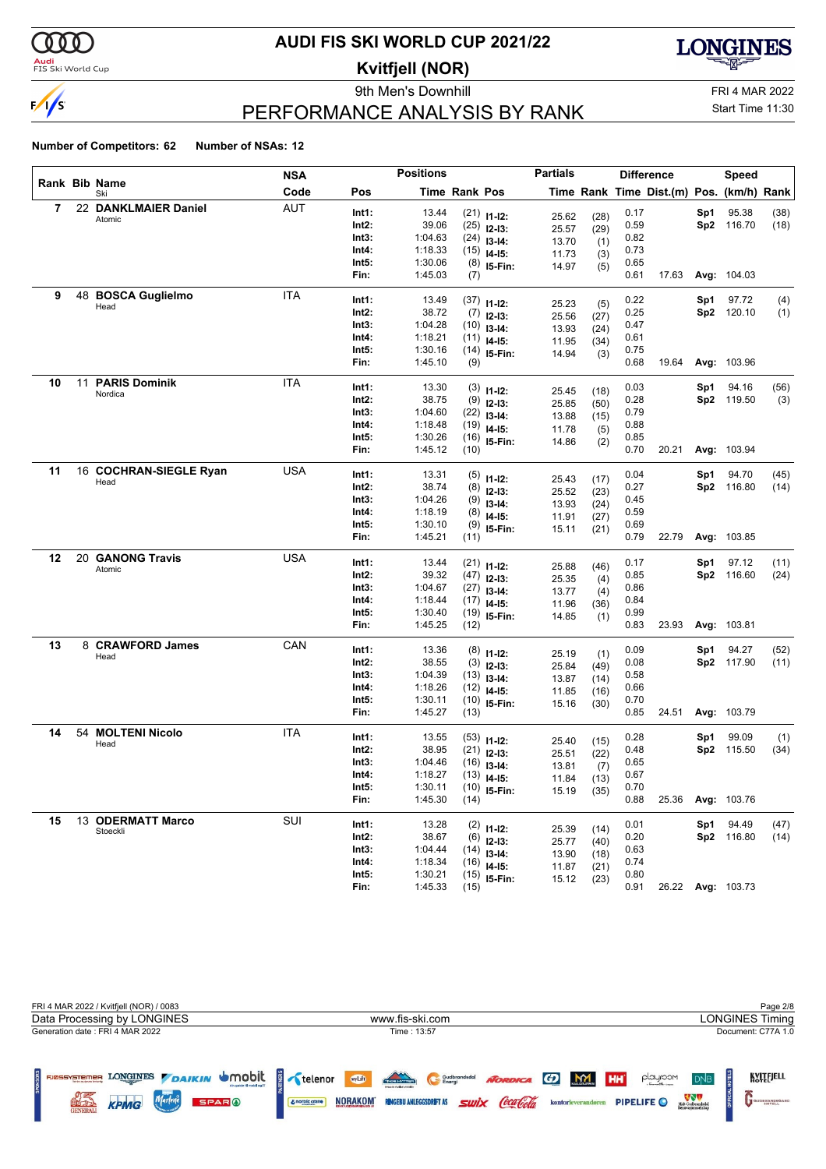

#### **Audi**<br>FIS Ski World Cup

### **AUDI FIS SKI WORLD CUP 2021/22**

**Kvitfjell (NOR)**

9th Men's Downhill Games and Controller and Controller and FRI 4 MAR 2022



# Start Time 11:30

### PERFORMANCE ANALYSIS BY RANK

|    |    |                                 | NSA        |               | <b>Positions</b>   |               |                              | <b>Partials</b> |      |              | <b>Difference</b>                        |     | <b>Speed</b>       |      |
|----|----|---------------------------------|------------|---------------|--------------------|---------------|------------------------------|-----------------|------|--------------|------------------------------------------|-----|--------------------|------|
|    |    | Rank Bib Name<br>Ski            | Code       | Pos           |                    | Time Rank Pos |                              |                 |      |              | Time Rank Time Dist.(m) Pos. (km/h) Rank |     |                    |      |
| 7  |    | 22 DANKLMAIER Daniel            | AUT        | Int1:         | 13.44              |               | $(21)$ 11-12:                | 25.62           | (28) | 0.17         |                                          | Sp1 | 95.38              | (38) |
|    |    | Atomic                          |            | Int2:         | 39.06              |               | $(25)$ 12-13:                | 25.57           | (29) | 0.59         |                                          |     | Sp2 116.70         | (18) |
|    |    |                                 |            | Int3:         | 1:04.63            |               | $(24)$ 13-14:                | 13.70           | (1)  | 0.82         |                                          |     |                    |      |
|    |    |                                 |            | Int4:         | 1:18.33            |               | $(15)$ 14-15:                | 11.73           | (3)  | 0.73         |                                          |     |                    |      |
|    |    |                                 |            | Int5:         | 1:30.06            |               | $(8)$ 15-Fin:                | 14.97           | (5)  | 0.65         |                                          |     |                    |      |
|    |    |                                 |            | Fin:          | 1:45.03            | (7)           |                              |                 |      | 0.61         | 17.63                                    |     | Avg: 104.03        |      |
| 9  |    | 48 BOSCA Guglielmo              | <b>ITA</b> |               |                    |               |                              |                 |      |              |                                          |     |                    |      |
|    |    | Head                            |            | Int1:         | 13.49              |               | $(37)$ 11-12:                | 25.23           | (5)  | 0.22         |                                          | Sp1 | 97.72              | (4)  |
|    |    |                                 |            | Int2:         | 38.72              |               | $(7)$ 12-13:                 | 25.56           | (27) | 0.25         |                                          |     | Sp2 120.10         | (1)  |
|    |    |                                 |            | Int3:         | 1:04.28            |               | $(10)$ 13-14:                | 13.93           | (24) | 0.47         |                                          |     |                    |      |
|    |    |                                 |            | Int4:         | 1:18.21            |               | $(11)$ 14-15:                | 11.95           | (34) | 0.61         |                                          |     |                    |      |
|    |    |                                 |            | Int5:<br>Fin: | 1:30.16<br>1:45.10 | (9)           | $(14)$ 15-Fin:               | 14.94           | (3)  | 0.75<br>0.68 | 19.64                                    |     | Avg: 103.96        |      |
|    |    |                                 |            |               |                    |               |                              |                 |      |              |                                          |     |                    |      |
| 10 | 11 | <b>PARIS Dominik</b><br>Nordica | <b>ITA</b> | Int1:         | 13.30              |               | $(3)$ 11-12:                 | 25.45           | (18) | 0.03         |                                          | Sp1 | 94.16              | (56) |
|    |    |                                 |            | Int2:         | 38.75              |               | $(9)$ 12-13:                 | 25.85           | (50) | 0.28         |                                          |     | Sp2 119.50         | (3)  |
|    |    |                                 |            | Int3:         | 1:04.60            |               | $(22)$ 13-14:                | 13.88           | (15) | 0.79         |                                          |     |                    |      |
|    |    |                                 |            | Int4:         | 1:18.48            |               | $(19)$ 14-15:                | 11.78           | (5)  | 0.88         |                                          |     |                    |      |
|    |    |                                 |            | Int5:         | 1:30.26            |               | $(16)$ 15-Fin:               | 14.86           | (2)  | 0.85         |                                          |     |                    |      |
|    |    |                                 |            | Fin:          | 1:45.12            | (10)          |                              |                 |      | 0.70         | 20.21                                    |     | Avg: 103.94        |      |
| 11 |    | 16 COCHRAN-SIEGLE Ryan          | <b>USA</b> | Int1:         | 13.31              |               |                              |                 |      | 0.04         |                                          | Sp1 | 94.70              |      |
|    |    | Head                            |            |               | 38.74              |               | $(5)$ 11-12:                 | 25.43           | (17) | 0.27         |                                          |     |                    | (45) |
|    |    |                                 |            | Int2:         |                    |               | $(8)$ 12-13:                 | 25.52           | (23) |              |                                          |     | Sp2 116.80         | (14) |
|    |    |                                 |            | Int3:         | 1:04.26            |               | $(9)$ 13-14:                 | 13.93           | (24) | 0.45         |                                          |     |                    |      |
|    |    |                                 |            | Int4:         | 1:18.19            | (8)           | $14-15:$                     | 11.91           | (27) | 0.59         |                                          |     |                    |      |
|    |    |                                 |            | Int5:<br>Fin: | 1:30.10<br>1:45.21 | (11)          | $(9)$ 15-Fin:                | 15.11           | (21) | 0.69<br>0.79 | 22.79                                    |     | Avg: 103.85        |      |
|    |    |                                 |            |               |                    |               |                              |                 |      |              |                                          |     |                    |      |
| 12 |    | 20 GANONG Travis                | <b>USA</b> | Int1:         | 13.44              |               | $(21)$ 11-12:                | 25.88           | (46) | 0.17         |                                          | Sp1 | 97.12              | (11) |
|    |    | Atomic                          |            | Int2:         | 39.32              |               | $(47)$ 12-13:                | 25.35           | (4)  | 0.85         |                                          |     | Sp2 116.60         | (24) |
|    |    |                                 |            | Int3:         | 1:04.67            |               | $(27)$ 13-14:                | 13.77           | (4)  | 0.86         |                                          |     |                    |      |
|    |    |                                 |            | Int4:         | 1:18.44            |               | $(17)$ 14-15:                | 11.96           | (36) | 0.84         |                                          |     |                    |      |
|    |    |                                 |            | Int5:         | 1:30.40            |               | $(19)$ 15-Fin:               | 14.85           | (1)  | 0.99         |                                          |     |                    |      |
|    |    |                                 |            | Fin:          | 1:45.25            | (12)          |                              |                 |      | 0.83         | 23.93                                    |     | Avg: 103.81        |      |
| 13 |    | 8 CRAWFORD James                | CAN        |               |                    |               |                              |                 |      |              |                                          |     |                    |      |
|    |    | Head                            |            | Int1:         | 13.36              |               | $(8)$ 11-12:                 | 25.19           | (1)  | 0.09         |                                          | Sp1 | 94.27              | (52) |
|    |    |                                 |            | Int2:         | 38.55              |               | $(3)$ 12-13:                 | 25.84           | (49) | 0.08         |                                          |     | Sp2 117.90         | (11) |
|    |    |                                 |            | Int3:         | 1:04.39            |               | $(13)$ 13-14:                | 13.87           | (14) | 0.58         |                                          |     |                    |      |
|    |    |                                 |            | Int4:         | 1:18.26<br>1:30.11 |               | $(12)$ 14-15:                | 11.85           | (16) | 0.66<br>0.70 |                                          |     |                    |      |
|    |    |                                 |            | Int5:<br>Fin: | 1:45.27            | (13)          | $(10)$ 15-Fin:               | 15.16           | (30) | 0.85         | 24.51                                    |     | <b>Avg: 103.79</b> |      |
|    |    |                                 |            |               |                    |               |                              |                 |      |              |                                          |     |                    |      |
| 14 | 54 | <b>MOLTENI Nicolo</b><br>Head   | <b>ITA</b> | Int1:         | 13.55              |               | $(53)$ 11-12:                | 25.40           | (15) | 0.28         |                                          | Sp1 | 99.09              | (1)  |
|    |    |                                 |            | Int2:         | 38.95              |               | $(21)$ 12-13:                | 25.51           | (22) | 0.48         |                                          |     | Sp2 115.50         | (34) |
|    |    |                                 |            | Int3:         | 1:04.46            |               | $(16)$ 13-14:                | 13.81           | (7)  | 0.65         |                                          |     |                    |      |
|    |    |                                 |            | Int4:         | 1:18.27            |               | $(13)$ 14-15:                | 11.84           | (13) | 0.67         |                                          |     |                    |      |
|    |    |                                 |            | Int5:         | 1:30.11            |               | $(10)$ 15-Fin:               | 15.19           | (35) | 0.70         |                                          |     |                    |      |
|    |    |                                 |            | Fin:          | 1:45.30            | (14)          |                              |                 |      | 0.88         | 25.36                                    |     | Avg: 103.76        |      |
| 15 |    | 13 ODERMATT Marco               | SUI        | Int1:         | 13.28              |               |                              |                 |      | 0.01         |                                          | Sp1 | 94.49              | (47) |
|    |    | Stoeckli                        |            | Int2:         | 38.67              |               | $(2)$ 11-12:<br>$(6)$ 12-13: | 25.39           | (14) | 0.20         |                                          |     | Sp2 116.80         | (14) |
|    |    |                                 |            | Int3:         | 1:04.44            |               | $(14)$ 13-14:                | 25.77           | (40) | 0.63         |                                          |     |                    |      |
|    |    |                                 |            | Int4:         | 1:18.34            |               | $(16)$ 14-15:                | 13.90           | (18) | 0.74         |                                          |     |                    |      |
|    |    |                                 |            | Int5:         | 1:30.21            |               | $(15)$ 15-Fin:               | 11.87           | (21) | 0.80         |                                          |     |                    |      |
|    |    |                                 |            | Fin:          | 1:45.33            | (15)          |                              | 15.12           | (23) | 0.91         |                                          |     | 26.22 Avg: 103.73  |      |

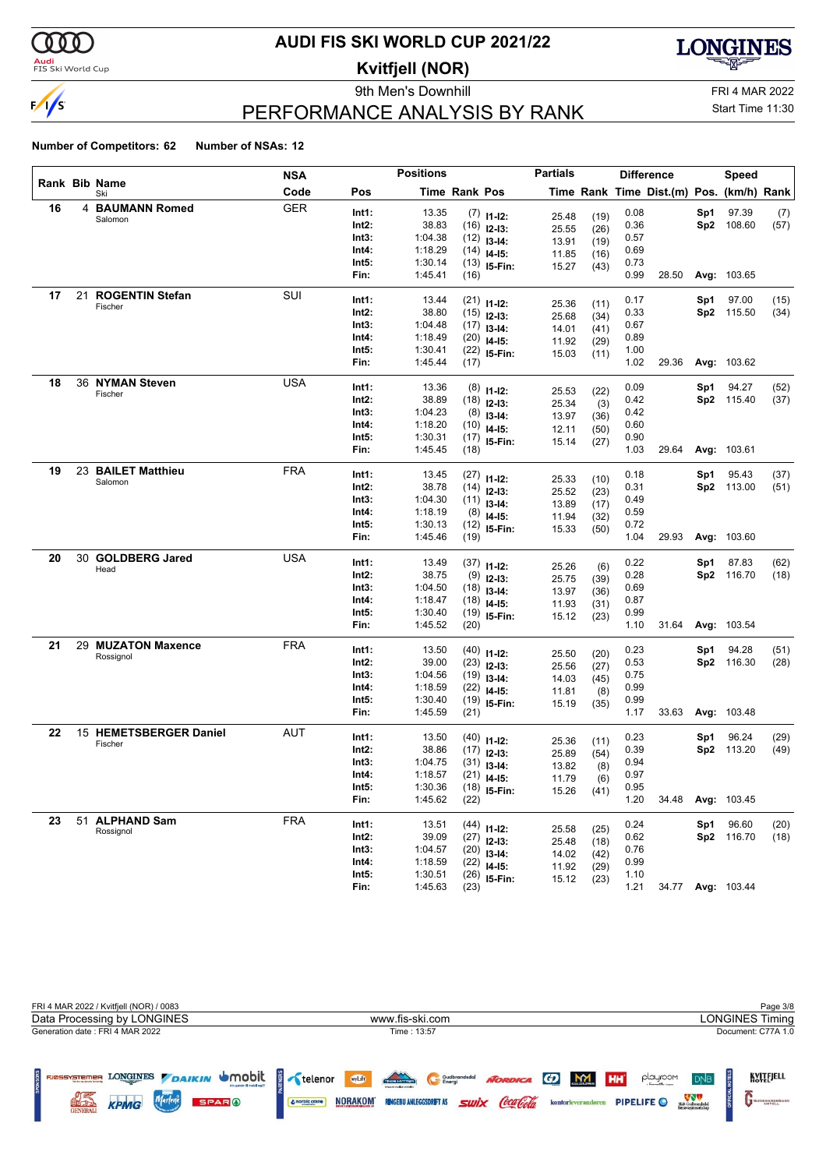

### <mark>Audi</mark><br>FIS Ski World Cup

# **AUDI FIS SKI WORLD CUP 2021/22**

**Kvitfjell (NOR)**

9th Men's Downhill FRI 4 MAR 2022



# Start Time 11:30

### PERFORMANCE ANALYSIS BY RANK

|    |    |                        | <b>NSA</b> |                | <b>Positions</b> |               |                                 | <b>Partials</b> |              |              | <b>Difference</b>                        |     | <b>Speed</b>        |              |
|----|----|------------------------|------------|----------------|------------------|---------------|---------------------------------|-----------------|--------------|--------------|------------------------------------------|-----|---------------------|--------------|
|    |    | Rank Bib Name<br>Ski   | Code       | Pos            |                  | Time Rank Pos |                                 |                 |              |              | Time Rank Time Dist.(m) Pos. (km/h) Rank |     |                     |              |
| 16 |    | 4 BAUMANN Romed        | <b>GER</b> | Int1:          | 13.35            |               | $(7)$ 11-12:                    |                 |              | 0.08         |                                          | Sp1 | 97.39               | (7)          |
|    |    | Salomon                |            | Int2:          | 38.83            |               | $(16)$ 12-13:                   | 25.48<br>25.55  | (19)<br>(26) | 0.36         |                                          |     | Sp2 108.60          | (57)         |
|    |    |                        |            | Int3:          | 1:04.38          |               | $(12)$ 13-14:                   | 13.91           | (19)         | 0.57         |                                          |     |                     |              |
|    |    |                        |            | Int4:          | 1:18.29          |               | $(14)$ 14-15:                   | 11.85           | (16)         | 0.69         |                                          |     |                     |              |
|    |    |                        |            | Int5:          | 1:30.14          |               | $(13)$ 15-Fin:                  | 15.27           | (43)         | 0.73         |                                          |     |                     |              |
|    |    |                        |            | Fin:           | 1:45.41          | (16)          |                                 |                 |              | 0.99         | 28.50                                    |     | Avg: 103.65         |              |
| 17 | 21 | <b>ROGENTIN Stefan</b> | SUI        | Int1:          | 13.44            |               | $(21)$ 11-12:                   | 25.36           | (11)         | 0.17         |                                          | Sp1 | 97.00               | (15)         |
|    |    | Fischer                |            | Int2:          | 38.80            |               | $(15)$ 12-13:                   | 25.68           | (34)         | 0.33         |                                          |     | Sp2 115.50          | (34)         |
|    |    |                        |            | Int3:          | 1:04.48          |               | $(17)$ 13-14:                   | 14.01           | (41)         | 0.67         |                                          |     |                     |              |
|    |    |                        |            | Int4:          | 1:18.49          |               | $(20)$ 14-15:                   | 11.92           | (29)         | 0.89         |                                          |     |                     |              |
|    |    |                        |            | Int5:          | 1:30.41          |               | $(22)$ 15-Fin:                  | 15.03           | (11)         | 1.00         |                                          |     |                     |              |
|    |    |                        |            | Fin:           | 1:45.44          | (17)          |                                 |                 |              | 1.02         | 29.36                                    |     | Avg: 103.62         |              |
| 18 |    | 36 NYMAN Steven        | USA        | Int1:          | 13.36            |               | $(8)$ 11-12:                    |                 |              | 0.09         |                                          | Sp1 | 94.27               | (52)         |
|    |    | Fischer                |            | Int2:          | 38.89            |               | $(18)$ 12-13:                   | 25.53           | (22)         | 0.42         |                                          |     | Sp2 115.40          | (37)         |
|    |    |                        |            | Int3:          | 1:04.23          |               | $(8)$ 13-14:                    | 25.34<br>13.97  | (3)          | 0.42         |                                          |     |                     |              |
|    |    |                        |            | Int4:          | 1:18.20          |               | $(10)$ 14-15:                   | 12.11           | (36)<br>(50) | 0.60         |                                          |     |                     |              |
|    |    |                        |            | Int5:          | 1:30.31          |               | $(17)$ 15-Fin:                  | 15.14           | (27)         | 0.90         |                                          |     |                     |              |
|    |    |                        |            | Fin:           | 1:45.45          | (18)          |                                 |                 |              | 1.03         | 29.64                                    |     | Avg: 103.61         |              |
| 19 |    | 23 BAILET Matthieu     | <b>FRA</b> | Int1:          | 13.45            |               |                                 |                 |              | 0.18         |                                          | Sp1 | 95.43               | (37)         |
|    |    | Salomon                |            | Int2:          | 38.78            |               | $(27)$ 11-12:<br>$(14)$ 12-13:  | 25.33           | (10)         | 0.31         |                                          |     | Sp2 113.00          | (51)         |
|    |    |                        |            | Int3:          | 1:04.30          |               | $(11)$ 13-14:                   | 25.52           | (23)         | 0.49         |                                          |     |                     |              |
|    |    |                        |            | Int4:          | 1:18.19          |               | $(8)$ 14-15:                    | 13.89           | (17)         | 0.59         |                                          |     |                     |              |
|    |    |                        |            | Int5:          | 1:30.13          |               | $(12)$ 15-Fin:                  | 11.94<br>15.33  | (32)         | 0.72         |                                          |     |                     |              |
|    |    |                        |            | Fin:           | 1:45.46          | (19)          |                                 |                 | (50)         | 1.04         | 29.93                                    |     | Avg: 103.60         |              |
| 20 |    | 30 GOLDBERG Jared      | <b>USA</b> | Int1:          | 13.49            |               |                                 |                 |              | 0.22         |                                          | Sp1 | 87.83               | (62)         |
|    |    | Head                   |            | Int2:          | 38.75            |               | $(37)$ 11-12:                   | 25.26           | (6)          | 0.28         |                                          |     | Sp2 116.70          | (18)         |
|    |    |                        |            | Int3:          | 1:04.50          |               | $(9)$ 12-13:<br>$(18)$ 13-14:   | 25.75           | (39)         | 0.69         |                                          |     |                     |              |
|    |    |                        |            | Int4:          | 1:18.47          |               | $(18)$ 14-15:                   | 13.97           | (36)         | 0.87         |                                          |     |                     |              |
|    |    |                        |            | Int5:          | 1:30.40          |               | $(19)$ 15-Fin:                  | 11.93           | (31)         | 0.99         |                                          |     |                     |              |
|    |    |                        |            | Fin:           | 1:45.52          | (20)          |                                 | 15.12           | (23)         | 1.10         | 31.64                                    |     | Avg: 103.54         |              |
| 21 |    | 29 MUZATON Maxence     | <b>FRA</b> | Int1:          | 13.50            |               |                                 |                 |              | 0.23         |                                          |     | 94.28               |              |
|    |    | Rossignol              |            | Int2:          | 39.00            |               | $(40)$ 11-12:                   | 25.50           | (20)         | 0.53         |                                          | Sp1 | Sp2 116.30          | (51)<br>(28) |
|    |    |                        |            | Int3:          | 1:04.56          |               | $(23)$ 12-13:                   | 25.56           | (27)         | 0.75         |                                          |     |                     |              |
|    |    |                        |            | Int4:          | 1:18.59          |               | $(19)$ 13-14:<br>$(22)$ 14-15:  | 14.03           | (45)         | 0.99         |                                          |     |                     |              |
|    |    |                        |            | Int5:          | 1:30.40          |               | $(19)$ 15-Fin:                  | 11.81           | (8)          | 0.99         |                                          |     |                     |              |
|    |    |                        |            | Fin:           | 1:45.59          | (21)          |                                 | 15.19           | (35)         | 1.17         | 33.63                                    |     | <b>Avg: 103.48</b>  |              |
| 22 |    | 15 HEMETSBERGER Daniel | AUT        | Int1:          | 13.50            |               |                                 |                 |              | 0.23         |                                          |     | 96.24               |              |
|    |    | Fischer                |            | Int2:          | 38.86            |               | $(40)$ 11-12:                   | 25.36           | (11)         | 0.39         |                                          | Sp1 | Sp2 113.20          | (29)<br>(49) |
|    |    |                        |            | Int3:          | 1:04.75          |               | $(17)$ 12-13:                   | 25.89           | (54)         | 0.94         |                                          |     |                     |              |
|    |    |                        |            | Int4:          | 1:18.57          |               | $(31)$ 13-14:<br>$(21)$ 14-15:  | 13.82           | (8)          | 0.97         |                                          |     |                     |              |
|    |    |                        |            | Int5:          | 1:30.36          |               | $(18)$ 15-Fin:                  | 11.79           | (6)          | $0.95\,$     |                                          |     |                     |              |
|    |    |                        |            | Fin:           | 1:45.62          | (22)          |                                 | 15.26           | (41)         | 1.20         | 34.48                                    |     | Avg: 103.45         |              |
| 23 |    | 51 ALPHAND Sam         | <b>FRA</b> |                |                  |               |                                 |                 |              |              |                                          |     |                     |              |
|    |    | Rossignol              |            | Int1:<br>Int2: | 13.51<br>39.09   |               | $(44)$ 11-12:                   | 25.58           | (25)         | 0.24<br>0.62 |                                          | Sp1 | 96.60<br>Sp2 116.70 | (20)         |
|    |    |                        |            | Int3:          | 1:04.57          |               | $(27)$ 12-13:                   | 25.48           | (18)         | 0.76         |                                          |     |                     | (18)         |
|    |    |                        |            | Int4:          | 1:18.59          |               | $(20)$ 13-14:                   | 14.02           | (42)         | 0.99         |                                          |     |                     |              |
|    |    |                        |            | Int5:          | 1:30.51          |               | $(22)$ 14-15:<br>$(26)$ 15-Fin: | 11.92           | (29)         | 1.10         |                                          |     |                     |              |
|    |    |                        |            | Fin:           | 1:45.63          | (23)          |                                 | 15.12           | (23)         | 1.21         |                                          |     | 34.77 Avg: 103.44   |              |

| FRI 4 MAR 2022 / Kvitfjell (NOR) / 0083                                                                                                                |                                                                                                                                                                     | Page 3/8                                                                                                                                               |
|--------------------------------------------------------------------------------------------------------------------------------------------------------|---------------------------------------------------------------------------------------------------------------------------------------------------------------------|--------------------------------------------------------------------------------------------------------------------------------------------------------|
| Data Processing by LONGINES                                                                                                                            | www.fis-ski.com                                                                                                                                                     | LONGINES Timing                                                                                                                                        |
| Generation date: FRI 4 MAR 2022                                                                                                                        | Time: 13:57                                                                                                                                                         | Document: C77A 1.0                                                                                                                                     |
| DAIKIN SMOON STELLENDE<br><b>LONGINES</b><br><b>FJØSSYSTEMER</b><br><b>Benden og dennen førsteve</b><br><b>SPARO</b><br><b>KPMG</b><br><b>GENERALI</b> | <b>TAGE HYTTER</b><br>wyLift<br>NORDICA CD MM<br>Gudbrandsdal<br><i><b>Swix Coca Cola</b></i><br><b>NORAKOM</b><br><b>RINGEBU ANLEGGSDRIFT AS</b><br>& norbic crane | KVITEJELL<br>playroom<br><b>HH</b><br><b>DNB</b><br>Midt-Gudbrandsdal<br>Renovasjonsselska<br><b>PIPELIFE</b> O<br>kontorleverandøren<br>GUDBRANDSGARD |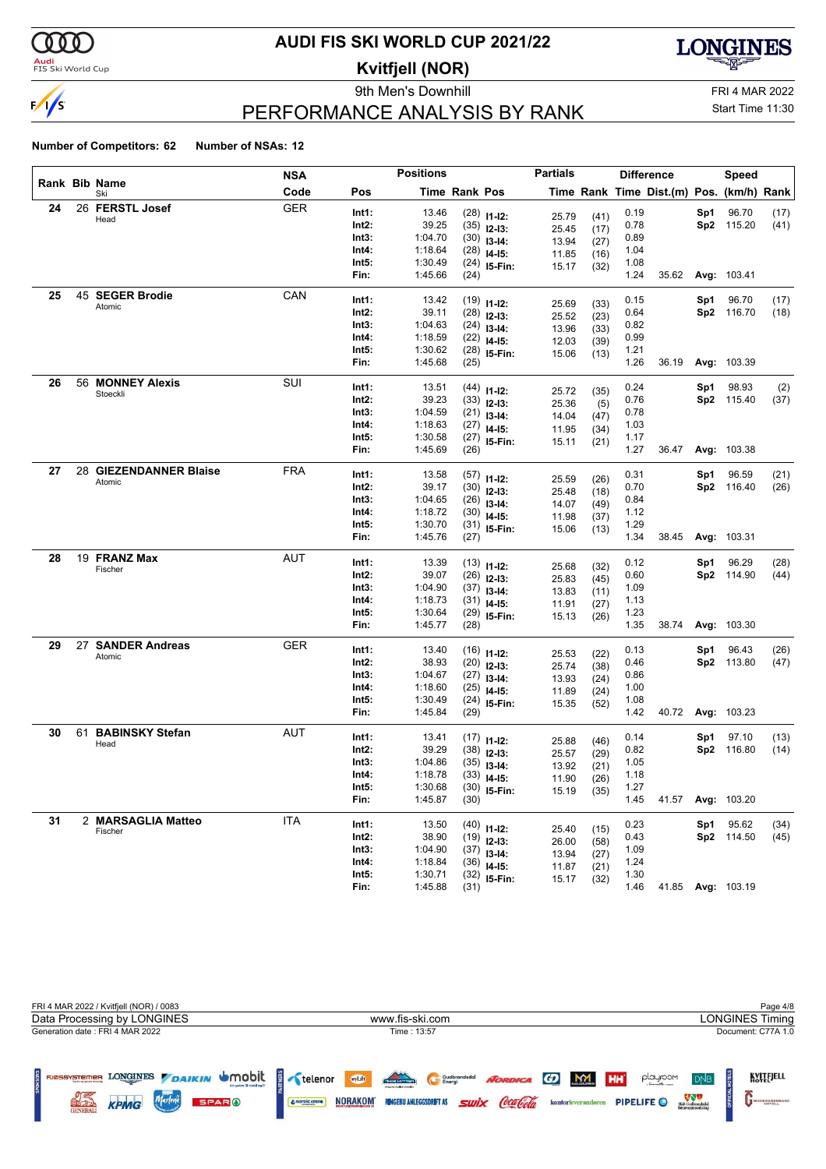

#### **Audi**<br>FIS Ski World Cup

### **AUDI FIS SKI WORLD CUP 2021/22**

**Kvitfjell (NOR)**

9th Men's Downhill Games and Controller and Controller and FRI 4 MAR 2022



Start Time 11:30

### PERFORMANCE ANALYSIS BY RANK

|    |    |                         | <b>NSA</b> |                   | <b>Positions</b>   |                      |                                | <b>Partials</b> |      |              | <b>Difference</b>                        |     | Speed               |      |
|----|----|-------------------------|------------|-------------------|--------------------|----------------------|--------------------------------|-----------------|------|--------------|------------------------------------------|-----|---------------------|------|
|    |    | Rank Bib Name<br>Ski    | Code       | Pos               |                    | <b>Time Rank Pos</b> |                                |                 |      |              | Time Rank Time Dist.(m) Pos. (km/h) Rank |     |                     |      |
| 24 |    | 26 FERSTL Josef         | <b>GER</b> | Int1:             | 13.46              |                      | $(28)$ 11-12:                  | 25.79           | (41) | 0.19         |                                          | Sp1 | 96.70               | (17) |
|    |    | Head                    |            | Int2:             | 39.25              |                      | $(35)$ 12-13:                  | 25.45           | (17) | 0.78         |                                          |     | Sp2 115.20          | (41) |
|    |    |                         |            | Int3:             | 1:04.70            |                      | $(30)$ 13-14:                  | 13.94           | (27) | 0.89         |                                          |     |                     |      |
|    |    |                         |            | Int4:             | 1:18.64            |                      | $(28)$ 14-15:                  | 11.85           | (16) | 1.04         |                                          |     |                     |      |
|    |    |                         |            | Int5:             | 1:30.49            |                      | $(24)$ 15-Fin:                 | 15.17           | (32) | 1.08         |                                          |     |                     |      |
|    |    |                         |            | Fin:              | 1:45.66            | (24)                 |                                |                 |      | 1.24         | 35.62                                    |     | Avg: 103.41         |      |
| 25 |    | 45 SEGER Brodie         | CAN        | Int1:             | 13.42              |                      |                                |                 |      | 0.15         |                                          | Sp1 | 96.70               | (17) |
|    |    | Atomic                  |            | Int2:             | 39.11              |                      | $(19)$ 11-12:<br>$(28)$ 12-13: | 25.69           | (33) | 0.64         |                                          |     | Sp2 116.70          | (18) |
|    |    |                         |            | Int3:             | 1:04.63            |                      | $(24)$ 13-14:                  | 25.52           | (23) | 0.82         |                                          |     |                     |      |
|    |    |                         |            | Int4:             | 1:18.59            |                      | $(22)$ 14-15:                  | 13.96           | (33) | 0.99         |                                          |     |                     |      |
|    |    |                         |            | Int5:             | 1:30.62            |                      | $(28)$ 15-Fin:                 | 12.03           | (39) | 1.21         |                                          |     |                     |      |
|    |    |                         |            | Fin:              | 1:45.68            | (25)                 |                                | 15.06           | (13) | 1.26         | 36.19                                    |     | <b>Avg: 103.39</b>  |      |
| 26 | 56 | <b>MONNEY Alexis</b>    | SUI        |                   |                    |                      |                                |                 |      |              |                                          |     |                     |      |
|    |    | Stoeckli                |            | Int1:             | 13.51              |                      | $(44)$ 11-12:                  | 25.72           | (35) | 0.24         |                                          | Sp1 | 98.93               | (2)  |
|    |    |                         |            | Int2:<br>Int3:    | 39.23              |                      | $(33)$ 12-13:                  | 25.36           | (5)  | 0.76         |                                          |     | Sp2 115.40          | (37) |
|    |    |                         |            | Int4:             | 1:04.59<br>1:18.63 |                      | $(21)$ 13-14:                  | 14.04           | (47) | 0.78<br>1.03 |                                          |     |                     |      |
|    |    |                         |            | Int5:             | 1:30.58            |                      | $(27)$ 14-15:                  | 11.95           | (34) | 1.17         |                                          |     |                     |      |
|    |    |                         |            | Fin:              | 1:45.69            | (26)                 | $(27)$ 15-Fin:                 | 15.11           | (21) | 1.27         | 36.47                                    |     | Avg: 103.38         |      |
| 27 |    | 28 GIEZENDANNER Blaise  | <b>FRA</b> |                   |                    |                      |                                |                 |      |              |                                          |     |                     |      |
|    |    | Atomic                  |            | Int1:             | 13.58              |                      | $(57)$ 11-12:                  | 25.59           | (26) | 0.31         |                                          | Sp1 | 96.59               | (21) |
|    |    |                         |            | Int2:             | 39.17              |                      | $(30)$ 12-13:                  | 25.48           | (18) | 0.70         |                                          |     | Sp2 116.40          | (26) |
|    |    |                         |            | Int3:             | 1:04.65            |                      | $(26)$ 13-14:                  | 14.07           | (49) | 0.84         |                                          |     |                     |      |
|    |    |                         |            | Int4:             | 1:18.72            |                      | $(30)$ 14-15:                  | 11.98           | (37) | 1.12         |                                          |     |                     |      |
|    |    |                         |            | Int5:<br>Fin:     | 1:30.70<br>1:45.76 | (27)                 | $(31)$ 15-Fin:                 | 15.06           | (13) | 1.29<br>1.34 | 38.45                                    |     | <b>Avg: 103.31</b>  |      |
|    |    |                         |            |                   |                    |                      |                                |                 |      |              |                                          |     |                     |      |
| 28 |    | 19 FRANZ Max<br>Fischer | <b>AUT</b> | Int1:             | 13.39              |                      | $(13)$ 11-12:                  | 25.68           | (32) | 0.12         |                                          | Sp1 | 96.29               | (28) |
|    |    |                         |            | Int2:             | 39.07              |                      | $(26)$ 12-13:                  | 25.83           | (45) | 0.60         |                                          |     | Sp2 114.90          | (44) |
|    |    |                         |            | Int3:             | 1:04.90            |                      | $(37)$ 13-14:                  | 13.83           | (11) | 1.09         |                                          |     |                     |      |
|    |    |                         |            | Int4:             | 1:18.73            |                      | $(31)$ 14-15:                  | 11.91           | (27) | 1.13         |                                          |     |                     |      |
|    |    |                         |            | Int5:             | 1:30.64            |                      | $(29)$ 15-Fin:                 | 15.13           | (26) | 1.23         |                                          |     |                     |      |
|    |    |                         |            | Fin:              | 1:45.77            | (28)                 |                                |                 |      | 1.35         | 38.74                                    |     | Avg: 103.30         |      |
| 29 |    | 27 SANDER Andreas       | <b>GER</b> | Int1:             | 13.40              |                      | $(16)$ 11-12:                  | 25.53           | (22) | 0.13         |                                          | Sp1 | 96.43               | (26) |
|    |    | Atomic                  |            | Int2:             | 38.93              |                      | $(20)$ 12-13:                  | 25.74           | (38) | 0.46         |                                          |     | Sp2 113.80          | (47) |
|    |    |                         |            | Int3:             | 1:04.67            |                      | $(27)$ 13-14:                  | 13.93           | (24) | 0.86         |                                          |     |                     |      |
|    |    |                         |            | Int4:             | 1:18.60            |                      | $(25)$ 14-15:                  | 11.89           | (24) | 1.00         |                                          |     |                     |      |
|    |    |                         |            | Int5:             | 1:30.49            |                      | $(24)$ 15-Fin:                 | 15.35           | (52) | 1.08         |                                          |     |                     |      |
|    |    |                         |            | Fin:              | 1:45.84            | (29)                 |                                |                 |      | 1.42         |                                          |     | 40.72 Avg: 103.23   |      |
| 30 | 61 | <b>BABINSKY Stefan</b>  | AUT        | Int1:             | 13.41              |                      | $(17)$ 11-12:                  |                 |      | 0.14         |                                          | Sp1 | 97.10               | (13) |
|    |    | Head                    |            | Int2:             | 39.29              |                      | $(38)$ 12-13:                  | 25.88           | (46) | 0.82         |                                          |     | Sp2 116.80          | (14) |
|    |    |                         |            | Int3:             | 1:04.86            |                      | $(35)$ 13-14:                  | 25.57           | (29) | 1.05         |                                          |     |                     |      |
|    |    |                         |            | Int4:             | 1:18.78            |                      | $(33)$ 14-15:                  | 13.92<br>11.90  | (21) | 1.18         |                                          |     |                     |      |
|    |    |                         |            | Int5:             | 1:30.68            |                      | $(30)$ 15-Fin:                 | 15.19           | (26) | 1.27         |                                          |     |                     |      |
|    |    |                         |            | Fin:              | 1:45.87            | (30)                 |                                |                 | (35) | 1.45         | 41.57                                    |     | Avg: 103.20         |      |
| 31 |    | 2 MARSAGLIA Matteo      | <b>ITA</b> |                   |                    |                      |                                |                 |      |              |                                          |     |                     |      |
|    |    | Fischer                 |            | Int1:<br>$Int2$ : | 13.50<br>38.90     |                      | $(40)$ 11-12:                  | 25.40           | (15) | 0.23<br>0.43 |                                          | Sp1 | 95.62<br>Sp2 114.50 | (34) |
|    |    |                         |            | Int3:             | 1:04.90            |                      | $(19)$ 12-13:                  | 26.00           | (58) |              |                                          |     |                     | (45) |
|    |    |                         |            | Int4:             | 1:18.84            |                      | $(37)$ 13-14:                  | 13.94           | (27) | 1.09<br>1.24 |                                          |     |                     |      |
|    |    |                         |            | Int5:             | 1:30.71            |                      | $(36)$ 14-15:                  | 11.87           | (21) | 1.30         |                                          |     |                     |      |
|    |    |                         |            | Fin:              | 1:45.88            | (31)                 | $(32)$ 15-Fin:                 | 15.17           | (32) | 1.46         |                                          |     | 41.85 Avg: 103.19   |      |
|    |    |                         |            |                   |                    |                      |                                |                 |      |              |                                          |     |                     |      |

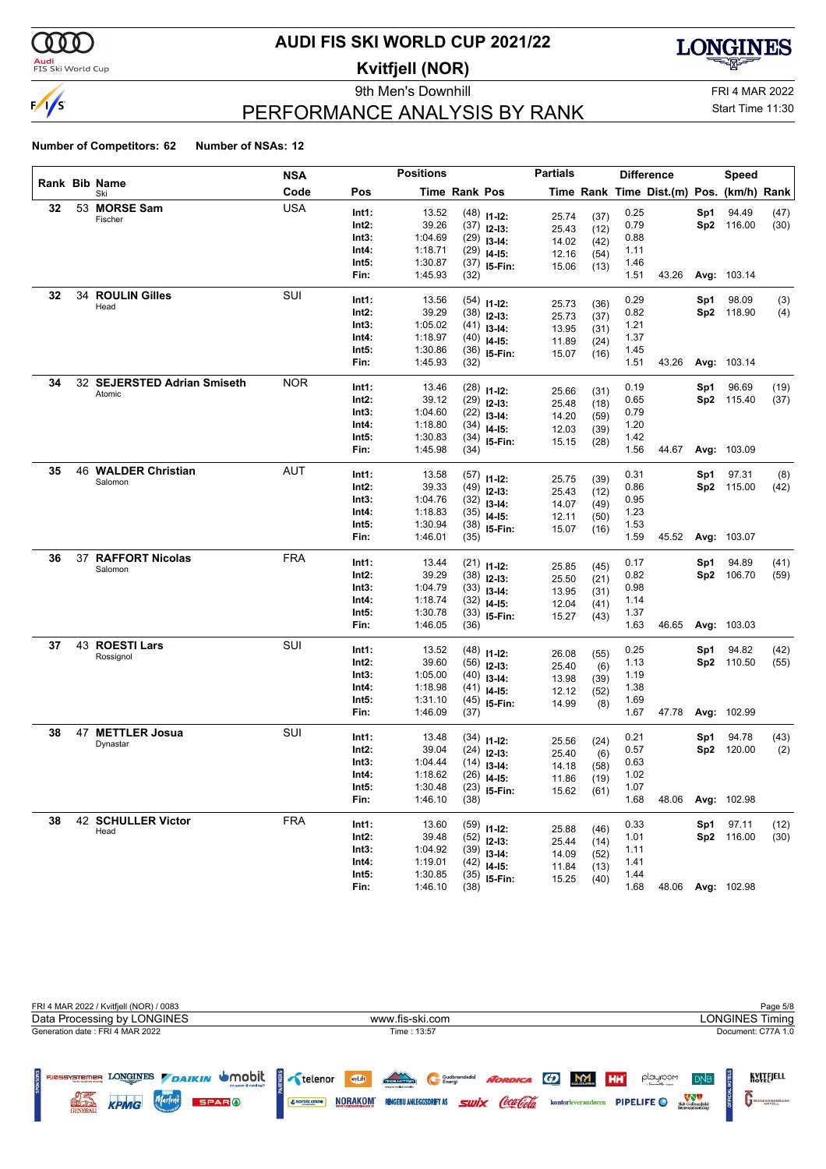

#### **Audi**<br>FIS Ski World Cup

### **AUDI FIS SKI WORLD CUP 2021/22**

**Kvitfjell (NOR)**

9th Men's Downhill Games and Controller and Controller and FRI 4 MAR 2022



Start Time 11:30

### PERFORMANCE ANALYSIS BY RANK

|    |                             | NSA        |                | <b>Positions</b>   |               |                                 | <b>Partials</b> |              |              | <b>Difference</b>                        |     | <b>Speed</b>       |             |
|----|-----------------------------|------------|----------------|--------------------|---------------|---------------------------------|-----------------|--------------|--------------|------------------------------------------|-----|--------------------|-------------|
|    | Rank Bib Name<br>Ski        | Code       | Pos            |                    | Time Rank Pos |                                 |                 |              |              | Time Rank Time Dist.(m) Pos. (km/h) Rank |     |                    |             |
| 32 | 53 MORSE Sam                | <b>USA</b> | Int1:          | 13.52              |               | $(48)$ 11-12:                   | 25.74           | (37)         | 0.25         |                                          | Sp1 | 94.49              | (47)        |
|    | Fischer                     |            | Int2:          | 39.26              |               | $(37)$ 12-13:                   | 25.43           | (12)         | 0.79         |                                          |     | Sp2 116.00         | (30)        |
|    |                             |            | Int3:          | 1:04.69            |               | $(29)$ 13-14:                   | 14.02           | (42)         | 0.88         |                                          |     |                    |             |
|    |                             |            | Int4:          | 1:18.71            |               | $(29)$ 14-15:                   | 12.16           | (54)         | 1.11         |                                          |     |                    |             |
|    |                             |            | Int5:          | 1:30.87            |               | $(37)$ 15-Fin:                  | 15.06           | (13)         | 1.46         |                                          |     |                    |             |
|    |                             |            | Fin:           | 1:45.93            | (32)          |                                 |                 |              | 1.51         | 43.26                                    |     | Avg: 103.14        |             |
| 32 | 34 ROULIN Gilles            | SUI        | Int1:          | 13.56              |               | $(54)$ 11-12:                   |                 |              | 0.29         |                                          | Sp1 | 98.09              | (3)         |
|    | Head                        |            | Int2:          | 39.29              |               | $(38)$ 12-13:                   | 25.73<br>25.73  | (36)         | 0.82         |                                          |     | Sp2 118.90         | (4)         |
|    |                             |            | Int3:          | 1:05.02            |               | $(41)$ 13-14:                   | 13.95           | (37)<br>(31) | 1.21         |                                          |     |                    |             |
|    |                             |            | Int4:          | 1:18.97            |               | $(40)$ 14-15:                   | 11.89           | (24)         | 1.37         |                                          |     |                    |             |
|    |                             |            | Int5:          | 1:30.86            |               | $(36)$ 15-Fin:                  | 15.07           | (16)         | 1.45         |                                          |     |                    |             |
|    |                             |            | Fin:           | 1:45.93            | (32)          |                                 |                 |              | 1.51         | 43.26                                    |     | <b>Avg: 103.14</b> |             |
| 34 | 32 SEJERSTED Adrian Smiseth | <b>NOR</b> | Int1:          | 13.46              |               | $(28)$ 11-12:                   |                 |              | 0.19         |                                          | Sp1 | 96.69              | (19)        |
|    | Atomic                      |            | Int2:          | 39.12              |               | $(29)$ 12-13:                   | 25.66           | (31)         | 0.65         |                                          |     | Sp2 115.40         | (37)        |
|    |                             |            | Int3:          | 1:04.60            |               | $(22)$ 13-14:                   | 25.48           | (18)         | 0.79         |                                          |     |                    |             |
|    |                             |            | Int4:          | 1:18.80            |               | $(34)$ 14-15:                   | 14.20           | (59)         | 1.20         |                                          |     |                    |             |
|    |                             |            | Int5:          | 1:30.83            |               | $(34)$ 15-Fin:                  | 12.03<br>15.15  | (39)         | 1.42         |                                          |     |                    |             |
|    |                             |            | Fin:           | 1:45.98            | (34)          |                                 |                 | (28)         | 1.56         | 44.67                                    |     | Avg: 103.09        |             |
| 35 | 46 WALDER Christian         | <b>AUT</b> | Int1:          | 13.58              |               |                                 |                 |              | 0.31         |                                          |     | 97.31              |             |
|    | Salomon                     |            | Int2:          | 39.33              |               | $(57)$ 11-12:                   | 25.75           | (39)         | 0.86         |                                          | Sp1 | Sp2 115.00         | (8)<br>(42) |
|    |                             |            | Int3:          | 1:04.76            |               | $(49)$ 12-13:                   | 25.43           | (12)         | 0.95         |                                          |     |                    |             |
|    |                             |            | Int4:          | 1:18.83            |               | $(32)$ 13-14:                   | 14.07           | (49)         | 1.23         |                                          |     |                    |             |
|    |                             |            | Int5:          | 1:30.94            |               | $(35)$ 14-15:<br>$(38)$ 15-Fin: | 12.11           | (50)         | 1.53         |                                          |     |                    |             |
|    |                             |            | Fin:           | 1:46.01            | (35)          |                                 | 15.07           | (16)         | 1.59         | 45.52                                    |     | Avg: 103.07        |             |
| 36 | 37 RAFFORT Nicolas          | <b>FRA</b> |                |                    |               |                                 |                 |              |              |                                          |     |                    |             |
|    | Salomon                     |            | Int1:          | 13.44              |               | $(21)$ 11-12:                   | 25.85           | (45)         | 0.17         |                                          | Sp1 | 94.89              | (41)        |
|    |                             |            | Int2:          | 39.29              |               | $(38)$ 12-13:                   | 25.50           | (21)         | 0.82         |                                          |     | Sp2 106.70         | (59)        |
|    |                             |            | Int3:          | 1:04.79            |               | $(33)$ 13-14:                   | 13.95           | (31)         | 0.98         |                                          |     |                    |             |
|    |                             |            | Int4:<br>Int5: | 1:18.74<br>1:30.78 |               | $(32)$ 14-15:                   | 12.04           | (41)         | 1.14<br>1.37 |                                          |     |                    |             |
|    |                             |            | Fin:           | 1:46.05            | (36)          | $(33)$ 15-Fin:                  | 15.27           | (43)         | 1.63         | 46.65                                    |     | Avg: 103.03        |             |
| 37 | 43 ROESTI Lars              | SUI        |                |                    |               |                                 |                 |              |              |                                          |     |                    |             |
|    | Rossignol                   |            | Int1:          | 13.52              |               | $(48)$ 11-12:                   | 26.08           | (55)         | 0.25         |                                          | Sp1 | 94.82              | (42)        |
|    |                             |            | Int2:          | 39.60              |               | $(56)$ 12-13:                   | 25.40           | (6)          | 1.13         |                                          |     | Sp2 110.50         | (55)        |
|    |                             |            | Int3:          | 1:05.00            |               | $(40)$ 13-14:                   | 13.98           | (39)         | 1.19         |                                          |     |                    |             |
|    |                             |            | Int4:          | 1:18.98            |               | $(41)$ 14-15:                   | 12.12           | (52)         | 1.38         |                                          |     |                    |             |
|    |                             |            | Int5:<br>Fin:  | 1:31.10<br>1:46.09 | (37)          | $(45)$ 15-Fin:                  | 14.99           | (8)          | 1.69<br>1.67 | 47.78                                    |     | <b>Avg: 102.99</b> |             |
| 38 | 47 METTLER Josua            | SUI        |                |                    |               |                                 |                 |              |              |                                          |     |                    |             |
|    | Dynastar                    |            | Int1:          | 13.48              |               | $(34)$ 11-12:                   | 25.56           | (24)         | 0.21         |                                          | Sp1 | 94.78              | (43)        |
|    |                             |            | Int2:          | 39.04              |               | $(24)$ 12-13:                   | 25.40           | (6)          | 0.57         |                                          |     | Sp2 120.00         | (2)         |
|    |                             |            | Int3:          | 1:04.44            |               | $(14)$ 13-14:                   | 14.18           | (58)         | 0.63         |                                          |     |                    |             |
|    |                             |            | Int4:          | 1:18.62            |               | $(26)$ 14-15:                   | 11.86           | (19)         | 1.02         |                                          |     |                    |             |
|    |                             |            | Int5:<br>Fin:  | 1:30.48<br>1:46.10 | (38)          | $(23)$ 15-Fin:                  | 15.62           | (61)         | 1.07<br>1.68 | 48.06                                    |     | Avg: 102.98        |             |
|    |                             |            |                |                    |               |                                 |                 |              |              |                                          |     |                    |             |
| 38 | 42 SCHULLER Victor<br>Head  | <b>FRA</b> | Int1:          | 13.60              |               | $(59)$ 11-12:                   | 25.88           | (46)         | 0.33         |                                          | Sp1 | 97.11              | (12)        |
|    |                             |            | Int2:          | 39.48              |               | $(52)$ 12-13:                   | 25.44           | (14)         | 1.01         |                                          |     | Sp2 116.00         | (30)        |
|    |                             |            | Int3:          | 1:04.92            |               | $(39)$ 13-14:                   | 14.09           | (52)         | 1.11         |                                          |     |                    |             |
|    |                             |            | Int4:<br>Int5: | 1:19.01<br>1:30.85 |               | $(42)$ 14-15:                   | 11.84           | (13)         | 1.41<br>1.44 |                                          |     |                    |             |
|    |                             |            | Fin:           | 1:46.10            | (38)          | $(35)$ 15-Fin:                  | 15.25           | (40)         | 1.68         |                                          |     | 48.06 Avg: 102.98  |             |
|    |                             |            |                |                    |               |                                 |                 |              |              |                                          |     |                    |             |

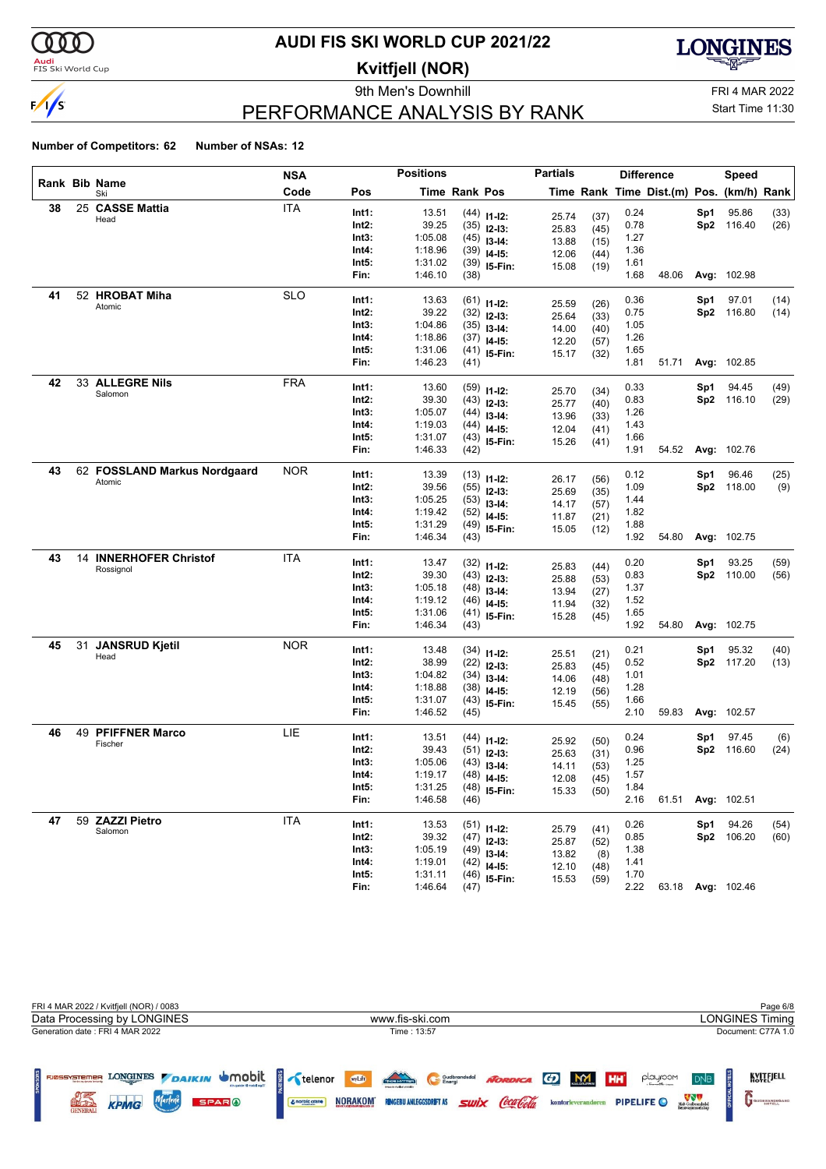

### <mark>Audi</mark><br>FIS Ski World Cup

# **AUDI FIS SKI WORLD CUP 2021/22**

**Kvitfjell (NOR)**

9th Men's Downhill FRI 4 MAR 2022



# PERFORMANCE ANALYSIS BY RANK

Start Time 11:30

|    |    |                               | <b>NSA</b> |               | <b>Positions</b>   |               |                                | <b>Partials</b> |              |              | <b>Difference</b>                        |     | Speed             |      |
|----|----|-------------------------------|------------|---------------|--------------------|---------------|--------------------------------|-----------------|--------------|--------------|------------------------------------------|-----|-------------------|------|
|    |    | Rank Bib Name<br>Ski          | Code       | Pos           |                    | Time Rank Pos |                                |                 |              |              | Time Rank Time Dist.(m) Pos. (km/h) Rank |     |                   |      |
| 38 |    | 25 CASSE Mattia               | <b>ITA</b> | Int1:         | 13.51              |               | $(44)$ 11-12:                  |                 |              | 0.24         |                                          | Sp1 | 95.86             | (33) |
|    |    | Head                          |            | Int2:         | 39.25              |               | $(35)$ 12-13:                  | 25.74<br>25.83  | (37)<br>(45) | 0.78         |                                          |     | Sp2 116.40        | (26) |
|    |    |                               |            | Int3:         | 1:05.08            |               | $(45)$ 13-14:                  | 13.88           | (15)         | 1.27         |                                          |     |                   |      |
|    |    |                               |            | Int4:         | 1:18.96            |               | $(39)$ 14-15:                  | 12.06           | (44)         | 1.36         |                                          |     |                   |      |
|    |    |                               |            | Int5:         | 1:31.02            |               | $(39)$ 15-Fin:                 | 15.08           | (19)         | 1.61         |                                          |     |                   |      |
|    |    |                               |            | Fin:          | 1:46.10            | (38)          |                                |                 |              | 1.68         | 48.06                                    |     | Avg: 102.98       |      |
| 41 |    | 52 HROBAT Miha                | <b>SLO</b> | Int1:         | 13.63              |               | $(61)$ 11-12:                  |                 |              | 0.36         |                                          | Sp1 | 97.01             | (14) |
|    |    | Atomic                        |            | Int2:         | 39.22              |               | $(32)$ 12-13:                  | 25.59           | (26)         | 0.75         |                                          |     | Sp2 116.80        | (14) |
|    |    |                               |            | Int3:         | 1:04.86            |               | $(35)$ 13-14:                  | 25.64           | (33)         | 1.05         |                                          |     |                   |      |
|    |    |                               |            | Int4:         | 1:18.86            |               | $(37)$ 14-15:                  | 14.00           | (40)         | 1.26         |                                          |     |                   |      |
|    |    |                               |            | Int5:         | 1:31.06            |               | $(41)$ 15-Fin:                 | 12.20           | (57)         | 1.65         |                                          |     |                   |      |
|    |    |                               |            | Fin:          | 1:46.23            | (41)          |                                | 15.17           | (32)         | 1.81         | 51.71                                    |     | Avg: 102.85       |      |
| 42 |    | 33 ALLEGRE Nils               | <b>FRA</b> | Int1:         | 13.60              |               |                                |                 |              | 0.33         |                                          | Sp1 | 94.45             | (49) |
|    |    | Salomon                       |            | Int2:         | 39.30              |               | $(59)$ 11-12:                  | 25.70           | (34)         | 0.83         |                                          |     | Sp2 116.10        | (29) |
|    |    |                               |            | Int3:         | 1:05.07            |               | $(43)$ 12-13:                  | 25.77           | (40)         | 1.26         |                                          |     |                   |      |
|    |    |                               |            | Int4:         | 1:19.03            |               | $(44)$ 13-14:                  | 13.96           | (33)         | 1.43         |                                          |     |                   |      |
|    |    |                               |            | Int5:         | 1:31.07            |               | $(44)$ 14-15:                  | 12.04           | (41)         | 1.66         |                                          |     |                   |      |
|    |    |                               |            | Fin:          | 1:46.33            | (42)          | $(43)$ 15-Fin:                 | 15.26           | (41)         | 1.91         | 54.52                                    |     | Avg: 102.76       |      |
| 43 |    | 62 FOSSLAND Markus Nordgaard  | NOR        |               |                    |               |                                |                 |              |              |                                          |     |                   |      |
|    |    | Atomic                        |            | Int1:         | 13.39              |               | $(13)$ 11-12:                  | 26.17           | (56)         | 0.12         |                                          | Sp1 | 96.46             | (25) |
|    |    |                               |            | Int2:         | 39.56              |               | $(55)$ 12-13:                  | 25.69           | (35)         | 1.09         |                                          |     | Sp2 118.00        | (9)  |
|    |    |                               |            | Int3:         | 1:05.25            |               | $(53)$ 13-14:                  | 14.17           | (57)         | 1.44         |                                          |     |                   |      |
|    |    |                               |            | Int4:         | 1:19.42            |               | $(52)$ 14-15:                  | 11.87           | (21)         | 1.82         |                                          |     |                   |      |
|    |    |                               |            | Int5:<br>Fin: | 1:31.29<br>1:46.34 | (43)          | $(49)$ 15-Fin:                 | 15.05           | (12)         | 1.88<br>1.92 | 54.80                                    |     | Avg: 102.75       |      |
| 43 |    | <b>14 INNERHOFER Christof</b> | ITA        |               |                    |               |                                |                 |              |              |                                          |     |                   |      |
|    |    | Rossignol                     |            | Int1:         | 13.47              |               | $(32)$ 11-12:                  | 25.83           | (44)         | 0.20         |                                          | Sp1 | 93.25             | (59) |
|    |    |                               |            | Int2:         | 39.30              |               | $(43)$ 12-13:                  | 25.88           | (53)         | 0.83         |                                          |     | Sp2 110.00        | (56) |
|    |    |                               |            | Int3:         | 1:05.18            |               | $(48)$ 13-14:                  | 13.94           | (27)         | 1.37         |                                          |     |                   |      |
|    |    |                               |            | Int4:         | 1:19.12            |               | $(46)$ 14-15:                  | 11.94           | (32)         | 1.52         |                                          |     |                   |      |
|    |    |                               |            | Int5:         | 1:31.06            |               | $(41)$ 15-Fin:                 | 15.28           | (45)         | 1.65         |                                          |     |                   |      |
|    |    |                               |            | Fin:          | 1:46.34            | (43)          |                                |                 |              | 1.92         | 54.80                                    |     | Avg: 102.75       |      |
| 45 | 31 | <b>JANSRUD Kjetil</b>         | <b>NOR</b> | Int1:         | 13.48              |               | $(34)$ 11-12:                  | 25.51           | (21)         | 0.21         |                                          | Sp1 | 95.32             | (40) |
|    |    | Head                          |            | Int2:         | 38.99              |               | $(22)$ 12-13:                  | 25.83           | (45)         | 0.52         |                                          |     | Sp2 117.20        | (13) |
|    |    |                               |            | Int3:         | 1:04.82            |               | $(34)$ 13-14:                  | 14.06           | (48)         | 1.01         |                                          |     |                   |      |
|    |    |                               |            | Int4:         | 1:18.88            |               | $(38)$ 14-15:                  | 12.19           | (56)         | 1.28         |                                          |     |                   |      |
|    |    |                               |            | Int5:         | 1:31.07            |               | $(43)$ 15-Fin:                 | 15.45           | (55)         | 1.66         |                                          |     |                   |      |
|    |    |                               |            | Fin:          | 1:46.52            | (45)          |                                |                 |              | 2.10         | 59.83                                    |     | Avg: 102.57       |      |
| 46 |    | 49 PFIFFNER Marco             | LIE        | Int1:         | 13.51              |               | $(44)$ 11-12:                  |                 |              | 0.24         |                                          | Sp1 | 97.45             | (6)  |
|    |    | Fischer                       |            | Int2:         | 39.43              |               | $(51)$ 12-13:                  | 25.92           | (50)         | 0.96         |                                          |     | Sp2 116.60        | (24) |
|    |    |                               |            | Int3:         | 1:05.06            |               | $(43)$ 13-14:                  | 25.63           | (31)         | 1.25         |                                          |     |                   |      |
|    |    |                               |            | Int4:         | 1:19.17            |               | $(48)$ 14-15:                  | 14.11<br>12.08  | (53)<br>(45) | 1.57         |                                          |     |                   |      |
|    |    |                               |            | Int5:         | 1:31.25            |               | $(48)$ 15-Fin:                 | 15.33           |              | 1.84         |                                          |     |                   |      |
|    |    |                               |            | Fin:          | 1:46.58            | (46)          |                                |                 | (50)         | 2.16         | 61.51                                    |     | Avg: 102.51       |      |
| 47 |    | 59 ZAZZI Pietro               | <b>ITA</b> | Int1:         | 13.53              |               |                                |                 |              | 0.26         |                                          | Sp1 | 94.26             | (54) |
|    |    | Salomon                       |            | Int2:         | 39.32              |               | $(51)$ 11-12:                  | 25.79           | (41)         | 0.85         |                                          |     | Sp2 106.20        | (60) |
|    |    |                               |            | Int3:         | 1:05.19            |               | $(47)$ 12-13:                  | 25.87           | (52)         | 1.38         |                                          |     |                   |      |
|    |    |                               |            | Int4:         | 1:19.01            |               | $(49)$ 13-14:<br>$(42)$ 14-15: | 13.82           | (8)          | 1.41         |                                          |     |                   |      |
|    |    |                               |            | Int5:         | 1:31.11            |               | $(46)$ 15-Fin:                 | 12.10           | (48)         | 1.70         |                                          |     |                   |      |
|    |    |                               |            | Fin:          | 1:46.64            | (47)          |                                | 15.53           | (59)         | 2.22         |                                          |     | 63.18 Avg: 102.46 |      |
|    |    |                               |            |               |                    |               |                                |                 |              |              |                                          |     |                   |      |

| FRI 4 MAR 2022 / Kvitfjell (NOR) / 0083                                                                                            |                                                                                                                                                            | Page 6/8                                                                                                                                              |
|------------------------------------------------------------------------------------------------------------------------------------|------------------------------------------------------------------------------------------------------------------------------------------------------------|-------------------------------------------------------------------------------------------------------------------------------------------------------|
| Data Processing by LONGINES                                                                                                        | www.fis-ski.com                                                                                                                                            | <b>LONGINES Timing</b>                                                                                                                                |
| Generation date: FRI 4 MAR 2022                                                                                                    | Time: 13:57                                                                                                                                                | Document: C77A 1.0                                                                                                                                    |
| LONGINES DAIKIN UMObit<br><b>FJØSSYSTEMER</b><br>Tenden og dennes førstevilg<br>Marlene<br>KPMG<br><b>SPARO</b><br><b>GENERALI</b> | TNO HITTER<br>wyLift<br>NORDICA GD M<br>Gudbrandsdal<br><i><b>Swix Coca Cola</b></i><br><b>NORAKOM</b><br><b>RINGEBU ANLEGGSDRIFT AS</b><br>& norbic crane | KVITEJELL<br><b>HH</b><br>playroom<br>D <sub>NB</sub><br>Midt-Gudbrandsdal<br>Renovasionsselskar<br>PIPELIFE O<br>kontorleverandøren<br>GUDBRANDSGARD |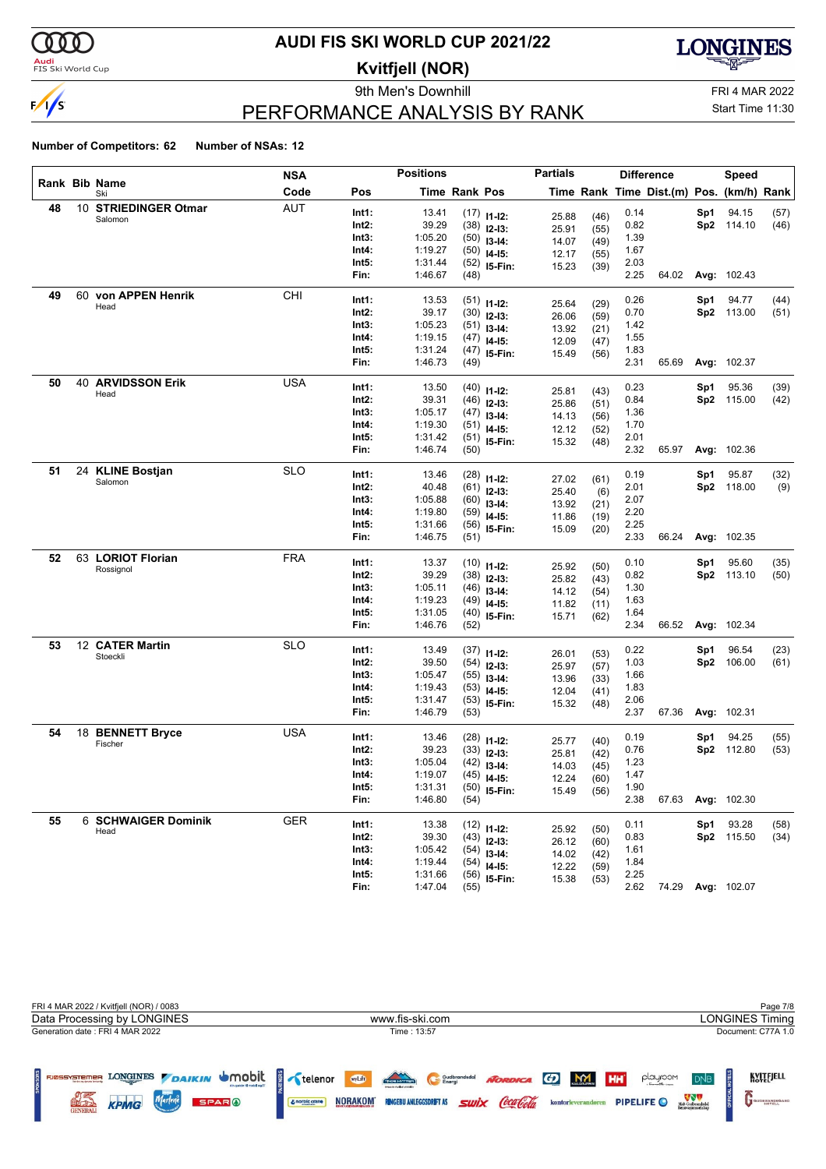

### <mark>Audi</mark><br>FIS Ski World Cup

# **AUDI FIS SKI WORLD CUP 2021/22**

**Kvitfjell (NOR)**

9th Men's Downhill FRI 4 MAR 2022



# Start Time 11:30

## PERFORMANCE ANALYSIS BY RANK

|    |                            | <b>NSA</b> |       | <b>Positions</b> |                      |                                | <b>Partials</b> |              |      | <b>Difference</b>                        |     | Speed             |      |
|----|----------------------------|------------|-------|------------------|----------------------|--------------------------------|-----------------|--------------|------|------------------------------------------|-----|-------------------|------|
|    | Rank Bib Name<br>Ski       | Code       | Pos   |                  | <b>Time Rank Pos</b> |                                |                 |              |      | Time Rank Time Dist.(m) Pos. (km/h) Rank |     |                   |      |
| 48 | 10 STRIEDINGER Otmar       | <b>AUT</b> | Int1: | 13.41            |                      | $(17)$ 11-12:                  | 25.88           | (46)         | 0.14 |                                          | Sp1 | 94.15             | (57) |
|    | Salomon                    |            | Int2: | 39.29            |                      | $(38)$ 12-13:                  | 25.91           | (55)         | 0.82 |                                          |     | Sp2 114.10        | (46) |
|    |                            |            | Int3: | 1:05.20          |                      | $(50)$ 13-14:                  | 14.07           | (49)         | 1.39 |                                          |     |                   |      |
|    |                            |            | Int4: | 1:19.27          |                      | $(50)$ 14-15:                  | 12.17           | (55)         | 1.67 |                                          |     |                   |      |
|    |                            |            | Int5: | 1:31.44          |                      | $(52)$ 15-Fin:                 | 15.23           | (39)         | 2.03 |                                          |     |                   |      |
|    |                            |            | Fin:  | 1:46.67          | (48)                 |                                |                 |              | 2.25 | 64.02                                    |     | Avg: 102.43       |      |
| 49 | 60 von APPEN Henrik        | CHI        | Int1: | 13.53            |                      | $(51)$ 11-12:                  |                 |              | 0.26 |                                          | Sp1 | 94.77             | (44) |
|    | Head                       |            | Int2: | 39.17            |                      | $(30)$ 12-13:                  | 25.64           | (29)         | 0.70 |                                          |     | Sp2 113.00        | (51) |
|    |                            |            | Int3: | 1:05.23          |                      | $(51)$ 13-14:                  | 26.06<br>13.92  | (59)         | 1.42 |                                          |     |                   |      |
|    |                            |            | Int4: | 1:19.15          |                      | $(47)$ 14-15:                  | 12.09           | (21)<br>(47) | 1.55 |                                          |     |                   |      |
|    |                            |            | Int5: | 1:31.24          |                      | $(47)$ 15-Fin:                 | 15.49           | (56)         | 1.83 |                                          |     |                   |      |
|    |                            |            | Fin:  | 1:46.73          | (49)                 |                                |                 |              | 2.31 | 65.69                                    |     | Avg: 102.37       |      |
| 50 | <b>40 ARVIDSSON Erik</b>   | USA        | Int1: | 13.50            |                      | $(40)$ 11-12:                  |                 |              | 0.23 |                                          | Sp1 | 95.36             | (39) |
|    | Head                       |            | Int2: | 39.31            |                      | $(46)$ 12-13:                  | 25.81           | (43)         | 0.84 |                                          |     | Sp2 115.00        | (42) |
|    |                            |            | Int3: | 1:05.17          |                      | $(47)$ 13-14:                  | 25.86           | (51)         | 1.36 |                                          |     |                   |      |
|    |                            |            | Int4: | 1:19.30          |                      | $(51)$ 14-15:                  | 14.13<br>12.12  | (56)         | 1.70 |                                          |     |                   |      |
|    |                            |            | Int5: | 1:31.42          |                      | $(51)$ 15-Fin:                 | 15.32           | (52)<br>(48) | 2.01 |                                          |     |                   |      |
|    |                            |            | Fin:  | 1:46.74          | (50)                 |                                |                 |              | 2.32 | 65.97                                    |     | Avg: 102.36       |      |
| 51 | 24 KLINE Bostjan           | <b>SLO</b> | Int1: | 13.46            |                      | $(28)$ 11-12:                  |                 |              | 0.19 |                                          | Sp1 | 95.87             | (32) |
|    | Salomon                    |            | Int2: | 40.48            |                      | $(61)$ 12-13:                  | 27.02           | (61)         | 2.01 |                                          |     | Sp2 118.00        | (9)  |
|    |                            |            | Int3: | 1:05.88          |                      | $(60)$ 13-14:                  | 25.40           | (6)          | 2.07 |                                          |     |                   |      |
|    |                            |            | Int4: | 1:19.80          |                      | $(59)$ 14-15:                  | 13.92           | (21)         | 2.20 |                                          |     |                   |      |
|    |                            |            | Int5: | 1:31.66          |                      | $(56)$ 15-Fin:                 | 11.86<br>15.09  | (19)         | 2.25 |                                          |     |                   |      |
|    |                            |            | Fin:  | 1:46.75          | (51)                 |                                |                 | (20)         | 2.33 | 66.24                                    |     | Avg: 102.35       |      |
| 52 | 63 LORIOT Florian          | <b>FRA</b> | Int1: | 13.37            |                      | $(10)$ 11-12:                  |                 |              | 0.10 |                                          | Sp1 | 95.60             | (35) |
|    | Rossignol                  |            | Int2: | 39.29            |                      | $(38)$ 12-13:                  | 25.92           | (50)         | 0.82 |                                          |     | Sp2 113.10        | (50) |
|    |                            |            | Int3: | 1:05.11          |                      | $(46)$ 13-14:                  | 25.82           | (43)         | 1.30 |                                          |     |                   |      |
|    |                            |            | Int4: | 1:19.23          |                      | $(49)$ 14-15:                  | 14.12<br>11.82  | (54)         | 1.63 |                                          |     |                   |      |
|    |                            |            | Int5: | 1:31.05          |                      | $(40)$ 15-Fin:                 | 15.71           | (11)<br>(62) | 1.64 |                                          |     |                   |      |
|    |                            |            | Fin:  | 1:46.76          | (52)                 |                                |                 |              | 2.34 | 66.52                                    |     | Avg: 102.34       |      |
| 53 | 12 CATER Martin            | <b>SLO</b> | Int1: | 13.49            |                      |                                |                 |              | 0.22 |                                          | Sp1 | 96.54             | (23) |
|    | Stoeckli                   |            | Int2: | 39.50            |                      | $(37)$ 11-12:<br>$(54)$ 12-13: | 26.01           | (53)         | 1.03 |                                          | Sp2 | 106.00            | (61) |
|    |                            |            | Int3: | 1:05.47          |                      | $(55)$ 13-14:                  | 25.97           | (57)         | 1.66 |                                          |     |                   |      |
|    |                            |            | Int4: | 1:19.43          |                      | $(53)$ 14-15:                  | 13.96           | (33)         | 1.83 |                                          |     |                   |      |
|    |                            |            | Int5: | 1:31.47          |                      | $(53)$ 15-Fin:                 | 12.04<br>15.32  | (41)<br>(48) | 2.06 |                                          |     |                   |      |
|    |                            |            | Fin:  | 1:46.79          | (53)                 |                                |                 |              | 2.37 | 67.36                                    |     | Avg: 102.31       |      |
| 54 | 18 BENNETT Bryce           | <b>USA</b> | Int1: | 13.46            |                      | $(28)$ 11-12:                  |                 |              | 0.19 |                                          | Sp1 | 94.25             | (55) |
|    | Fischer                    |            | Int2: | 39.23            |                      | $(33)$ 12-13:                  | 25.77           | (40)         | 0.76 |                                          |     | Sp2 112.80        | (53) |
|    |                            |            | Int3: | 1:05.04          |                      | $(42)$ 13-14:                  | 25.81<br>14.03  | (42)         | 1.23 |                                          |     |                   |      |
|    |                            |            | Int4: | 1:19.07          |                      | $(45)$ 14-15:                  | 12.24           | (45)<br>(60) | 1.47 |                                          |     |                   |      |
|    |                            |            | Int5: | 1:31.31          |                      | $(50)$ 15-Fin:                 | 15.49           | (56)         | 1.90 |                                          |     |                   |      |
|    |                            |            | Fin:  | 1:46.80          | (54)                 |                                |                 |              | 2.38 | 67.63                                    |     | Avg: 102.30       |      |
| 55 | <b>6 SCHWAIGER Dominik</b> | <b>GER</b> | Int1: | 13.38            |                      | $(12)$ 11-12:                  |                 |              | 0.11 |                                          | Sp1 | 93.28             | (58) |
|    | Head                       |            | Int2: | 39.30            |                      | $(43)$ 12-13:                  | 25.92           | (50)         | 0.83 |                                          |     | Sp2 115.50        | (34) |
|    |                            |            | Int3: | 1:05.42          |                      | $(54)$ 13-14:                  | 26.12           | (60)         | 1.61 |                                          |     |                   |      |
|    |                            |            | Int4: | 1:19.44          |                      | $(54)$ 14-15:                  | 14.02           | (42)         | 1.84 |                                          |     |                   |      |
|    |                            |            | Int5: | 1:31.66          |                      | $(56)$ 15-Fin:                 | 12.22<br>15.38  | (59)         | 2.25 |                                          |     |                   |      |
|    |                            |            | Fin:  | 1:47.04          | (55)                 |                                |                 | (53)         | 2.62 |                                          |     | 74.29 Avg: 102.07 |      |

| FRI 4 MAR 2022 / Kvitfjell (NOR) / 0083                                                                                                                     |                                                                                                                                                     | Page 7/8                                                                                                                                         |
|-------------------------------------------------------------------------------------------------------------------------------------------------------------|-----------------------------------------------------------------------------------------------------------------------------------------------------|--------------------------------------------------------------------------------------------------------------------------------------------------|
| Data Processing by LONGINES                                                                                                                                 | www.fis-ski.com                                                                                                                                     | <b>LONGINES Timing</b>                                                                                                                           |
| Generation date: FRI 4 MAR 2022                                                                                                                             | Time: 13:57                                                                                                                                         | Document: C77A 1.0                                                                                                                               |
| LONGINES DAIKIN UMObit<br>FJØSSYSTEMER<br><b>Benden og densten førstevel</b><br>Marlene<br><b>SPARO</b><br><b>KPMG</b><br><b>ALC LIB</b><br><b>JENERALI</b> | Thos Hotel<br>wyLift<br>NORDICA GD M<br>Gudbrandsdal<br><b>Swix</b> CocalGola<br><b>NORAKOM</b><br><b>RINGEBU ANLEGGSDRIFT AS</b><br>& norbic crane | KVITEJELL<br><b>HH</b><br>playroom<br><b>DNB</b><br>Midt-Gudbrandsdal<br>Renovasjonsselskig<br>PIPELIFE O<br>kontorleverandøren<br>GUDBRANDSGARD |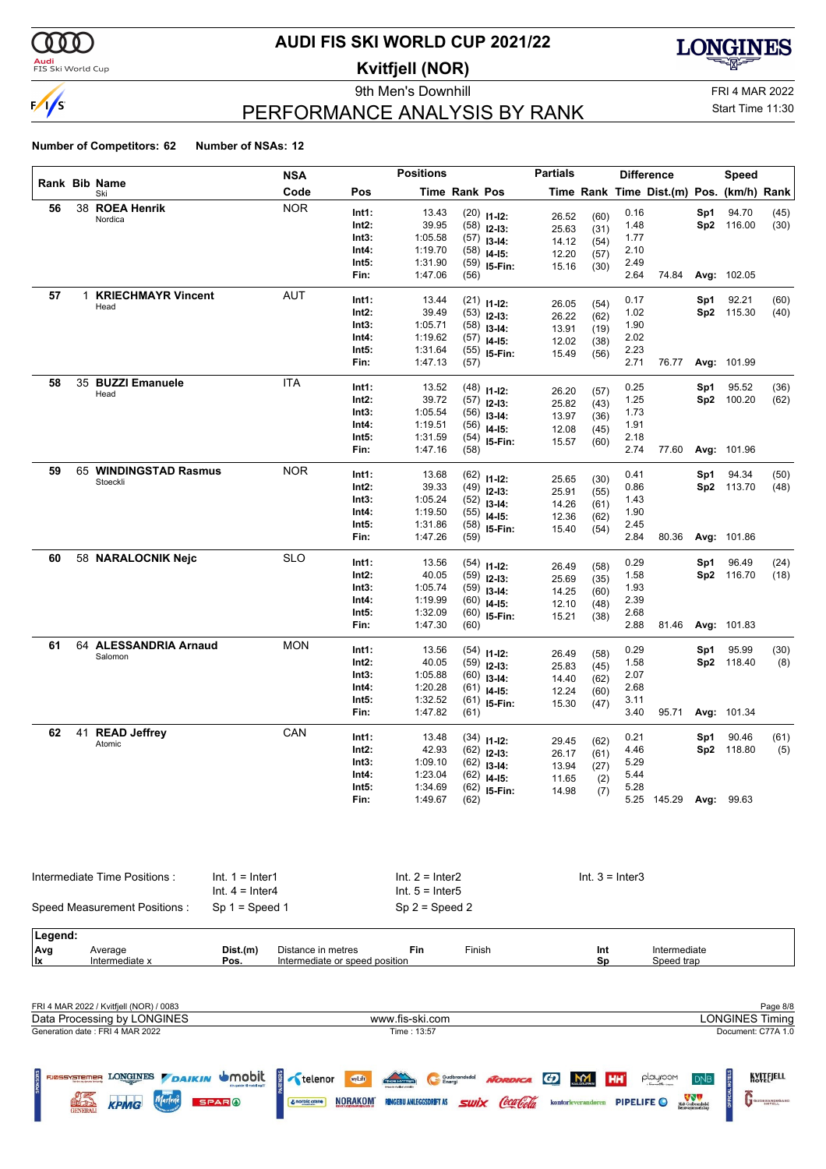

#### **Audi**<br>FIS Ski World Cup

# **AUDI FIS SKI WORLD CUP 2021/22**

**Kvitfjell (NOR)**

9th Men's Downhill FRI 4 MAR 2022



Ľ

Start Time 11:30

# PERFORMANCE ANALYSIS BY RANK

#### **Number of Competitors: 62 Number of NSAs: 12**

|    |   |                              | <b>NSA</b>                             |                | <b>Positions</b>                          |                      |                                | <b>Partials</b> |                   |              | <b>Difference</b>                        |     | <b>Speed</b> |      |
|----|---|------------------------------|----------------------------------------|----------------|-------------------------------------------|----------------------|--------------------------------|-----------------|-------------------|--------------|------------------------------------------|-----|--------------|------|
|    |   | Rank Bib Name<br>Ski         | Code                                   | Pos            |                                           | <b>Time Rank Pos</b> |                                |                 |                   |              | Time Rank Time Dist.(m) Pos. (km/h) Rank |     |              |      |
| 56 |   | 38 ROEA Henrik               | <b>NOR</b>                             | Int1:          | 13.43                                     |                      | $(20)$ 11-12:                  |                 |                   | 0.16         |                                          | Sp1 | 94.70        | (45) |
|    |   | Nordica                      |                                        | Int2:          | 39.95                                     |                      | $(58)$ 12-13:                  | 26.52<br>25.63  | (60)              | 1.48         |                                          |     | Sp2 116.00   | (30) |
|    |   |                              |                                        | Int3:          | 1:05.58                                   |                      | $(57)$ 13-14:                  | 14.12           | (31)<br>(54)      | 1.77         |                                          |     |              |      |
|    |   |                              |                                        | Int4:          | 1:19.70                                   |                      | $(58)$ 14-15:                  | 12.20           | (57)              | 2.10         |                                          |     |              |      |
|    |   |                              |                                        | Int5:          | 1:31.90                                   |                      | $(59)$ 15-Fin:                 | 15.16           | (30)              | 2.49         |                                          |     |              |      |
|    |   |                              |                                        | Fin:           | 1:47.06                                   | (56)                 |                                |                 |                   | 2.64         | 74.84                                    |     | Avg: 102.05  |      |
| 57 | 1 | <b>KRIECHMAYR Vincent</b>    | AUT                                    | Int1:          | 13.44                                     |                      |                                |                 |                   | 0.17         |                                          | Sp1 | 92.21        | (60) |
|    |   | Head                         |                                        | Int2:          | 39.49                                     |                      | $(21)$ 11-12:<br>$(53)$ 12-13: | 26.05           | (54)              | 1.02         |                                          |     | Sp2 115.30   | (40) |
|    |   |                              |                                        | Int3:          | 1:05.71                                   |                      | $(58)$ 13-14:                  | 26.22           | (62)              | 1.90         |                                          |     |              |      |
|    |   |                              |                                        | Int4:          | 1:19.62                                   |                      | $(57)$ 14-15:                  | 13.91           | (19)              | 2.02         |                                          |     |              |      |
|    |   |                              |                                        | Int5:          | 1:31.64                                   |                      | $(55)$ 15-Fin:                 | 12.02           | (38)              | 2.23         |                                          |     |              |      |
|    |   |                              |                                        | Fin:           | 1:47.13                                   | (57)                 |                                | 15.49           | (56)              | 2.71         | 76.77                                    |     | Avg: 101.99  |      |
| 58 |   | 35 BUZZI Emanuele            | <b>ITA</b>                             |                |                                           |                      |                                |                 |                   |              |                                          |     |              |      |
|    |   | Head                         |                                        | Int1:          | 13.52                                     |                      | $(48)$ 11-12:                  | 26.20           | (57)              | 0.25         |                                          | Sp1 | 95.52        | (36) |
|    |   |                              |                                        | Int2:          | 39.72                                     |                      | $(57)$ 12-13:                  | 25.82           | (43)              | 1.25         |                                          |     | Sp2 100.20   | (62) |
|    |   |                              |                                        | Int3:          | 1:05.54                                   |                      | $(56)$ 13-14:                  | 13.97           | (36)              | 1.73         |                                          |     |              |      |
|    |   |                              |                                        | Int4:<br>Int5: | 1:19.51                                   |                      | $(56)$ 14-15:                  | 12.08           | (45)              | 1.91<br>2.18 |                                          |     |              |      |
|    |   |                              |                                        | Fin:           | 1:31.59<br>1:47.16                        | (58)                 | $(54)$ 15-Fin:                 | 15.57           | (60)              | 2.74         | 77.60                                    |     | Avg: 101.96  |      |
| 59 |   | 65 WINDINGSTAD Rasmus        | <b>NOR</b>                             |                |                                           |                      |                                |                 |                   |              |                                          |     |              |      |
|    |   | Stoeckli                     |                                        | Int1:          | 13.68                                     |                      | $(62)$ 11-12:                  | 25.65           | (30)              | 0.41         |                                          | Sp1 | 94.34        | (50) |
|    |   |                              |                                        | Int2:          | 39.33                                     |                      | $(49)$ 12-13:                  | 25.91           | (55)              | 0.86         |                                          |     | Sp2 113.70   | (48) |
|    |   |                              |                                        | Int3:          | 1:05.24                                   |                      | $(52)$ 13-14:                  | 14.26           | (61)              | 1.43         |                                          |     |              |      |
|    |   |                              |                                        | Int4:          | 1:19.50                                   |                      | $(55)$ 14-15:                  | 12.36           | (62)              | 1.90         |                                          |     |              |      |
|    |   |                              |                                        | Int5:          | 1:31.86                                   |                      | $(58)$ 15-Fin:                 | 15.40           | (54)              | 2.45         |                                          |     |              |      |
|    |   |                              |                                        | Fin:           | 1:47.26                                   | (59)                 |                                |                 |                   | 2.84         | 80.36                                    |     | Avg: 101.86  |      |
| 60 |   | 58 NARALOCNIK Nejc           | <b>SLO</b>                             | Int1:          | 13.56                                     |                      | $(54)$ 11-12:                  | 26.49           | (58)              | 0.29         |                                          | Sp1 | 96.49        | (24) |
|    |   |                              |                                        | Int2:          | 40.05                                     |                      | $(59)$ 12-13:                  | 25.69           | (35)              | 1.58         |                                          |     | Sp2 116.70   | (18) |
|    |   |                              |                                        | Int3:          | 1:05.74                                   |                      | $(59)$ 13-14:                  | 14.25           | (60)              | 1.93         |                                          |     |              |      |
|    |   |                              |                                        | Int4:          | 1:19.99                                   |                      | $(60)$ 14-15:                  | 12.10           | (48)              | 2.39         |                                          |     |              |      |
|    |   |                              |                                        | Int5:          | 1:32.09                                   |                      | $(60)$ 15-Fin:                 | 15.21           | (38)              | 2.68         |                                          |     |              |      |
|    |   |                              |                                        | Fin:           | 1:47.30                                   | (60)                 |                                |                 |                   | 2.88         | 81.46                                    |     | Avg: 101.83  |      |
| 61 |   | 64 ALESSANDRIA Arnaud        | <b>MON</b>                             | Int1:          | 13.56                                     |                      | $(54)$ 11-12:                  | 26.49           | (58)              | 0.29         |                                          | Sp1 | 95.99        | (30) |
|    |   | Salomon                      |                                        | Int2:          | 40.05                                     |                      | $(59)$ 12-13:                  | 25.83           | (45)              | 1.58         |                                          |     | Sp2 118.40   | (8)  |
|    |   |                              |                                        | Int3:          | 1:05.88                                   |                      | $(60)$ 13-14:                  | 14.40           | (62)              | 2.07         |                                          |     |              |      |
|    |   |                              |                                        | Int4:          | 1:20.28                                   |                      | $(61)$ 14-15:                  | 12.24           | (60)              | 2.68         |                                          |     |              |      |
|    |   |                              |                                        | Int5:          | 1:32.52                                   |                      | $(61)$ 15-Fin:                 | 15.30           | (47)              | 3.11         |                                          |     |              |      |
|    |   |                              |                                        | Fin:           | 1:47.82                                   | (61)                 |                                |                 |                   | 3.40         | 95.71                                    |     | Avg: 101.34  |      |
| 62 |   | 41 READ Jeffrey              | CAN                                    | Int1:          | 13.48                                     |                      |                                |                 |                   | 0.21         |                                          | Sp1 | 90.46        | (61) |
|    |   | Atomic                       |                                        | Int2:          | 42.93                                     |                      | $(34)$ 11-12:                  | 29.45           | (62)              | 4.46         |                                          |     | Sp2 118.80   | (5)  |
|    |   |                              |                                        | Int3:          | 1:09.10                                   |                      | $(62)$ 12-13:                  | 26.17           | (61)              | 5.29         |                                          |     |              |      |
|    |   |                              |                                        | Int4:          | 1:23.04                                   |                      | $(62)$ 13-14:                  | 13.94           | (27)              | 5.44         |                                          |     |              |      |
|    |   |                              |                                        | Int5:          | 1:34.69                                   |                      | $(62)$ 14-15:                  | 11.65           | (2)               | 5.28         |                                          |     |              |      |
|    |   |                              |                                        | Fin:           | 1:49.67                                   | (62)                 | $(62)$ 15-Fin:                 | 14.98           | (7)               |              | 5.25 145.29 Avg: 99.63                   |     |              |      |
|    |   |                              |                                        |                |                                           |                      |                                |                 |                   |              |                                          |     |              |      |
|    |   | Intermediate Time Positions: | $Int. 1 = Inter1$<br>$Int. 4 = Inter4$ |                | $Int. 2 = Inter2$<br>Int. $5 =$ Inter $5$ |                      |                                |                 | $Int. 3 = Inter3$ |              |                                          |     |              |      |
|    |   | Speed Measurement Positions: | $Sp 1 = Speed 1$                       |                | $Sp 2 = Speed 2$                          |                      |                                |                 |                   |              |                                          |     |              |      |

| .eaend:    |                            |          |                       |            |        |      |            |  |
|------------|----------------------------|----------|-----------------------|------------|--------|------|------------|--|
| <b>Ava</b> | Average                    | Dist.(m) | Distance in metres    | Fin        | Finish | -Int | mediate    |  |
| llx        | $\cdots$<br>Intermediate x | Pos.     | Intermediate or speed | l position |        | Sr   | speed trap |  |

| FRI 4 MAR 2022 / Kvitfjell (NOR) / 0083                                                                                 |                                                                                                                                                                                 | Page 8/8                                                                                                                                                         |
|-------------------------------------------------------------------------------------------------------------------------|---------------------------------------------------------------------------------------------------------------------------------------------------------------------------------|------------------------------------------------------------------------------------------------------------------------------------------------------------------|
| Data Processing by LONGINES                                                                                             | www.fis-ski.com                                                                                                                                                                 | <b>LONGINES Timing</b>                                                                                                                                           |
| Generation date: FRI 4 MAR 2022                                                                                         | Time : 13:57                                                                                                                                                                    | Document: C77A 1.0                                                                                                                                               |
| g<br>LONGINES DAIKIN UMObit<br><b>SNOK</b><br>Marlene<br>3) 국<br>1977년<br><b>SPARO</b><br><b>KPMG</b><br><b>GENERAL</b> | $\frac{2}{3}$ telenor<br>Those Hotter<br>wyLift<br>Gudbrandsdal<br>NORDICA (D<br>Coca Cola<br><b>NORAKOM</b><br><b>SWİX</b><br><b>RINGEBU ANLEGGSDRIFT AS</b><br>& norbic crane | KVITEJELL<br>M<br>playroom<br>HH <sup>'</sup><br><b>DNB</b><br>Midt-Gudbrandsdal<br>Renovasjonsselskap<br><b>PIPELIFE</b><br>GUDBRANDSGARD<br>kontorleverandører |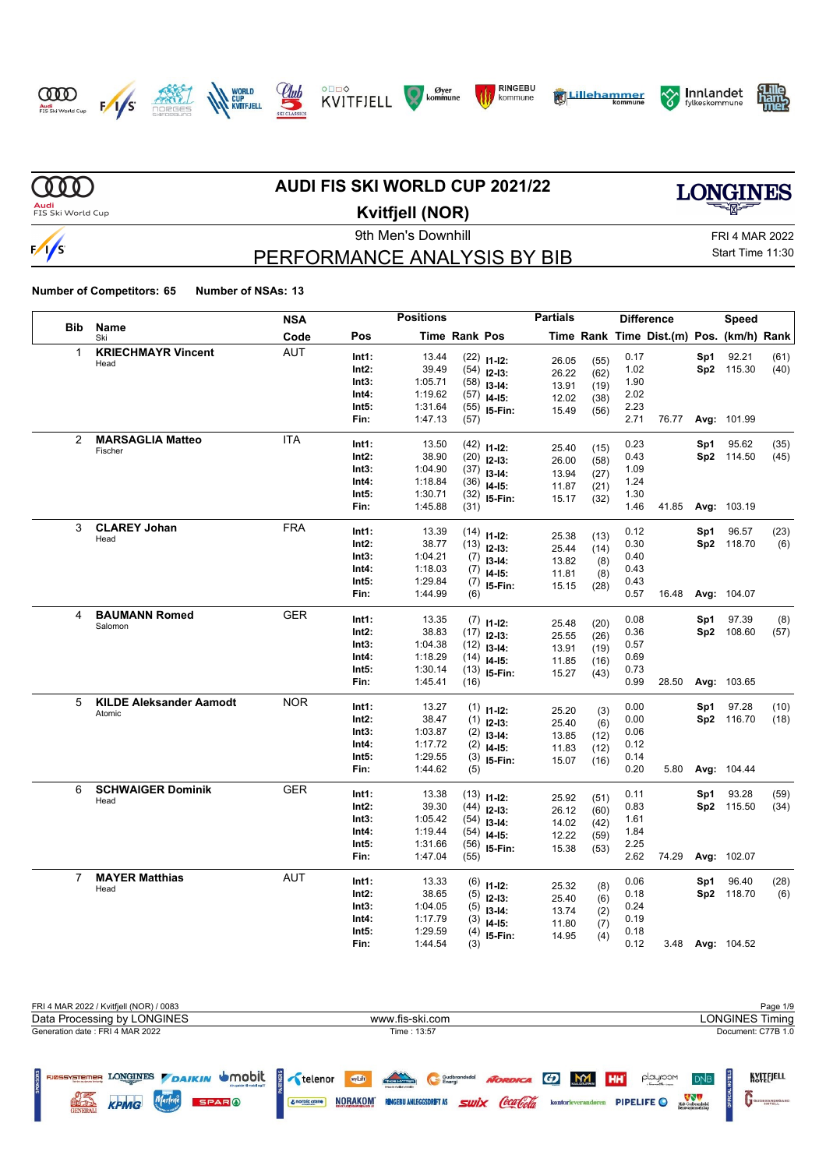















**MD** 

 $\sqrt{s}$ 

### **AUDI FIS SKI WORLD CUP 2021/22**

**LONGINES** 

**Audi**<br>FIS Ski World Cup

# **Kvitfjell (NOR)**

9th Men's Downhill FRI 4 MAR 2022 PERFORMANCE ANALYSIS BY BIB

Start Time 11:30

| <b>Bib</b><br>Name<br>Code<br>Pos<br><b>Time Rank Pos</b><br>Time Rank Time Dist.(m) Pos. (km/h) Rank<br>Ski<br><b>KRIECHMAYR Vincent</b><br><b>AUT</b><br>$\mathbf{1}$<br>Int1:<br>13.44<br>0.17<br>92.21<br>$(22)$ 11-12:<br>Sp1<br>(61)<br>(55)<br>26.05<br>Head<br>39.49<br>Sp2 115.30<br>Int2:<br>$(54)$ 12-13:<br>1.02<br>(40)<br>(62)<br>26.22<br>Int3:<br>1:05.71<br>1.90<br>(58)<br>$13 - 14$ :<br>13.91<br>(19)<br>1:19.62<br>2.02<br>Int4:<br>(57)<br>$14-15$ :<br>12.02<br>(38)<br>2.23<br>Int5:<br>1:31.64<br>(55)<br>15-Fin:<br>15.49<br>(56)<br>2.71<br>Fin:<br>1:47.13<br>(57)<br>76.77<br>Avg: 101.99<br><b>MARSAGLIA Matteo</b><br>$\overline{2}$<br><b>ITA</b><br>0.23<br>Int1:<br>13.50<br>Sp1<br>95.62<br>(35)<br>$(42)$ 11-12:<br>25.40<br>(15)<br>Fischer<br>38.90<br>0.43<br>Sp2 114.50<br>Int2:<br>(45)<br>(20)<br>$12-13:$<br>26.00<br>(58)<br>Int3:<br>1:04.90<br>1.09<br>$(37)$ 13-14:<br>13.94<br>(27)<br>Int4:<br>1:18.84<br>1.24<br>(36)<br>$14-15:$<br>11.87<br>(21)<br>Int5:<br>1:30.71<br>1.30<br>(32)<br>15-Fin:<br>15.17<br>(32)<br>1:45.88<br>1.46<br>Avg: 103.19<br>Fin:<br>(31)<br>41.85<br><b>CLAREY Johan</b><br>3<br><b>FRA</b><br>Int1:<br>13.39<br>0.12<br>Sp1<br>96.57<br>(23)<br>(14)<br>$11 - 12$ :<br>25.38<br>(13)<br>Head<br>Sp2 118.70<br>Int2:<br>38.77<br>0.30<br>(6)<br>(13)<br>$12-13:$<br>25.44<br>(14)<br>Int3:<br>1:04.21<br>0.40<br>(7)<br>$13-14:$<br>13.82<br>(8)<br>Int4:<br>1:18.03<br>0.43<br>(7)<br>$14 - 15$ :<br>11.81<br>(8)<br>Int5:<br>1:29.84<br>0.43<br>(7)<br>15-Fin:<br>15.15<br>(28)<br>1:44.99<br>Fin:<br>0.57<br>16.48<br>Avg: 104.07<br>(6)<br><b>BAUMANN Romed</b><br><b>GER</b><br>4<br>0.08<br>Int1:<br>13.35<br>97.39<br>(8)<br>Sp1<br>$(7)$ 11-12:<br>25.48<br>(20)<br>Salomon<br>Int2:<br>38.83<br>0.36<br>Sp2 108.60<br>(57)<br>$(17)$ 12-13:<br>25.55<br>(26)<br>Int3:<br>1:04.38<br>0.57<br>(12)<br>$13-14:$<br>13.91<br>(19)<br>Int4:<br>1:18.29<br>0.69<br>(14)<br>$14 - 15$ :<br>11.85<br>(16)<br>1:30.14<br>Int5:<br>0.73<br>(13)<br>I5-Fin:<br>15.27<br>(43)<br>0.99<br>Fin:<br>1:45.41<br>28.50<br>Avg: 103.65<br>(16)<br><b>KILDE Aleksander Aamodt</b><br><b>NOR</b><br>5<br>Int1:<br>13.27<br>0.00<br>97.28<br>(10)<br>Sp1<br>$(1)$ 11-12:<br>25.20<br>(3)<br>Atomic<br>Int2:<br>38.47<br>0.00<br>Sp2 116.70<br>(18)<br>(1)<br>$12-13:$<br>25.40<br>(6)<br>Int3:<br>1:03.87<br>0.06<br>(2)<br>$13-14:$<br>13.85<br>(12)<br>Int4:<br>1:17.72<br>0.12<br>(2)<br>$14 - 15$ :<br>11.83<br>(12)<br>1:29.55<br>Int5:<br>0.14<br>(3)<br>I5-Fin:<br>15.07<br>(16)<br>0.20<br>Fin:<br>1:44.62<br>Avg: 104.44<br>(5)<br>5.80<br><b>GER</b><br>6<br><b>SCHWAIGER Dominik</b><br>13.38<br>0.11<br>93.28<br>Int1:<br>Sp1<br>(59)<br>(13)<br>$11 - 12$ :<br>25.92<br>(51)<br>Head<br>39.30<br>Int2:<br>0.83<br>Sp2 115.50<br>(34)<br>(44)<br>$12-13:$<br>26.12<br>(60)<br>Int3:<br>1:05.42<br>1.61<br>(54)<br>$13-14:$<br>14.02<br>(42) |  |  | <b>NSA</b> | <b>Positions</b> |  | <b>Partials</b> |  | <b>Difference</b> | Speed |  |
|---------------------------------------------------------------------------------------------------------------------------------------------------------------------------------------------------------------------------------------------------------------------------------------------------------------------------------------------------------------------------------------------------------------------------------------------------------------------------------------------------------------------------------------------------------------------------------------------------------------------------------------------------------------------------------------------------------------------------------------------------------------------------------------------------------------------------------------------------------------------------------------------------------------------------------------------------------------------------------------------------------------------------------------------------------------------------------------------------------------------------------------------------------------------------------------------------------------------------------------------------------------------------------------------------------------------------------------------------------------------------------------------------------------------------------------------------------------------------------------------------------------------------------------------------------------------------------------------------------------------------------------------------------------------------------------------------------------------------------------------------------------------------------------------------------------------------------------------------------------------------------------------------------------------------------------------------------------------------------------------------------------------------------------------------------------------------------------------------------------------------------------------------------------------------------------------------------------------------------------------------------------------------------------------------------------------------------------------------------------------------------------------------------------------------------------------------------------------------------------------------------------------------------------------------------------------------------------------------------------------------------------------------------------------------------------------------------------------------------------------------------------------------------------------------------------------------------------------------------------------------------------------------------------------------|--|--|------------|------------------|--|-----------------|--|-------------------|-------|--|
|                                                                                                                                                                                                                                                                                                                                                                                                                                                                                                                                                                                                                                                                                                                                                                                                                                                                                                                                                                                                                                                                                                                                                                                                                                                                                                                                                                                                                                                                                                                                                                                                                                                                                                                                                                                                                                                                                                                                                                                                                                                                                                                                                                                                                                                                                                                                                                                                                                                                                                                                                                                                                                                                                                                                                                                                                                                                                                                           |  |  |            |                  |  |                 |  |                   |       |  |
|                                                                                                                                                                                                                                                                                                                                                                                                                                                                                                                                                                                                                                                                                                                                                                                                                                                                                                                                                                                                                                                                                                                                                                                                                                                                                                                                                                                                                                                                                                                                                                                                                                                                                                                                                                                                                                                                                                                                                                                                                                                                                                                                                                                                                                                                                                                                                                                                                                                                                                                                                                                                                                                                                                                                                                                                                                                                                                                           |  |  |            |                  |  |                 |  |                   |       |  |
|                                                                                                                                                                                                                                                                                                                                                                                                                                                                                                                                                                                                                                                                                                                                                                                                                                                                                                                                                                                                                                                                                                                                                                                                                                                                                                                                                                                                                                                                                                                                                                                                                                                                                                                                                                                                                                                                                                                                                                                                                                                                                                                                                                                                                                                                                                                                                                                                                                                                                                                                                                                                                                                                                                                                                                                                                                                                                                                           |  |  |            |                  |  |                 |  |                   |       |  |
|                                                                                                                                                                                                                                                                                                                                                                                                                                                                                                                                                                                                                                                                                                                                                                                                                                                                                                                                                                                                                                                                                                                                                                                                                                                                                                                                                                                                                                                                                                                                                                                                                                                                                                                                                                                                                                                                                                                                                                                                                                                                                                                                                                                                                                                                                                                                                                                                                                                                                                                                                                                                                                                                                                                                                                                                                                                                                                                           |  |  |            |                  |  |                 |  |                   |       |  |
|                                                                                                                                                                                                                                                                                                                                                                                                                                                                                                                                                                                                                                                                                                                                                                                                                                                                                                                                                                                                                                                                                                                                                                                                                                                                                                                                                                                                                                                                                                                                                                                                                                                                                                                                                                                                                                                                                                                                                                                                                                                                                                                                                                                                                                                                                                                                                                                                                                                                                                                                                                                                                                                                                                                                                                                                                                                                                                                           |  |  |            |                  |  |                 |  |                   |       |  |
|                                                                                                                                                                                                                                                                                                                                                                                                                                                                                                                                                                                                                                                                                                                                                                                                                                                                                                                                                                                                                                                                                                                                                                                                                                                                                                                                                                                                                                                                                                                                                                                                                                                                                                                                                                                                                                                                                                                                                                                                                                                                                                                                                                                                                                                                                                                                                                                                                                                                                                                                                                                                                                                                                                                                                                                                                                                                                                                           |  |  |            |                  |  |                 |  |                   |       |  |
|                                                                                                                                                                                                                                                                                                                                                                                                                                                                                                                                                                                                                                                                                                                                                                                                                                                                                                                                                                                                                                                                                                                                                                                                                                                                                                                                                                                                                                                                                                                                                                                                                                                                                                                                                                                                                                                                                                                                                                                                                                                                                                                                                                                                                                                                                                                                                                                                                                                                                                                                                                                                                                                                                                                                                                                                                                                                                                                           |  |  |            |                  |  |                 |  |                   |       |  |
|                                                                                                                                                                                                                                                                                                                                                                                                                                                                                                                                                                                                                                                                                                                                                                                                                                                                                                                                                                                                                                                                                                                                                                                                                                                                                                                                                                                                                                                                                                                                                                                                                                                                                                                                                                                                                                                                                                                                                                                                                                                                                                                                                                                                                                                                                                                                                                                                                                                                                                                                                                                                                                                                                                                                                                                                                                                                                                                           |  |  |            |                  |  |                 |  |                   |       |  |
|                                                                                                                                                                                                                                                                                                                                                                                                                                                                                                                                                                                                                                                                                                                                                                                                                                                                                                                                                                                                                                                                                                                                                                                                                                                                                                                                                                                                                                                                                                                                                                                                                                                                                                                                                                                                                                                                                                                                                                                                                                                                                                                                                                                                                                                                                                                                                                                                                                                                                                                                                                                                                                                                                                                                                                                                                                                                                                                           |  |  |            |                  |  |                 |  |                   |       |  |
|                                                                                                                                                                                                                                                                                                                                                                                                                                                                                                                                                                                                                                                                                                                                                                                                                                                                                                                                                                                                                                                                                                                                                                                                                                                                                                                                                                                                                                                                                                                                                                                                                                                                                                                                                                                                                                                                                                                                                                                                                                                                                                                                                                                                                                                                                                                                                                                                                                                                                                                                                                                                                                                                                                                                                                                                                                                                                                                           |  |  |            |                  |  |                 |  |                   |       |  |
|                                                                                                                                                                                                                                                                                                                                                                                                                                                                                                                                                                                                                                                                                                                                                                                                                                                                                                                                                                                                                                                                                                                                                                                                                                                                                                                                                                                                                                                                                                                                                                                                                                                                                                                                                                                                                                                                                                                                                                                                                                                                                                                                                                                                                                                                                                                                                                                                                                                                                                                                                                                                                                                                                                                                                                                                                                                                                                                           |  |  |            |                  |  |                 |  |                   |       |  |
|                                                                                                                                                                                                                                                                                                                                                                                                                                                                                                                                                                                                                                                                                                                                                                                                                                                                                                                                                                                                                                                                                                                                                                                                                                                                                                                                                                                                                                                                                                                                                                                                                                                                                                                                                                                                                                                                                                                                                                                                                                                                                                                                                                                                                                                                                                                                                                                                                                                                                                                                                                                                                                                                                                                                                                                                                                                                                                                           |  |  |            |                  |  |                 |  |                   |       |  |
|                                                                                                                                                                                                                                                                                                                                                                                                                                                                                                                                                                                                                                                                                                                                                                                                                                                                                                                                                                                                                                                                                                                                                                                                                                                                                                                                                                                                                                                                                                                                                                                                                                                                                                                                                                                                                                                                                                                                                                                                                                                                                                                                                                                                                                                                                                                                                                                                                                                                                                                                                                                                                                                                                                                                                                                                                                                                                                                           |  |  |            |                  |  |                 |  |                   |       |  |
|                                                                                                                                                                                                                                                                                                                                                                                                                                                                                                                                                                                                                                                                                                                                                                                                                                                                                                                                                                                                                                                                                                                                                                                                                                                                                                                                                                                                                                                                                                                                                                                                                                                                                                                                                                                                                                                                                                                                                                                                                                                                                                                                                                                                                                                                                                                                                                                                                                                                                                                                                                                                                                                                                                                                                                                                                                                                                                                           |  |  |            |                  |  |                 |  |                   |       |  |
|                                                                                                                                                                                                                                                                                                                                                                                                                                                                                                                                                                                                                                                                                                                                                                                                                                                                                                                                                                                                                                                                                                                                                                                                                                                                                                                                                                                                                                                                                                                                                                                                                                                                                                                                                                                                                                                                                                                                                                                                                                                                                                                                                                                                                                                                                                                                                                                                                                                                                                                                                                                                                                                                                                                                                                                                                                                                                                                           |  |  |            |                  |  |                 |  |                   |       |  |
|                                                                                                                                                                                                                                                                                                                                                                                                                                                                                                                                                                                                                                                                                                                                                                                                                                                                                                                                                                                                                                                                                                                                                                                                                                                                                                                                                                                                                                                                                                                                                                                                                                                                                                                                                                                                                                                                                                                                                                                                                                                                                                                                                                                                                                                                                                                                                                                                                                                                                                                                                                                                                                                                                                                                                                                                                                                                                                                           |  |  |            |                  |  |                 |  |                   |       |  |
|                                                                                                                                                                                                                                                                                                                                                                                                                                                                                                                                                                                                                                                                                                                                                                                                                                                                                                                                                                                                                                                                                                                                                                                                                                                                                                                                                                                                                                                                                                                                                                                                                                                                                                                                                                                                                                                                                                                                                                                                                                                                                                                                                                                                                                                                                                                                                                                                                                                                                                                                                                                                                                                                                                                                                                                                                                                                                                                           |  |  |            |                  |  |                 |  |                   |       |  |
|                                                                                                                                                                                                                                                                                                                                                                                                                                                                                                                                                                                                                                                                                                                                                                                                                                                                                                                                                                                                                                                                                                                                                                                                                                                                                                                                                                                                                                                                                                                                                                                                                                                                                                                                                                                                                                                                                                                                                                                                                                                                                                                                                                                                                                                                                                                                                                                                                                                                                                                                                                                                                                                                                                                                                                                                                                                                                                                           |  |  |            |                  |  |                 |  |                   |       |  |
|                                                                                                                                                                                                                                                                                                                                                                                                                                                                                                                                                                                                                                                                                                                                                                                                                                                                                                                                                                                                                                                                                                                                                                                                                                                                                                                                                                                                                                                                                                                                                                                                                                                                                                                                                                                                                                                                                                                                                                                                                                                                                                                                                                                                                                                                                                                                                                                                                                                                                                                                                                                                                                                                                                                                                                                                                                                                                                                           |  |  |            |                  |  |                 |  |                   |       |  |
|                                                                                                                                                                                                                                                                                                                                                                                                                                                                                                                                                                                                                                                                                                                                                                                                                                                                                                                                                                                                                                                                                                                                                                                                                                                                                                                                                                                                                                                                                                                                                                                                                                                                                                                                                                                                                                                                                                                                                                                                                                                                                                                                                                                                                                                                                                                                                                                                                                                                                                                                                                                                                                                                                                                                                                                                                                                                                                                           |  |  |            |                  |  |                 |  |                   |       |  |
|                                                                                                                                                                                                                                                                                                                                                                                                                                                                                                                                                                                                                                                                                                                                                                                                                                                                                                                                                                                                                                                                                                                                                                                                                                                                                                                                                                                                                                                                                                                                                                                                                                                                                                                                                                                                                                                                                                                                                                                                                                                                                                                                                                                                                                                                                                                                                                                                                                                                                                                                                                                                                                                                                                                                                                                                                                                                                                                           |  |  |            |                  |  |                 |  |                   |       |  |
|                                                                                                                                                                                                                                                                                                                                                                                                                                                                                                                                                                                                                                                                                                                                                                                                                                                                                                                                                                                                                                                                                                                                                                                                                                                                                                                                                                                                                                                                                                                                                                                                                                                                                                                                                                                                                                                                                                                                                                                                                                                                                                                                                                                                                                                                                                                                                                                                                                                                                                                                                                                                                                                                                                                                                                                                                                                                                                                           |  |  |            |                  |  |                 |  |                   |       |  |
|                                                                                                                                                                                                                                                                                                                                                                                                                                                                                                                                                                                                                                                                                                                                                                                                                                                                                                                                                                                                                                                                                                                                                                                                                                                                                                                                                                                                                                                                                                                                                                                                                                                                                                                                                                                                                                                                                                                                                                                                                                                                                                                                                                                                                                                                                                                                                                                                                                                                                                                                                                                                                                                                                                                                                                                                                                                                                                                           |  |  |            |                  |  |                 |  |                   |       |  |
|                                                                                                                                                                                                                                                                                                                                                                                                                                                                                                                                                                                                                                                                                                                                                                                                                                                                                                                                                                                                                                                                                                                                                                                                                                                                                                                                                                                                                                                                                                                                                                                                                                                                                                                                                                                                                                                                                                                                                                                                                                                                                                                                                                                                                                                                                                                                                                                                                                                                                                                                                                                                                                                                                                                                                                                                                                                                                                                           |  |  |            |                  |  |                 |  |                   |       |  |
|                                                                                                                                                                                                                                                                                                                                                                                                                                                                                                                                                                                                                                                                                                                                                                                                                                                                                                                                                                                                                                                                                                                                                                                                                                                                                                                                                                                                                                                                                                                                                                                                                                                                                                                                                                                                                                                                                                                                                                                                                                                                                                                                                                                                                                                                                                                                                                                                                                                                                                                                                                                                                                                                                                                                                                                                                                                                                                                           |  |  |            |                  |  |                 |  |                   |       |  |
|                                                                                                                                                                                                                                                                                                                                                                                                                                                                                                                                                                                                                                                                                                                                                                                                                                                                                                                                                                                                                                                                                                                                                                                                                                                                                                                                                                                                                                                                                                                                                                                                                                                                                                                                                                                                                                                                                                                                                                                                                                                                                                                                                                                                                                                                                                                                                                                                                                                                                                                                                                                                                                                                                                                                                                                                                                                                                                                           |  |  |            |                  |  |                 |  |                   |       |  |
|                                                                                                                                                                                                                                                                                                                                                                                                                                                                                                                                                                                                                                                                                                                                                                                                                                                                                                                                                                                                                                                                                                                                                                                                                                                                                                                                                                                                                                                                                                                                                                                                                                                                                                                                                                                                                                                                                                                                                                                                                                                                                                                                                                                                                                                                                                                                                                                                                                                                                                                                                                                                                                                                                                                                                                                                                                                                                                                           |  |  |            |                  |  |                 |  |                   |       |  |
|                                                                                                                                                                                                                                                                                                                                                                                                                                                                                                                                                                                                                                                                                                                                                                                                                                                                                                                                                                                                                                                                                                                                                                                                                                                                                                                                                                                                                                                                                                                                                                                                                                                                                                                                                                                                                                                                                                                                                                                                                                                                                                                                                                                                                                                                                                                                                                                                                                                                                                                                                                                                                                                                                                                                                                                                                                                                                                                           |  |  |            |                  |  |                 |  |                   |       |  |
|                                                                                                                                                                                                                                                                                                                                                                                                                                                                                                                                                                                                                                                                                                                                                                                                                                                                                                                                                                                                                                                                                                                                                                                                                                                                                                                                                                                                                                                                                                                                                                                                                                                                                                                                                                                                                                                                                                                                                                                                                                                                                                                                                                                                                                                                                                                                                                                                                                                                                                                                                                                                                                                                                                                                                                                                                                                                                                                           |  |  |            |                  |  |                 |  |                   |       |  |
|                                                                                                                                                                                                                                                                                                                                                                                                                                                                                                                                                                                                                                                                                                                                                                                                                                                                                                                                                                                                                                                                                                                                                                                                                                                                                                                                                                                                                                                                                                                                                                                                                                                                                                                                                                                                                                                                                                                                                                                                                                                                                                                                                                                                                                                                                                                                                                                                                                                                                                                                                                                                                                                                                                                                                                                                                                                                                                                           |  |  |            |                  |  |                 |  |                   |       |  |
|                                                                                                                                                                                                                                                                                                                                                                                                                                                                                                                                                                                                                                                                                                                                                                                                                                                                                                                                                                                                                                                                                                                                                                                                                                                                                                                                                                                                                                                                                                                                                                                                                                                                                                                                                                                                                                                                                                                                                                                                                                                                                                                                                                                                                                                                                                                                                                                                                                                                                                                                                                                                                                                                                                                                                                                                                                                                                                                           |  |  |            |                  |  |                 |  |                   |       |  |
|                                                                                                                                                                                                                                                                                                                                                                                                                                                                                                                                                                                                                                                                                                                                                                                                                                                                                                                                                                                                                                                                                                                                                                                                                                                                                                                                                                                                                                                                                                                                                                                                                                                                                                                                                                                                                                                                                                                                                                                                                                                                                                                                                                                                                                                                                                                                                                                                                                                                                                                                                                                                                                                                                                                                                                                                                                                                                                                           |  |  |            |                  |  |                 |  |                   |       |  |
|                                                                                                                                                                                                                                                                                                                                                                                                                                                                                                                                                                                                                                                                                                                                                                                                                                                                                                                                                                                                                                                                                                                                                                                                                                                                                                                                                                                                                                                                                                                                                                                                                                                                                                                                                                                                                                                                                                                                                                                                                                                                                                                                                                                                                                                                                                                                                                                                                                                                                                                                                                                                                                                                                                                                                                                                                                                                                                                           |  |  |            |                  |  |                 |  |                   |       |  |
|                                                                                                                                                                                                                                                                                                                                                                                                                                                                                                                                                                                                                                                                                                                                                                                                                                                                                                                                                                                                                                                                                                                                                                                                                                                                                                                                                                                                                                                                                                                                                                                                                                                                                                                                                                                                                                                                                                                                                                                                                                                                                                                                                                                                                                                                                                                                                                                                                                                                                                                                                                                                                                                                                                                                                                                                                                                                                                                           |  |  |            |                  |  |                 |  |                   |       |  |
|                                                                                                                                                                                                                                                                                                                                                                                                                                                                                                                                                                                                                                                                                                                                                                                                                                                                                                                                                                                                                                                                                                                                                                                                                                                                                                                                                                                                                                                                                                                                                                                                                                                                                                                                                                                                                                                                                                                                                                                                                                                                                                                                                                                                                                                                                                                                                                                                                                                                                                                                                                                                                                                                                                                                                                                                                                                                                                                           |  |  |            |                  |  |                 |  |                   |       |  |
|                                                                                                                                                                                                                                                                                                                                                                                                                                                                                                                                                                                                                                                                                                                                                                                                                                                                                                                                                                                                                                                                                                                                                                                                                                                                                                                                                                                                                                                                                                                                                                                                                                                                                                                                                                                                                                                                                                                                                                                                                                                                                                                                                                                                                                                                                                                                                                                                                                                                                                                                                                                                                                                                                                                                                                                                                                                                                                                           |  |  |            |                  |  |                 |  |                   |       |  |
| 1.84<br>Int4:<br>1:19.44<br>(54)<br>$14-15$ :<br>12.22<br>(59)                                                                                                                                                                                                                                                                                                                                                                                                                                                                                                                                                                                                                                                                                                                                                                                                                                                                                                                                                                                                                                                                                                                                                                                                                                                                                                                                                                                                                                                                                                                                                                                                                                                                                                                                                                                                                                                                                                                                                                                                                                                                                                                                                                                                                                                                                                                                                                                                                                                                                                                                                                                                                                                                                                                                                                                                                                                            |  |  |            |                  |  |                 |  |                   |       |  |
| 2.25<br>1:31.66<br>Int5:<br>(56)<br>I5-Fin:<br>(53)<br>15.38                                                                                                                                                                                                                                                                                                                                                                                                                                                                                                                                                                                                                                                                                                                                                                                                                                                                                                                                                                                                                                                                                                                                                                                                                                                                                                                                                                                                                                                                                                                                                                                                                                                                                                                                                                                                                                                                                                                                                                                                                                                                                                                                                                                                                                                                                                                                                                                                                                                                                                                                                                                                                                                                                                                                                                                                                                                              |  |  |            |                  |  |                 |  |                   |       |  |
| 2.62<br>Fin:<br>1:47.04<br>74.29<br>Avg: 102.07<br>(55)                                                                                                                                                                                                                                                                                                                                                                                                                                                                                                                                                                                                                                                                                                                                                                                                                                                                                                                                                                                                                                                                                                                                                                                                                                                                                                                                                                                                                                                                                                                                                                                                                                                                                                                                                                                                                                                                                                                                                                                                                                                                                                                                                                                                                                                                                                                                                                                                                                                                                                                                                                                                                                                                                                                                                                                                                                                                   |  |  |            |                  |  |                 |  |                   |       |  |
| $\overline{7}$<br><b>MAYER Matthias</b><br><b>AUT</b><br>0.06<br>96.40<br>Int1:<br>13.33<br>Sp1<br>(28)<br>(6)<br>$11 - 12$ :<br>25.32                                                                                                                                                                                                                                                                                                                                                                                                                                                                                                                                                                                                                                                                                                                                                                                                                                                                                                                                                                                                                                                                                                                                                                                                                                                                                                                                                                                                                                                                                                                                                                                                                                                                                                                                                                                                                                                                                                                                                                                                                                                                                                                                                                                                                                                                                                                                                                                                                                                                                                                                                                                                                                                                                                                                                                                    |  |  |            |                  |  |                 |  |                   |       |  |
| (8)<br>Head<br>$Int2$ :<br>38.65<br>0.18<br>Sp2 118.70<br>(6)<br>(5)<br>$12-13:$<br>25.40<br>(6)                                                                                                                                                                                                                                                                                                                                                                                                                                                                                                                                                                                                                                                                                                                                                                                                                                                                                                                                                                                                                                                                                                                                                                                                                                                                                                                                                                                                                                                                                                                                                                                                                                                                                                                                                                                                                                                                                                                                                                                                                                                                                                                                                                                                                                                                                                                                                                                                                                                                                                                                                                                                                                                                                                                                                                                                                          |  |  |            |                  |  |                 |  |                   |       |  |
| 1:04.05<br>0.24<br>Int3:<br>(5)<br>$13-14:$<br>13.74<br>(2)                                                                                                                                                                                                                                                                                                                                                                                                                                                                                                                                                                                                                                                                                                                                                                                                                                                                                                                                                                                                                                                                                                                                                                                                                                                                                                                                                                                                                                                                                                                                                                                                                                                                                                                                                                                                                                                                                                                                                                                                                                                                                                                                                                                                                                                                                                                                                                                                                                                                                                                                                                                                                                                                                                                                                                                                                                                               |  |  |            |                  |  |                 |  |                   |       |  |
| 1:17.79<br>Int4:<br>0.19<br>(3)<br>$14 - 15$ :<br>11.80<br>(7)                                                                                                                                                                                                                                                                                                                                                                                                                                                                                                                                                                                                                                                                                                                                                                                                                                                                                                                                                                                                                                                                                                                                                                                                                                                                                                                                                                                                                                                                                                                                                                                                                                                                                                                                                                                                                                                                                                                                                                                                                                                                                                                                                                                                                                                                                                                                                                                                                                                                                                                                                                                                                                                                                                                                                                                                                                                            |  |  |            |                  |  |                 |  |                   |       |  |
| Int5:<br>1:29.59<br>0.18<br>(4)<br>I5-Fin:<br>14.95<br>(4)                                                                                                                                                                                                                                                                                                                                                                                                                                                                                                                                                                                                                                                                                                                                                                                                                                                                                                                                                                                                                                                                                                                                                                                                                                                                                                                                                                                                                                                                                                                                                                                                                                                                                                                                                                                                                                                                                                                                                                                                                                                                                                                                                                                                                                                                                                                                                                                                                                                                                                                                                                                                                                                                                                                                                                                                                                                                |  |  |            |                  |  |                 |  |                   |       |  |
| Fin:<br>1:44.54<br>0.12<br>3.48 Avg: 104.52<br>(3)                                                                                                                                                                                                                                                                                                                                                                                                                                                                                                                                                                                                                                                                                                                                                                                                                                                                                                                                                                                                                                                                                                                                                                                                                                                                                                                                                                                                                                                                                                                                                                                                                                                                                                                                                                                                                                                                                                                                                                                                                                                                                                                                                                                                                                                                                                                                                                                                                                                                                                                                                                                                                                                                                                                                                                                                                                                                        |  |  |            |                  |  |                 |  |                   |       |  |

| FRI 4 MAR 2022 / Kvitfjell (NOR) / 0083                                                                                                        |                                                                                                                                                    | Page 1/9                                                                                                                                                             |
|------------------------------------------------------------------------------------------------------------------------------------------------|----------------------------------------------------------------------------------------------------------------------------------------------------|----------------------------------------------------------------------------------------------------------------------------------------------------------------------|
| Data Processing by LONGINES                                                                                                                    | www.fis-ski.com                                                                                                                                    | <b>LONGINES Timing</b>                                                                                                                                               |
| Generation date: FRI 4 MAR 2022                                                                                                                | Time : 13:57                                                                                                                                       | Document: C77B 1.0                                                                                                                                                   |
| LONGINES DAIKIN UMObit<br>FJØSSYSTEMER<br><b>Bendes ag despite (entevida</b><br>Marlene<br>KPMG<br><b>RELATION</b><br><b>SPARO</b><br>GENERALI | <b>TAGGINATION</b><br>wyLift<br>NORDICA (D<br>Gudbrandsdal<br>swix Coca Cola<br><b>NORAKOM</b><br><b>RINGEBU ANLEGGSDRIFT AS</b><br>& norbic crane | KVITEJELL<br>$M_{\text{max}}$<br>playroom<br><b>HH</b><br><b>DNB</b><br>Midt-Gudbrandsdal<br>Renovasjonsselskap<br>PIPELIFE O<br>kontorleverandøren<br>GUDBRANDSGARD |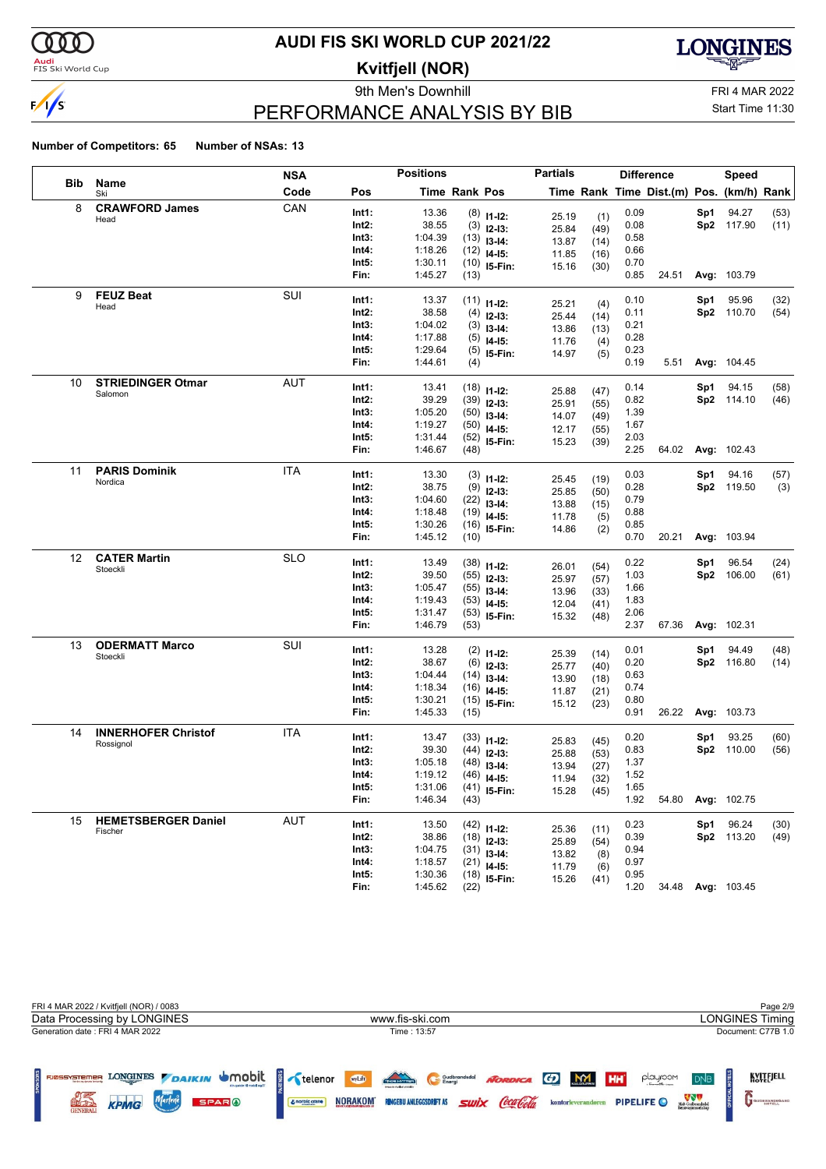

### <mark>Audi</mark><br>FIS Ski World Cup

# **AUDI FIS SKI WORLD CUP 2021/22**

**Kvitfjell (NOR)**

9th Men's Downhill FRI 4 MAR 2022



# PERFORMANCE ANALYSIS BY BIB

Start Time 11:30

|            |                            | <b>NSA</b> |                | <b>Positions</b>   |                      |                | <b>Partials</b> |      |      | <b>Difference</b>                        |     | Speed             |              |
|------------|----------------------------|------------|----------------|--------------------|----------------------|----------------|-----------------|------|------|------------------------------------------|-----|-------------------|--------------|
| <b>Bib</b> | Name<br>Ski                | Code       | Pos            |                    | <b>Time Rank Pos</b> |                |                 |      |      | Time Rank Time Dist.(m) Pos. (km/h) Rank |     |                   |              |
| 8          | <b>CRAWFORD James</b>      | CAN        | Int1:          | 13.36              |                      | $(8)$ 11-12:   | 25.19           | (1)  | 0.09 |                                          | Sp1 | 94.27             | (53)         |
|            | Head                       |            | Int2:          | 38.55              |                      | $(3)$ 12-13:   | 25.84           | (49) | 0.08 |                                          |     | Sp2 117.90        | (11)         |
|            |                            |            | Int3:          | 1:04.39            |                      | $(13)$ 13-14:  | 13.87           | (14) | 0.58 |                                          |     |                   |              |
|            |                            |            | Int4:          | 1:18.26            |                      | $(12)$ 14-15:  | 11.85           | (16) | 0.66 |                                          |     |                   |              |
|            |                            |            | Int5:          | 1:30.11            |                      | $(10)$ 15-Fin: | 15.16           | (30) | 0.70 |                                          |     |                   |              |
|            |                            |            | Fin:           | 1:45.27            | (13)                 |                |                 |      | 0.85 | 24.51                                    |     | Avg: 103.79       |              |
| 9          | <b>FEUZ Beat</b>           | SUI        | Int1:          | 13.37              |                      |                |                 |      | 0.10 |                                          | Sp1 | 95.96             | (32)         |
|            | Head                       |            | $Int2$ :       | 38.58              |                      | $(11)$ 11-12:  | 25.21           | (4)  | 0.11 |                                          |     | Sp2 110.70        | (54)         |
|            |                            |            | Int3:          | 1:04.02            |                      | $(4)$ 12-13:   | 25.44           | (14) | 0.21 |                                          |     |                   |              |
|            |                            |            | Int4:          | 1:17.88            |                      | $(3)$ 13-14:   | 13.86           | (13) | 0.28 |                                          |     |                   |              |
|            |                            |            | Int5:          | 1:29.64            |                      | $(5)$ 14-15:   | 11.76           | (4)  | 0.23 |                                          |     |                   |              |
|            |                            |            | Fin:           | 1:44.61            | (4)                  | $(5)$ 15-Fin:  | 14.97           | (5)  | 0.19 | 5.51                                     |     | Avg: 104.45       |              |
| 10         | <b>STRIEDINGER Otmar</b>   | AUT        |                |                    |                      |                |                 |      |      |                                          |     |                   |              |
|            | Salomon                    |            | Int1:          | 13.41              |                      | $(18)$ 11-12:  | 25.88           | (47) | 0.14 |                                          | Sp1 | 94.15             | (58)         |
|            |                            |            | Int2:          | 39.29              |                      | $(39)$ 12-13:  | 25.91           | (55) | 0.82 |                                          |     | Sp2 114.10        | (46)         |
|            |                            |            | Int3:          | 1:05.20            |                      | $(50)$ 13-14:  | 14.07           | (49) | 1.39 |                                          |     |                   |              |
|            |                            |            | Int4:          | 1:19.27            |                      | $(50)$ 14-15:  | 12.17           | (55) | 1.67 |                                          |     |                   |              |
|            |                            |            | Int5:          | 1:31.44            |                      | $(52)$ 15-Fin: | 15.23           | (39) | 2.03 |                                          |     |                   |              |
|            |                            |            | Fin:           | 1:46.67            | (48)                 |                |                 |      | 2.25 | 64.02                                    |     | Avg: 102.43       |              |
| 11         | <b>PARIS Dominik</b>       | <b>ITA</b> | Int1:          | 13.30              |                      | $(3)$ 11-12:   |                 |      | 0.03 |                                          | Sp1 | 94.16             | (57)         |
|            | Nordica                    |            | Int2:          | 38.75              |                      | $(9)$ 12-13:   | 25.45           | (19) | 0.28 |                                          |     | Sp2 119.50        | (3)          |
|            |                            |            | Int3:          | 1:04.60            |                      | $(22)$ 13-14:  | 25.85           | (50) | 0.79 |                                          |     |                   |              |
|            |                            |            | Int4:          | 1:18.48            |                      | $(19)$ 14-15:  | 13.88           | (15) | 0.88 |                                          |     |                   |              |
|            |                            |            | Int5:          | 1:30.26            |                      | $(16)$ 15-Fin: | 11.78           | (5)  | 0.85 |                                          |     |                   |              |
|            |                            |            | Fin:           | 1:45.12            | (10)                 |                | 14.86           | (2)  | 0.70 | 20.21                                    |     | Avg: 103.94       |              |
| 12         | <b>CATER Martin</b>        | <b>SLO</b> |                |                    |                      |                |                 |      |      |                                          |     |                   |              |
|            | Stoeckli                   |            | Int1:          | 13.49              |                      | $(38)$ 11-12:  | 26.01           | (54) | 0.22 |                                          | Sp1 | 96.54             | (24)         |
|            |                            |            | Int2:          | 39.50              |                      | $(55)$ 12-13:  | 25.97           | (57) | 1.03 |                                          |     | Sp2 106.00        | (61)         |
|            |                            |            | Int3:          | 1:05.47            |                      | $(55)$ 13-14:  | 13.96           | (33) | 1.66 |                                          |     |                   |              |
|            |                            |            | Int4:          | 1:19.43            |                      | $(53)$ 14-15:  | 12.04           | (41) | 1.83 |                                          |     |                   |              |
|            |                            |            | Int5:          | 1:31.47            |                      | $(53)$ 15-Fin: | 15.32           | (48) | 2.06 |                                          |     |                   |              |
|            |                            |            | Fin:           | 1:46.79            | (53)                 |                |                 |      | 2.37 | 67.36                                    |     | Avg: 102.31       |              |
| 13         | <b>ODERMATT Marco</b>      | SUI        | Int1:          | 13.28              |                      | $(2)$ 11-12:   | 25.39           | (14) | 0.01 |                                          | Sp1 | 94.49             | (48)         |
|            | Stoeckli                   |            | $Int2$ :       | 38.67              |                      | $(6)$ 12-13:   | 25.77           | (40) | 0.20 |                                          |     | Sp2 116.80        | (14)         |
|            |                            |            | Int3:          | 1:04.44            |                      | $(14)$ 13-14:  | 13.90           | (18) | 0.63 |                                          |     |                   |              |
|            |                            |            | Int4:          | 1:18.34            |                      | $(16)$ 14-15:  | 11.87           | (21) | 0.74 |                                          |     |                   |              |
|            |                            |            | Int5:          | 1:30.21            |                      | $(15)$ 15-Fin: | 15.12           | (23) | 0.80 |                                          |     |                   |              |
|            |                            |            | Fin:           | 1:45.33            | (15)                 |                |                 |      | 0.91 | 26.22                                    |     | Avg: 103.73       |              |
| 14         | <b>INNERHOFER Christof</b> | <b>ITA</b> | Int1:          | 13.47              |                      | $(33)$ 11-12:  |                 |      | 0.20 |                                          | Sp1 | 93.25             | (60)         |
|            | Rossignol                  |            | Int2:          | 39.30              |                      | $(44)$ 12-13:  | 25.83           | (45) | 0.83 |                                          |     | Sp2 110.00        | (56)         |
|            |                            |            | Int3:          | 1:05.18            |                      | $(48)$ 13-14:  | 25.88           | (53) | 1.37 |                                          |     |                   |              |
|            |                            |            | Int4:          | 1:19.12            |                      | $(46)$ 14-15:  | 13.94           | (27) | 1.52 |                                          |     |                   |              |
|            |                            |            | Int5:          | 1:31.06            |                      | $(41)$ 15-Fin: | 11.94           | (32) | 1.65 |                                          |     |                   |              |
|            |                            |            | Fin:           | 1:46.34            | (43)                 |                | 15.28           | (45) | 1.92 | 54.80                                    |     | Avg: 102.75       |              |
| 15         | <b>HEMETSBERGER Daniel</b> | <b>AUT</b> | Int1:          | 13.50              |                      |                |                 |      | 0.23 |                                          | Sp1 | 96.24             |              |
|            | Fischer                    |            | Int2:          | 38.86              |                      | $(42)$ 11-12:  | 25.36           | (11) | 0.39 |                                          |     | Sp2 113.20        | (30)<br>(49) |
|            |                            |            |                |                    |                      | $(18)$ 12-13:  | 25.89           | (54) | 0.94 |                                          |     |                   |              |
|            |                            |            | Int3:<br>Int4: | 1:04.75<br>1:18.57 |                      | $(31)$ 13-14:  | 13.82           | (8)  | 0.97 |                                          |     |                   |              |
|            |                            |            | Int5:          |                    |                      | $(21)$ 14-15:  | 11.79           | (6)  | 0.95 |                                          |     |                   |              |
|            |                            |            | Fin:           | 1:30.36<br>1:45.62 |                      | $(18)$ 15-Fin: | 15.26           | (41) | 1.20 |                                          |     | 34.48 Avg: 103.45 |              |
|            |                            |            |                |                    | (22)                 |                |                 |      |      |                                          |     |                   |              |

| FRI 4 MAR 2022 / Kvitfjell (NOR) / 0083<br>Data Processing by LONGINES                                                                        | www.fis-ski.com                                                                                                                                             | Page 2/9<br><b>LONGINES Timing</b>                                                                                                                                                                  |
|-----------------------------------------------------------------------------------------------------------------------------------------------|-------------------------------------------------------------------------------------------------------------------------------------------------------------|-----------------------------------------------------------------------------------------------------------------------------------------------------------------------------------------------------|
|                                                                                                                                               |                                                                                                                                                             |                                                                                                                                                                                                     |
| Generation date: FRI 4 MAR 2022<br>LONGINES DAIKIN UMObit<br>FJØSSYSTEMER<br><b>SPARO</b><br><b>ACC LES</b><br><b>KPMG</b><br><b>GENERALI</b> | Time: 13:57<br><b>TACH HOT TER</b><br><b>MyLift</b><br>Gudbrandsdal<br>swix Coca Cola<br><b>NORAKOM</b><br><b>RINGEBU ANLEGGSDRIFT AS</b><br>& norbic crane | Document: C77B 1.0<br>KVITEJELL<br>NORDICA GO M<br>playroom<br>HH <sup>'</sup><br><b>DNB</b><br>Midt-Gudbrandsdal<br>Renovasionsselskap<br><b>PIPELIFE</b> O<br>kontorleverandøren<br>GUDBRANDSGARD |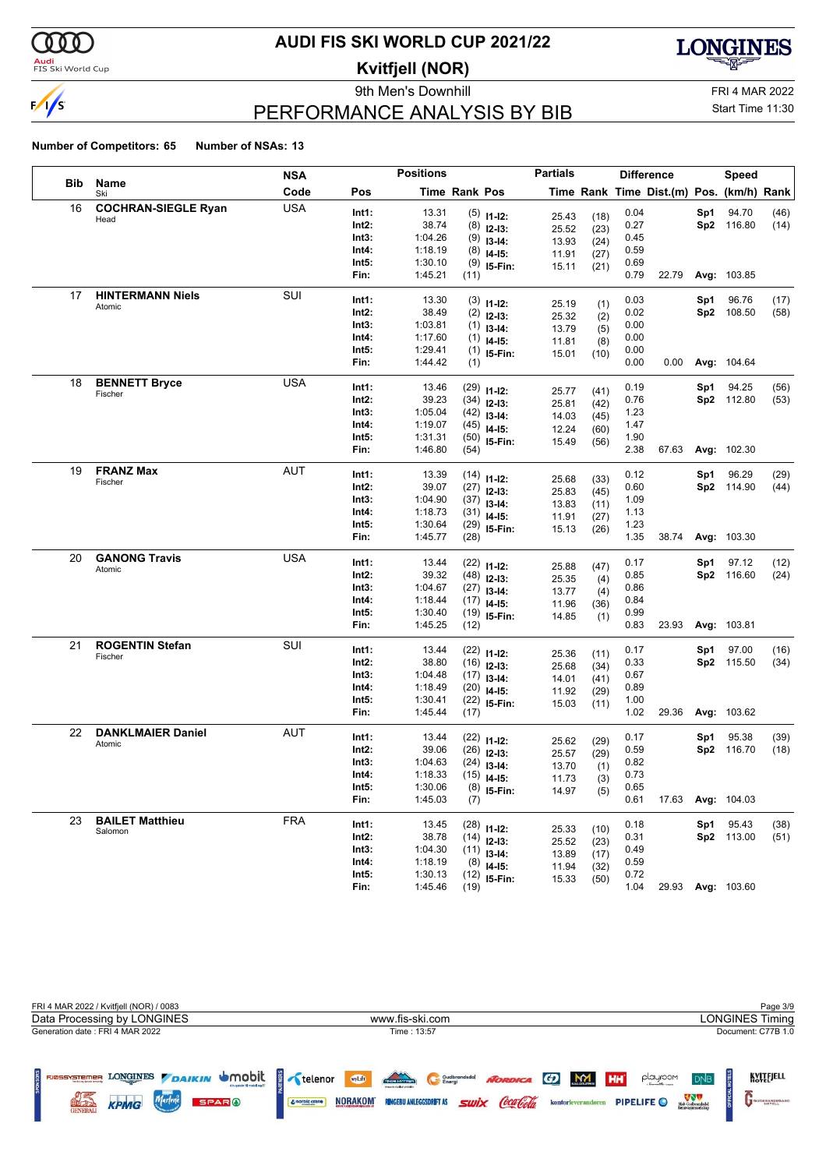

### <mark>Audi</mark><br>FIS Ski World Cup

# **AUDI FIS SKI WORLD CUP 2021/22**

**Kvitfjell (NOR)**

9th Men's Downhill FRI 4 MAR 2022



# PERFORMANCE ANALYSIS BY BIB

Start Time 11:30

|     |                            | <b>NSA</b> |                | <b>Positions</b>   |                      |                                | <b>Partials</b> |            |              | <b>Difference</b>                        |     | Speed             |      |
|-----|----------------------------|------------|----------------|--------------------|----------------------|--------------------------------|-----------------|------------|--------------|------------------------------------------|-----|-------------------|------|
| Bib | Name<br>Ski                | Code       | Pos            |                    | <b>Time Rank Pos</b> |                                |                 |            |              | Time Rank Time Dist.(m) Pos. (km/h) Rank |     |                   |      |
| 16  | <b>COCHRAN-SIEGLE Ryan</b> | <b>USA</b> | Int1:          | 13.31              |                      | $(5)$ 11-12:                   | 25.43           | (18)       | 0.04         |                                          | Sp1 | 94.70             | (46) |
|     | Head                       |            | Int2:          | 38.74              |                      | $(8)$ 12-13:                   | 25.52           | (23)       | 0.27         |                                          |     | Sp2 116.80        | (14) |
|     |                            |            | Int3:          | 1:04.26            |                      | $(9)$ 13-14:                   | 13.93           | (24)       | 0.45         |                                          |     |                   |      |
|     |                            |            | Int4:          | 1:18.19            |                      | $(8)$ 14-15:                   | 11.91           | (27)       | 0.59         |                                          |     |                   |      |
|     |                            |            | Int5:          | 1:30.10            |                      | $(9)$ 15-Fin:                  | 15.11           | (21)       | 0.69         |                                          |     |                   |      |
|     |                            |            | Fin:           | 1:45.21            | (11)                 |                                |                 |            | 0.79         | 22.79                                    |     | Avg: 103.85       |      |
| 17  | <b>HINTERMANN Niels</b>    | SUI        | Int1:          | 13.30              |                      | $(3)$ 11-12:                   |                 |            | 0.03         |                                          | Sp1 | 96.76             | (17) |
|     | Atomic                     |            | Int2:          | 38.49              |                      | $(2)$ 12-13:                   | 25.19           | (1)        | 0.02         |                                          | Sp2 | 108.50            | (58) |
|     |                            |            | Int3:          | 1:03.81            |                      | $(1)$ 13-14:                   | 25.32<br>13.79  | (2)        | 0.00         |                                          |     |                   |      |
|     |                            |            | Int4:          | 1:17.60            |                      | $(1)$ 14-15:                   | 11.81           | (5)<br>(8) | 0.00         |                                          |     |                   |      |
|     |                            |            | Int5:          | 1:29.41            |                      | $(1)$ 15-Fin:                  | 15.01           | (10)       | 0.00         |                                          |     |                   |      |
|     |                            |            | Fin:           | 1:44.42            | (1)                  |                                |                 |            | 0.00         | 0.00                                     |     | Avg: 104.64       |      |
| 18  | <b>BENNETT Bryce</b>       | USA        | Int1:          | 13.46              |                      |                                |                 |            | 0.19         |                                          | Sp1 | 94.25             | (56) |
|     | Fischer                    |            | Int2:          | 39.23              |                      | $(29)$ 11-12:<br>$(34)$ 12-13: | 25.77           | (41)       | 0.76         |                                          |     | Sp2 112.80        | (53) |
|     |                            |            | Int3:          | 1:05.04            |                      | $(42)$ 13-14:                  | 25.81           | (42)       | 1.23         |                                          |     |                   |      |
|     |                            |            | Int4:          | 1:19.07            |                      | $(45)$ 14-15:                  | 14.03           | (45)       | 1.47         |                                          |     |                   |      |
|     |                            |            | Int5:          | 1:31.31            |                      | $(50)$ 15-Fin:                 | 12.24           | (60)       | 1.90         |                                          |     |                   |      |
|     |                            |            | Fin:           | 1:46.80            | (54)                 |                                | 15.49           | (56)       | 2.38         | 67.63                                    |     | Avg: 102.30       |      |
| 19  | <b>FRANZ Max</b>           | AUT        | Int1:          | 13.39              |                      |                                |                 |            | 0.12         |                                          | Sp1 | 96.29             | (29) |
|     | Fischer                    |            | Int2:          | 39.07              |                      | $(14)$ 11-12:                  | 25.68           | (33)       | 0.60         |                                          |     | Sp2 114.90        | (44) |
|     |                            |            | Int3:          | 1:04.90            |                      | $(27)$ 12-13:                  | 25.83           | (45)       | 1.09         |                                          |     |                   |      |
|     |                            |            | Int4:          | 1:18.73            |                      | $(37)$ 13-14:<br>$(31)$ 14-15: | 13.83           | (11)       | 1.13         |                                          |     |                   |      |
|     |                            |            | Int5:          | 1:30.64            |                      | $(29)$ 15-Fin:                 | 11.91           | (27)       | 1.23         |                                          |     |                   |      |
|     |                            |            | Fin:           | 1:45.77            | (28)                 |                                | 15.13           | (26)       | 1.35         | 38.74                                    |     | Avg: 103.30       |      |
| 20  | <b>GANONG Travis</b>       | <b>USA</b> |                |                    |                      |                                |                 |            |              |                                          |     |                   |      |
|     | Atomic                     |            | Int1:          | 13.44              |                      | $(22)$ 11-12:                  | 25.88           | (47)       | 0.17         |                                          | Sp1 | 97.12             | (12) |
|     |                            |            | Int2:<br>Int3: | 39.32              |                      | $(48)$ 12-13:                  | 25.35           | (4)        | 0.85         |                                          |     | Sp2 116.60        | (24) |
|     |                            |            | Int4:          | 1:04.67<br>1:18.44 |                      | $(27)$ 13-14:                  | 13.77           | (4)        | 0.86<br>0.84 |                                          |     |                   |      |
|     |                            |            | Int5:          | 1:30.40            |                      | $(17)$ 14-15:                  | 11.96           | (36)       | 0.99         |                                          |     |                   |      |
|     |                            |            | Fin:           | 1:45.25            | (12)                 | $(19)$ 15-Fin:                 | 14.85           | (1)        | 0.83         | 23.93                                    |     | Avg: 103.81       |      |
| 21  | <b>ROGENTIN Stefan</b>     | SUI        |                |                    |                      |                                |                 |            |              |                                          |     |                   |      |
|     | Fischer                    |            | Int1:          | 13.44              |                      | $(22)$ 11-12:                  | 25.36           | (11)       | 0.17         |                                          | Sp1 | 97.00             | (16) |
|     |                            |            | Int2:          | 38.80              |                      | $(16)$ 12-13:                  | 25.68           | (34)       | 0.33         |                                          |     | Sp2 115.50        | (34) |
|     |                            |            | Int3:<br>Int4: | 1:04.48            |                      | $(17)$ 13-14:                  | 14.01           | (41)       | 0.67<br>0.89 |                                          |     |                   |      |
|     |                            |            | Int5:          | 1:18.49<br>1:30.41 |                      | $(20)$ 14-15:                  | 11.92           | (29)       | 1.00         |                                          |     |                   |      |
|     |                            |            | Fin:           | 1:45.44            | (17)                 | $(22)$ 15-Fin:                 | 15.03           | (11)       | 1.02         | 29.36                                    |     | Avg: 103.62       |      |
| 22  | <b>DANKLMAIER Daniel</b>   | <b>AUT</b> |                |                    |                      |                                |                 |            |              |                                          |     |                   |      |
|     | Atomic                     |            | Int1:          | 13.44              |                      | $(22)$ 11-12:                  | 25.62           | (29)       | 0.17         |                                          | Sp1 | 95.38             | (39) |
|     |                            |            | Int2:<br>Int3: | 39.06              |                      | $(26)$ 12-13:                  | 25.57           | (29)       | 0.59         |                                          |     | Sp2 116.70        | (18) |
|     |                            |            | Int4:          | 1:04.63<br>1:18.33 |                      | $(24)$ 13-14:                  | 13.70           | (1)        | 0.82<br>0.73 |                                          |     |                   |      |
|     |                            |            | Int5:          | 1:30.06            |                      | $(15)$ 14-15:                  | 11.73           | (3)        | 0.65         |                                          |     |                   |      |
|     |                            |            | Fin:           | 1:45.03            | (7)                  | $(8)$ 15-Fin:                  | 14.97           | (5)        | 0.61         | 17.63                                    |     | Avg: 104.03       |      |
| 23  | <b>BAILET Matthieu</b>     | <b>FRA</b> |                |                    |                      |                                |                 |            |              |                                          |     |                   |      |
|     | Salomon                    |            | Int1:          | 13.45              |                      | $(28)$ 11-12:                  | 25.33           | (10)       | 0.18         |                                          | Sp1 | 95.43             | (38) |
|     |                            |            | Int2:          | 38.78              |                      | $(14)$ 12-13:                  | 25.52           | (23)       | 0.31         |                                          |     | Sp2 113.00        | (51) |
|     |                            |            | Int3:<br>Int4: | 1:04.30<br>1:18.19 |                      | $(11)$ 13-14:                  | 13.89           | (17)       | 0.49<br>0.59 |                                          |     |                   |      |
|     |                            |            | Int5:          | 1:30.13            |                      | $(8)$ 14-15:                   | 11.94           | (32)       | 0.72         |                                          |     |                   |      |
|     |                            |            | Fin:           | 1:45.46            | (19)                 | $(12)$ 15-Fin:                 | 15.33           | (50)       | 1.04         |                                          |     | 29.93 Avg: 103.60 |      |
|     |                            |            |                |                    |                      |                                |                 |            |              |                                          |     |                   |      |

| FRI 4 MAR 2022 / Kvitfjell (NOR) / 0083                                                                                                       |                                                                                                                                                         | Page 3/9                                                                                                                                         |
|-----------------------------------------------------------------------------------------------------------------------------------------------|---------------------------------------------------------------------------------------------------------------------------------------------------------|--------------------------------------------------------------------------------------------------------------------------------------------------|
| Data Processing by LONGINES                                                                                                                   | www.fis-ski.com                                                                                                                                         | <b>LONGINES Timing</b>                                                                                                                           |
| Generation date: FRI 4 MAR 2022                                                                                                               | Time: 13:57                                                                                                                                             | Document: C77B 1.0                                                                                                                               |
| LONGINES DAIKIN UMObit<br>FJØSSYSTEMER<br><b>Bendes ag despite festivals</b><br>Marlene<br>KPMG<br>art Dr.<br><b>SPARO</b><br><b>GENERALI</b> | TRONDER<br>wyLift<br>NORDICA GD M<br>Gudbrandsdal<br><i><b>Swix Coca Cola</b></i><br><b>NORAKOM</b><br><b>RINGEBU ANLEGGSDRIFT AS</b><br>& norbic crane | KVITEJELL<br><b>HH</b><br>playroom<br><b>DNB</b><br>Midt-Gudbrandsdal<br>Renovasjonsselskig<br>PIPELIFE O<br>kontorleverandøren<br>GUDBRANDSGARD |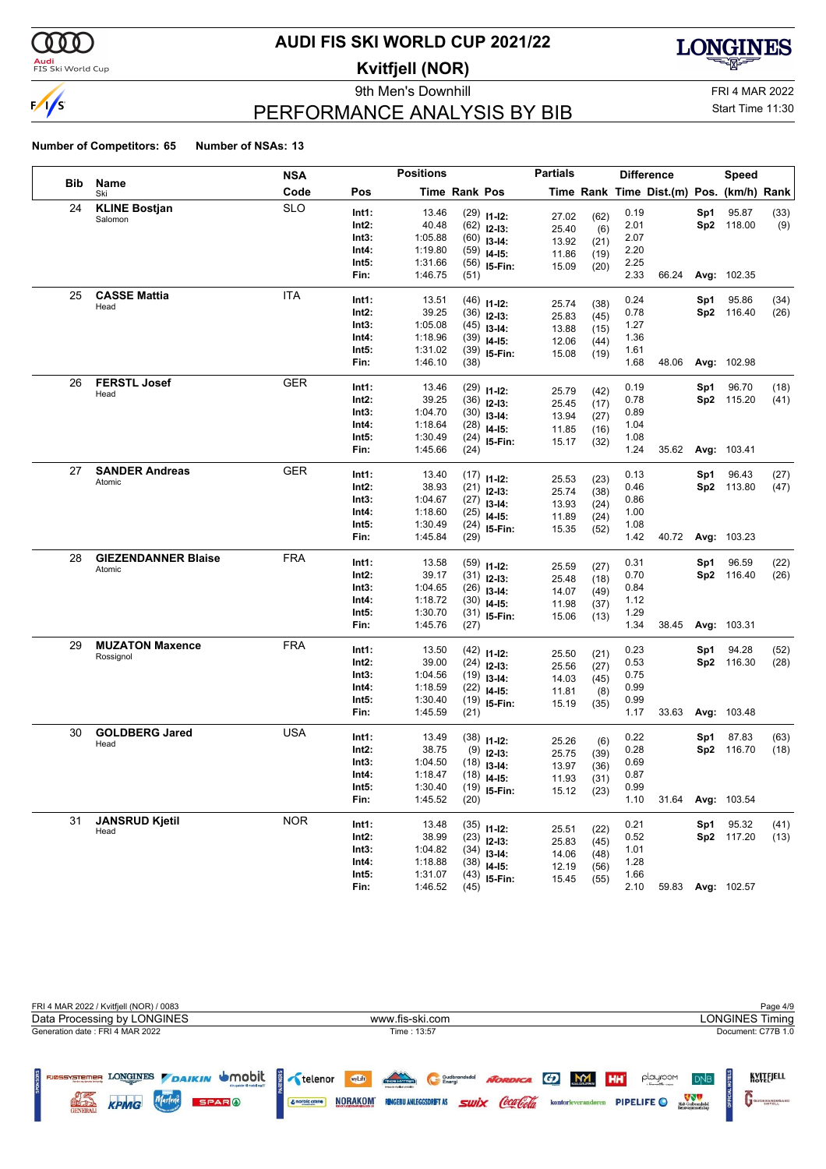

### <mark>Audi</mark><br>FIS Ski World Cup

# **AUDI FIS SKI WORLD CUP 2021/22**

**Kvitfjell (NOR)**

9th Men's Downhill FRI 4 MAR 2022



# PERFORMANCE ANALYSIS BY BIB

Start Time 11:30

|     |                                     | <b>NSA</b> |                | <b>Positions</b>   |               |                                | <b>Partials</b> |              |              | <b>Difference</b>                        |     | <b>Speed</b>       |      |
|-----|-------------------------------------|------------|----------------|--------------------|---------------|--------------------------------|-----------------|--------------|--------------|------------------------------------------|-----|--------------------|------|
| Bib | Name<br>Ski                         | Code       | Pos            |                    | Time Rank Pos |                                |                 |              |              | Time Rank Time Dist.(m) Pos. (km/h) Rank |     |                    |      |
| 24  | <b>KLINE Bostjan</b>                | <b>SLO</b> | Int1:          | 13.46              |               | $(29)$ 11-12:                  | 27.02           | (62)         | 0.19         |                                          | Sp1 | 95.87              | (33) |
|     | Salomon                             |            | Int2:          | 40.48              |               | $(62)$ 12-13:                  | 25.40           | (6)          | 2.01         |                                          |     | Sp2 118.00         | (9)  |
|     |                                     |            | Int3:          | 1:05.88            |               | $(60)$ 13-14:                  | 13.92           | (21)         | 2.07         |                                          |     |                    |      |
|     |                                     |            | Int4:          | 1:19.80            |               | $(59)$ 14-15:                  | 11.86           | (19)         | 2.20         |                                          |     |                    |      |
|     |                                     |            | Int5:          | 1:31.66            |               | $(56)$ 15-Fin:                 | 15.09           | (20)         | 2.25         |                                          |     |                    |      |
|     |                                     |            | Fin:           | 1:46.75            | (51)          |                                |                 |              | 2.33         | 66.24                                    |     | Avg: 102.35        |      |
| 25  | <b>CASSE Mattia</b>                 | <b>ITA</b> | Int1:          | 13.51              |               | $(46)$ 11-12:                  |                 |              | 0.24         |                                          | Sp1 | 95.86              | (34) |
|     | Head                                |            | Int2:          | 39.25              |               | $(36)$ 12-13:                  | 25.74           | (38)         | 0.78         |                                          |     | Sp2 116.40         | (26) |
|     |                                     |            | Int3:          | 1:05.08            |               | $(45)$ 13-14:                  | 25.83<br>13.88  | (45)         | 1.27         |                                          |     |                    |      |
|     |                                     |            | Int4:          | 1:18.96            |               | $(39)$ 14-15:                  | 12.06           | (15)<br>(44) | 1.36         |                                          |     |                    |      |
|     |                                     |            | Int5:          | 1:31.02            |               | $(39)$ 15-Fin:                 | 15.08           | (19)         | 1.61         |                                          |     |                    |      |
|     |                                     |            | Fin:           | 1:46.10            | (38)          |                                |                 |              | 1.68         | 48.06                                    |     | Avg: 102.98        |      |
| 26  | <b>FERSTL Josef</b>                 | <b>GER</b> | Int1:          | 13.46              |               |                                |                 |              | 0.19         |                                          | Sp1 | 96.70              | (18) |
|     | Head                                |            | Int2:          | 39.25              |               | $(29)$ 11-12:                  | 25.79           | (42)         | 0.78         |                                          |     | Sp2 115.20         | (41) |
|     |                                     |            | Int3:          | 1:04.70            |               | $(36)$ 12-13:<br>$(30)$ 13-14: | 25.45           | (17)         | 0.89         |                                          |     |                    |      |
|     |                                     |            | Int4:          | 1:18.64            |               | $(28)$ 14-15:                  | 13.94           | (27)         | 1.04         |                                          |     |                    |      |
|     |                                     |            | Int5:          | 1:30.49            |               | $(24)$ 15-Fin:                 | 11.85           | (16)         | 1.08         |                                          |     |                    |      |
|     |                                     |            | Fin:           | 1:45.66            | (24)          |                                | 15.17           | (32)         | 1.24         | 35.62                                    |     | Avg: 103.41        |      |
| 27  | <b>SANDER Andreas</b>               | <b>GER</b> |                |                    |               |                                |                 |              |              |                                          |     |                    |      |
|     | Atomic                              |            | Int1:          | 13.40              |               | $(17)$ 11-12:                  | 25.53           | (23)         | 0.13         |                                          | Sp1 | 96.43              | (27) |
|     |                                     |            | Int2:<br>Int3: | 38.93<br>1:04.67   |               | $(21)$ 12-13:                  | 25.74           | (38)         | 0.46<br>0.86 |                                          |     | Sp2 113.80         | (47) |
|     |                                     |            | Int4:          | 1:18.60            |               | $(27)$ 13-14:                  | 13.93           | (24)         | 1.00         |                                          |     |                    |      |
|     |                                     |            | Int5:          | 1:30.49            |               | $(25)$ 14-15:                  | 11.89           | (24)         | 1.08         |                                          |     |                    |      |
|     |                                     |            | Fin:           | 1:45.84            | (29)          | $(24)$ 15-Fin:                 | 15.35           | (52)         | 1.42         | 40.72                                    |     | <b>Avg: 103.23</b> |      |
| 28  | <b>GIEZENDANNER Blaise</b>          | <b>FRA</b> |                |                    |               |                                |                 |              |              |                                          |     |                    |      |
|     | Atomic                              |            | Int1:          | 13.58              |               | $(59)$ 11-12:                  | 25.59           | (27)         | 0.31         |                                          | Sp1 | 96.59              | (22) |
|     |                                     |            | Int2:          | 39.17              |               | $(31)$ 12-13:                  | 25.48           | (18)         | 0.70         |                                          |     | Sp2 116.40         | (26) |
|     |                                     |            | Int3:          | 1:04.65            |               | $(26)$ 13-14:                  | 14.07           | (49)         | 0.84         |                                          |     |                    |      |
|     |                                     |            | Int4:          | 1:18.72            |               | $(30)$ 14-15:                  | 11.98           | (37)         | 1.12         |                                          |     |                    |      |
|     |                                     |            | Int5:<br>Fin:  | 1:30.70<br>1:45.76 |               | $(31)$ 15-Fin:                 | 15.06           | (13)         | 1.29<br>1.34 | 38.45                                    |     |                    |      |
|     |                                     |            |                |                    | (27)          |                                |                 |              |              |                                          |     | Avg: 103.31        |      |
| 29  | <b>MUZATON Maxence</b><br>Rossignol | <b>FRA</b> | Int1:          | 13.50              |               | $(42)$ 11-12:                  | 25.50           | (21)         | 0.23         |                                          | Sp1 | 94.28              | (52) |
|     |                                     |            | Int2:          | 39.00              |               | $(24)$ 12-13:                  | 25.56           | (27)         | 0.53         |                                          |     | Sp2 116.30         | (28) |
|     |                                     |            | Int3:          | 1:04.56            |               | $(19)$ 13-14:                  | 14.03           | (45)         | 0.75         |                                          |     |                    |      |
|     |                                     |            | Int4:          | 1:18.59            |               | $(22)$ 14-15:                  | 11.81           | (8)          | 0.99         |                                          |     |                    |      |
|     |                                     |            | Int5:<br>Fin:  | 1:30.40<br>1:45.59 | (21)          | $(19)$ 15-Fin:                 | 15.19           | (35)         | 0.99<br>1.17 | 33.63                                    |     | <b>Avg: 103.48</b> |      |
|     |                                     |            |                |                    |               |                                |                 |              |              |                                          |     |                    |      |
| 30  | <b>GOLDBERG Jared</b><br>Head       | <b>USA</b> | Int1:          | 13.49              |               | $(38)$ 11-12:                  | 25.26           | (6)          | 0.22         |                                          | Sp1 | 87.83              | (63) |
|     |                                     |            | Int2:          | 38.75              |               | $(9)$ 12-13:                   | 25.75           | (39)         | 0.28         |                                          |     | Sp2 116.70         | (18) |
|     |                                     |            | Int3:          | 1:04.50            |               | $(18)$ 13-14:                  | 13.97           | (36)         | 0.69         |                                          |     |                    |      |
|     |                                     |            | Int4:          | 1:18.47            |               | $(18)$ 14-15:                  | 11.93           | (31)         | 0.87         |                                          |     |                    |      |
|     |                                     |            | Int5:<br>Fin:  | 1:30.40<br>1:45.52 | (20)          | $(19)$ 15-Fin:                 | 15.12           | (23)         | 0.99<br>1.10 | 31.64                                    |     | Avg: 103.54        |      |
|     |                                     |            |                |                    |               |                                |                 |              |              |                                          |     |                    |      |
| 31  | <b>JANSRUD Kjetil</b><br>Head       | <b>NOR</b> | Int1:          | 13.48              |               | $(35)$ 11-12:                  | 25.51           | (22)         | 0.21         |                                          | Sp1 | 95.32              | (41) |
|     |                                     |            | Int2:          | 38.99              |               | $(23)$ 12-13:                  | 25.83           | (45)         | 0.52         |                                          |     | Sp2 117.20         | (13) |
|     |                                     |            | Int3:          | 1:04.82            |               | $(34)$ 13-14:                  | 14.06           | (48)         | 1.01         |                                          |     |                    |      |
|     |                                     |            | Int4:          | 1:18.88            |               | $(38)$ 14-15:                  | 12.19           | (56)         | 1.28         |                                          |     |                    |      |
|     |                                     |            | Int5:          | 1:31.07            |               | $(43)$ 15-Fin:                 | 15.45           | (55)         | 1.66         |                                          |     |                    |      |
|     |                                     |            | Fin:           | 1:46.52            | (45)          |                                |                 |              | 2.10         |                                          |     | 59.83 Avg: 102.57  |      |

| FRI 4 MAR 2022 / Kvitfjell (NOR) / 0083<br>Data Processing by LONGINES                                                                       | www.fis-ski.com                                                                                                                             | Page 4/9<br><b>LONGINES Timing</b>                                                                                                               |
|----------------------------------------------------------------------------------------------------------------------------------------------|---------------------------------------------------------------------------------------------------------------------------------------------|--------------------------------------------------------------------------------------------------------------------------------------------------|
| Generation date: FRI 4 MAR 2022                                                                                                              | Time: 13:57                                                                                                                                 | Document: C77B 1.0                                                                                                                               |
| LONGINES DAIKIN UMObit<br><b>FJØSSYSTEMER</b><br>Tendes ag despin fentivalg<br>Marlene<br>KPMG<br><b>SPARO</b><br>art Dra<br><b>GENERALI</b> | TRONDUCER<br>wyLift<br>NORDICA GD M<br>Gudbrandsdal<br>swix Coca Cola<br><b>NORAKOM</b><br><b>RINGEBU ANLEGGSDRIFT AS</b><br>& norbic crane | KVITEJELL<br><b>HH</b><br>playroom<br><b>DNB</b><br>Midt-Gudbrandsdal<br>Renovasjonsselskap<br>PIPELIFE O<br>kontorleverandøren<br>GUDBRANDSGARD |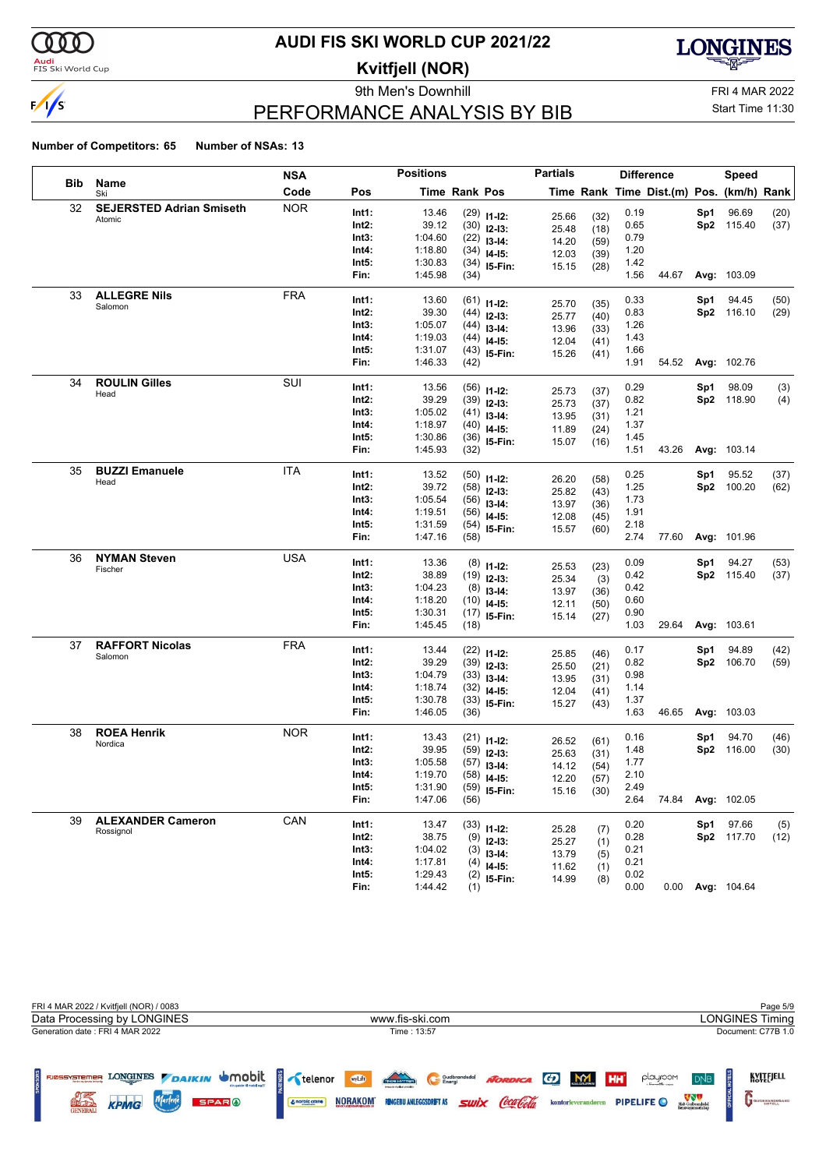

### <mark>Audi</mark><br>FIS Ski World Cup

# **AUDI FIS SKI WORLD CUP 2021/22**

**Kvitfjell (NOR)**

9th Men's Downhill FRI 4 MAR 2022



# PERFORMANCE ANALYSIS BY BIB

Start Time 11:30

|     |                                 | NSA        |                | <b>Positions</b>   |               |                                | <b>Partials</b> |              |              | <b>Difference</b>                        |     | Speed              |            |
|-----|---------------------------------|------------|----------------|--------------------|---------------|--------------------------------|-----------------|--------------|--------------|------------------------------------------|-----|--------------------|------------|
| Bib | Name<br>Ski                     | Code       | Pos            |                    | Time Rank Pos |                                |                 |              |              | Time Rank Time Dist.(m) Pos. (km/h) Rank |     |                    |            |
| 32  | <b>SEJERSTED Adrian Smiseth</b> | <b>NOR</b> | Int1:          | 13.46              |               | $(29)$ 11-12:                  | 25.66           | (32)         | 0.19         |                                          | Sp1 | 96.69              | (20)       |
|     | Atomic                          |            | Int2:          | 39.12              |               | $(30)$ 12-13:                  | 25.48           | (18)         | 0.65         |                                          |     | Sp2 115.40         | (37)       |
|     |                                 |            | Int3:          | 1:04.60            |               | $(22)$ 13-14:                  | 14.20           | (59)         | 0.79         |                                          |     |                    |            |
|     |                                 |            | Int4:          | 1:18.80            |               | $(34)$ 14-15:                  | 12.03           | (39)         | 1.20         |                                          |     |                    |            |
|     |                                 |            | Int5:          | 1:30.83            |               | $(34)$ 15-Fin:                 | 15.15           | (28)         | 1.42         |                                          |     |                    |            |
|     |                                 |            | Fin:           | 1:45.98            | (34)          |                                |                 |              | 1.56         | 44.67                                    |     | Avg: 103.09        |            |
| 33  | <b>ALLEGRE Nils</b>             | <b>FRA</b> | Int1:          | 13.60              |               | $(61)$ 11-12:                  |                 |              | 0.33         |                                          | Sp1 | 94.45              | (50)       |
|     | Salomon                         |            | Int2:          | 39.30              |               | $(44)$ 12-13:                  | 25.70           | (35)         | 0.83         |                                          |     | Sp2 116.10         | (29)       |
|     |                                 |            | Int3:          | 1:05.07            |               | $(44)$ 13-14:                  | 25.77<br>13.96  | (40)<br>(33) | 1.26         |                                          |     |                    |            |
|     |                                 |            | Int4:          | 1:19.03            |               | $(44)$ 14-15:                  | 12.04           | (41)         | 1.43         |                                          |     |                    |            |
|     |                                 |            | Int5:          | 1:31.07            |               | $(43)$ 15-Fin:                 | 15.26           | (41)         | 1.66         |                                          |     |                    |            |
|     |                                 |            | Fin:           | 1:46.33            | (42)          |                                |                 |              | 1.91         | 54.52                                    |     | <b>Avg: 102.76</b> |            |
| 34  | <b>ROULIN Gilles</b>            | SUI        | Int1:          | 13.56              |               |                                |                 |              | 0.29         |                                          | Sp1 | 98.09              |            |
|     | Head                            |            | Int2:          | 39.29              |               | $(56)$ 11-12:                  | 25.73           | (37)         | 0.82         |                                          |     | Sp2 118.90         | (3)<br>(4) |
|     |                                 |            | Int3:          | 1:05.02            |               | $(39)$ 12-13:                  | 25.73           | (37)         | 1.21         |                                          |     |                    |            |
|     |                                 |            | Int4:          | 1:18.97            |               | $(41)$ 13-14:<br>$(40)$ 14-15: | 13.95           | (31)         | 1.37         |                                          |     |                    |            |
|     |                                 |            | Int5:          | 1:30.86            |               | $(36)$ 15-Fin:                 | 11.89           | (24)         | 1.45         |                                          |     |                    |            |
|     |                                 |            | Fin:           | 1:45.93            | (32)          |                                | 15.07           | (16)         | 1.51         | 43.26                                    |     | Avg: 103.14        |            |
| 35  | <b>BUZZI Emanuele</b>           | ITA        |                |                    |               |                                |                 |              |              |                                          |     |                    |            |
|     | Head                            |            | Int1:          | 13.52              |               | $(50)$ 11-12:                  | 26.20           | (58)         | 0.25         |                                          | Sp1 | 95.52              | (37)       |
|     |                                 |            | Int2:          | 39.72              |               | $(58)$ 12-13:                  | 25.82           | (43)         | 1.25         |                                          |     | Sp2 100.20         | (62)       |
|     |                                 |            | Int3:<br>Int4: | 1:05.54<br>1:19.51 |               | $(56)$ 13-14:                  | 13.97           | (36)         | 1.73<br>1.91 |                                          |     |                    |            |
|     |                                 |            | Int5:          | 1:31.59            |               | $(56)$ 14-15:                  | 12.08           | (45)         | 2.18         |                                          |     |                    |            |
|     |                                 |            | Fin:           | 1:47.16            | (58)          | $(54)$ 15-Fin:                 | 15.57           | (60)         | 2.74         | 77.60                                    |     | Avg: 101.96        |            |
| 36  | <b>NYMAN Steven</b>             | <b>USA</b> |                |                    |               |                                |                 |              |              |                                          |     |                    |            |
|     | Fischer                         |            | Int1:          | 13.36              |               | $(8)$ 11-12:                   | 25.53           | (23)         | 0.09         |                                          | Sp1 | 94.27              | (53)       |
|     |                                 |            | Int2:          | 38.89              |               | $(19)$ 12-13:                  | 25.34           | (3)          | 0.42         |                                          |     | Sp2 115.40         | (37)       |
|     |                                 |            | Int3:          | 1:04.23            |               | $(8)$ 13-14:                   | 13.97           | (36)         | 0.42         |                                          |     |                    |            |
|     |                                 |            | Int4:          | 1:18.20            |               | $(10)$ 14-15:                  | 12.11           | (50)         | 0.60         |                                          |     |                    |            |
|     |                                 |            | Int5:          | 1:30.31            |               | $(17)$ 15-Fin:                 | 15.14           | (27)         | 0.90         |                                          |     |                    |            |
|     |                                 |            | Fin:           | 1:45.45            | (18)          |                                |                 |              | 1.03         | 29.64                                    |     | Avg: 103.61        |            |
| 37  | <b>RAFFORT Nicolas</b>          | <b>FRA</b> | Int1:          | 13.44              |               | $(22)$ 11-12:                  | 25.85           | (46)         | 0.17         |                                          | Sp1 | 94.89              | (42)       |
|     | Salomon                         |            | Int2:          | 39.29              |               | $(39)$ 12-13:                  | 25.50           | (21)         | 0.82         |                                          |     | Sp2 106.70         | (59)       |
|     |                                 |            | Int3:          | 1:04.79            |               | $(33)$ 13-14:                  | 13.95           | (31)         | 0.98         |                                          |     |                    |            |
|     |                                 |            | Int4:          | 1:18.74            |               | $(32)$ 14-15:                  | 12.04           | (41)         | 1.14         |                                          |     |                    |            |
|     |                                 |            | Int5:          | 1:30.78            |               | $(33)$ 15-Fin:                 | 15.27           | (43)         | 1.37         |                                          |     |                    |            |
|     |                                 |            | Fin:           | 1:46.05            | (36)          |                                |                 |              | 1.63         | 46.65                                    |     | <b>Avg: 103.03</b> |            |
| 38  | <b>ROEA Henrik</b>              | <b>NOR</b> | Int1:          | 13.43              |               | $(21)$ 11-12:                  | 26.52           | (61)         | 0.16         |                                          | Sp1 | 94.70              | (46)       |
|     | Nordica                         |            | Int2:          | 39.95              |               | $(59)$ 12-13:                  | 25.63           | (31)         | 1.48         |                                          |     | Sp2 116.00         | (30)       |
|     |                                 |            | Int3:          | 1:05.58            |               | $(57)$ 13-14:                  | 14.12           | (54)         | 1.77         |                                          |     |                    |            |
|     |                                 |            | Int4:          | 1:19.70            |               | $(58)$ 14-15:                  | 12.20           | (57)         | 2.10         |                                          |     |                    |            |
|     |                                 |            | Int5:          | 1:31.90            |               | $(59)$ 15-Fin:                 | 15.16           | (30)         | 2.49         |                                          |     |                    |            |
|     |                                 |            | Fin:           | 1:47.06            | (56)          |                                |                 |              | 2.64         | 74.84                                    |     | Avg: 102.05        |            |
| 39  | <b>ALEXANDER Cameron</b>        | CAN        | Int1:          | 13.47              |               | $(33)$ 11-12:                  |                 |              | 0.20         |                                          | Sp1 | 97.66              | (5)        |
|     | Rossignol                       |            | Int2:          | 38.75              |               | $(9)$ 12-13:                   | 25.28           | (7)          | 0.28         |                                          |     | Sp2 117.70         | (12)       |
|     |                                 |            | Int3:          | 1:04.02            |               | $(3)$ 13-14:                   | 25.27           | (1)          | 0.21         |                                          |     |                    |            |
|     |                                 |            | Int4:          | 1:17.81            |               | $(4)$ 14-15:                   | 13.79           | (5)          | 0.21         |                                          |     |                    |            |
|     |                                 |            | Int5:          | 1:29.43            |               | $(2)$ 15-Fin:                  | 11.62<br>14.99  | (1)          | 0.02         |                                          |     |                    |            |
|     |                                 |            | Fin:           | 1:44.42            | (1)           |                                |                 | (8)          | 0.00         |                                          |     | 0.00 Avg: 104.64   |            |

| FRI 4 MAR 2022 / Kvitfjell (NOR) / 0083                                                                                                     |                                                                                                                                                         | Page 5/9                                                                                                                                              |
|---------------------------------------------------------------------------------------------------------------------------------------------|---------------------------------------------------------------------------------------------------------------------------------------------------------|-------------------------------------------------------------------------------------------------------------------------------------------------------|
| Data Processing by LONGINES                                                                                                                 | www.fis-ski.com                                                                                                                                         | <b>LONGINES Timing</b>                                                                                                                                |
| Generation date: FRI 4 MAR 2022                                                                                                             | Time: 13:57                                                                                                                                             | Document: C77B 1.0                                                                                                                                    |
| LONGINES DAIKIN UMObit<br>FJØSSYSTEMER<br><b>Bendes ag despite festivals</b><br>Marlene<br>KPMG<br>จิทาง<br><b>SPARO</b><br><b>GENERALI</b> | TRONDER<br>wyLift<br>NORDICA GD M<br>Gudbrandsdal<br><i><b>Swix Coca Cola</b></i><br><b>NORAKOM</b><br><b>RINGEBU ANLEGGSDRIFT AS</b><br>& norbic crane | KVITEJELL<br><b>HH</b><br>playroom<br>D <sub>NB</sub><br>Midt-Gudbrandsdal<br>Renovasjonsselskig<br>PIPELIFE O<br>kontorleverandøren<br>GUDBRANDSGARD |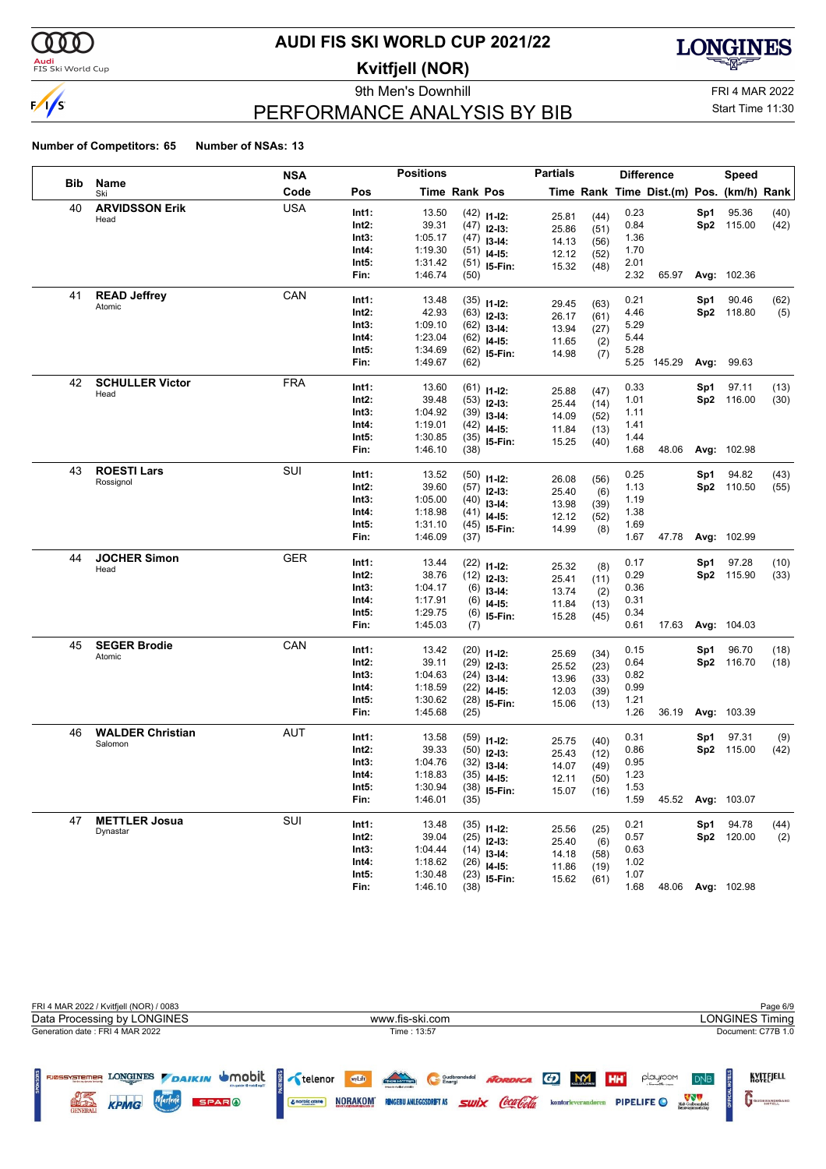

#### **Audi**<br>FIS Ski World Cup

### **AUDI FIS SKI WORLD CUP 2021/22**

**Kvitfjell (NOR)**

9th Men's Downhill **FRI 4 MAR 2022** 



# PERFORMANCE ANALYSIS BY BIB

Start Time 11:30

|            |                         | <b>NSA</b> |                | <b>Positions</b>   |               |                                | <b>Partials</b> |      |              | <b>Difference</b>                        |     | <b>Speed</b>      |              |
|------------|-------------------------|------------|----------------|--------------------|---------------|--------------------------------|-----------------|------|--------------|------------------------------------------|-----|-------------------|--------------|
| <b>Bib</b> | Name<br>Ski             | Code       | Pos            |                    | Time Rank Pos |                                |                 |      |              | Time Rank Time Dist.(m) Pos. (km/h) Rank |     |                   |              |
| 40         | <b>ARVIDSSON Erik</b>   | <b>USA</b> | Int1:          | 13.50              |               | $(42)$ 11-12:                  | 25.81           | (44) | 0.23         |                                          | Sp1 | 95.36             | (40)         |
|            | Head                    |            | Int2:          | 39.31              |               | $(47)$ 12-13:                  | 25.86           | (51) | 0.84         |                                          |     | Sp2 115.00        | (42)         |
|            |                         |            | Int3:          | 1:05.17            |               | $(47)$ 13-14:                  | 14.13           | (56) | 1.36         |                                          |     |                   |              |
|            |                         |            | Int4:          | 1:19.30            |               | $(51)$ 14-15:                  | 12.12           | (52) | 1.70         |                                          |     |                   |              |
|            |                         |            | Int5:          | 1:31.42            |               | $(51)$ 15-Fin:                 | 15.32           | (48) | 2.01         |                                          |     |                   |              |
|            |                         |            | Fin:           | 1:46.74            | (50)          |                                |                 |      | 2.32         | 65.97                                    |     | Avg: 102.36       |              |
| 41         | <b>READ Jeffrey</b>     | CAN        | Int1:          | 13.48              |               | $(35)$ 11-12:                  | 29.45           | (63) | 0.21         |                                          | Sp1 | 90.46             | (62)         |
|            | Atomic                  |            | Int2:          | 42.93              |               | $(63)$ 12-13:                  | 26.17           | (61) | 4.46         |                                          |     | Sp2 118.80        | (5)          |
|            |                         |            | Int3:          | 1:09.10            |               | $(62)$ 13-14:                  | 13.94           | (27) | 5.29         |                                          |     |                   |              |
|            |                         |            | Int4:          | 1:23.04            |               | $(62)$ 14-15:                  | 11.65           | (2)  | 5.44         |                                          |     |                   |              |
|            |                         |            | Int5:          | 1:34.69            |               | $(62)$ 15-Fin:                 | 14.98           | (7)  | 5.28         |                                          |     |                   |              |
|            |                         |            | Fin:           | 1:49.67            | (62)          |                                |                 |      | 5.25         | 145.29                                   |     | Avg: 99.63        |              |
| 42         | <b>SCHULLER Victor</b>  | <b>FRA</b> | Int1:          | 13.60              |               | $(61)$ 11-12:                  |                 |      | 0.33         |                                          | Sp1 | 97.11             | (13)         |
|            | Head                    |            | Int2:          | 39.48              |               | $(53)$ 12-13:                  | 25.88           | (47) | 1.01         |                                          |     | Sp2 116.00        | (30)         |
|            |                         |            | Int3:          | 1:04.92            |               | $(39)$ 13-14:                  | 25.44           | (14) | 1.11         |                                          |     |                   |              |
|            |                         |            | Int4:          | 1:19.01            |               | $(42)$ 14-15:                  | 14.09           | (52) | 1.41         |                                          |     |                   |              |
|            |                         |            | Int5:          | 1:30.85            |               | $(35)$ 15-Fin:                 | 11.84<br>15.25  | (13) | 1.44         |                                          |     |                   |              |
|            |                         |            | Fin:           | 1:46.10            | (38)          |                                |                 | (40) | 1.68         | 48.06                                    |     | Avg: 102.98       |              |
| 43         | <b>ROESTI Lars</b>      | SUI        | Int1:          | 13.52              |               |                                |                 |      | 0.25         |                                          | Sp1 | 94.82             | (43)         |
|            | Rossignol               |            | Int2:          | 39.60              |               | $(50)$ 11-12:                  | 26.08           | (56) | 1.13         |                                          |     | Sp2 110.50        | (55)         |
|            |                         |            | Int3:          | 1:05.00            |               | $(57)$ 12-13:                  | 25.40           | (6)  | 1.19         |                                          |     |                   |              |
|            |                         |            | Int4:          | 1:18.98            |               | $(40)$ 13-14:<br>$(41)$ 14-15: | 13.98           | (39) | 1.38         |                                          |     |                   |              |
|            |                         |            | Int5:          | 1:31.10            |               | $(45)$ 15-Fin:                 | 12.12           | (52) | 1.69         |                                          |     |                   |              |
|            |                         |            | Fin:           | 1:46.09            | (37)          |                                | 14.99           | (8)  | 1.67         | 47.78                                    |     | Avg: 102.99       |              |
| 44         | <b>JOCHER Simon</b>     | <b>GER</b> | Int1:          | 13.44              |               |                                |                 |      | 0.17         |                                          | Sp1 | 97.28             |              |
|            | Head                    |            | Int2:          | 38.76              |               | $(22)$ 11-12:                  | 25.32           | (8)  | 0.29         |                                          |     | Sp2 115.90        | (10)<br>(33) |
|            |                         |            | Int3:          | 1:04.17            |               | $(12)$ 12-13:                  | 25.41           | (11) | 0.36         |                                          |     |                   |              |
|            |                         |            | Int4:          | 1:17.91            |               | $(6)$ 13-14:                   | 13.74           | (2)  | 0.31         |                                          |     |                   |              |
|            |                         |            | Int5:          | 1:29.75            |               | $(6)$ 14-15:<br>$(6)$ 15-Fin:  | 11.84           | (13) | 0.34         |                                          |     |                   |              |
|            |                         |            | Fin:           | 1:45.03            | (7)           |                                | 15.28           | (45) | 0.61         | 17.63                                    |     | Avg: 104.03       |              |
| 45         | <b>SEGER Brodie</b>     | CAN        |                |                    |               |                                |                 |      |              |                                          |     |                   |              |
|            | Atomic                  |            | Int1:<br>Int2: | 13.42<br>39.11     |               | $(20)$ 11-12:                  | 25.69           | (34) | 0.15<br>0.64 |                                          | Sp1 | 96.70             | (18)         |
|            |                         |            | Int3:          | 1:04.63            |               | $(29)$ 12-13:                  | 25.52           | (23) | 0.82         |                                          |     | Sp2 116.70        | (18)         |
|            |                         |            | Int4:          | 1:18.59            |               | $(24)$ 13-14:                  | 13.96           | (33) | 0.99         |                                          |     |                   |              |
|            |                         |            | Int5:          | 1:30.62            |               | $(22)$ 14-15:                  | 12.03           | (39) | 1.21         |                                          |     |                   |              |
|            |                         |            | Fin:           | 1:45.68            | (25)          | $(28)$ 15-Fin:                 | 15.06           | (13) | 1.26         | 36.19                                    |     | Avg: 103.39       |              |
| 46         | <b>WALDER Christian</b> | AUT        |                |                    |               |                                |                 |      |              |                                          |     |                   |              |
|            | Salomon                 |            | Int1:          | 13.58              |               | $(59)$ 11-12:                  | 25.75           | (40) | 0.31         |                                          | Sp1 | 97.31             | (9)          |
|            |                         |            | Int2:          | 39.33              |               | $(50)$ 12-13:                  | 25.43           | (12) | 0.86         |                                          |     | Sp2 115.00        | (42)         |
|            |                         |            | Int3:<br>Int4: | 1:04.76<br>1:18.83 |               | $(32)$ 13-14:                  | 14.07           | (49) | 0.95<br>1.23 |                                          |     |                   |              |
|            |                         |            | Int5:          | 1:30.94            |               | $(35)$ 14-15:                  | 12.11           | (50) | 1.53         |                                          |     |                   |              |
|            |                         |            | Fin:           | 1:46.01            | (35)          | $(38)$ 15-Fin:                 | 15.07           | (16) | 1.59         | 45.52                                    |     | Avg: 103.07       |              |
| 47         | <b>METTLER Josua</b>    | SUI        |                |                    |               |                                |                 |      |              |                                          |     |                   |              |
|            | Dynastar                |            | Int1:          | 13.48              |               | $(35)$ 11-12:                  | 25.56           | (25) | 0.21         |                                          | Sp1 | 94.78             | (44)         |
|            |                         |            | Int2:          | 39.04              |               | $(25)$ 12-13:                  | 25.40           | (6)  | 0.57         |                                          |     | Sp2 120.00        | (2)          |
|            |                         |            | Int3:          | 1:04.44            |               | $(14)$ 13-14:                  | 14.18           | (58) | 0.63         |                                          |     |                   |              |
|            |                         |            | Int4:<br>Int5: | 1:18.62<br>1:30.48 |               | $(26)$ 14-15:                  | 11.86           | (19) | 1.02         |                                          |     |                   |              |
|            |                         |            | Fin:           | 1:46.10            | (38)          | $(23)$ 15-Fin:                 | 15.62           | (61) | 1.07<br>1.68 |                                          |     | 48.06 Avg: 102.98 |              |
|            |                         |            |                |                    |               |                                |                 |      |              |                                          |     |                   |              |

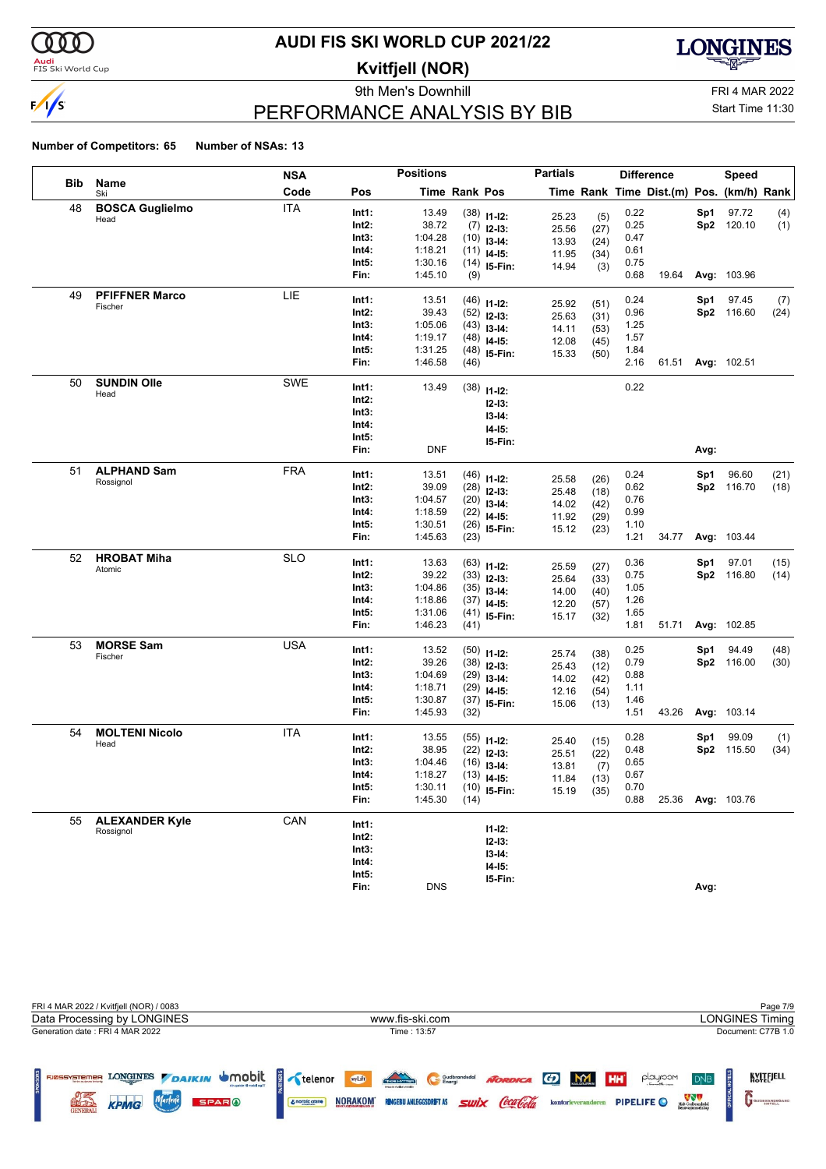

#### **Audi**<br>FIS Ski World Cup

### **AUDI FIS SKI WORLD CUP 2021/22**

**Kvitfjell (NOR)**

9th Men's Downhill **FRI 4 MAR 2022** 



# PERFORMANCE ANALYSIS BY BIB

Start Time 11:30

|     |                        | <b>NSA</b> |          | <b>Positions</b> |                      |                | <b>Partials</b> |              |      | <b>Difference</b>                        |      | <b>Speed</b>      |      |
|-----|------------------------|------------|----------|------------------|----------------------|----------------|-----------------|--------------|------|------------------------------------------|------|-------------------|------|
| Bib | Name<br>Ski            | Code       | Pos      |                  | <b>Time Rank Pos</b> |                |                 |              |      | Time Rank Time Dist.(m) Pos. (km/h) Rank |      |                   |      |
| 48  | <b>BOSCA Guglielmo</b> | <b>ITA</b> | Int1:    | 13.49            |                      | $(38)$ 11-12:  | 25.23           | (5)          | 0.22 |                                          | Sp1  | 97.72             | (4)  |
|     | Head                   |            | Int2:    | 38.72            |                      | $(7)$ 12-13:   | 25.56           | (27)         | 0.25 |                                          |      | Sp2 120.10        | (1)  |
|     |                        |            | Int3:    | 1:04.28          |                      | $(10)$ 13-14:  | 13.93           | (24)         | 0.47 |                                          |      |                   |      |
|     |                        |            | Int4:    | 1:18.21          |                      | $(11)$ 14-15:  | 11.95           | (34)         | 0.61 |                                          |      |                   |      |
|     |                        |            | Int5:    | 1:30.16          |                      | $(14)$ 15-Fin: | 14.94           | (3)          | 0.75 |                                          |      |                   |      |
|     |                        |            | Fin:     | 1:45.10          | (9)                  |                |                 |              | 0.68 | 19.64                                    |      | Avg: 103.96       |      |
| 49  | <b>PFIFFNER Marco</b>  | LIE        | Int1:    | 13.51            |                      | $(46)$ 11-12:  | 25.92           | (51)         | 0.24 |                                          | Sp1  | 97.45             | (7)  |
|     | Fischer                |            | Int2:    | 39.43            |                      | $(52)$ 12-13:  | 25.63           | (31)         | 0.96 |                                          |      | Sp2 116.60        | (24) |
|     |                        |            | Int3:    | 1:05.06          |                      | $(43)$ 13-14:  | 14.11           | (53)         | 1.25 |                                          |      |                   |      |
|     |                        |            | Int4:    | 1:19.17          |                      | $(48)$ 14-15:  | 12.08           | (45)         | 1.57 |                                          |      |                   |      |
|     |                        |            | Int5:    | 1:31.25          |                      | $(48)$ 15-Fin: | 15.33           | (50)         | 1.84 |                                          |      |                   |      |
|     |                        |            | Fin:     | 1:46.58          | (46)                 |                |                 |              | 2.16 |                                          |      | 61.51 Avg: 102.51 |      |
| 50  | <b>SUNDIN Olle</b>     | SWE        | Int1:    | 13.49            |                      | $(38)$ 11-12:  |                 |              | 0.22 |                                          |      |                   |      |
|     | Head                   |            | Int2:    |                  |                      | $12 - 13:$     |                 |              |      |                                          |      |                   |      |
|     |                        |            | Int3:    |                  |                      | $13 - 14:$     |                 |              |      |                                          |      |                   |      |
|     |                        |            | Int4:    |                  |                      | $14 - 15$ :    |                 |              |      |                                          |      |                   |      |
|     |                        |            | Int5:    |                  |                      | 15-Fin:        |                 |              |      |                                          |      |                   |      |
|     |                        |            | Fin:     | <b>DNF</b>       |                      |                |                 |              |      |                                          | Avg: |                   |      |
| 51  | <b>ALPHAND Sam</b>     | FRA        | Int1:    | 13.51            |                      | $(46)$ 11-12:  |                 |              | 0.24 |                                          | Sp1  | 96.60             | (21) |
|     | Rossignol              |            | Int2:    | 39.09            |                      | $(28)$ 12-13:  | 25.58<br>25.48  | (26)<br>(18) | 0.62 |                                          |      | Sp2 116.70        | (18) |
|     |                        |            | Int3:    | 1:04.57          |                      | $(20)$ 13-14:  | 14.02           | (42)         | 0.76 |                                          |      |                   |      |
|     |                        |            | Int4:    | 1:18.59          |                      | $(22)$ 14-15:  | 11.92           | (29)         | 0.99 |                                          |      |                   |      |
|     |                        |            | Int5:    | 1:30.51          |                      | $(26)$ 15-Fin: | 15.12           | (23)         | 1.10 |                                          |      |                   |      |
|     |                        |            | Fin:     | 1:45.63          | (23)                 |                |                 |              | 1.21 | 34.77                                    |      | Avg: 103.44       |      |
| 52  | <b>HROBAT Miha</b>     | <b>SLO</b> | Int1:    | 13.63            |                      | $(63)$ 11-12:  |                 |              | 0.36 |                                          | Sp1  | 97.01             | (15) |
|     | Atomic                 |            | Int2:    | 39.22            |                      | $(33)$ 12-13:  | 25.59           | (27)         | 0.75 |                                          |      | Sp2 116.80        | (14) |
|     |                        |            | Int3:    | 1:04.86          |                      | $(35)$ 13-14:  | 25.64<br>14.00  | (33)<br>(40) | 1.05 |                                          |      |                   |      |
|     |                        |            | Int4:    | 1:18.86          |                      | $(37)$ 14-15:  | 12.20           | (57)         | 1.26 |                                          |      |                   |      |
|     |                        |            | Int5:    | 1:31.06          |                      | $(41)$ 15-Fin: | 15.17           | (32)         | 1.65 |                                          |      |                   |      |
|     |                        |            | Fin:     | 1:46.23          | (41)                 |                |                 |              | 1.81 | 51.71                                    |      | Avg: 102.85       |      |
| 53  | <b>MORSE Sam</b>       | <b>USA</b> | Int1:    | 13.52            |                      | $(50)$ 11-12:  |                 |              | 0.25 |                                          | Sp1  | 94.49             | (48) |
|     | Fischer                |            | Int2:    | 39.26            |                      | $(38)$ 12-13:  | 25.74<br>25.43  | (38)         | 0.79 |                                          |      | Sp2 116.00        | (30) |
|     |                        |            | Int3:    | 1:04.69          |                      | $(29)$ 13-14:  | 14.02           | (12)<br>(42) | 0.88 |                                          |      |                   |      |
|     |                        |            | Int4:    | 1:18.71          |                      | $(29)$ 14-15:  | 12.16           | (54)         | 1.11 |                                          |      |                   |      |
|     |                        |            | Int5:    | 1:30.87          |                      | $(37)$ 15-Fin: | 15.06           | (13)         | 1.46 |                                          |      |                   |      |
|     |                        |            | Fin:     | 1:45.93          | (32)                 |                |                 |              | 1.51 | 43.26                                    |      | Avg: 103.14       |      |
| 54  | <b>MOLTENI Nicolo</b>  | ITA        | Int1:    | 13.55            |                      | $(55)$ 11-12:  | 25.40           | (15)         | 0.28 |                                          | Sp1  | 99.09             | (1)  |
|     | Head                   |            | $Int2$ : | 38.95            |                      | $(22)$ 12-13:  | 25.51           | (22)         | 0.48 |                                          |      | Sp2 115.50        | (34) |
|     |                        |            | Int3:    | 1:04.46          |                      | $(16)$ 13-14:  | 13.81           | (7)          | 0.65 |                                          |      |                   |      |
|     |                        |            | Int4:    | 1:18.27          |                      | $(13)$ 14-15:  | 11.84           | (13)         | 0.67 |                                          |      |                   |      |
|     |                        |            | Int5:    | 1:30.11          |                      | $(10)$ 15-Fin: | 15.19           | (35)         | 0.70 |                                          |      |                   |      |
|     |                        |            | Fin:     | 1:45.30          | (14)                 |                |                 |              | 0.88 | 25.36                                    |      | Avg: 103.76       |      |
| 55  | <b>ALEXANDER Kyle</b>  | CAN        | Int1:    |                  |                      | $11 - 12$ :    |                 |              |      |                                          |      |                   |      |
|     | Rossignol              |            | Int2:    |                  |                      | $12 - 13:$     |                 |              |      |                                          |      |                   |      |
|     |                        |            | Int3:    |                  |                      | $13-14:$       |                 |              |      |                                          |      |                   |      |
|     |                        |            | Int4:    |                  |                      | $14 - 15$ :    |                 |              |      |                                          |      |                   |      |
|     |                        |            | Int5:    |                  |                      | 15-Fin:        |                 |              |      |                                          |      |                   |      |
|     |                        |            | Fin:     | <b>DNS</b>       |                      |                |                 |              |      |                                          | Avg: |                   |      |

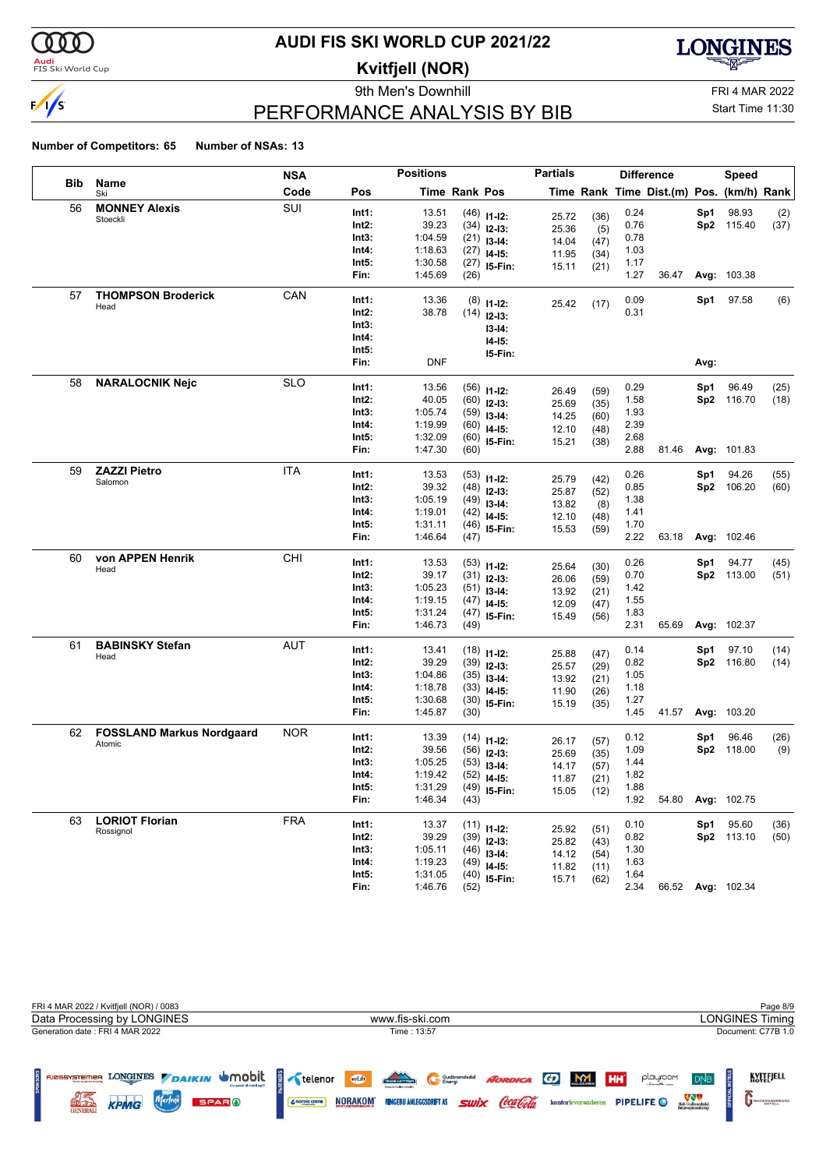

### <mark>Audi</mark><br>FIS Ski World Cup

# **AUDI FIS SKI WORLD CUP 2021/22**

**Kvitfjell (NOR)**

9th Men's Downhill FRI 4 MAR 2022



# PERFORMANCE ANALYSIS BY BIB

### Start Time 11:30

|            |                                  | NSA        |                | <b>Positions</b>   |                      |                | <b>Partials</b> |      |              | <b>Difference</b>                        |      | Speed             |      |
|------------|----------------------------------|------------|----------------|--------------------|----------------------|----------------|-----------------|------|--------------|------------------------------------------|------|-------------------|------|
| <b>Bib</b> | Name<br>Ski                      | Code       | Pos            |                    | <b>Time Rank Pos</b> |                |                 |      |              | Time Rank Time Dist.(m) Pos. (km/h) Rank |      |                   |      |
| 56         | <b>MONNEY Alexis</b>             | SUI        | Int1:          | 13.51              |                      | $(46)$ 11-12:  |                 |      | 0.24         |                                          | Sp1  | 98.93             | (2)  |
|            | Stoeckli                         |            | Int2:          | 39.23              |                      | $(34)$ 12-13:  | 25.72           | (36) | 0.76         |                                          |      | Sp2 115.40        | (37) |
|            |                                  |            | Int3:          | 1:04.59            |                      | $(21)$ 13-14:  | 25.36           | (5)  | 0.78         |                                          |      |                   |      |
|            |                                  |            | Int4:          | 1:18.63            |                      | $(27)$ 14-15:  | 14.04           | (47) | 1.03         |                                          |      |                   |      |
|            |                                  |            | Int5:          | 1:30.58            |                      | $(27)$ 15-Fin: | 11.95           | (34) | 1.17         |                                          |      |                   |      |
|            |                                  |            | Fin:           | 1:45.69            | (26)                 |                | 15.11           | (21) | 1.27         | 36.47                                    |      | Avg: 103.38       |      |
| 57         | <b>THOMPSON Broderick</b>        | CAN        |                |                    |                      |                |                 |      |              |                                          |      |                   |      |
|            | Head                             |            | Int1:<br>Int2: | 13.36<br>38.78     | (8)                  | $11 - 12$ :    | 25.42           | (17) | 0.09<br>0.31 |                                          | Sp1  | 97.58             | (6)  |
|            |                                  |            | Int3:          |                    | (14)                 | $12 - 13:$     |                 |      |              |                                          |      |                   |      |
|            |                                  |            | Int4:          |                    |                      | $13-14:$       |                 |      |              |                                          |      |                   |      |
|            |                                  |            | Int5:          |                    |                      | I4-I5:         |                 |      |              |                                          |      |                   |      |
|            |                                  |            | Fin:           | <b>DNF</b>         |                      | 15-Fin:        |                 |      |              |                                          | Avg: |                   |      |
| 58         | <b>NARALOCNIK Nejc</b>           | <b>SLO</b> |                |                    |                      |                |                 |      |              |                                          |      |                   |      |
|            |                                  |            | Int1:          | 13.56              |                      | $(56)$ 11-12:  | 26.49           | (59) | 0.29         |                                          | Sp1  | 96.49             | (25) |
|            |                                  |            | Int2:          | 40.05              |                      | $(60)$ 12-13:  | 25.69           | (35) | 1.58         |                                          |      | Sp2 116.70        | (18) |
|            |                                  |            | Int3:          | 1:05.74            |                      | $(59)$ 13-14:  | 14.25           | (60) | 1.93         |                                          |      |                   |      |
|            |                                  |            | Int4:          | 1:19.99            |                      | $(60)$ 14-15:  | 12.10           | (48) | 2.39         |                                          |      |                   |      |
|            |                                  |            | Int5:          | 1:32.09            |                      | $(60)$ 15-Fin: | 15.21           | (38) | 2.68         |                                          |      |                   |      |
|            |                                  |            | Fin:           | 1:47.30            | (60)                 |                |                 |      | 2.88         | 81.46                                    |      | Avg: 101.83       |      |
| 59         | <b>ZAZZI Pietro</b>              | ITA        | Int1:          | 13.53              |                      | $(53)$ 11-12:  | 25.79           | (42) | 0.26         |                                          | Sp1  | 94.26             | (55) |
|            | Salomon                          |            | Int2:          | 39.32              |                      | $(48)$ 12-13:  |                 |      | 0.85         |                                          | Sp2  | 106.20            | (60) |
|            |                                  |            | Int3:          | 1:05.19            |                      | $(49)$ 13-14:  | 25.87           | (52) | 1.38         |                                          |      |                   |      |
|            |                                  |            | Int4:          | 1:19.01            |                      | $(42)$ 14-15:  | 13.82           | (8)  | 1.41         |                                          |      |                   |      |
|            |                                  |            | Int5:          | 1:31.11            |                      | $(46)$ 15-Fin: | 12.10           | (48) | 1.70         |                                          |      |                   |      |
|            |                                  |            | Fin:           | 1:46.64            | (47)                 |                | 15.53           | (59) | 2.22         | 63.18                                    |      | Avg: 102.46       |      |
| 60         | von APPEN Henrik                 | CHI        |                |                    |                      |                |                 |      |              |                                          |      |                   |      |
|            | Head                             |            | Int1:          | 13.53              |                      | $(53)$ 11-12:  | 25.64           | (30) | 0.26         |                                          | Sp1  | 94.77             | (45) |
|            |                                  |            | Int2:          | 39.17              |                      | $(31)$ 12-13:  | 26.06           | (59) | 0.70         |                                          |      | Sp2 113.00        | (51) |
|            |                                  |            | Int3:          | 1:05.23            |                      | $(51)$ 13-14:  | 13.92           | (21) | 1.42         |                                          |      |                   |      |
|            |                                  |            | Int4:          | 1:19.15            |                      | $(47)$ 14-15:  | 12.09           | (47) | 1.55         |                                          |      |                   |      |
|            |                                  |            | Int5:          | 1:31.24            |                      | $(47)$ 15-Fin: | 15.49           | (56) | 1.83         |                                          |      |                   |      |
|            |                                  |            | Fin:           | 1:46.73            | (49)                 |                |                 |      | 2.31         | 65.69                                    |      | Avg: 102.37       |      |
| 61         | <b>BABINSKY Stefan</b>           | AUT        | Int1:          | 13.41              |                      | $(18)$ 11-12:  | 25.88           | (47) | 0.14         |                                          | Sp1  | 97.10             | (14) |
|            | Head                             |            | Int2:          | 39.29              |                      | $(39)$ 12-13:  | 25.57           | (29) | 0.82         |                                          |      | Sp2 116.80        | (14) |
|            |                                  |            | Int3:          | 1:04.86            |                      | $(35)$ 13-14:  | 13.92           | (21) | 1.05         |                                          |      |                   |      |
|            |                                  |            | Int4:          | 1:18.78            |                      | $(33)$ 14-15:  | 11.90           | (26) | 1.18         |                                          |      |                   |      |
|            |                                  |            | Int5:          | 1:30.68            |                      | $(30)$ 15-Fin: | 15.19           | (35) | 1.27         |                                          |      |                   |      |
|            |                                  |            | Fin:           | 1:45.87            | (30)                 |                |                 |      | 1.45         | 41.57                                    |      | Avg: 103.20       |      |
| 62         | <b>FOSSLAND Markus Nordgaard</b> | <b>NOR</b> | Int1:          | 13.39              |                      |                |                 |      | 0.12         |                                          | Sp1  | 96.46             | (26) |
|            | Atomic                           |            | Int2:          | 39.56              |                      | $(14)$ 11-12:  | 26.17           | (57) | 1.09         |                                          |      | Sp2 118.00        | (9)  |
|            |                                  |            | Int3:          | 1:05.25            |                      | $(56)$ 12-13:  | 25.69           | (35) | 1.44         |                                          |      |                   |      |
|            |                                  |            | Int4:          |                    |                      | $(53)$ 13-14:  | 14.17           | (57) |              |                                          |      |                   |      |
|            |                                  |            | Int5:          | 1:19.42<br>1:31.29 |                      | $(52)$ 14-15:  | 11.87           | (21) | 1.82<br>1.88 |                                          |      |                   |      |
|            |                                  |            | Fin:           | 1:46.34            | (43)                 | $(49)$ 15-Fin: | 15.05           | (12) | 1.92         | 54.80                                    |      | Avg: 102.75       |      |
| 63         | <b>LORIOT Florian</b>            | <b>FRA</b> |                |                    |                      |                |                 |      |              |                                          |      |                   |      |
|            | Rossignol                        |            | Int1:          | 13.37              |                      | $(11)$ 11-12:  | 25.92           | (51) | 0.10         |                                          | Sp1  | 95.60             | (36) |
|            |                                  |            | Int2:          | 39.29              |                      | $(39)$ 12-13:  | 25.82           | (43) | 0.82         |                                          |      | Sp2 113.10        | (50) |
|            |                                  |            | Int3:          | 1:05.11            |                      | $(46)$ 13-14:  | 14.12           | (54) | 1.30         |                                          |      |                   |      |
|            |                                  |            | Int4:          | 1:19.23            |                      | $(49)$ 14-15:  | 11.82           | (11) | 1.63         |                                          |      |                   |      |
|            |                                  |            | Int5:          | 1:31.05            |                      | $(40)$ 15-Fin: | 15.71           | (62) | 1.64         |                                          |      |                   |      |
|            |                                  |            | Fin:           | 1:46.76            | (52)                 |                |                 |      | 2.34         |                                          |      | 66.52 Avg: 102.34 |      |

| FRI 4 MAR 2022 / Kvitfjell (NOR) / 0083                                                                           |                                                                                                                                                                            | Page 8/9                                                                                                                                                |
|-------------------------------------------------------------------------------------------------------------------|----------------------------------------------------------------------------------------------------------------------------------------------------------------------------|---------------------------------------------------------------------------------------------------------------------------------------------------------|
| Data Processing by LONGINES                                                                                       | www.fis-ski.com                                                                                                                                                            | LONGINES Timing                                                                                                                                         |
| Generation date: FRI 4 MAR 2022                                                                                   | Time: 13:57                                                                                                                                                                | Document: C77B 1.0                                                                                                                                      |
| LONGINES DAIKIN UMObit<br><b>FJØSSYSTEMER</b><br><b>SPARO</b><br><b>RECTIFI</b><br><b>KPMG</b><br><b>GENERALI</b> | <b>TACH HOT TER</b><br><b>MyLift</b><br>NORDICA GO M<br>Gudbrandsdal<br><i><b>Swix Coca Cola</b></i><br><b>NORAKOM</b><br><b>RINGEBU ANLEGGSDRIFT AS</b><br>& norbic crane | KVITEJELL<br>playroom<br><b>HH</b><br><b>DNB</b><br>Midt-Gudbrandsdal<br>Renovasionsselskap<br><b>PIPELIFE</b> O<br>kontorleverandøren<br>GUDBRANDSGARD |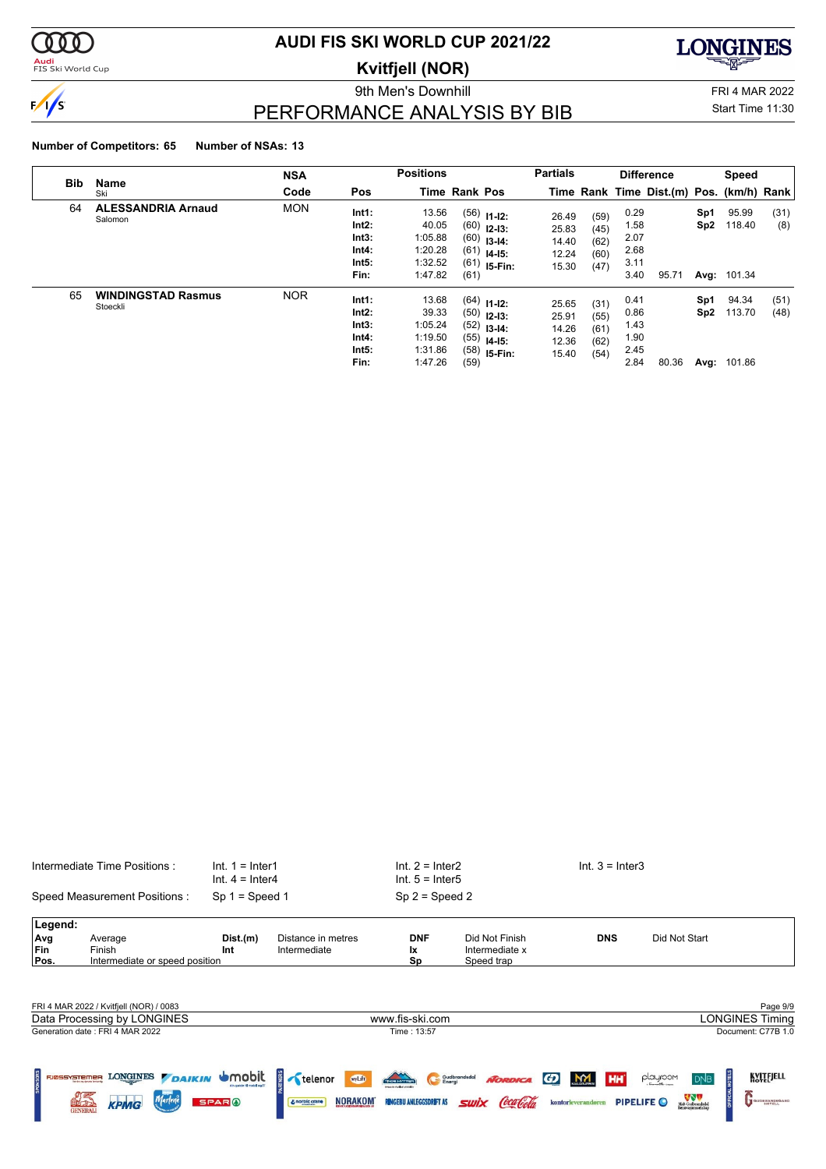

**Audi**<br>FIS Ski World Cup

### **AUDI FIS SKI WORLD CUP 2021/22**

**Kvitfjell (NOR)**

9th Men's Downhill Games and Controller and Controller and FRI 4 MAR 2022



PERFORMANCE ANALYSIS BY BIB

Start Time 11:30

|            |                                       | <b>NSA</b> |                                                   | <b>Positions</b>                                           |                      |                                                                                    | <b>Partials</b>                           |                                      |                                              | <b>Difference</b>                        |            | Speed                                 |              |
|------------|---------------------------------------|------------|---------------------------------------------------|------------------------------------------------------------|----------------------|------------------------------------------------------------------------------------|-------------------------------------------|--------------------------------------|----------------------------------------------|------------------------------------------|------------|---------------------------------------|--------------|
| <b>Bib</b> | Name<br>Ski                           | Code       | Pos                                               |                                                            | <b>Time Rank Pos</b> |                                                                                    |                                           |                                      |                                              | Time Rank Time Dist.(m) Pos. (km/h) Rank |            |                                       |              |
| 64         | <b>ALESSANDRIA Arnaud</b><br>Salomon  | <b>MON</b> | Int1:<br>Int2:<br>Int3:<br>Int4:<br>Int5:<br>Fin: | 13.56<br>40.05<br>1:05.88<br>1:20.28<br>1:32.52<br>1:47.82 | (61)                 | $(56)$ 11-12:<br>$(60)$ 12-13:<br>$(60)$ 13-14:<br>$(61)$ 14-15:<br>$(61)$ 15-Fin: | 26.49<br>25.83<br>14.40<br>12.24<br>15.30 | (59)<br>(45)<br>(62)<br>(60)<br>(47) | 0.29<br>1.58<br>2.07<br>2.68<br>3.11<br>3.40 | 95.71                                    | Sp1<br>Sp2 | 95.99<br>118.40<br><b>Avg: 101.34</b> | (31)<br>(8)  |
| 65         | <b>WINDINGSTAD Rasmus</b><br>Stoeckli | <b>NOR</b> | Int1:<br>Int2:<br>Int3:<br>Int4:<br>Int5:<br>Fin: | 13.68<br>39.33<br>1:05.24<br>1:19.50<br>1:31.86<br>1:47.26 | (59)                 | $(64)$ 11-12:<br>$(50)$ 12-13:<br>$(52)$ 13-14:<br>$(55)$ 14-15:<br>$(58)$ 15-Fin: | 25.65<br>25.91<br>14.26<br>12.36<br>15.40 | (31)<br>(55)<br>(61)<br>(62)<br>(54) | 0.41<br>0.86<br>1.43<br>1.90<br>2.45<br>2.84 | 80.36                                    | Sp1<br>Sp2 | 94.34<br>113.70<br>Avg: 101.86        | (51)<br>(48) |

|                   | Intermediate Time Positions:<br>$Int. 1 = Inter1$<br>$Int. 4 = Inter4$<br>Speed Measurement Positions: |                                             | $Int. 2 = Inter2$<br>$Int. 5 = Inter5$ |                                |                                  | $Int. 3 = Inter3$                     |                                                |                        |
|-------------------|--------------------------------------------------------------------------------------------------------|---------------------------------------------|----------------------------------------|--------------------------------|----------------------------------|---------------------------------------|------------------------------------------------|------------------------|
|                   |                                                                                                        | $Sp 1 = Speed 1$                            |                                        | $Sp 2 = Speed 2$               |                                  |                                       |                                                |                        |
| Legend:           |                                                                                                        |                                             |                                        |                                |                                  |                                       |                                                |                        |
| Avg<br><b>Fin</b> | Average<br>Finish                                                                                      | Dist.(m)<br>Int                             | Distance in metres<br>Intermediate     | <b>DNF</b><br>Ιx               | Did Not Finish<br>Intermediate x | <b>DNS</b>                            | Did Not Start                                  |                        |
| Pos.              | Intermediate or speed position                                                                         |                                             |                                        | Sp                             | Speed trap                       |                                       |                                                |                        |
|                   |                                                                                                        |                                             |                                        |                                |                                  |                                       |                                                |                        |
|                   | FRI 4 MAR 2022 / Kvitfjell (NOR) / 0083                                                                |                                             |                                        |                                |                                  |                                       |                                                | Page 9/9               |
|                   | Data Processing by LONGINES                                                                            |                                             |                                        | www.fis-ski.com                |                                  |                                       |                                                | <b>LONGINES Timing</b> |
|                   | Generation date: FRI 4 MAR 2022                                                                        |                                             |                                        | Time: 13:57                    |                                  |                                       |                                                | Document: C77B 1.0     |
|                   |                                                                                                        |                                             |                                        |                                |                                  |                                       |                                                |                        |
|                   | FIGSSYSTEMER LONGINES <b>DAIKIN</b>                                                                    | <b>U</b> mobit<br>din quide til mobil og [] | <b>RTNERS</b><br>wyLift<br>telenor     | Thosenan                       | Gudbrandsdal<br><b>NORDICA</b>   | <b>MY</b><br><b>HH</b><br>G)          | <b>HOTELS</b><br>playroom<br><b>DNB</b>        | KVITEJELL              |
|                   | <b>KPMG</b><br><b>GENERAL</b>                                                                          | <b>SPARO</b>                                | <b>NORAKOM</b><br>& norbic crane       | <b>RINGEBU ANLEGGSDRIFT AS</b> | SIIIX                            | <b>PIPELIFE</b><br>kontorleverandøren | VVV<br>Midt-Gudbrandsdal<br>Renovasionsselskap | GUDBRANDSGARD          |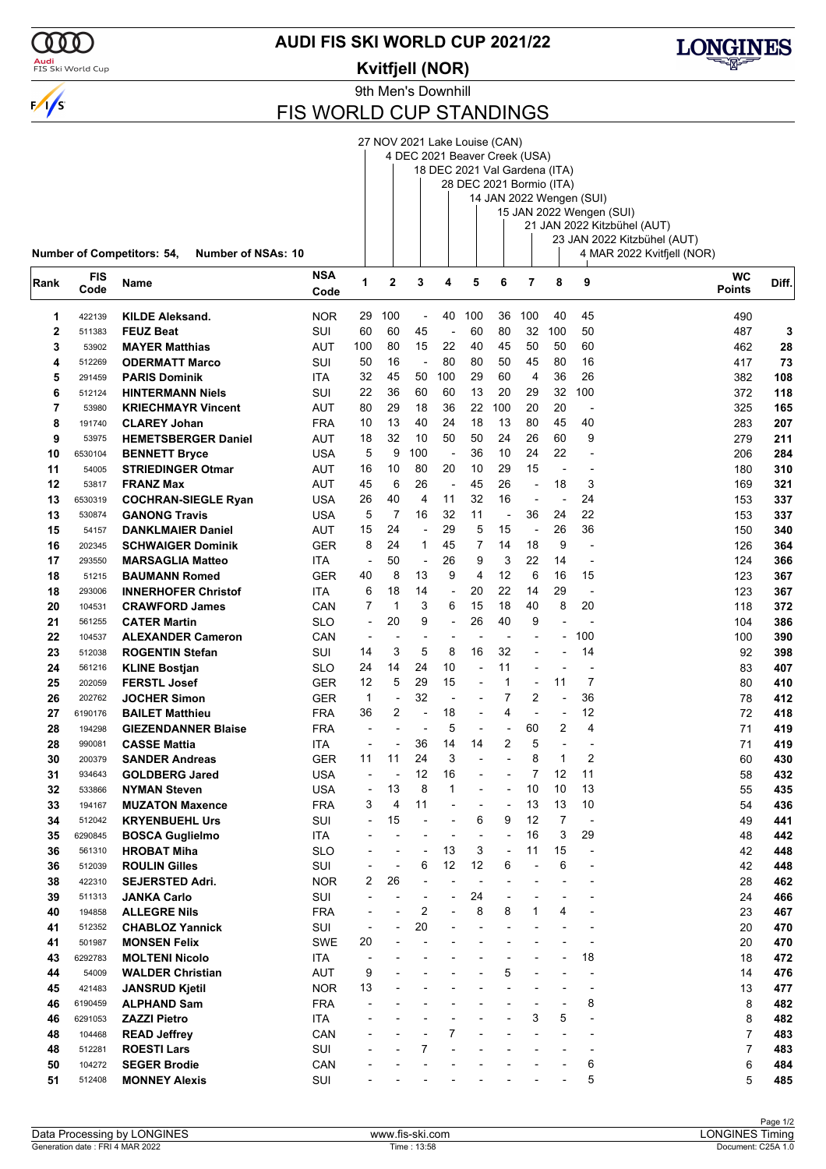

### <mark>Audi</mark><br>FIS Ski World Cup

**AUDI FIS SKI WORLD CUP 2021/22**

**Kvitfjell (NOR)**



27 NOV 2021 Lake Louise (CAN)



FIS WORLD CUP STANDINGS

|                   |                    |                                                                        |                   |                          |              |                                |                      | 4 DEC 2021 Beaver Creek (USA)<br>18 DEC 2021 Val Gardena (ITA)<br>28 DEC 2021 Bormio (ITA) |                                |                          |                | 14 JAN 2022 Wengen (SUI) |                                                                                        |            |
|-------------------|--------------------|------------------------------------------------------------------------|-------------------|--------------------------|--------------|--------------------------------|----------------------|--------------------------------------------------------------------------------------------|--------------------------------|--------------------------|----------------|--------------------------|----------------------------------------------------------------------------------------|------------|
|                   |                    |                                                                        |                   |                          |              |                                |                      |                                                                                            |                                |                          |                |                          | 15 JAN 2022 Wengen (SUI)<br>21 JAN 2022 Kitzbühel (AUT)<br>23 JAN 2022 Kitzbühel (AUT) |            |
| Rank              | <b>FIS</b><br>Code | <b>Number of Competitors: 54,</b><br><b>Number of NSAs: 10</b><br>Name | NSA<br>Code       | 1                        | $\mathbf{2}$ | 3                              | 4                    | 5                                                                                          | 6                              | 7                        | 8              | 9                        | 4 MAR 2022 Kvitfjell (NOR)<br><b>WC</b><br><b>Points</b>                               | Diff.      |
|                   |                    |                                                                        |                   |                          |              |                                |                      |                                                                                            |                                |                          |                |                          |                                                                                        |            |
| 1<br>$\mathbf{2}$ | 422139             | <b>KILDE Aleksand.</b><br><b>FEUZ Beat</b>                             | <b>NOR</b><br>SUI | 29<br>60                 | 100<br>60    | $\overline{\phantom{a}}$<br>45 | 40<br>$\overline{a}$ | 100<br>60                                                                                  | 36<br>80                       | 100<br>32                | 40<br>100      | 45<br>50                 | 490<br>487                                                                             |            |
| 3                 | 511383<br>53902    | <b>MAYER Matthias</b>                                                  | AUT               | 100                      | 80           | 15                             | 22                   | 40                                                                                         | 45                             | 50                       | 50             | 60                       | 462                                                                                    | 3<br>28    |
| 4                 | 512269             | <b>ODERMATT Marco</b>                                                  | SUI               | 50                       | 16           | ÷,                             | 80                   | 80                                                                                         | 50                             | 45                       | 80             | 16                       | 417                                                                                    | 73         |
| 5                 | 291459             | <b>PARIS Dominik</b>                                                   | ITA               | 32                       | 45           | 50                             | 100                  | 29                                                                                         | 60                             | $\overline{4}$           | 36             | 26                       | 382                                                                                    | 108        |
| 6                 | 512124             | <b>HINTERMANN Niels</b>                                                | SUI               | 22                       | 36           | 60                             | 60                   | 13                                                                                         | 20                             | 29                       | 32             | 100                      | 372                                                                                    | 118        |
| $\overline{7}$    | 53980              | <b>KRIECHMAYR Vincent</b>                                              | AUT               | 80                       | 29           | 18                             | 36                   | 22                                                                                         | 100                            | 20                       | 20             | $\overline{\phantom{a}}$ | 325                                                                                    | 165        |
| 8                 | 191740             | <b>CLAREY Johan</b>                                                    | <b>FRA</b>        | 10                       | 13           | 40                             | 24                   | 18                                                                                         | 13                             | 80                       | 45             | 40                       | 283                                                                                    | 207        |
| 9                 | 53975              | <b>HEMETSBERGER Daniel</b>                                             | AUT               | 18                       | 32           | 10                             | 50                   | 50                                                                                         | 24                             | 26                       | 60             | 9                        | 279                                                                                    | 211        |
| 10                | 6530104            | <b>BENNETT Bryce</b>                                                   | USA               | 5                        | 9            | 100                            | ÷,                   | 36                                                                                         | 10                             | 24                       | 22             |                          | 206                                                                                    | 284        |
| 11                | 54005              | <b>STRIEDINGER Otmar</b>                                               | AUT               | 16                       | 10           | 80                             | 20                   | 10                                                                                         | 29                             | 15                       | $\overline{a}$ | $\overline{\phantom{a}}$ | 180                                                                                    | 310        |
| 12                | 53817              | <b>FRANZ Max</b>                                                       | AUT               | 45                       | 6            | 26                             | $\blacksquare$       | 45                                                                                         | 26                             | $\blacksquare$           | 18             | 3                        | 169                                                                                    | 321        |
| 13                | 6530319            | <b>COCHRAN-SIEGLE Ryan</b>                                             | USA               | 26                       | 40           | 4                              | 11                   | 32                                                                                         | 16                             |                          | ÷,             | 24                       | 153                                                                                    | 337        |
| 13                | 530874             | <b>GANONG Travis</b>                                                   | <b>USA</b>        | 5                        | 7            | 16                             | 32                   | 11                                                                                         | $\overline{\phantom{a}}$       | 36                       | 24             | 22                       | 153                                                                                    | 337        |
| 15                | 54157              | <b>DANKLMAIER Daniel</b>                                               | AUT               | 15                       | 24           | ÷,                             | 29                   | 5                                                                                          | 15                             | $\overline{\phantom{a}}$ | 26             | 36                       | 150                                                                                    | 340        |
| 16                | 202345             | <b>SCHWAIGER Dominik</b>                                               | GER               | 8                        | 24           | 1                              | 45                   | 7                                                                                          | 14                             | 18                       | 9              |                          | 126                                                                                    | 364        |
| 17                | 293550             | <b>MARSAGLIA Matteo</b>                                                | <b>ITA</b>        | $\overline{\phantom{a}}$ | 50           | $\overline{\phantom{a}}$       | 26                   | 9                                                                                          | 3                              | 22                       | 14             | $\overline{\phantom{a}}$ | 124                                                                                    | 366        |
| 18                | 51215              | <b>BAUMANN Romed</b>                                                   | GER               | 40                       | 8            | 13                             | 9                    | 4                                                                                          | 12                             | 6                        | 16             | 15                       | 123                                                                                    | 367        |
| 18                | 293006             | <b>INNERHOFER Christof</b>                                             | ITA               | 6                        | 18           | 14                             | ÷,                   | 20                                                                                         | 22                             | 14                       | 29             | ÷,                       | 123                                                                                    | 367        |
| 20                | 104531             | <b>CRAWFORD James</b>                                                  | CAN               | 7                        | $\mathbf 1$  | 3                              | 6                    | 15                                                                                         | 18                             | 40                       | 8              | 20                       | 118                                                                                    | 372        |
| 21                | 561255             | <b>CATER Martin</b>                                                    | <b>SLO</b>        | $\overline{a}$           | 20           | 9                              | ÷,                   | 26                                                                                         | 40                             | 9                        | -              |                          | 104                                                                                    | 386        |
| 22                | 104537             | <b>ALEXANDER Cameron</b>                                               | CAN               | $\overline{\phantom{a}}$ |              | $\overline{a}$<br>5            | ٠<br>8               | 16                                                                                         | $\overline{\phantom{a}}$<br>32 |                          | $\overline{a}$ | 100<br>14                | 100                                                                                    | 390        |
| 23                | 512038             | <b>ROGENTIN Stefan</b>                                                 | SUI               | 14<br>24                 | 3<br>14      | 24                             | 10                   | $\overline{a}$                                                                             | 11                             |                          |                | $\overline{a}$           | 92                                                                                     | 398        |
| 24                | 561216             | <b>KLINE Bostjan</b>                                                   | SLO               | 12                       | 5            | 29                             | 15                   | $\overline{a}$                                                                             | 1                              | $\overline{a}$           | 11             | 7                        | 83<br>80                                                                               | 407        |
| 25<br>26          | 202059<br>202762   | <b>FERSTL Josef</b><br><b>JOCHER Simon</b>                             | GER<br>GER        | $\mathbf{1}$             |              | 32                             | $\overline{a}$       | $\overline{a}$                                                                             | 7                              | $\overline{2}$           | ÷,             | 36                       | 78                                                                                     | 410<br>412 |
| 27                | 6190176            | <b>BAILET Matthieu</b>                                                 | <b>FRA</b>        | 36                       | 2            | $\overline{a}$                 | 18                   |                                                                                            | 4                              | $\overline{\phantom{a}}$ | ÷              | 12                       | 72                                                                                     | 418        |
| 28                | 194298             | <b>GIEZENDANNER Blaise</b>                                             | FRA               |                          |              | $\blacksquare$                 | 5                    | $\overline{a}$                                                                             | $\blacksquare$                 | 60                       | 2              | 4                        | 71                                                                                     | 419        |
| 28                | 990081             | <b>CASSE Mattia</b>                                                    | ITA               |                          |              | 36                             | 14                   | 14                                                                                         | 2                              | 5                        | $\overline{a}$ | $\overline{\phantom{a}}$ | 71                                                                                     | 419        |
| 30                | 200379             | <b>SANDER Andreas</b>                                                  | GER               | 11                       | 11           | 24                             | 3                    | $\overline{a}$                                                                             | $\overline{a}$                 | 8                        | 1              | 2                        | 60                                                                                     | 430        |
| 31                | 934643             | <b>GOLDBERG Jared</b>                                                  | <b>USA</b>        |                          |              | 12                             | 16                   |                                                                                            |                                | 7                        | 12             | 11                       | 58                                                                                     | 432        |
| 32                | 533866             | <b>NYMAN Steven</b>                                                    | <b>USA</b>        | $\overline{a}$           | 13           | 8                              | 1                    |                                                                                            |                                | 10                       | 10             | 13                       | 55                                                                                     | 435        |
| 33                | 194167             | <b>MUZATON Maxence</b>                                                 | <b>FRA</b>        | 3                        | 4            | 11                             |                      |                                                                                            | $\overline{a}$                 | 13                       | 13             | 10                       | 54                                                                                     | 436        |
| 34                | 512042             | <b>KRYENBUEHL Urs</b>                                                  | SUI               | $\blacksquare$           | 15           |                                |                      | 6                                                                                          | 9                              | 12                       | 7              | $\overline{\phantom{a}}$ | 49                                                                                     | 441        |
| 35                | 6290845            | <b>BOSCA Guglielmo</b>                                                 | <b>ITA</b>        |                          |              |                                |                      |                                                                                            |                                | 16                       | 3              | 29                       | 48                                                                                     | 442        |
| 36                | 561310             | <b>HROBAT Miha</b>                                                     | <b>SLO</b>        |                          |              |                                | 13                   | 3                                                                                          | $\overline{a}$                 | 11                       | 15             | ÷,                       | 42                                                                                     | 448        |
| 36                | 512039             | <b>ROULIN Gilles</b>                                                   | SUI               |                          |              | 6                              | 12                   | 12                                                                                         | 6                              |                          | 6              |                          | 42                                                                                     | 448        |
| 38                | 422310             | <b>SEJERSTED Adri.</b>                                                 | <b>NOR</b>        | 2                        | 26           |                                |                      |                                                                                            |                                |                          |                |                          | 28                                                                                     | 462        |
| 39                | 511313             | <b>JANKA Carlo</b>                                                     | SUI               |                          |              |                                | ÷                    | 24                                                                                         |                                |                          | -              |                          | 24                                                                                     | 466        |
| 40                | 194858             | <b>ALLEGRE Nils</b>                                                    | <b>FRA</b>        |                          |              | 2                              |                      | 8                                                                                          | 8                              | 1                        | 4              |                          | 23                                                                                     | 467        |
| 41                | 512352             | <b>CHABLOZ Yannick</b>                                                 | SUI               |                          |              | 20                             |                      |                                                                                            |                                |                          |                |                          | 20                                                                                     | 470        |
| 41                | 501987             | <b>MONSEN Felix</b>                                                    | SWE               | 20                       |              |                                |                      |                                                                                            |                                |                          |                |                          | 20                                                                                     | 470        |
| 43                | 6292783            | <b>MOLTENI Nicolo</b>                                                  | ITA               | ÷,                       |              |                                |                      |                                                                                            |                                |                          |                | 18                       | 18                                                                                     | 472        |
| 44                | 54009              | <b>WALDER Christian</b>                                                | AUT               | 9                        |              |                                |                      |                                                                                            | 5                              |                          |                | $\overline{a}$           | 14                                                                                     | 476        |
| 45                | 421483             | <b>JANSRUD Kjetil</b>                                                  | <b>NOR</b>        | 13                       |              |                                |                      |                                                                                            |                                |                          |                | $\overline{a}$           | 13                                                                                     | 477        |
| 46                | 6190459            | <b>ALPHAND Sam</b>                                                     | <b>FRA</b>        |                          |              |                                |                      |                                                                                            |                                |                          |                | 8                        | 8                                                                                      | 482        |
| 46                | 6291053            | <b>ZAZZI Pietro</b>                                                    | <b>ITA</b>        |                          |              |                                | $\overline{7}$       |                                                                                            |                                | 3                        | 5              | L,                       | 8                                                                                      | 482        |
| 48                | 104468             | <b>READ Jeffrey</b>                                                    | CAN               |                          |              | 7                              |                      |                                                                                            |                                |                          |                |                          | $\overline{7}$<br>$\overline{7}$                                                       | 483        |
| 48<br>50          | 512281<br>104272   | <b>ROESTI Lars</b><br><b>SEGER Brodie</b>                              | SUI<br>CAN        |                          |              |                                |                      |                                                                                            |                                |                          |                | 6                        | 6                                                                                      | 483<br>484 |
| 51                | 512408             | <b>MONNEY Alexis</b>                                                   | SUI               |                          |              |                                |                      |                                                                                            |                                |                          |                | 5                        | 5                                                                                      | 485        |
|                   |                    |                                                                        |                   |                          |              |                                |                      |                                                                                            |                                |                          |                |                          |                                                                                        |            |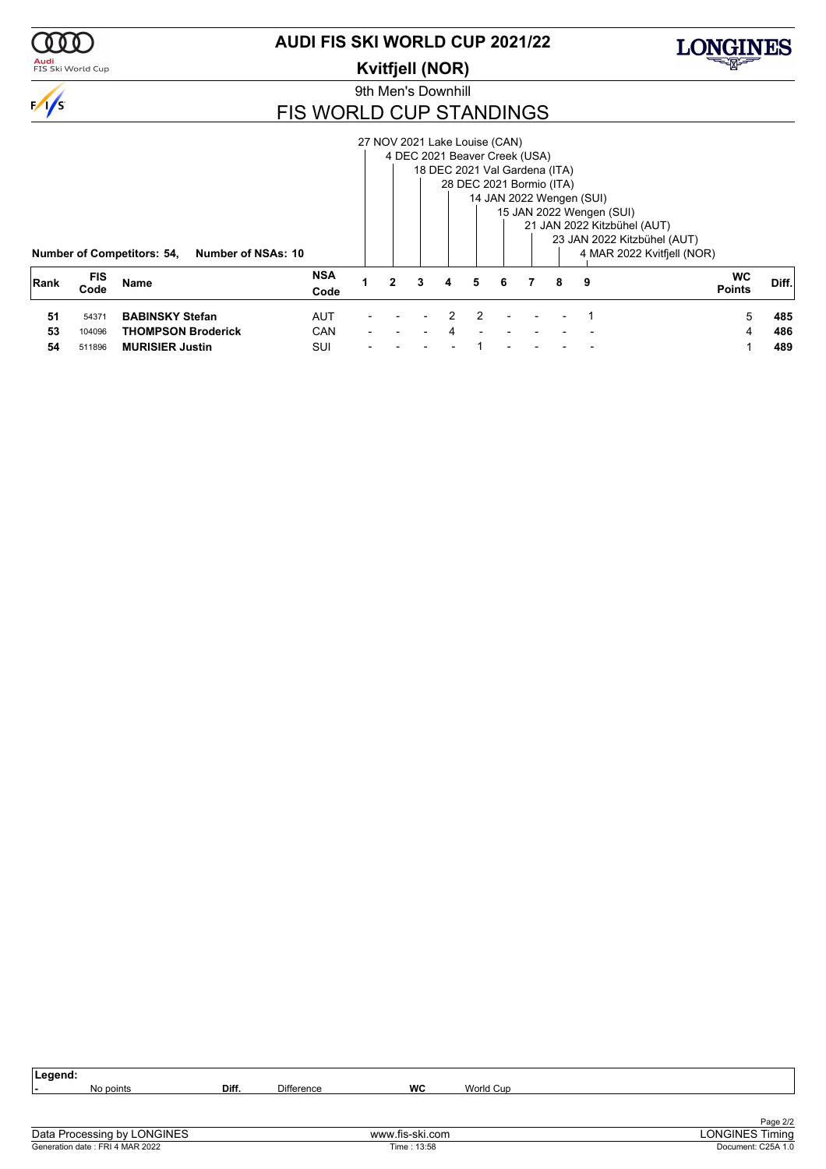

### <mark>Audi</mark><br>FIS Ski World Cup

### **AUDI FIS SKI WORLD CUP 2021/22**

**Kvitfjell (NOR)**



LONGINES

9th Men's Downhill

### FIS WORLD CUP STANDINGS

|      |                    |                                                         |                    |  |   | 27 NOV 2021 Lake Louise (CAN) |   |    |                          |   |                             |                            |       |
|------|--------------------|---------------------------------------------------------|--------------------|--|---|-------------------------------|---|----|--------------------------|---|-----------------------------|----------------------------|-------|
|      |                    |                                                         |                    |  |   | 4 DEC 2021 Beaver Creek (USA) |   |    |                          |   |                             |                            |       |
|      |                    |                                                         |                    |  |   | 18 DEC 2021 Val Gardena (ITA) |   |    |                          |   |                             |                            |       |
|      |                    |                                                         |                    |  |   |                               |   |    | 28 DEC 2021 Bormio (ITA) |   |                             |                            |       |
|      |                    |                                                         |                    |  |   |                               |   |    |                          |   | 14 JAN 2022 Wengen (SUI)    |                            |       |
|      |                    |                                                         |                    |  |   |                               |   |    |                          |   | 15 JAN 2022 Wengen (SUI)    |                            |       |
|      |                    |                                                         |                    |  |   |                               |   |    |                          |   | 21 JAN 2022 Kitzbühel (AUT) |                            |       |
|      |                    |                                                         |                    |  |   |                               |   |    |                          |   | 23 JAN 2022 Kitzbühel (AUT) |                            |       |
|      |                    | <b>Number of Competitors: 54,</b><br>Number of NSAs: 10 |                    |  |   |                               |   |    |                          |   |                             | 4 MAR 2022 Kvitfiell (NOR) |       |
| Rank | <b>FIS</b><br>Code | Name                                                    | <b>NSA</b><br>Code |  | 3 | 4                             | 5 | -6 |                          | 8 | - 9                         | <b>WC</b><br><b>Points</b> | Diff. |
| 51   | 54371              | <b>BABINSKY Stefan</b>                                  | <b>AUT</b>         |  |   |                               | 2 |    |                          |   |                             | 5.                         | 485   |
| 53   | 104096             | <b>THOMPSON Broderick</b>                               | <b>CAN</b>         |  |   | 4                             |   |    |                          |   |                             |                            | 486   |
| 54   | 511896             | <b>MURISIER Justin</b>                                  | SUI                |  |   |                               |   |    |                          |   |                             |                            | 489   |

| Legend:                         |       |                   |                 |           |                        |
|---------------------------------|-------|-------------------|-----------------|-----------|------------------------|
| No points                       | Diff. | <b>Difference</b> | <b>WC</b>       | World Cup |                        |
|                                 |       |                   |                 |           |                        |
|                                 |       |                   |                 |           | Page 2/2               |
| Data Processing by LONGINES     |       |                   | www.fis-ski.com |           | <b>LONGINES Timing</b> |
| Generation date: FRI 4 MAR 2022 |       |                   | Time: 13:58     |           | Document: C25A 1.0     |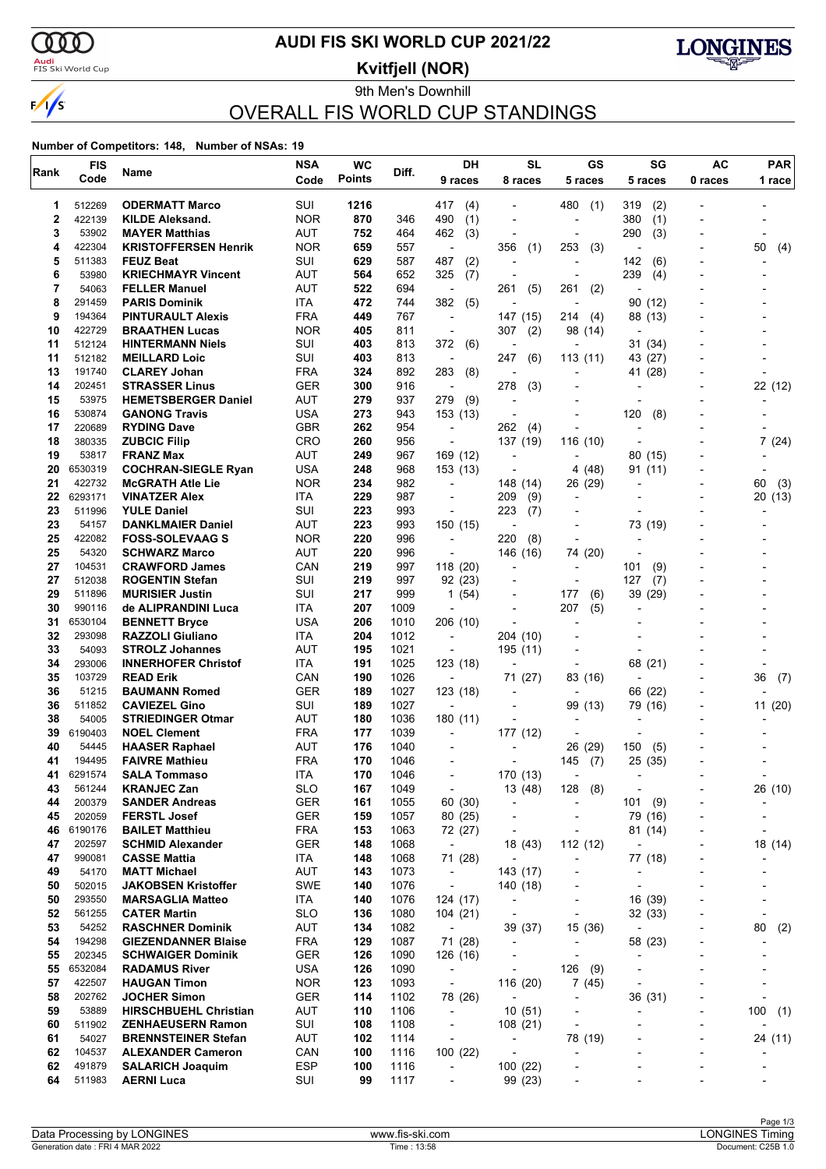

### <mark>Audi</mark><br>FIS Ski World Cup

### **AUDI FIS SKI WORLD CUP 2021/22**

**Kvitfjell (NOR)**



### 9th Men's Downhill OVERALL FIS WORLD CUP STANDINGS

| Rank     | <b>FIS</b>       | Name                                             | <b>NSA</b>        | <b>WC</b>     | Diff.        | DH                                     | <b>SL</b>                                            | <b>GS</b>                     | SG                       | <b>AC</b>                | <b>PAR</b> |
|----------|------------------|--------------------------------------------------|-------------------|---------------|--------------|----------------------------------------|------------------------------------------------------|-------------------------------|--------------------------|--------------------------|------------|
|          | Code             |                                                  | Code              | <b>Points</b> |              | 9 races                                | 8 races                                              | 5 races                       | 5 races                  | 0 races                  | 1 race     |
| 1        | 512269           | <b>ODERMATT Marco</b>                            | SUI               | 1216          |              | 417<br>(4)                             |                                                      | 480<br>(1)                    | (2)<br>319               |                          |            |
| 2        | 422139           | <b>KILDE Aleksand.</b>                           | <b>NOR</b>        | 870           | 346          | (1)<br>490                             | $\overline{\phantom{a}}$                             | $\qquad \qquad \blacksquare$  | 380<br>(1)               |                          |            |
| 3        | 53902            | <b>MAYER Matthias</b>                            | AUT               | 752           | 464          | 462<br>(3)                             |                                                      | ٠                             | 290<br>(3)               |                          |            |
| 4        | 422304           | <b>KRISTOFFERSEN Henrik</b>                      | <b>NOR</b>        | 659           | 557          | ÷,                                     | 356<br>(1)                                           | 253<br>(3)                    |                          |                          | 50<br>(4)  |
| 5        | 511383           | <b>FEUZ Beat</b>                                 | SUI               | 629           | 587          | 487<br>(2)                             | $\overline{\phantom{a}}$                             | $\overline{a}$                | 142<br>(6)               |                          |            |
| 6        | 53980            | <b>KRIECHMAYR Vincent</b>                        | AUT               | 564           | 652          | 325<br>(7)                             |                                                      | $\overline{a}$                | 239<br>(4)               |                          |            |
| 7        | 54063            | <b>FELLER Manuel</b>                             | AUT               | 522           | 694          | ÷,                                     | 261<br>(5)                                           | 261<br>(2)                    |                          |                          |            |
| 8        | 291459           | <b>PARIS Dominik</b>                             | ITA               | 472           | 744          | 382<br>(5)                             |                                                      |                               | 90 (12)                  |                          |            |
| 9        | 194364           | <b>PINTURAULT Alexis</b>                         | <b>FRA</b>        | 449           | 767          | $\overline{\phantom{a}}$               | 147 (15)                                             | 214<br>(4)                    | 88 (13)                  |                          |            |
| 10       | 422729           | <b>BRAATHEN Lucas</b>                            | <b>NOR</b>        | 405           | 811          | ÷,                                     | 307<br>(2)                                           | 98 (14)                       |                          |                          |            |
| 11<br>11 | 512124<br>512182 | <b>HINTERMANN Niels</b>                          | SUI<br>SUI        | 403<br>403    | 813<br>813   | 372<br>(6)                             | $\overline{\phantom{a}}$<br>247                      | $\overline{a}$<br>113(11)     | 31 (34)                  |                          |            |
| 13       | 191740           | <b>MEILLARD Loic</b><br><b>CLAREY Johan</b>      | <b>FRA</b>        | 324           | 892          | $\overline{\phantom{a}}$<br>283<br>(8) | (6)                                                  |                               | 43 (27)<br>41 (28)       |                          |            |
| 14       | 202451           | <b>STRASSER Linus</b>                            | GER               | 300           | 916          | $\overline{\phantom{a}}$               | 278<br>(3)                                           |                               |                          |                          | 22 (12)    |
| 15       | 53975            | <b>HEMETSBERGER Daniel</b>                       | AUT               | 279           | 937          | 279<br>(9)                             |                                                      |                               |                          |                          |            |
| 16       | 530874           | <b>GANONG Travis</b>                             | <b>USA</b>        | 273           | 943          | 153 (13)                               |                                                      | -                             | 120<br>(8)               |                          |            |
| 17       | 220689           | <b>RYDING Dave</b>                               | <b>GBR</b>        | 262           | 954          | $\overline{\phantom{a}}$               | 262<br>(4)                                           | $\overline{a}$                |                          |                          |            |
| 18       | 380335           | <b>ZUBCIC Filip</b>                              | CRO               | 260           | 956          | $\overline{\phantom{a}}$               | 137 (19)                                             | 116 (10)                      |                          |                          | 7(24)      |
| 19       | 53817            | <b>FRANZ Max</b>                                 | AUT               | 249           | 967          | 169 (12)                               |                                                      | $\overline{a}$                | 80 (15)                  |                          |            |
| 20       | 6530319          | <b>COCHRAN-SIEGLE Ryan</b>                       | USA               | 248           | 968          | 153 (13)                               |                                                      | 4 (48)                        | 91 (11)                  |                          |            |
| 21       | 422732           | <b>McGRATH Atle Lie</b>                          | <b>NOR</b>        | 234           | 982          | $\overline{\phantom{a}}$               | 148 (14)                                             | 26 (29)                       |                          |                          | 60<br>(3)  |
| 22       | 6293171          | <b>VINATZER Alex</b>                             | <b>ITA</b>        | 229           | 987          |                                        | 209<br>(9)                                           | -                             |                          |                          | 20(13)     |
| 23       | 511996           | <b>YULE Daniel</b>                               | SUI               | 223           | 993          | ٠                                      | 223<br>(7)                                           | -                             |                          |                          |            |
| 23       | 54157            | <b>DANKLMAIER Daniel</b>                         | AUT               | 223           | 993          | 150 (15)                               | ÷,                                                   | $\overline{a}$                | 73 (19)                  |                          |            |
| 25       | 422082           | <b>FOSS-SOLEVAAG S</b>                           | <b>NOR</b>        | 220           | 996          | L,                                     | 220<br>(8)                                           | $\overline{a}$                |                          |                          |            |
| 25       | 54320            | <b>SCHWARZ Marco</b>                             | <b>AUT</b>        | 220           | 996          | $\overline{a}$                         | 146 (16)                                             | 74 (20)                       |                          |                          |            |
| 27       | 104531           | <b>CRAWFORD James</b>                            | CAN               | 219           | 997          | 118 (20)                               |                                                      | -                             | 101<br>(9)               |                          |            |
| 27<br>29 | 512038<br>511896 | <b>ROGENTIN Stefan</b><br><b>MURISIER Justin</b> | SUI<br>SUI        | 219<br>217    | 997<br>999   | 92 (23)<br>1(54)                       |                                                      | 177<br>(6)                    | 127<br>(7)<br>39<br>(29) |                          |            |
| 30       | 990116           | de ALIPRANDINI Luca                              | ITA               | 207           | 1009         | $\overline{\phantom{a}}$               | $\overline{\phantom{a}}$                             | 207<br>(5)                    | $\overline{\phantom{a}}$ |                          |            |
| 31       | 6530104          | <b>BENNETT Bryce</b>                             | USA               | 206           | 1010         | 206 (10)                               |                                                      |                               |                          |                          |            |
| 32       | 293098           | <b>RAZZOLI Giuliano</b>                          | ITA               | 204           | 1012         | $\overline{\phantom{a}}$               | 204 (10)                                             |                               |                          |                          |            |
| 33       | 54093            | <b>STROLZ Johannes</b>                           | AUT               | 195           | 1021         | $\overline{\phantom{a}}$               | 195 (11)                                             |                               |                          |                          |            |
| 34       | 293006           | <b>INNERHOFER Christof</b>                       | <b>ITA</b>        | 191           | 1025         | 123 (18)                               |                                                      |                               | 68 (21)                  |                          |            |
| 35       | 103729           | <b>READ Erik</b>                                 | CAN               | 190           | 1026         | $\overline{\phantom{a}}$               | 71 (27)                                              | 83 (16)                       |                          |                          | 36<br>(7)  |
| 36       | 51215            | <b>BAUMANN Romed</b>                             | GER               | 189           | 1027         | 123 (18)                               |                                                      | -                             | 66 (22)                  |                          |            |
| 36       | 511852           | <b>CAVIEZEL Gino</b>                             | SUI               | 189           | 1027         | $\overline{a}$                         |                                                      | 99 (13)                       | 79 (16)                  |                          | 11 (20)    |
| 38       | 54005            | <b>STRIEDINGER Otmar</b>                         | <b>AUT</b>        | 180           | 1036         | 180(11)                                |                                                      | $\blacksquare$                |                          |                          |            |
| 39       | 6190403          | <b>NOEL Clement</b>                              | <b>FRA</b>        | 177           | 1039         | $\overline{\phantom{a}}$               | 177 (12)                                             | $\overline{a}$                |                          |                          |            |
| 40       | 54445            | <b>HAASER Raphael</b>                            | <b>AUT</b>        | 176           | 1040         |                                        |                                                      | (29)<br>26                    | 150<br>(5)               |                          |            |
| 41       | 194495           | <b>FAIVRE Mathieu</b>                            | <b>FRA</b>        | 170           | 1046         |                                        |                                                      | 145<br>(7)                    | 25 (35)                  |                          |            |
| 41       | 6291574          | <b>SALA Tommaso</b>                              | ITA               | 170           | 1046         | -                                      | 170 (13)                                             | ۰                             | ,                        |                          |            |
| 43       | 561244           | <b>KRANJEC Zan</b>                               | <b>SLO</b>        | 167           | 1049         | $\overline{\phantom{a}}$               | 13 (48)                                              | 128<br>(8)                    |                          |                          | 26 (10)    |
| 44<br>45 | 200379<br>202059 | <b>SANDER Andreas</b>                            | <b>GER</b>        | 161<br>159    | 1055         | 60 (30)                                | $\overline{\phantom{a}}$                             | $\overline{\phantom{0}}$      | (9)<br>101               | ٠                        |            |
| 46       | 6190176          | <b>FERSTL Josef</b><br><b>BAILET Matthieu</b>    | GER<br><b>FRA</b> | 153           | 1057<br>1063 | 80 (25)                                | $\overline{\phantom{a}}$<br>$\overline{\phantom{a}}$ | $\overline{\phantom{0}}$<br>- | 79 (16)<br>81 (14)       | $\overline{a}$           |            |
| 47       | 202597           | <b>SCHMID Alexander</b>                          | <b>GER</b>        | 148           | 1068         | 72 (27)<br>$\overline{\phantom{a}}$    | 18 (43)                                              | 112 (12)                      | $\overline{\phantom{a}}$ |                          | 18 (14)    |
| 47       | 990081           | <b>CASSE Mattia</b>                              | ITA               | 148           | 1068         | 71 (28)                                |                                                      | $\overline{\phantom{0}}$      | 77 (18)                  | -                        |            |
| 49       | 54170            | <b>MATT Michael</b>                              | <b>AUT</b>        | 143           | 1073         | $\overline{\phantom{a}}$               | 143 (17)                                             | -                             |                          |                          |            |
| 50       | 502015           | <b>JAKOBSEN Kristoffer</b>                       | <b>SWE</b>        | 140           | 1076         | $\overline{\phantom{a}}$               | 140 (18)                                             |                               | ÷,                       |                          |            |
| 50       | 293550           | <b>MARSAGLIA Matteo</b>                          | ITA               | 140           | 1076         | 124 (17)                               | $\overline{\phantom{a}}$                             | -                             | 16 (39)                  | $\overline{\phantom{a}}$ |            |
| 52       | 561255           | <b>CATER Martin</b>                              | <b>SLO</b>        | 136           | 1080         | 104 (21)                               | $\overline{\phantom{a}}$                             | $\overline{\phantom{0}}$      | 32 (33)                  |                          |            |
| 53       | 54252            | <b>RASCHNER Dominik</b>                          | AUT               | 134           | 1082         | $\overline{\phantom{a}}$               | 39 (37)                                              | 15 (36)                       | $\overline{\phantom{a}}$ |                          | 80<br>(2)  |
| 54       | 194298           | <b>GIEZENDANNER Blaise</b>                       | <b>FRA</b>        | 129           | 1087         | 71 (28)                                | $\overline{\phantom{a}}$                             | $\overline{\phantom{m}}$      | 58 (23)                  | -                        |            |
| 55       | 202345           | <b>SCHWAIGER Dominik</b>                         | GER               | 126           | 1090         | 126 (16)                               | -                                                    | $\overline{\phantom{0}}$      |                          |                          |            |
| 55       | 6532084          | <b>RADAMUS River</b>                             | <b>USA</b>        | 126           | 1090         | $\overline{\phantom{a}}$               | $\overline{\phantom{a}}$                             | 126<br>(9)                    |                          |                          |            |
| 57       | 422507           | <b>HAUGAN Timon</b>                              | <b>NOR</b>        | 123           | 1093         | $\overline{\phantom{a}}$               | 116 (20)                                             | 7(45)                         | ÷,                       |                          |            |
| 58       | 202762           | <b>JOCHER Simon</b>                              | <b>GER</b>        | 114           | 1102         | 78 (26)                                | $\overline{\phantom{a}}$                             | $\overline{\phantom{0}}$      | 36 (31)                  |                          |            |
| 59       | 53889            | <b>HIRSCHBUEHL Christian</b>                     | AUT               | 110           | 1106         | $\overline{\phantom{a}}$               | 10(51)                                               | $\overline{\phantom{a}}$      | ÷                        | $\overline{a}$           | 100<br>(1) |
| 60       | 511902           | <b>ZENHAEUSERN Ramon</b>                         | SUI               | 108           | 1108         | $\overline{\phantom{a}}$               | 108(21)                                              | $\overline{\phantom{0}}$      | $\overline{a}$           | $\overline{\phantom{a}}$ |            |
| 61       | 54027            | <b>BRENNSTEINER Stefan</b>                       | AUT               | 102           | 1114         | $\overline{a}$                         | $\overline{\phantom{a}}$                             | 78 (19)                       |                          |                          | 24 (11)    |
| 62       | 104537           | <b>ALEXANDER Cameron</b>                         | CAN               | 100           | 1116         | 100 (22)                               | $\overline{\phantom{a}}$                             | -                             |                          | -                        |            |
| 62       | 491879           | <b>SALARICH Joaquim</b>                          | <b>ESP</b>        | 100           | 1116         | $\overline{\phantom{a}}$               | 100 (22)                                             | $\overline{a}$                |                          | $\overline{a}$           |            |
| 64       | 511983           | <b>AERNI Luca</b>                                | SUI               | 99            | 1117         | $\overline{a}$                         | 99 (23)                                              |                               |                          |                          |            |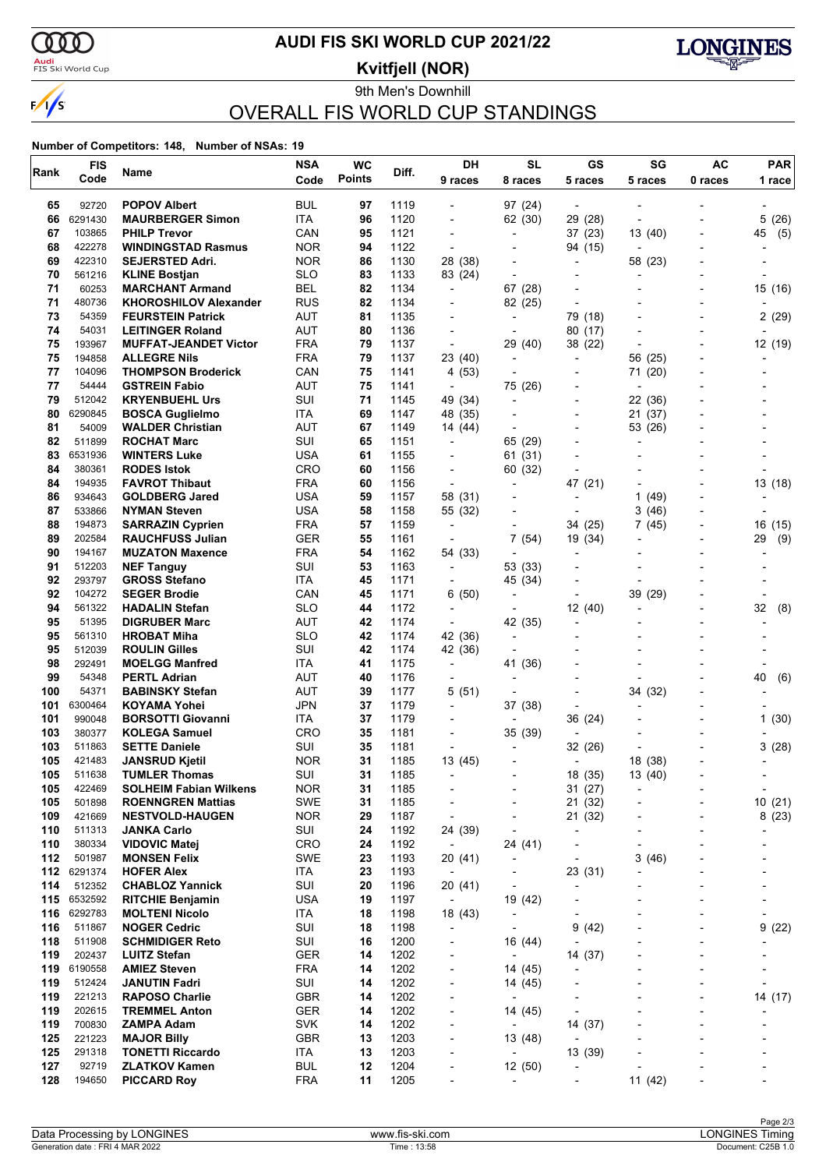

### <mark>Audi</mark><br>FIS Ski World Cup

### **AUDI FIS SKI WORLD CUP 2021/22**

**Kvitfjell (NOR)**



9th Men's Downhill OVERALL FIS WORLD CUP STANDINGS

| Rank       | <b>FIS</b>       | Name                                                | <b>NSA</b>               | <b>WC</b>     | Diff.        | DH                                         | <b>SL</b>                           | GS                                                   | SG                       | <b>AC</b>                | <b>PAR</b>               |
|------------|------------------|-----------------------------------------------------|--------------------------|---------------|--------------|--------------------------------------------|-------------------------------------|------------------------------------------------------|--------------------------|--------------------------|--------------------------|
|            | Code             |                                                     | Code                     | <b>Points</b> |              | 9 races                                    | 8 races                             | 5 races                                              | 5 races                  | 0 races                  | 1 race                   |
| 65         | 92720            | <b>POPOV Albert</b>                                 | BUL                      | 97            | 1119         |                                            | 97 (24)                             | $\blacksquare$                                       |                          |                          |                          |
| 66         | 6291430          | <b>MAURBERGER Simon</b>                             | ITA                      | 96            | 1120         | ÷,                                         | 62 (30)                             | 29 (28)                                              |                          |                          | 5(26)                    |
| 67         | 103865           | <b>PHILP Trevor</b>                                 | CAN                      | 95            | 1121         | $\overline{\phantom{a}}$                   | $\overline{a}$                      | 37 (23)                                              | 13 (40)                  | $\overline{\phantom{0}}$ | 45<br>(5)                |
| 68         | 422278           | <b>WINDINGSTAD Rasmus</b>                           | <b>NOR</b>               | 94            | 1122         | $\overline{\phantom{a}}$                   |                                     | 94 (15)                                              |                          |                          |                          |
| 69         | 422310           | <b>SEJERSTED Adri.</b>                              | <b>NOR</b>               | 86            | 1130         | 28 (38)                                    |                                     |                                                      | 58 (23)                  |                          |                          |
| 70         | 561216           | <b>KLINE Bostjan</b>                                | <b>SLO</b>               | 83            | 1133         | 83 (24)                                    | $\overline{\phantom{a}}$            | $\overline{\phantom{0}}$                             | $\overline{a}$           | $\blacksquare$           |                          |
| 71         | 60253            | <b>MARCHANT Armand</b>                              | BEL                      | 82            | 1134         | $\overline{\phantom{a}}$                   | 67 (28)                             |                                                      |                          |                          | 15 (16)                  |
| 71         | 480736           | <b>KHOROSHILOV Alexander</b>                        | <b>RUS</b>               | 82            | 1134         |                                            | 82 (25)                             | $\overline{\phantom{a}}$                             |                          |                          |                          |
| 73<br>74   | 54359<br>54031   | <b>FEURSTEIN Patrick</b><br><b>LEITINGER Roland</b> | AUT<br><b>AUT</b>        | 81<br>80      | 1135<br>1136 | $\overline{\phantom{a}}$<br>$\blacksquare$ | $\overline{\phantom{a}}$            | 79 (18)<br>80 (17)                                   |                          | $\overline{a}$           | 2(29)                    |
| 75         | 193967           | <b>MUFFAT-JEANDET Victor</b>                        | <b>FRA</b>               | 79            | 1137         | $\overline{\phantom{a}}$                   | 29 (40)                             | 38 (22)                                              |                          |                          | 12 (19)                  |
| 75         | 194858           | <b>ALLEGRE Nils</b>                                 | <b>FRA</b>               | 79            | 1137         | 23 (40)                                    | $\overline{\phantom{a}}$            | $\overline{\phantom{a}}$                             | 56 (25)                  | $\blacksquare$           |                          |
| 77         | 104096           | <b>THOMPSON Broderick</b>                           | CAN                      | 75            | 1141         | 4 (53)                                     |                                     |                                                      | 71 (20)                  |                          |                          |
| 77         | 54444            | <b>GSTREIN Fabio</b>                                | AUT                      | 75            | 1141         | $\overline{\phantom{a}}$                   | 75 (26)                             |                                                      |                          |                          |                          |
| 79         | 512042           | <b>KRYENBUEHL Urs</b>                               | SUI                      | 71            | 1145         | 49 (34)                                    | $\overline{\phantom{a}}$            | $\overline{\phantom{0}}$                             | 22 (36)                  |                          |                          |
| 80         | 6290845          | <b>BOSCA Guglielmo</b>                              | ITA                      | 69            | 1147         | 48 (35)                                    |                                     | $\overline{\phantom{a}}$                             | 21 (37)                  |                          |                          |
| 81         | 54009            | <b>WALDER Christian</b>                             | AUT                      | 67            | 1149         | 14 (44)                                    |                                     |                                                      | 53 (26)                  |                          |                          |
| 82         | 511899           | <b>ROCHAT Marc</b>                                  | SUI                      | 65            | 1151         | $\overline{\phantom{a}}$                   | 65 (29)                             | $\overline{\phantom{0}}$                             | $\overline{\phantom{a}}$ |                          |                          |
| 83         | 6531936          | <b>WINTERS Luke</b>                                 | <b>USA</b>               | 61            | 1155         |                                            | 61 (31)                             |                                                      |                          |                          |                          |
| 84         | 380361           | <b>RODES Istok</b>                                  | <b>CRO</b>               | 60            | 1156         | $\overline{a}$                             | 60 (32)                             |                                                      |                          |                          |                          |
| 84         | 194935           | <b>FAVROT Thibaut</b>                               | <b>FRA</b>               | 60            | 1156         | $\overline{\phantom{a}}$                   | $\overline{\phantom{a}}$            | 47 (21)                                              |                          | $\blacksquare$           | 13 (18)                  |
| 86         | 934643           | <b>GOLDBERG Jared</b>                               | <b>USA</b>               | 59            | 1157         | 58 (31)                                    |                                     | $\overline{a}$                                       | 1<br>(49)                |                          |                          |
| 87         | 533866           | <b>NYMAN Steven</b>                                 | <b>USA</b>               | 58            | 1158         | 55 (32)                                    |                                     |                                                      | 3<br>(46)                |                          |                          |
| 88         | 194873           | <b>SARRAZIN Cyprien</b>                             | <b>FRA</b>               | 57            | 1159         | $\overline{\phantom{a}}$                   | $\blacksquare$                      | 34 (25)                                              | 7<br>(45)                | $\overline{\phantom{0}}$ | 16<br>(15)               |
| 89         | 202584           | <b>RAUCHFUSS Julian</b>                             | <b>GER</b>               | 55            | 1161         | $\overline{\phantom{a}}$                   | 7(54)                               | 19 (34)                                              |                          |                          | 29<br>(9)                |
| 90         | 194167           | <b>MUZATON Maxence</b>                              | <b>FRA</b>               | 54            | 1162         | 54 (33)                                    |                                     |                                                      |                          |                          |                          |
| 91<br>92   | 512203<br>293797 | <b>NEF Tanguy</b><br><b>GROSS Stefano</b>           | SUI<br>ITA               | 53<br>45      | 1163<br>1171 | $\overline{\phantom{a}}$                   | 53 (33)<br>45 (34)                  | $\overline{\phantom{0}}$                             |                          |                          |                          |
| 92         | 104272           | <b>SEGER Brodie</b>                                 | CAN                      | 45            | 1171         | 6 (50)                                     |                                     | ٠                                                    | 39 (29)                  |                          |                          |
| 94         | 561322           | <b>HADALIN Stefan</b>                               | <b>SLO</b>               | 44            | 1172         | $\overline{\phantom{a}}$                   | $\overline{\phantom{a}}$            | 12(40)                                               | $\overline{\phantom{a}}$ | $\overline{\phantom{0}}$ | 32<br>(8)                |
| 95         | 51395            | <b>DIGRUBER Marc</b>                                | AUT                      | 42            | 1174         | $\overline{\phantom{a}}$                   | 42 (35)                             | $\overline{a}$                                       |                          |                          |                          |
| 95         | 561310           | <b>HROBAT Miha</b>                                  | <b>SLO</b>               | 42            | 1174         | 42 (36)                                    | $\overline{\phantom{a}}$            |                                                      |                          |                          |                          |
| 95         | 512039           | <b>ROULIN Gilles</b>                                | SUI                      | 42            | 1174         | 42 (36)                                    | $\overline{\phantom{a}}$            |                                                      |                          |                          |                          |
| 98         | 292491           | <b>MOELGG Manfred</b>                               | ITA                      | 41            | 1175         | $\overline{\phantom{a}}$                   | 41 (36)                             |                                                      |                          |                          |                          |
| 99         | 54348            | <b>PERTL Adrian</b>                                 | AUT                      | 40            | 1176         |                                            |                                     |                                                      |                          |                          | 40<br>(6)                |
| 100        | 54371            | <b>BABINSKY Stefan</b>                              | AUT                      | 39            | 1177         | 5(51)                                      | $\overline{\phantom{a}}$            |                                                      | 34 (32)                  | $\blacksquare$           |                          |
| 101        | 6300464          | <b>KOYAMA Yohei</b>                                 | <b>JPN</b>               | 37            | 1179         | $\overline{\phantom{a}}$                   | 37 (38)                             | $\overline{a}$                                       |                          |                          |                          |
| 101        | 990048           | <b>BORSOTTI Giovanni</b>                            | ITA                      | 37            | 1179         |                                            |                                     | 36 (24)                                              |                          |                          | 1(30)                    |
| 103        | 380377           | <b>KOLEGA Samuel</b>                                | <b>CRO</b>               | 35            | 1181         | $\overline{\phantom{a}}$                   | 35 (39)                             |                                                      |                          | $\overline{\phantom{a}}$ |                          |
| 103        | 511863           | <b>SETTE Daniele</b>                                | SUI                      | 35            | 1181         | L,                                         |                                     | 32 (26)                                              |                          |                          | 3(28)                    |
| 105        | 421483           | <b>JANSRUD Kjetil</b>                               | <b>NOR</b>               | 31            | 1185         | 13 (45)                                    |                                     | $\overline{\phantom{a}}$                             | 18 (38)                  | $\overline{\phantom{a}}$ |                          |
| 105        | 511638           | <b>TUMLER Thomas</b>                                | SUI                      | 31            | 1185         | $\sim$                                     |                                     | 18 (35)                                              | 13 (40)                  |                          |                          |
| 105        | 422469           | <b>SOLHEIM Fabian Wilkens</b>                       | <b>NOR</b>               | 31            | 1185         |                                            |                                     | 31 (27)                                              | $\overline{a}$           |                          | $\overline{\phantom{a}}$ |
| 105<br>109 | 501898<br>421669 | <b>ROENNGREN Mattias</b><br><b>NESTVOLD-HAUGEN</b>  | <b>SWE</b><br><b>NOR</b> | 31<br>29      | 1185<br>1187 | $\overline{a}$<br>$\overline{\phantom{a}}$ |                                     | 21 (32)                                              | $\overline{a}$           | $\overline{a}$           | 10(21)                   |
| 110        | 511313           | JANKA Carlo                                         | SUI                      | 24            | 1192         | 24 (39)                                    |                                     | 21 (32)<br>$\overline{\phantom{a}}$                  |                          |                          | 8(23)                    |
| 110        | 380334           | <b>VIDOVIC Matej</b>                                | <b>CRO</b>               | 24            | 1192         | $\overline{\phantom{a}}$                   | 24 (41)                             | $\overline{\phantom{0}}$                             |                          | $\overline{a}$           |                          |
| 112        | 501987           | <b>MONSEN Felix</b>                                 | SWE                      | 23            | 1193         | 20 (41)                                    | $\overline{\phantom{a}}$            | $\overline{a}$                                       | 3<br>(46)                | -                        |                          |
|            | 112 6291374      | <b>HOFER Alex</b>                                   | ITA                      | 23            | 1193         | $\overline{\phantom{a}}$                   |                                     | 23 (31)                                              |                          |                          |                          |
| 114        | 512352           | <b>CHABLOZ Yannick</b>                              | SUI                      | 20            | 1196         | 20 (41)                                    |                                     | $\overline{\phantom{0}}$                             |                          |                          |                          |
|            | 115 6532592      | <b>RITCHIE Benjamin</b>                             | USA                      | 19            | 1197         | $\sim$                                     | 19 (42)                             | -                                                    |                          | -                        |                          |
| 116        | 6292783          | <b>MOLTENI Nicolo</b>                               | <b>ITA</b>               | 18            | 1198         | 18 (43)                                    | $\overline{\phantom{a}}$            | -                                                    |                          |                          |                          |
| 116        | 511867           | <b>NOGER Cedric</b>                                 | SUI                      | 18            | 1198         | $\overline{\phantom{a}}$                   | $\overline{\phantom{a}}$            | 9(42)                                                |                          | $\overline{a}$           | 9(22)                    |
| 118        | 511908           | <b>SCHMIDIGER Reto</b>                              | SUI                      | 16            | 1200         | $\overline{\phantom{a}}$                   | 16 (44)                             |                                                      |                          | $\overline{\phantom{a}}$ |                          |
| 119        | 202437           | <b>LUITZ Stefan</b>                                 | GER                      | 14            | 1202         | $\overline{\phantom{0}}$                   | $\overline{\phantom{a}}$            | 14 (37)                                              |                          |                          |                          |
| 119        | 6190558          | <b>AMIEZ Steven</b>                                 | <b>FRA</b>               | 14            | 1202         | $\overline{\phantom{a}}$                   | 14 (45)                             |                                                      |                          | ٠                        |                          |
| 119        | 512424           | JANUTIN Fadri                                       | SUI                      | 14            | 1202         | $\overline{\phantom{a}}$                   | 14 (45)                             | -                                                    |                          | -                        | $\overline{\phantom{a}}$ |
| 119        | 221213           | <b>RAPOSO Charlie</b>                               | <b>GBR</b>               | 14            | 1202         | -                                          | $\overline{\phantom{a}}$            | $\overline{a}$                                       |                          |                          | 14 (17)                  |
| 119        | 202615           | <b>TREMMEL Anton</b>                                | <b>GER</b>               | 14            | 1202         | -                                          | 14 (45)                             |                                                      |                          | -                        |                          |
| 119        | 700830           | ZAMPA Adam                                          | <b>SVK</b>               | 14            | 1202         | $\overline{\phantom{a}}$                   | $\overline{\phantom{a}}$            | 14 (37)                                              |                          | $\overline{a}$           |                          |
| 125        | 221223           | <b>MAJOR Billy</b>                                  | <b>GBR</b>               | 13            | 1203         | $\overline{a}$                             | 13 (48)                             | $\overline{\phantom{a}}$                             |                          |                          |                          |
| 125<br>127 | 291318<br>92719  | <b>TONETTI Riccardo</b><br><b>ZLATKOV Kamen</b>     | ITA<br><b>BUL</b>        | 13<br>12      | 1203<br>1204 | $\overline{a}$                             | $\overline{\phantom{a}}$            | 13 (39)                                              |                          |                          |                          |
| 128        | 194650           | <b>PICCARD Roy</b>                                  | <b>FRA</b>               | 11            | 1205         | $\overline{\phantom{a}}$<br>٠              | 12 (50)<br>$\overline{\phantom{a}}$ | $\overline{\phantom{a}}$<br>$\overline{\phantom{0}}$ | 11 (42)                  |                          |                          |
|            |                  |                                                     |                          |               |              |                                            |                                     |                                                      |                          |                          |                          |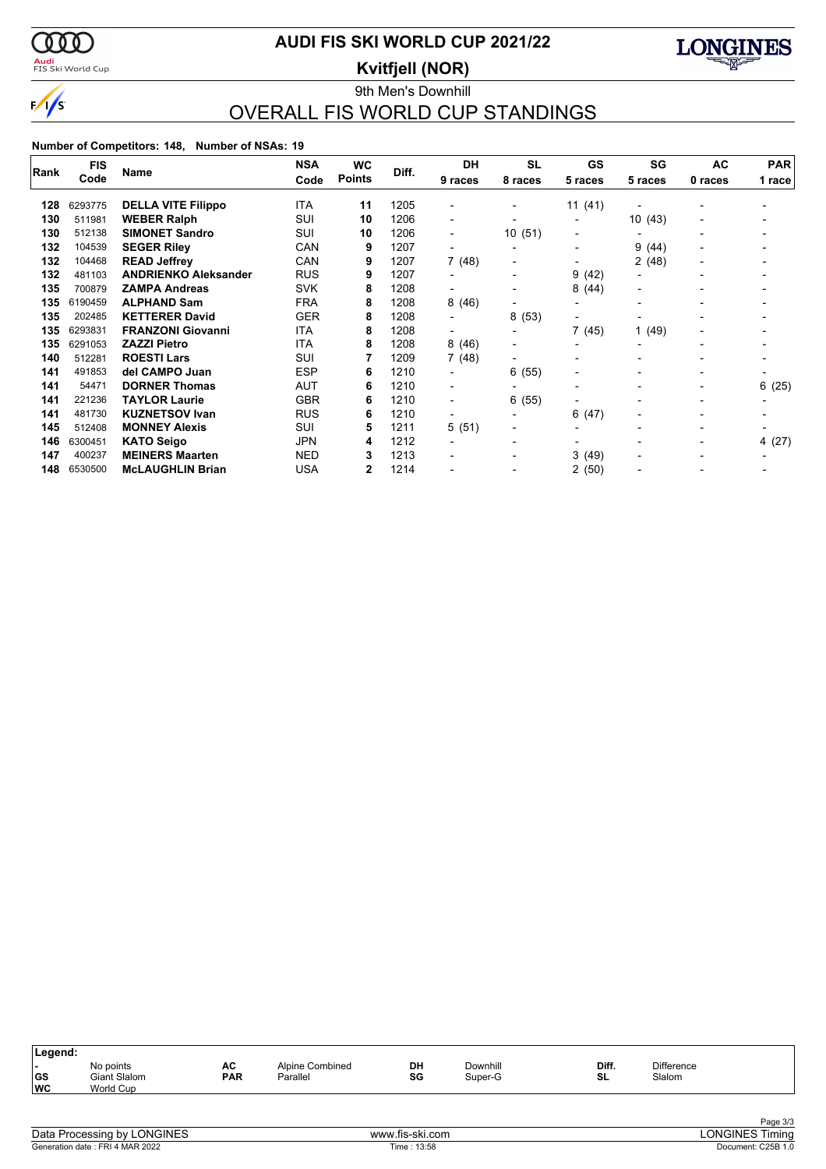

### <mark>Audi</mark><br>FIS Ski World Cup

### **AUDI FIS SKI WORLD CUP 2021/22**

**Kvitfjell (NOR)**



### 9th Men's Downhill OVERALL FIS WORLD CUP STANDINGS

| Rank | <b>FIS</b> | <b>Name</b>                 | <b>NSA</b> | WC            | Diff. | <b>DH</b>                | <b>SL</b>      | <b>GS</b>                | SG                       | <b>AC</b> | <b>PAR</b> |
|------|------------|-----------------------------|------------|---------------|-------|--------------------------|----------------|--------------------------|--------------------------|-----------|------------|
|      | Code       |                             | Code       | <b>Points</b> |       | 9 races                  | 8 races        | 5 races                  | 5 races                  | 0 races   | 1 race     |
| 128  | 6293775    | <b>DELLA VITE Filippo</b>   | ITA        | 11            | 1205  |                          |                | 11(41)                   |                          |           |            |
| 130  | 511981     | <b>WEBER Ralph</b>          | SUI        | 10            | 1206  | $\blacksquare$           |                | $\blacksquare$           | 10(43)                   |           |            |
| 130  | 512138     | <b>SIMONET Sandro</b>       | SUI        | 10            | 1206  | $\overline{\phantom{0}}$ | 10(51)         | -                        |                          |           |            |
| 132  | 104539     | <b>SEGER Riley</b>          | CAN        | 9             | 1207  | $\overline{\phantom{a}}$ |                | -                        | 9<br>(44)                |           |            |
| 132  | 104468     | <b>READ Jeffrey</b>         | CAN        | 9             | 1207  | 7(48)                    | -              | $\blacksquare$           | 2(48)                    |           |            |
| 132  | 481103     | <b>ANDRIENKO Aleksander</b> | <b>RUS</b> | 9             | 1207  |                          | -              | 9(42)                    | $\blacksquare$           |           |            |
| 135  | 700879     | <b>ZAMPA Andreas</b>        | <b>SVK</b> | 8             | 1208  | $\overline{\phantom{a}}$ | -              | 8(44)                    | $\blacksquare$           |           |            |
| 135  | 6190459    | <b>ALPHAND Sam</b>          | <b>FRA</b> | 8             | 1208  | 8(46)                    | -              | $\blacksquare$           | $\overline{\phantom{0}}$ |           |            |
| 135  | 202485     | <b>KETTERER David</b>       | <b>GER</b> | 8             | 1208  |                          | 8(53)          |                          |                          |           |            |
| 135  | 6293831    | <b>FRANZONI Giovanni</b>    | <b>ITA</b> | 8             | 1208  | $\overline{\phantom{a}}$ | -              | 7 (45)                   | (49)                     |           |            |
| 135  | 6291053    | <b>ZAZZI Pietro</b>         | <b>ITA</b> | 8             | 1208  | 8(46)                    | -              |                          |                          |           |            |
| 140  | 512281     | <b>ROESTI Lars</b>          | SUI        |               | 1209  | 7(48)                    | $\blacksquare$ | $\overline{\phantom{0}}$ | $\overline{\phantom{0}}$ |           |            |
| 141  | 491853     | del CAMPO Juan              | <b>ESP</b> | 6             | 1210  | $\blacksquare$           | 6(55)          | $\blacksquare$           | -                        |           |            |
| 141  | 54471      | <b>DORNER Thomas</b>        | AUT        | 6             | 1210  | $\overline{\phantom{a}}$ |                | $\overline{\phantom{0}}$ | -                        |           | 6(25)      |
| 141  | 221236     | <b>TAYLOR Laurie</b>        | <b>GBR</b> | 6             | 1210  | $\blacksquare$           | 6(55)          |                          |                          |           |            |
| 141  | 481730     | <b>KUZNETSOV Ivan</b>       | <b>RUS</b> | 6             | 1210  |                          |                | 6(47)                    | $\overline{\phantom{0}}$ |           |            |
| 145  | 512408     | <b>MONNEY Alexis</b>        | SUI        | 5             | 1211  | 5 (51)                   | $\blacksquare$ | $\overline{\phantom{0}}$ | $\overline{\phantom{0}}$ |           |            |
| 146  | 6300451    | <b>KATO Seigo</b>           | JPN        | 4             | 1212  | $\blacksquare$           | -              | $\overline{\phantom{0}}$ | $\blacksquare$           |           | 4 (27)     |
| 147  | 400237     | <b>MEINERS Maarten</b>      | <b>NED</b> | 3             | 1213  |                          |                | 3(49)                    |                          |           |            |
| 148  | 6530500    | <b>McLAUGHLIN Brian</b>     | <b>USA</b> | 2             | 1214  |                          |                | 2(50)                    |                          |           |            |

| Legend:                 |                                        |                  |                             |          |                     |             |                             |
|-------------------------|----------------------------------------|------------------|-----------------------------|----------|---------------------|-------------|-----------------------------|
| . .<br> GS<br><b>WC</b> | No points<br>Giant Slalom<br>World Cup | AC<br><b>PAR</b> | Alpine Combined<br>Parallel | DH<br>SG | Downhill<br>Super-G | Diff.<br>SL | <b>Difference</b><br>Slalom |
|                         |                                        |                  |                             |          |                     |             |                             |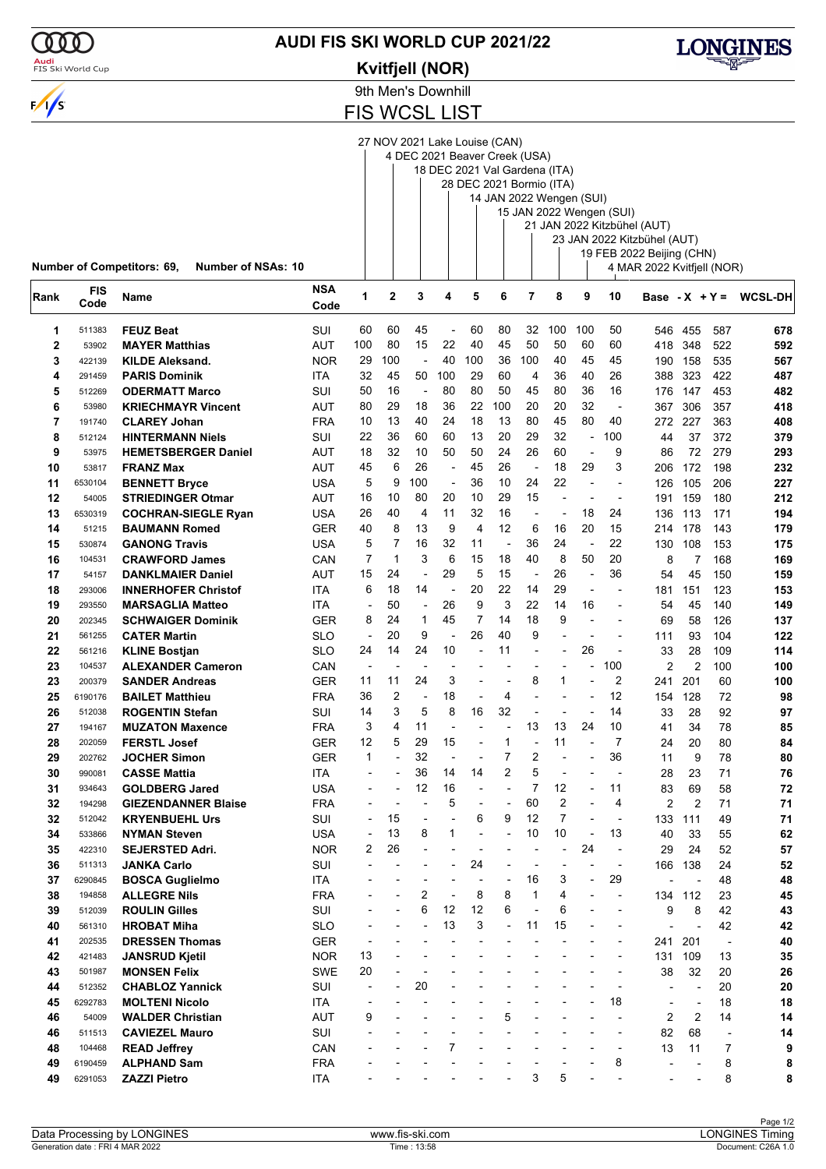

### **AUDI FIS SKI WORLD CUP 2021/22**

#### **Kvitfjell (NOR)**



9th Men's Downhill

FIS WCSL LIST

27 NOV 2021 Lake Louise (CAN)

4 DEC 2021 Beaver Creek (USA)

18 DEC 2021 Val Gardena (ITA) 28 DEC 2021 Bormio (ITA)

|             |                 | <b>Number of Competitors: 69,</b><br><b>Number of NSAs: 10</b> |             |                          |                  |                |                          |                          |                      |                          |                          |                                  |                          | 21 JAN 2022 Kitzbühel (AUT)<br>23 JAN 2022 Kitzbühel (AUT)<br>19 FEB 2022 Beijing (CHN)<br>4 MAR 2022 Kvitfjell (NOR) |                      |                          |                |
|-------------|-----------------|----------------------------------------------------------------|-------------|--------------------------|------------------|----------------|--------------------------|--------------------------|----------------------|--------------------------|--------------------------|----------------------------------|--------------------------|-----------------------------------------------------------------------------------------------------------------------|----------------------|--------------------------|----------------|
| Rank        | FIS<br>Code     | Name                                                           | NSA<br>Code | 1                        | $\mathbf 2$      | 3              | 4                        | 5                        | 6                    | 7                        | 8                        | 9                                | 10                       | Base - $X + Y =$                                                                                                      |                      |                          | <b>WCSL-DH</b> |
| 1           | 511383          | <b>FEUZ Beat</b>                                               | SUI         | 60                       | 60               | 45             |                          | 60                       | 80                   | 32                       | 100                      | 100                              | 50                       | 546                                                                                                                   | 455                  | 587                      | 678            |
| $\mathbf 2$ | 53902           | <b>MAYER Matthias</b>                                          | AUT         | 100                      | 80               | 15             | 22                       | 40                       | 45                   | 50                       | 50                       | 60                               | 60                       | 418                                                                                                                   | 348                  | 522                      | 592            |
| 3           | 422139          | <b>KILDE Aleksand.</b>                                         | <b>NOR</b>  | 29                       | 100              | $\blacksquare$ | 40                       | 100                      | 36                   | 100                      | 40                       | 45                               | 45                       | 190                                                                                                                   | 158                  | 535                      | 567            |
| 4           | 291459          | <b>PARIS Dominik</b>                                           | ITA         | 32                       | 45               | 50             | 100                      | 29                       | 60                   | 4                        | 36                       | 40                               | 26                       | 388                                                                                                                   | 323                  | 422                      | 487            |
| 5           | 512269          | <b>ODERMATT Marco</b>                                          | SUI         | 50                       | 16               | ÷,             | 80                       | 80                       | 50                   | 45                       | 80                       | 36                               | 16                       | 176                                                                                                                   | 147                  | 453                      | 482            |
| 6           | 53980           | <b>KRIECHMAYR Vincent</b>                                      | AUT         | 80                       | 29               | 18             | 36                       | 22                       | 100                  | 20                       | 20                       | 32                               | $\overline{\phantom{a}}$ | 367                                                                                                                   | 306                  | 357                      | 418            |
| 7           | 191740          | <b>CLAREY Johan</b>                                            | <b>FRA</b>  | 10                       | 13               | 40             | 24                       | 18                       | 13                   | 80                       | 45                       | 80                               | 40                       | 272.                                                                                                                  | 227                  | 363                      | 408            |
| 8           | 512124          | <b>HINTERMANN Niels</b>                                        | SUI         | 22                       | 36               | 60             | 60                       | 13                       | 20                   | 29                       | 32                       | $\overline{a}$                   | 100                      | 44                                                                                                                    | 37                   | 372                      | 379            |
| 9           | 53975           | <b>HEMETSBERGER Daniel</b>                                     | AUT         | 18                       | 32               | 10             | 50                       | 50                       | 24                   | 26                       | 60                       | L,                               | 9                        | 86                                                                                                                    | 72                   | 279                      | 293            |
| 10          | 53817           | <b>FRANZ Max</b>                                               | AUT         | 45                       | 6                | 26             | $\overline{\phantom{a}}$ | 45                       | 26                   | $\overline{\phantom{a}}$ | 18                       | 29                               | 3                        | 206                                                                                                                   | 172                  | 198                      | 232            |
| 11          | 6530104         | <b>BENNETT Bryce</b>                                           | USA         | 5                        | 9                | 100            | ÷,                       | 36                       | 10                   | 24                       | 22                       | $\overline{a}$                   |                          | 126                                                                                                                   | 105                  | 206                      | 227            |
| 12          | 54005           | <b>STRIEDINGER Otmar</b>                                       | AUT         | 16                       | 10               | 80             | 20                       | 10                       | 29                   | 15                       | ÷,                       | $\overline{a}$                   | $\blacksquare$           | 191                                                                                                                   | 159                  | 180                      | 212            |
| 13          | 6530319         | <b>COCHRAN-SIEGLE Ryan</b>                                     | USA         | 26                       | 40               | 4              | 11                       | 32                       | 16                   | $\overline{\phantom{a}}$ | $\overline{\phantom{a}}$ | 18                               | 24                       | 136                                                                                                                   | 113                  | 171                      | 194            |
| 14          | 51215           | <b>BAUMANN Romed</b>                                           | GER         | 40                       | 8                | 13<br>16       | 9<br>32                  | 4<br>11                  | 12<br>$\overline{a}$ | 6<br>36                  | 16<br>24                 | 20                               | 15<br>22                 | 214                                                                                                                   | 178                  | 143                      | 179            |
| 15          | 530874          | <b>GANONG Travis</b>                                           | USA         | 5<br>$\overline{7}$      | 7<br>$\mathbf 1$ | 3              | 6                        | 15                       | 18                   | 40                       | 8                        | L,<br>50                         | 20                       | 130                                                                                                                   | 108                  | 153                      | 175            |
| 16<br>17    | 104531          | <b>CRAWFORD James</b>                                          | CAN         | 15                       | 24               | L,             | 29                       | 5                        | 15                   | ÷,                       | 26                       |                                  | 36                       | 8                                                                                                                     | $\overline{7}$<br>45 | 168<br>150               | 169<br>159     |
| 18          | 54157<br>293006 | <b>DANKLMAIER Daniel</b><br><b>INNERHOFER Christof</b>         | AUT<br>ITA  | 6                        | 18               | 14             | $\overline{\phantom{a}}$ | 20                       | 22                   | 14                       | 29                       | $\overline{a}$<br>$\overline{a}$ |                          | 54<br>181                                                                                                             | 151                  | 123                      | 153            |
| 19          | 293550          | <b>MARSAGLIA Matteo</b>                                        | ITA         | $\overline{a}$           | 50               | $\overline{a}$ | 26                       | 9                        | 3                    | 22                       | 14                       | 16                               |                          | 54                                                                                                                    | 45                   | 140                      | 149            |
| 20          | 202345          | <b>SCHWAIGER Dominik</b>                                       | <b>GER</b>  | 8                        | 24               | 1              | 45                       | 7                        | 14                   | 18                       | 9                        |                                  |                          | 69                                                                                                                    | 58                   | 126                      | 137            |
| 21          | 561255          | <b>CATER Martin</b>                                            | SLO         | $\overline{a}$           | 20               | 9              |                          | 26                       | 40                   | 9                        |                          |                                  | $\overline{a}$           | 111                                                                                                                   | 93                   | 104                      | 122            |
| 22          | 561216          | <b>KLINE Bostjan</b>                                           | SLO         | 24                       | 14               | 24             | 10                       | $\overline{a}$           | 11                   | $\overline{a}$           | $\blacksquare$           | 26                               | $\blacksquare$           | 33                                                                                                                    | 28                   | 109                      | 114            |
| 23          | 104537          | <b>ALEXANDER Cameron</b>                                       | CAN         | $\overline{\phantom{a}}$ | Ĭ.               |                |                          |                          |                      | $\overline{\phantom{a}}$ |                          |                                  | 100                      | $\overline{2}$                                                                                                        | $\overline{2}$       | 100                      | 100            |
| 23          | 200379          | <b>SANDER Andreas</b>                                          | GER         | 11                       | 11               | 24             | 3                        | $\overline{\phantom{a}}$ |                      | 8                        | 1                        |                                  | $\overline{2}$           | 241                                                                                                                   | 201                  | 60                       | 100            |
| 25          | 6190176         | <b>BAILET Matthieu</b>                                         | <b>FRA</b>  | 36                       | 2                | $\overline{a}$ | 18                       | $\overline{\phantom{a}}$ | 4                    | $\overline{a}$           |                          |                                  | 12                       | 154                                                                                                                   | 128                  | 72                       | 98             |
| 26          | 512038          | <b>ROGENTIN Stefan</b>                                         | SUI         | 14                       | 3                | 5              | 8                        | 16                       | 32                   |                          |                          |                                  | 14                       | 33                                                                                                                    | 28                   | 92                       | 97             |
| 27          | 194167          | <b>MUZATON Maxence</b>                                         | <b>FRA</b>  | 3                        | 4                | 11             |                          | $\overline{a}$           |                      | 13                       | 13                       | 24                               | 10                       | 41                                                                                                                    | 34                   | 78                       | 85             |
| 28          | 202059          | <b>FERSTL Josef</b>                                            | GER         | 12                       | 5                | 29             | 15                       | $\overline{\phantom{a}}$ | $\mathbf{1}$         | ÷,                       | 11                       | $\overline{a}$                   | $\overline{7}$           | 24                                                                                                                    | 20                   | 80                       | 84             |
| 29          | 202762          | <b>JOCHER Simon</b>                                            | <b>GER</b>  | 1                        |                  | 32             | ÷,                       | $\overline{\phantom{a}}$ | $\overline{7}$       | 2                        |                          | $\overline{a}$                   | 36                       | 11                                                                                                                    | 9                    | 78                       | 80             |
| 30          | 990081          | <b>CASSE Mattia</b>                                            | <b>ITA</b>  | $\overline{\phantom{a}}$ |                  | 36             | 14                       | 14                       | 2                    | 5                        | $\blacksquare$           | $\overline{a}$                   | $\overline{\phantom{a}}$ | 28                                                                                                                    | 23                   | 71                       | 76             |
| 31          | 934643          | <b>GOLDBERG Jared</b>                                          | USA         |                          |                  | 12             | 16                       | $\overline{a}$           |                      | 7                        | 12                       |                                  | 11                       | 83                                                                                                                    | 69                   | 58                       | 72             |
| 32          | 194298          | <b>GIEZENDANNER Blaise</b>                                     | <b>FRA</b>  |                          |                  |                | 5                        |                          |                      | 60                       | $\overline{2}$           |                                  | 4                        | 2                                                                                                                     | $\overline{2}$       | 71                       | 71             |
| 32          | 512042          | <b>KRYENBUEHL Urs</b>                                          | SUI         |                          | 15               |                |                          | 6                        | 9                    | 12                       | $\overline{ }$           |                                  |                          | 133                                                                                                                   | 111                  | 49                       | 71             |
| 34          | 533866          | <b>NYMAN Steven</b>                                            | <b>USA</b>  | $\overline{a}$           | 13               | 8              | 1                        | $\overline{a}$           |                      | 10                       | 10                       | ÷,                               | 13                       | 40                                                                                                                    | 33                   | 55                       | 62             |
| 35          | 422310          | <b>SEJERSTED Adri.</b>                                         | <b>NOR</b>  | 2                        | 26               |                |                          |                          |                      |                          | ٠                        | 24                               | $\blacksquare$           | 29                                                                                                                    | 24                   | 52                       | 57             |
| 36          | 511313          | JANKA Carlo                                                    | SUI         | L,                       |                  |                | $\overline{a}$           | 24                       |                      | $\overline{\phantom{a}}$ | $\overline{\phantom{a}}$ | $\blacksquare$                   | $\overline{\phantom{a}}$ | 166                                                                                                                   | 138                  | 24                       | 52             |
| 37          | 6290845         | <b>BOSCA Guglielmo</b>                                         | ITA         |                          |                  |                |                          |                          |                      | 16                       | 3                        | ÷,                               | 29                       |                                                                                                                       | $\blacksquare$       | 48                       | 48             |
| 38          | 194858          | <b>ALLEGRE Nils</b>                                            | <b>FRA</b>  |                          |                  | 2              |                          | 8                        | 8                    | $\mathbf{1}$             | 4                        |                                  | $\overline{\phantom{a}}$ | 134                                                                                                                   | 112                  | 23                       | 45             |
| 39          | 512039          | <b>ROULIN Gilles</b>                                           | SUI         |                          |                  | 6              | 12                       | 12                       | 6                    |                          | 6                        |                                  | $\overline{a}$           | 9                                                                                                                     | 8                    | 42                       | 43             |
| 40          | 561310          | <b>HROBAT Miha</b>                                             | <b>SLO</b>  |                          |                  |                | 13                       | 3                        | $\overline{a}$       | 11                       | 15                       |                                  | $\overline{a}$           |                                                                                                                       | ÷,                   | 42                       | 42             |
| 41          | 202535          | <b>DRESSEN Thomas</b>                                          | <b>GER</b>  |                          |                  |                |                          | $\overline{a}$           |                      |                          |                          |                                  |                          | 241                                                                                                                   | 201                  | $\overline{\phantom{a}}$ | 40             |
| 42          | 421483          | <b>JANSRUD Kjetil</b>                                          | <b>NOR</b>  | 13                       |                  |                |                          |                          |                      |                          |                          |                                  |                          | 131                                                                                                                   | 109                  | 13                       | 35             |
| 43          | 501987          | <b>MONSEN Felix</b>                                            | SWE         | 20                       |                  |                |                          |                          |                      |                          |                          |                                  |                          | 38                                                                                                                    | 32                   | 20                       | 26             |
| 44          | 512352          | <b>CHABLOZ Yannick</b>                                         | SUI         |                          |                  | 20             |                          |                          |                      |                          |                          |                                  |                          |                                                                                                                       | ÷,                   | 20                       | 20             |
| 45          | 6292783         | <b>MOLTENI Nicolo</b>                                          | <b>ITA</b>  |                          |                  |                |                          |                          |                      |                          |                          |                                  | 18                       | L,                                                                                                                    | ÷,                   | 18                       | 18             |
| 46          | 54009           | <b>WALDER Christian</b>                                        | AUT         | 9                        |                  |                |                          |                          | 5                    |                          |                          |                                  |                          | 2                                                                                                                     | $\overline{2}$       | 14                       | 14             |
| 46          | 511513          | <b>CAVIEZEL Mauro</b>                                          | SUI         |                          |                  |                |                          |                          |                      |                          |                          |                                  |                          | 82                                                                                                                    | 68                   | $\overline{a}$           | 14             |
| 48          | 104468          | <b>READ Jeffrey</b>                                            | CAN         |                          |                  |                | $\overline{7}$           |                          |                      |                          |                          |                                  | $\overline{a}$           | 13                                                                                                                    | 11                   | 7                        | 9              |
| 49          | 6190459         | <b>ALPHAND Sam</b>                                             | <b>FRA</b>  |                          |                  |                |                          |                          |                      |                          |                          |                                  | 8                        |                                                                                                                       |                      | 8                        | 8              |
| 49          | 6291053         | <b>ZAZZI Pietro</b>                                            | <b>ITA</b>  |                          |                  |                |                          |                          |                      | 3                        | 5                        |                                  |                          |                                                                                                                       |                      | 8                        | 8              |

Generation date : FRI 4 MAR 2022 Time : 13:58 Document: C26A 1.0 Data Processing by LONGINES www.fis-ski.com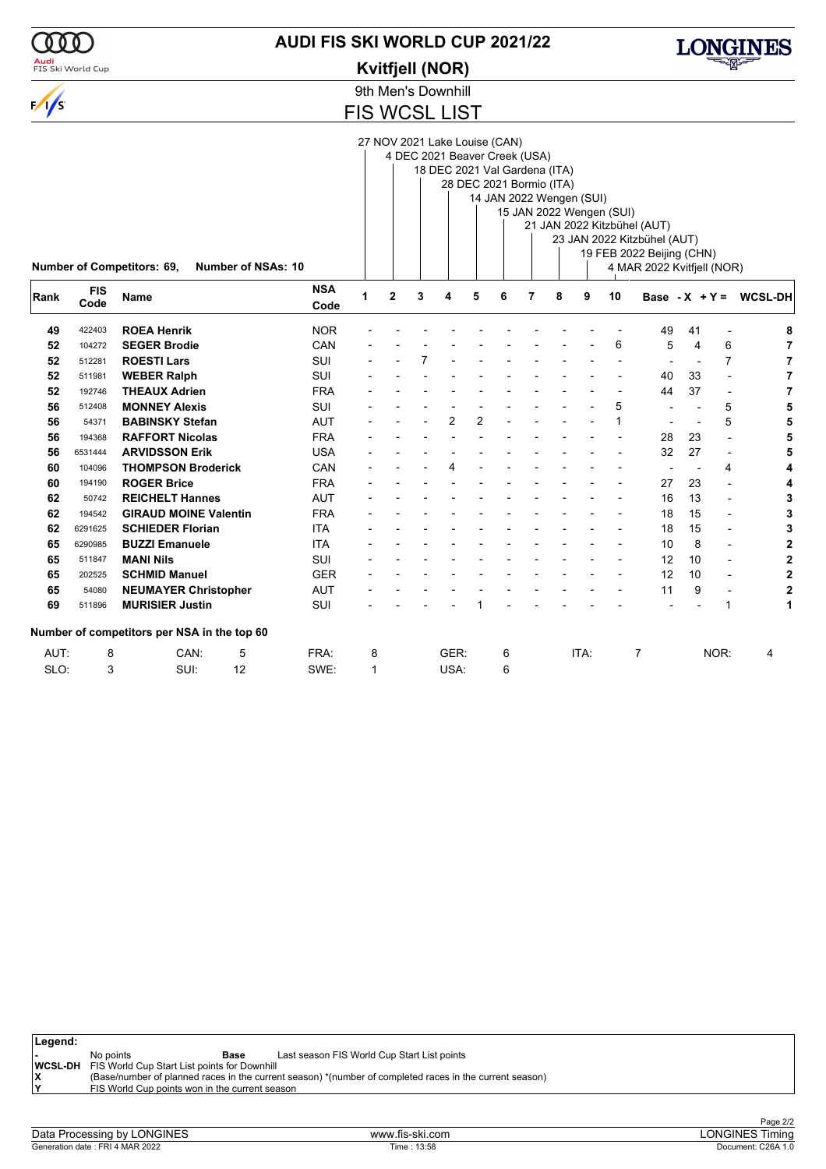

### **AUDI FIS SKI WORLD CUP 2021/22**

#### **Kvitfjell (NOR)**



9th Men's Downhill

FIS WCSL LIST

27 NOV 2021 Lake Louise (CAN)

4 DEC 2021 Beaver Creek (USA)

18 DEC 2021 Val Gardena (ITA)  $\overline{\phantom{a}}$ 

| 28 DEC 2021 Bormio (ITA)       |
|--------------------------------|
| $11$ IANI 2022 Wannan $\alpha$ |

|      |                    | <b>Number of Competitors: 69,</b><br>Number of NSAs: 10 |                    |              |   |   | 14 JAN 2022 Wengen (SUI) |   |   | 15 JAN 2022 Wengen (SUI) | 21 JAN 2022 Kitzbühel (AUT)<br>23 JAN 2022 Kitzbühel (AUT)<br>19 FEB 2022 Beijing (CHN)<br>4 MAR 2022 Kvitfjell (NOR) |                  |    |                          |                |
|------|--------------------|---------------------------------------------------------|--------------------|--------------|---|---|--------------------------|---|---|--------------------------|-----------------------------------------------------------------------------------------------------------------------|------------------|----|--------------------------|----------------|
| Rank | <b>FIS</b><br>Code | <b>Name</b>                                             | <b>NSA</b><br>Code | $\mathbf{2}$ | 4 | 5 | 6                        | 7 | 8 | 9                        | 10                                                                                                                    | Base - $X + Y =$ |    |                          | <b>WCSL-DH</b> |
| 49   | 422403             | <b>ROEA Henrik</b>                                      | <b>NOR</b>         |              |   |   |                          |   |   |                          |                                                                                                                       | 49               | 41 |                          |                |
| 52   | 104272             | <b>SEGER Brodie</b>                                     | CAN                |              |   |   |                          |   |   |                          | 6                                                                                                                     | 5                | 4  | 6                        |                |
| 52   | 512281             | <b>ROESTI Lars</b>                                      | <b>SUI</b>         |              |   |   |                          |   |   |                          |                                                                                                                       |                  |    | 7                        |                |
| 52   | 511981             | <b>WEBER Ralph</b>                                      | <b>SUI</b>         |              |   |   |                          |   |   |                          |                                                                                                                       | 40               | 33 |                          |                |
| 52   | 192746             | <b>THEAUX Adrien</b>                                    | <b>FRA</b>         |              |   |   |                          |   |   |                          |                                                                                                                       | 44               | 37 | $\overline{\phantom{a}}$ |                |
| 56   | 512408             | <b>MONNEY Alexis</b>                                    | <b>SUI</b>         |              |   |   |                          |   |   |                          | 5                                                                                                                     |                  |    | 5                        |                |
| 56   | 54371              | <b>BABINSKY Stefan</b>                                  | <b>AUT</b>         |              | 2 | 2 |                          |   |   |                          |                                                                                                                       |                  |    | 5                        |                |
| 56   | 194368             | <b>RAFFORT Nicolas</b>                                  | <b>FRA</b>         |              |   |   |                          |   |   |                          |                                                                                                                       | 28               | 23 |                          |                |
| 56   | 6531444            | <b>ARVIDSSON Erik</b>                                   | <b>USA</b>         |              |   |   |                          |   |   |                          |                                                                                                                       | 32               | 27 |                          |                |
| 60   | 104096             | <b>THOMPSON Broderick</b>                               | CAN                |              |   |   |                          |   |   |                          |                                                                                                                       |                  |    | 4                        |                |
| 60   | 194190             | <b>ROGER Brice</b>                                      | <b>FRA</b>         |              |   |   |                          |   |   |                          |                                                                                                                       | 27               | 23 |                          | 4              |

 50742 **REICHELT Hannes** AUT - - - - - - - - - - 16 13 - **3** 194542 **GIRAUD MOINE Valentin** FRA - - - - - - - - - - 18 15 - **3** 6291625 **SCHIEDER Florian** ITA - - - - - - - - - - 18 15 - **3** 6290985 **BUZZI Emanuele** ITA - - - - - - - - - - 10 8 - **2** 511847 **MANI Nils** SUI - - - - - - - - - - 12 10 - **2** 202525 **SCHMID Manuel** GER - - - - - - - - - - 12 10 - **2** 54080 **NEUMAYER Christopher** AUT - - - - - - - - - - 11 9 - **2** 511896 **MURISIER Justin** SUI - - - - 1 - - - - - - - 1 **1**

AUT: 8 CAN: 5 FRA: 8 GER: 6 ITA: 7 NOR: 4

SLO: 3 SUI: 12 SWE: 1 USA: 6

| Legend: |                                                             |                                                |                                                                                                         |
|---------|-------------------------------------------------------------|------------------------------------------------|---------------------------------------------------------------------------------------------------------|
|         | No points                                                   | Base                                           | Last season FIS World Cup Start List points                                                             |
|         | <b>WCSL-DH</b> FIS World Cup Start List points for Downhill |                                                |                                                                                                         |
|         |                                                             |                                                | (Base/number of planned races in the current season) *(number of completed races in the current season) |
| lv      |                                                             | FIS World Cup points won in the current season |                                                                                                         |

| Data<br><b>ONGINES</b><br>rocessina<br>hv.<br>≁r∩r | www.fis-ski.com | ONGINE<br>iminc  |
|----------------------------------------------------|-----------------|------------------|
| 4 MAR 2022                                         | l ime :         | C <sub>26A</sub> |
| Generation date:                                   | 13:58           | Document:        |
| FRI 4                                              |                 | 1. I .U          |

**Number of competitors per NSA in the top 60**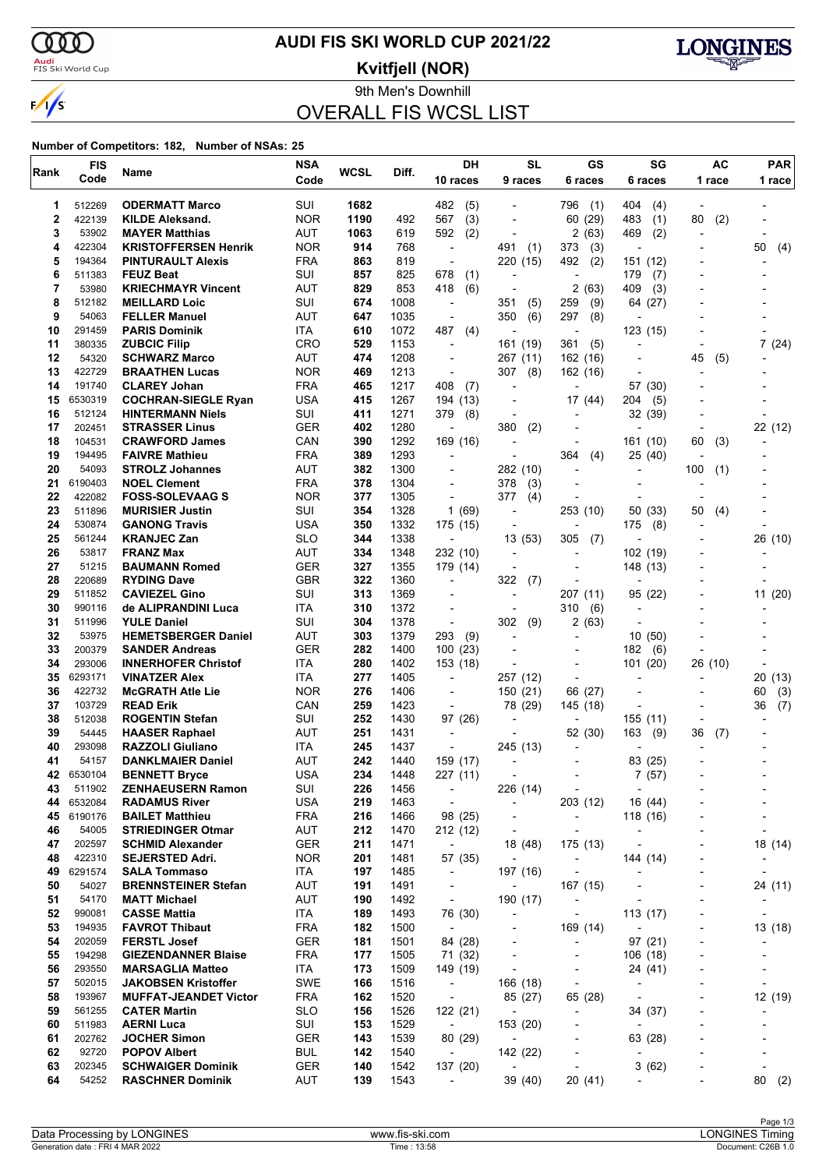$\alpha\alpha$ 

 $\sqrt{s}$ 

### <mark>Audi</mark><br>FIS Ski World Cup

# **AUDI FIS SKI WORLD CUP 2021/22**

**Kvitfjell (NOR)**



9th Men's Downhill

## OVERALL FIS WCSL LIST

| Rank     | <b>FIS</b>        | Name                                              | <b>NSA</b>               | WCSL       | Diff.        | DH                                  | <b>SL</b>                            | GS                                       | SG                       | AC                       | <b>PAR</b>               |
|----------|-------------------|---------------------------------------------------|--------------------------|------------|--------------|-------------------------------------|--------------------------------------|------------------------------------------|--------------------------|--------------------------|--------------------------|
|          | Code              |                                                   | Code                     |            |              | 10 races                            | 9 races                              | 6 races                                  | 6 races                  | 1 race                   | 1 race                   |
| 1        | 512269            | <b>ODERMATT Marco</b>                             | SUI                      | 1682       |              | 482<br>(5)                          |                                      | 796<br>(1)                               | 404<br>(4)               |                          |                          |
| 2        | 422139            | <b>KILDE Aleksand.</b>                            | <b>NOR</b>               | 1190       | 492          | 567<br>(3)                          | $\overline{a}$                       | (29)<br>60                               | 483<br>(1)               | 80<br>(2)                |                          |
| 3        | 53902             | <b>MAYER Matthias</b>                             | AUT                      | 1063       | 619          | (2)<br>592                          |                                      | 2<br>(63)                                | 469<br>(2)               |                          |                          |
| 4        | 422304            | <b>KRISTOFFERSEN Henrik</b>                       | <b>NOR</b>               | 914        | 768          | $\blacksquare$                      | 491<br>(1)                           | (3)<br>373                               | $\overline{\phantom{a}}$ |                          | 50<br>(4)                |
| 5        | 194364            | <b>PINTURAULT Alexis</b>                          | <b>FRA</b>               | 863        | 819          | $\overline{\phantom{a}}$            | 220<br>(15)                          | 492<br>(2)                               | 151 (12)                 |                          |                          |
| 6        | 511383            | <b>FEUZ Beat</b>                                  | SUI                      | 857        | 825          | 678<br>(1)                          | $\overline{a}$                       | ٠                                        | 179<br>(7)               |                          |                          |
| 7        | 53980             | <b>KRIECHMAYR Vincent</b>                         | AUT                      | 829        | 853          | 418<br>(6)                          |                                      | 2<br>(63)                                | 409<br>(3)               |                          |                          |
| 8        | 512182            | <b>MEILLARD Loic</b>                              | SUI                      | 674        | 1008         | $\overline{\phantom{a}}$            | 351<br>(5)                           | 259<br>(9)                               | 64 (27)                  |                          |                          |
| 9        | 54063             | <b>FELLER Manuel</b>                              | AUT                      | 647        | 1035         | $\overline{a}$                      | (6)<br>350                           | 297<br>(8)                               |                          |                          |                          |
| 10       | 291459            | <b>PARIS Dominik</b>                              | ITA                      | 610        | 1072         | 487<br>(4)                          | $\overline{a}$                       | $\overline{\phantom{a}}$                 | 123 (15)                 |                          |                          |
| 11       | 380335            | <b>ZUBCIC Filip</b>                               | <b>CRO</b>               | 529        | 1153         | ÷,                                  | 161 (19)                             | 361<br>(5)                               |                          |                          | 7(24)                    |
| 12       | 54320             | <b>SCHWARZ Marco</b>                              | AUT                      | 474        | 1208         | $\overline{\phantom{a}}$            | 267 (11)                             | 162 (16)                                 |                          | 45<br>(5)                |                          |
| 13<br>14 | 422729<br>191740  | <b>BRAATHEN Lucas</b>                             | <b>NOR</b><br><b>FRA</b> | 469<br>465 | 1213<br>1217 | $\overline{\phantom{a}}$<br>408     | 307<br>(8)<br>$\overline{a}$         | 162 (16)                                 |                          |                          |                          |
| 15       | 6530319           | <b>CLAREY Johan</b><br><b>COCHRAN-SIEGLE Ryan</b> | <b>USA</b>               | 415        | 1267         | (7)<br>194 (13)                     | $\overline{a}$                       | 17 (44)                                  | 57 (30)<br>204<br>(5)    |                          |                          |
| 16       | 512124            | <b>HINTERMANN Niels</b>                           | SUI                      | 411        | 1271         | 379<br>(8)                          |                                      |                                          | 32 (39)                  |                          |                          |
| 17       | 202451            | <b>STRASSER Linus</b>                             | <b>GER</b>               | 402        | 1280         | ÷,                                  | 380<br>(2)                           |                                          |                          |                          | 22 (12)                  |
| 18       | 104531            | <b>CRAWFORD James</b>                             | CAN                      | 390        | 1292         | 169 (16)                            | ÷                                    |                                          | 161 (10)                 | 60<br>(3)                |                          |
| 19       | 194495            | <b>FAIVRE Mathieu</b>                             | <b>FRA</b>               | 389        | 1293         | $\blacksquare$                      |                                      | 364<br>(4)                               | 25 (40)                  |                          |                          |
| 20       | 54093             | <b>STROLZ Johannes</b>                            | AUT                      | 382        | 1300         | $\overline{a}$                      | 282 (10)                             | ٠                                        | Ĭ.                       | 100<br>(1)               |                          |
| 21       | 6190403           | <b>NOEL Clement</b>                               | <b>FRA</b>               | 378        | 1304         | $\overline{a}$                      | 378<br>(3)                           |                                          |                          |                          |                          |
| 22       | 422082            | <b>FOSS-SOLEVAAG S</b>                            | <b>NOR</b>               | 377        | 1305         | $\blacksquare$                      | 377<br>(4)                           |                                          |                          |                          |                          |
| 23       | 511896            | <b>MURISIER Justin</b>                            | SUI                      | 354        | 1328         | 1(69)                               | $\overline{a}$                       | 253 (10)                                 | 50 (33)                  | 50<br>(4)                |                          |
| 24       | 530874            | <b>GANONG Travis</b>                              | <b>USA</b>               | 350        | 1332         | 175 (15)                            | $\blacksquare$                       |                                          | 175<br>(8)               |                          |                          |
| 25       | 561244            | <b>KRANJEC Zan</b>                                | <b>SLO</b>               | 344        | 1338         | $\overline{a}$                      | 13(53)                               | 305<br>(7)                               |                          |                          | 26 (10)                  |
| 26       | 53817             | <b>FRANZ Max</b>                                  | AUT                      | 334        | 1348         | 232 (10)                            | $\overline{a}$                       |                                          | 102 (19)                 |                          |                          |
| 27       | 51215             | <b>BAUMANN Romed</b>                              | <b>GER</b>               | 327        | 1355         | 179 (14)                            |                                      | $\overline{a}$                           | 148 (13)                 |                          |                          |
| 28       | 220689            | <b>RYDING Dave</b>                                | <b>GBR</b>               | 322        | 1360         | $\blacksquare$                      | 322<br>(7)                           |                                          |                          |                          |                          |
| 29       | 511852            | <b>CAVIEZEL Gino</b>                              | SUI                      | 313        | 1369         | $\blacksquare$                      | $\overline{a}$                       | 207 (11)                                 | 95(22)                   |                          | 11 (20)                  |
| 30       | 990116            | de ALIPRANDINI Luca                               | ITA<br>SUI               | 310        | 1372         | $\overline{a}$                      | $\overline{\phantom{a}}$             | 310<br>(6)                               | L,                       |                          |                          |
| 31<br>32 | 511996<br>53975   | <b>YULE Daniel</b><br><b>HEMETSBERGER Daniel</b>  | AUT                      | 304<br>303 | 1378<br>1379 | $\blacksquare$<br>293<br>(9)        | 302<br>(9)                           | 2<br>(63)                                | 10(50)                   |                          |                          |
| 33       | 200379            | <b>SANDER Andreas</b>                             | <b>GER</b>               | 282        | 1400         | 100(23)                             | -                                    |                                          | 182<br>(6)               |                          |                          |
| 34       | 293006            | <b>INNERHOFER Christof</b>                        | ITA                      | 280        | 1402         | 153 (18)                            |                                      |                                          | 101 (20)                 | 26 (10)                  |                          |
| 35       | 6293171           | <b>VINATZER Alex</b>                              | ITA                      | 277        | 1405         | $\overline{\phantom{a}}$            | 257 (12)                             |                                          | L,                       |                          | 20<br>(13)               |
| 36       | 422732            | <b>McGRATH Atle Lie</b>                           | <b>NOR</b>               | 276        | 1406         | $\overline{a}$                      | 150 (21)                             | 66<br>(27)                               |                          |                          | 60<br>(3)                |
| 37       | 103729            | <b>READ Erik</b>                                  | CAN                      | 259        | 1423         | $\overline{\phantom{a}}$            | 78 (29)                              | 145 (18)                                 | $\overline{\phantom{a}}$ |                          | (7)<br>36                |
| 38       | 512038            | <b>ROGENTIN Stefan</b>                            | SUI                      | 252        | 1430         | 97 (26)                             |                                      | $\overline{a}$                           | 155 (11)                 |                          |                          |
| 39       | 54445             | <b>HAASER Raphael</b>                             | AUT                      | 251        | 1431         |                                     |                                      | 52 (30)                                  | 163<br>(9)               | 36<br>(7)                |                          |
| 40       | 293098            | <b>RAZZOLI Giuliano</b>                           | ITA                      | 245        | 1437         | $\blacksquare$                      | 245 (13)                             |                                          |                          |                          |                          |
| 41       | 54157             | <b>DANKLMAIER Daniel</b>                          | AUT                      | 242        | 1440         | 159 (17)                            | $\overline{a}$                       |                                          | 83 (25)                  |                          |                          |
| 42       | 6530104           | <b>BENNETT Bryce</b>                              | <b>USA</b>               | 234        | 1448         | 227 (11)                            |                                      |                                          | 7(57)                    |                          |                          |
| 43       | 511902            | <b>ZENHAEUSERN Ramon</b>                          | SUI                      | 226        | 1456         | $\overline{\phantom{a}}$            | 226 (14)                             | $\overline{\phantom{a}}$                 | $\overline{\phantom{a}}$ |                          |                          |
| 44       | 6532084           | <b>RADAMUS River</b>                              | <b>USA</b>               | 219        | 1463         | $\overline{\phantom{a}}$            | $\overline{\phantom{a}}$             | 203 (12)                                 | 16 (44)                  |                          |                          |
| 45       | 6190176           | <b>BAILET Matthieu</b>                            | <b>FRA</b>               | 216        | 1466         | 98 (25)                             | $\overline{a}$                       | $\overline{\phantom{a}}$                 | 118 (16)                 |                          |                          |
| 46       | 54005             | <b>STRIEDINGER Otmar</b>                          | <b>AUT</b>               | 212        | 1470         | 212 (12)                            | $\overline{\phantom{a}}$             | $\overline{\phantom{a}}$                 | $\overline{\phantom{a}}$ |                          | $\overline{a}$           |
| 47       | 202597            | <b>SCHMID Alexander</b>                           | <b>GER</b>               | 211        | 1471         | $\overline{\phantom{a}}$            | 18 (48)<br>$\overline{\phantom{a}}$  | 175 (13)                                 | ÷,                       |                          | 18 (14)                  |
| 48<br>49 | 422310<br>6291574 | <b>SEJERSTED Adri.</b>                            | <b>NOR</b><br>ITA        | 201        | 1481<br>1485 | 57 (35)<br>$\overline{\phantom{a}}$ |                                      | $\overline{\phantom{a}}$                 | 144 (14)                 |                          | $\overline{\phantom{a}}$ |
| 50       | 54027             | <b>SALA Tommaso</b><br><b>BRENNSTEINER Stefan</b> | <b>AUT</b>               | 197<br>191 | 1491         | $\overline{\phantom{a}}$            | 197 (16)<br>$\overline{\phantom{a}}$ | $\overline{\phantom{a}}$                 | $\overline{a}$           | $\overline{\phantom{a}}$ |                          |
| 51       | 54170             | <b>MATT Michael</b>                               | AUT                      | 190        | 1492         | $\overline{\phantom{a}}$            | 190 (17)                             | 167 (15)<br>$\qquad \qquad \blacksquare$ | $\overline{a}$           |                          | 24 (11)                  |
| 52       | 990081            | <b>CASSE Mattia</b>                               | ITA                      | 189        | 1493         | 76 (30)                             | $\blacksquare$                       | $\overline{\phantom{a}}$                 | 113 (17)                 |                          |                          |
| 53       | 194935            | <b>FAVROT Thibaut</b>                             | <b>FRA</b>               | 182        | 1500         | $\blacksquare$                      | $\overline{\phantom{a}}$             | 169 (14)                                 |                          |                          | 13 (18)                  |
| 54       | 202059            | <b>FERSTL Josef</b>                               | <b>GER</b>               | 181        | 1501         | 84 (28)                             | $\overline{a}$                       | $\qquad \qquad \blacksquare$             | 97(21)                   | $\overline{\phantom{a}}$ |                          |
| 55       | 194298            | <b>GIEZENDANNER Blaise</b>                        | <b>FRA</b>               | 177        | 1505         | 71 (32)                             | $\overline{a}$                       | $\overline{\phantom{a}}$                 | 106(18)                  |                          |                          |
| 56       | 293550            | <b>MARSAGLIA Matteo</b>                           | ITA                      | 173        | 1509         | 149 (19)                            | $\overline{\phantom{a}}$             | $\overline{\phantom{a}}$                 | 24 (41)                  |                          |                          |
| 57       | 502015            | <b>JAKOBSEN Kristoffer</b>                        | SWE                      | 166        | 1516         | $\overline{\phantom{a}}$            | 166 (18)                             | $\overline{\phantom{a}}$                 | $\overline{\phantom{a}}$ |                          | $\overline{\phantom{a}}$ |
| 58       | 193967            | <b>MUFFAT-JEANDET Victor</b>                      | <b>FRA</b>               | 162        | 1520         | $\overline{\phantom{a}}$            | 85 (27)                              | 65 (28)                                  | $\blacksquare$           |                          | 12 (19)                  |
| 59       | 561255            | <b>CATER Martin</b>                               | <b>SLO</b>               | 156        | 1526         | 122 (21)                            | $\overline{\phantom{a}}$             | $\overline{\phantom{0}}$                 | 34 (37)                  |                          |                          |
| 60       | 511983            | <b>AERNI Luca</b>                                 | SUI                      | 153        | 1529         | $\overline{\phantom{a}}$            | 153 (20)                             | $\overline{\phantom{0}}$                 |                          |                          |                          |
| 61       | 202762            | <b>JOCHER Simon</b>                               | <b>GER</b>               | 143        | 1539         | 80 (29)                             | $\overline{\phantom{a}}$             |                                          | 63 (28)                  |                          |                          |
| 62       | 92720             | <b>POPOV Albert</b>                               | <b>BUL</b>               | 142        | 1540         | $\overline{\phantom{a}}$            | 142 (22)                             | $\overline{a}$                           | $\overline{\phantom{a}}$ |                          | ٠                        |
| 63       | 202345            | <b>SCHWAIGER Dominik</b>                          | GER                      | 140        | 1542         | 137 (20)                            | $\overline{\phantom{a}}$             | $\overline{\phantom{a}}$                 | 3(62)                    |                          | $\overline{\phantom{a}}$ |
| 64       | 54252             | <b>RASCHNER Dominik</b>                           | AUT                      | 139        | 1543         | $\overline{\phantom{a}}$            | 39 (40)                              | 20 (41)                                  | $\overline{\phantom{0}}$ |                          | 80<br>(2)                |
|          |                   |                                                   |                          |            |              |                                     |                                      |                                          |                          |                          |                          |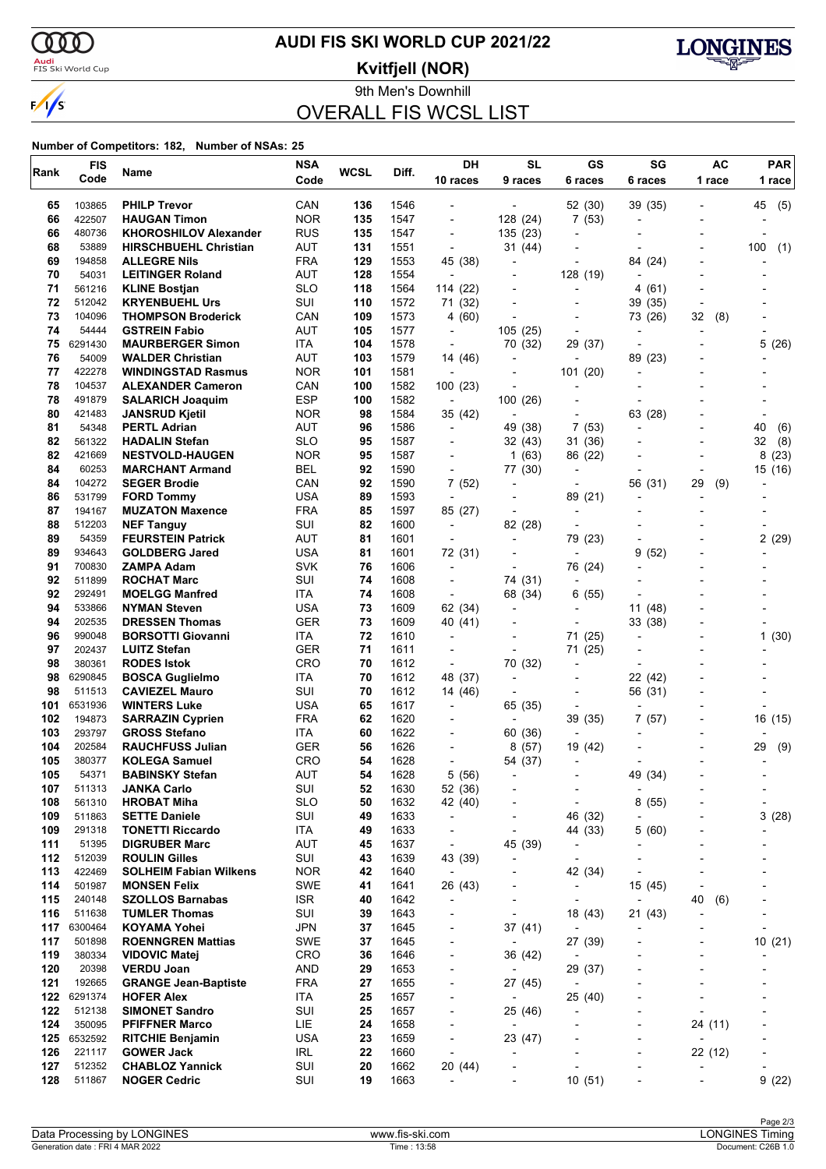$\alpha\alpha$ 

 $\sqrt{s}$ 

### <mark>Audi</mark><br>FIS Ski World Cup

# **AUDI FIS SKI WORLD CUP 2021/22**

**Kvitfjell (NOR)**



9th Men's Downhill

## OVERALL FIS WCSL LIST

| Rank       | <b>FIS</b>       | Name                                                 | <b>NSA</b>        | <b>WCSL</b> | Diff.        | DH                                  | <b>SL</b>                           | GS                           | SG                                 | AC                       | <b>PAR</b>               |
|------------|------------------|------------------------------------------------------|-------------------|-------------|--------------|-------------------------------------|-------------------------------------|------------------------------|------------------------------------|--------------------------|--------------------------|
|            | Code             |                                                      | Code              |             |              | 10 races                            | 9 races                             | 6 races                      | 6 races                            | 1 race                   | 1 race                   |
| 65         | 103865           | <b>PHILP Trevor</b>                                  | CAN               | 136         | 1546         |                                     |                                     | 52 (30)                      | 39 (35)                            |                          | (5)<br>45                |
| 66         | 422507           | <b>HAUGAN Timon</b>                                  | <b>NOR</b>        | 135         | 1547         | $\overline{\phantom{a}}$            | 128 (24)                            | 7(53)                        | $\overline{\phantom{a}}$           |                          |                          |
| 66         | 480736           | <b>KHOROSHILOV Alexander</b>                         | <b>RUS</b>        | 135         | 1547         | $\overline{\phantom{a}}$            | 135 (23)                            | $\overline{\phantom{0}}$     |                                    |                          |                          |
| 68         | 53889            | <b>HIRSCHBUEHL Christian</b>                         | AUT               | 131         | 1551         | $\overline{\phantom{a}}$            | 31 (44)                             |                              |                                    |                          | 100<br>(1)               |
| 69         | 194858           | <b>ALLEGRE Nils</b>                                  | <b>FRA</b>        | 129         | 1553         | 45 (38)                             | ٠                                   | $\overline{a}$               | 84 (24)                            |                          |                          |
| 70         | 54031            | <b>LEITINGER Roland</b>                              | AUT               | 128         | 1554         | $\overline{a}$                      | $\overline{a}$                      | 128 (19)                     |                                    |                          |                          |
| 71         | 561216           | <b>KLINE Bostjan</b>                                 | <b>SLO</b>        | 118         | 1564         | 114 (22)                            |                                     | $\overline{\phantom{0}}$     | 4 (61)                             |                          |                          |
| 72         | 512042           | <b>KRYENBUEHL Urs</b>                                | SUI               | 110         | 1572         | 71 (32)                             | $\blacksquare$                      | $\overline{\phantom{a}}$     | 39 (35)                            | $\overline{\phantom{a}}$ |                          |
| 73         | 104096           | <b>THOMPSON Broderick</b>                            | CAN               | 109         | 1573         | 4 (60)                              | $\blacksquare$                      |                              | 73 (26)                            | (8)<br>32                |                          |
| 74         | 54444            | <b>GSTREIN Fabio</b>                                 | <b>AUT</b>        | 105         | 1577         | $\overline{\phantom{a}}$            | 105(25)                             |                              | ٠                                  |                          |                          |
| 75         | 6291430          | <b>MAURBERGER Simon</b>                              | ITA               | 104         | 1578         | $\overline{\phantom{a}}$            | 70 (32)                             | 29 (37)                      | L,                                 |                          | 5(26)                    |
| 76<br>77   | 54009<br>422278  | <b>WALDER Christian</b><br><b>WINDINGSTAD Rasmus</b> | AUT<br><b>NOR</b> | 103<br>101  | 1579<br>1581 | 14 (46)                             | $\overline{\phantom{a}}$            |                              | (23)<br>89<br>٠                    |                          |                          |
| 78         | 104537           | <b>ALEXANDER Cameron</b>                             | CAN               | 100         | 1582         | $\overline{\phantom{a}}$<br>100(23) | $\overline{\phantom{a}}$            | 101(20)                      | ٠                                  |                          |                          |
| 78         | 491879           | <b>SALARICH Joaquim</b>                              | <b>ESP</b>        | 100         | 1582         | $\blacksquare$                      | 100(26)                             |                              |                                    |                          |                          |
| 80         | 421483           | <b>JANSRUD Kjetil</b>                                | <b>NOR</b>        | 98          | 1584         | 35 (42)                             |                                     |                              | 63 (28)                            |                          |                          |
| 81         | 54348            | <b>PERTL Adrian</b>                                  | AUT               | 96          | 1586         | $\overline{\phantom{a}}$            | 49 (38)                             | 7<br>(53)                    | $\overline{a}$                     |                          | 40<br>(6)                |
| 82         | 561322           | <b>HADALIN Stefan</b>                                | <b>SLO</b>        | 95          | 1587         | -                                   | 32(43)                              | 31 (36)                      |                                    |                          | (8)<br>32                |
| 82         | 421669           | <b>NESTVOLD-HAUGEN</b>                               | <b>NOR</b>        | 95          | 1587         |                                     | 1(63)                               | 86 (22)                      |                                    |                          | 8(23)                    |
| 84         | 60253            | <b>MARCHANT Armand</b>                               | <b>BEL</b>        | 92          | 1590         | $\overline{\phantom{a}}$            | 77 (30)                             | $\overline{a}$               | ٠                                  |                          | 15 (16)                  |
| 84         | 104272           | <b>SEGER Brodie</b>                                  | CAN               | 92          | 1590         | 7 (52)                              | $\overline{\phantom{a}}$            | $\overline{\phantom{0}}$     | 56 (31)                            | 29<br>(9)                |                          |
| 86         | 531799           | <b>FORD Tommy</b>                                    | <b>USA</b>        | 89          | 1593         | $\overline{\phantom{a}}$            |                                     | 89 (21)                      | ٠                                  |                          |                          |
| 87         | 194167           | <b>MUZATON Maxence</b>                               | <b>FRA</b>        | 85          | 1597         | 85 (27)                             | $\blacksquare$                      | $\overline{\phantom{a}}$     |                                    |                          |                          |
| 88         | 512203           | <b>NEF Tanguy</b>                                    | SUI               | 82          | 1600         | $\overline{\phantom{a}}$            | 82 (28)                             |                              |                                    |                          |                          |
| 89         | 54359            | <b>FEURSTEIN Patrick</b>                             | AUT               | 81          | 1601         |                                     | $\blacksquare$                      | 79 (23)                      |                                    |                          | 2(29)                    |
| 89         | 934643           | <b>GOLDBERG Jared</b>                                | <b>USA</b>        | 81          | 1601         | 72 (31)                             |                                     |                              | 9<br>(52)                          |                          |                          |
| 91         | 700830           | ZAMPA Adam                                           | <b>SVK</b>        | 76          | 1606         | $\blacksquare$                      |                                     | 76 (24)                      |                                    |                          |                          |
| 92         | 511899           | <b>ROCHAT Marc</b>                                   | SUI               | 74          | 1608         | $\blacksquare$                      | 74 (31)                             |                              |                                    |                          |                          |
| 92         | 292491           | <b>MOELGG Manfred</b>                                | ITA               | 74          | 1608         | $\overline{\phantom{a}}$            | 68 (34)                             | (55)<br>6                    |                                    |                          |                          |
| 94         | 533866           | <b>NYMAN Steven</b>                                  | USA               | 73          | 1609         | 62 (34)                             | $\overline{\phantom{a}}$            | $\blacksquare$               | 11 (48)                            |                          |                          |
| 94         | 202535           | <b>DRESSEN Thomas</b>                                | <b>GER</b>        | 73          | 1609         | 40 (41)                             |                                     |                              | 33 (38)                            |                          |                          |
| 96         | 990048           | <b>BORSOTTI Giovanni</b>                             | ITA               | 72          | 1610         | $\overline{\phantom{a}}$            |                                     | 71 (25)                      | ٠                                  |                          | 1(30)                    |
| 97<br>98   | 202437<br>380361 | <b>LUITZ Stefan</b><br><b>RODES Istok</b>            | <b>GER</b><br>CRO | 71<br>70    | 1611<br>1612 | $\overline{\phantom{a}}$            |                                     | 71 (25)                      |                                    |                          |                          |
| 98         | 6290845          | <b>BOSCA Guglielmo</b>                               | <b>ITA</b>        | 70          | 1612         | $\overline{\phantom{a}}$<br>48 (37) | 70 (32)<br>$\overline{\phantom{a}}$ | $\overline{\phantom{0}}$     | 22 (42)                            |                          |                          |
| 98         | 511513           | <b>CAVIEZEL Mauro</b>                                | SUI               | 70          | 1612         | 14 (46)                             | $\overline{\phantom{a}}$            | $\overline{\phantom{0}}$     | 56 (31)                            |                          |                          |
| 101        | 6531936          | <b>WINTERS Luke</b>                                  | <b>USA</b>        | 65          | 1617         | $\overline{\phantom{a}}$            | 65 (35)                             |                              |                                    |                          |                          |
| 102        | 194873           | <b>SARRAZIN Cyprien</b>                              | <b>FRA</b>        | 62          | 1620         |                                     | $\overline{a}$                      | 39 (35)                      | 7(57)                              |                          | 16 (15)                  |
| 103        | 293797           | <b>GROSS Stefano</b>                                 | ITA               | 60          | 1622         | -                                   | 60 (36)                             |                              |                                    |                          |                          |
| 104        | 202584           | <b>RAUCHFUSS Julian</b>                              | <b>GER</b>        | 56          | 1626         |                                     | 8(57)                               | 19 (42)                      |                                    |                          | 29<br>(9)                |
| 105        | 380377           | <b>KOLEGA Samuel</b>                                 | <b>CRO</b>        | 54          | 1628         | $\overline{a}$                      | 54 (37)                             | $\overline{\phantom{a}}$     |                                    |                          |                          |
| 105        | 54371            | <b>BABINSKY Stefan</b>                               | <b>AUT</b>        | 54          | 1628         | 5 (56)                              | $\overline{\phantom{a}}$            |                              | 49 (34)                            |                          |                          |
| 107        | 511313           | <b>JANKA Carlo</b>                                   | SUI               | 52          | 1630         | 52 (36)                             |                                     | $\overline{\phantom{a}}$     | $\overline{\phantom{a}}$           |                          |                          |
| 108        | 561310           | <b>HROBAT Miha</b>                                   | <b>SLO</b>        | 50          | 1632         | 42 (40)                             |                                     | ٠                            | 8(55)                              |                          | ٠                        |
| 109        | 511863           | <b>SETTE Daniele</b>                                 | SUI               | 49          | 1633         | $\overline{\phantom{a}}$            | $\overline{a}$                      | 46 (32)                      |                                    |                          | 3(28)                    |
| 109        | 291318           | <b>TONETTI Riccardo</b>                              | ITA               | 49          | 1633         | $\overline{\phantom{a}}$            |                                     | 44 (33)                      | 5(60)                              |                          |                          |
| 111        | 51395            | <b>DIGRUBER Marc</b>                                 | <b>AUT</b>        | 45          | 1637         | $\overline{\phantom{a}}$            | 45 (39)                             | $\qquad \qquad \blacksquare$ |                                    |                          |                          |
| 112        | 512039           | <b>ROULIN Gilles</b>                                 | SUI               | 43          | 1639         | 43 (39)                             |                                     | $\overline{\phantom{a}}$     |                                    |                          |                          |
| 113        | 422469           | <b>SOLHEIM Fabian Wilkens</b>                        | <b>NOR</b>        | 42          | 1640         | $\overline{\phantom{a}}$            |                                     | 42 (34)                      | $\blacksquare$                     |                          |                          |
| 114        | 501987           | <b>MONSEN Felix</b><br><b>SZOLLOS Barnabas</b>       | <b>SWE</b>        | 41          | 1641         | 26 (43)                             | ٠                                   | $\overline{\phantom{a}}$     | 15 (45)                            | 40                       |                          |
| 115<br>116 | 240148<br>511638 | <b>TUMLER Thomas</b>                                 | ISR.<br>SUI       | 40<br>39    | 1642<br>1643 | $\overline{\phantom{a}}$<br>-       | -<br>÷,                             | -<br>18 (43)                 | $\overline{\phantom{a}}$<br>21(43) | (6)                      |                          |
| 117        | 6300464          | <b>KOYAMA Yohei</b>                                  | <b>JPN</b>        | 37          | 1645         | $\overline{\phantom{a}}$            | 37 (41)                             | $\overline{\phantom{a}}$     |                                    |                          | ٠                        |
| 117        | 501898           | <b>ROENNGREN Mattias</b>                             | SWE               | 37          | 1645         | $\overline{\phantom{a}}$            | $\overline{\phantom{a}}$            | 27 (39)                      | ۰                                  |                          | 10(21)                   |
| 119        | 380334           | <b>VIDOVIC Matej</b>                                 | <b>CRO</b>        | 36          | 1646         | $\overline{\phantom{a}}$            | 36 (42)                             | $\overline{\phantom{a}}$     |                                    |                          |                          |
| 120        | 20398            | <b>VERDU Joan</b>                                    | <b>AND</b>        | 29          | 1653         | $\overline{\phantom{a}}$            | $\overline{\phantom{a}}$            | 29 (37)                      |                                    |                          |                          |
| 121        | 192665           | <b>GRANGE Jean-Baptiste</b>                          | <b>FRA</b>        | 27          | 1655         | -                                   | 27 (45)                             | $\qquad \qquad \blacksquare$ |                                    |                          |                          |
| 122        | 6291374          | <b>HOFER Alex</b>                                    | ITA               | 25          | 1657         | $\overline{\phantom{a}}$            | $\overline{\phantom{a}}$            | 25 (40)                      |                                    |                          |                          |
| 122        | 512138           | <b>SIMONET Sandro</b>                                | SUI               | 25          | 1657         | $\overline{\phantom{a}}$            | 25 (46)                             | $\overline{\phantom{a}}$     |                                    |                          |                          |
| 124        | 350095           | <b>PFIFFNER Marco</b>                                | LIE               | 24          | 1658         | $\overline{\phantom{a}}$            | $\overline{a}$                      | $\overline{\phantom{0}}$     | $\overline{\phantom{a}}$           | 24 (11)                  |                          |
| 125        | 6532592          | <b>RITCHIE Benjamin</b>                              | <b>USA</b>        | 23          | 1659         | $\overline{\phantom{a}}$            | 23 (47)                             |                              | $\overline{\phantom{a}}$           |                          |                          |
| 126        | 221117           | <b>GOWER Jack</b>                                    | <b>IRL</b>        | 22          | 1660         | $\overline{\phantom{a}}$            | ÷,                                  |                              | ٠                                  | 22 (12)                  |                          |
| 127        | 512352           | <b>CHABLOZ Yannick</b>                               | SUI               | 20          | 1662         | 20 (44)                             | -                                   | -                            | ۰                                  |                          | $\overline{\phantom{a}}$ |
| 128        | 511867           | <b>NOGER Cedric</b>                                  | SUI               | 19          | 1663         | ÷,                                  |                                     | 10(51)                       | ٠                                  |                          | 9(22)                    |
|            |                  |                                                      |                   |             |              |                                     |                                     |                              |                                    |                          |                          |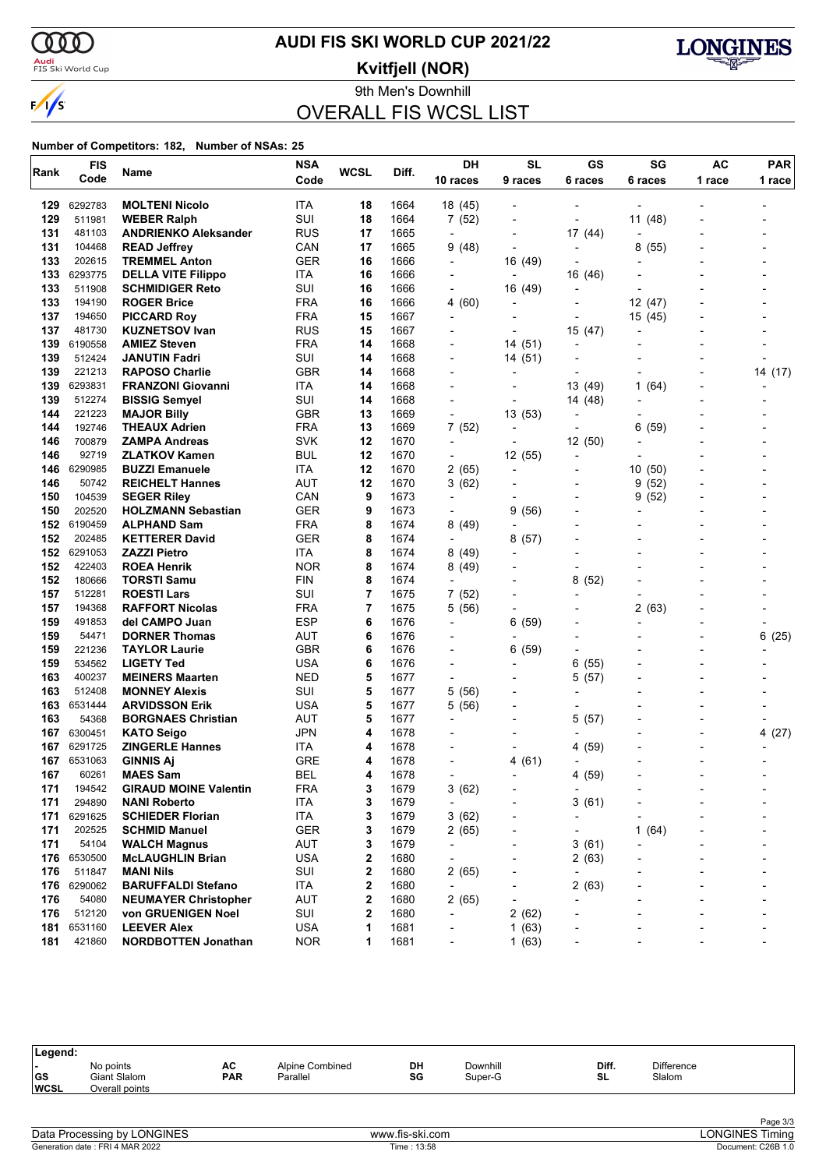

### <mark>Audi</mark><br>FIS Ski World Cup

# **AUDI FIS SKI WORLD CUP 2021/22**

**Kvitfjell (NOR)**



9th Men's Downhill

# OVERALL FIS WCSL LIST

|      | <b>FIS</b>  |                              | <b>NSA</b> | <b>WCSL</b> |       | DH                       | <b>SL</b>                | GS                       | SG         | AC     | <b>PAR</b>                   |
|------|-------------|------------------------------|------------|-------------|-------|--------------------------|--------------------------|--------------------------|------------|--------|------------------------------|
| Rank | Code        | Name                         | Code       |             | Diff. | 10 races                 | 9 races                  | 6 races                  | 6 races    | 1 race | 1 race                       |
| 129  | 6292783     | <b>MOLTENI Nicolo</b>        | ITA        | 18          | 1664  | 18 (45)                  |                          |                          |            |        |                              |
| 129  | 511981      | <b>WEBER Ralph</b>           | SUI        | 18          | 1664  | 7(52)                    |                          | ٠                        | 11 (48)    |        |                              |
| 131  | 481103      | <b>ANDRIENKO Aleksander</b>  | RUS        | 17          | 1665  | $\overline{\phantom{a}}$ |                          | 17 (44)                  |            |        |                              |
| 131  | 104468      | <b>READ Jeffrey</b>          | CAN        | 17          | 1665  | 9 (48)                   |                          | $\overline{\phantom{a}}$ | 8<br>(55)  |        |                              |
| 133  | 202615      | <b>TREMMEL Anton</b>         | <b>GER</b> | 16          | 1666  | $\overline{\phantom{a}}$ | 16 (49)                  |                          |            |        |                              |
| 133  | 6293775     | <b>DELLA VITE Filippo</b>    | ITA        | 16          | 1666  | $\overline{a}$           |                          | 16 (46)                  |            |        |                              |
| 133  | 511908      | <b>SCHMIDIGER Reto</b>       | SUI        | 16          | 1666  | $\blacksquare$           | 16 (49)                  | $\overline{a}$           |            |        |                              |
| 133  | 194190      | <b>ROGER Brice</b>           | <b>FRA</b> | 16          | 1666  | 4(60)                    |                          | $\overline{a}$           | 12 (47)    |        |                              |
| 137  | 194650      | <b>PICCARD Roy</b>           | <b>FRA</b> | 15          | 1667  | $\overline{\phantom{a}}$ |                          |                          | 15 (45)    |        |                              |
| 137  | 481730      | <b>KUZNETSOV Ivan</b>        | <b>RUS</b> | 15          | 1667  |                          |                          | 15 (47)                  |            |        |                              |
| 139  | 6190558     | <b>AMIEZ Steven</b>          | <b>FRA</b> | 14          | 1668  |                          | 14 (51)                  | $\overline{\phantom{0}}$ |            |        |                              |
| 139  | 512424      | <b>JANUTIN Fadri</b>         | SUI        | 14          | 1668  |                          | 14 (51)                  |                          |            |        |                              |
| 139  | 221213      | <b>RAPOSO Charlie</b>        | <b>GBR</b> | 14          | 1668  |                          |                          |                          |            |        | 14 (17)                      |
| 139  | 6293831     | <b>FRANZONI Giovanni</b>     | <b>ITA</b> | 14          | 1668  |                          |                          | 13 (49)                  | 1<br>(64)  |        |                              |
| 139  | 512274      | <b>BISSIG Semyel</b>         | SUI        | 14          | 1668  |                          |                          | 14 (48)                  |            |        |                              |
| 144  | 221223      | <b>MAJOR Billy</b>           | <b>GBR</b> | 13          | 1669  | $\overline{a}$           | 13 (53)                  |                          |            |        |                              |
| 144  | 192746      | <b>THEAUX Adrien</b>         | <b>FRA</b> | 13          | 1669  | 7(52)                    |                          | ٠                        | 6<br>(59)  |        |                              |
| 146  | 700879      | <b>ZAMPA Andreas</b>         | <b>SVK</b> | 12          | 1670  | $\overline{\phantom{a}}$ |                          | 12(50)                   |            |        |                              |
| 146  | 92719       | <b>ZLATKOV Kamen</b>         | <b>BUL</b> | 12          | 1670  | $\overline{\phantom{a}}$ | 12 (55)                  | $\overline{\phantom{0}}$ |            |        |                              |
| 146  | 6290985     | <b>BUZZI Emanuele</b>        | <b>ITA</b> | 12          | 1670  | 2 (65)                   | $\blacksquare$           | $\overline{\phantom{a}}$ | 10<br>(50) |        |                              |
| 146  | 50742       | <b>REICHELT Hannes</b>       | AUT        | 12          | 1670  | 3(62)                    |                          | -                        | (52)<br>9  |        |                              |
| 150  | 104539      | <b>SEGER Riley</b>           | CAN        | 9           | 1673  | $\overline{\phantom{a}}$ |                          |                          | (52)<br>9  |        |                              |
| 150  | 202520      | <b>HOLZMANN Sebastian</b>    | <b>GER</b> | 9           | 1673  | $\overline{a}$           | 9(56)                    | -                        |            |        |                              |
| 152  | 6190459     | <b>ALPHAND Sam</b>           | <b>FRA</b> | 8           | 1674  | 8(49)                    | $\overline{a}$           |                          |            |        |                              |
| 152  | 202485      | <b>KETTERER David</b>        | GER        | 8           | 1674  | $\overline{\phantom{a}}$ | 8(57)                    |                          |            |        |                              |
| 152  | 6291053     | <b>ZAZZI Pietro</b>          | ITA        | 8           | 1674  | 8(49)                    |                          |                          |            |        |                              |
| 152  | 422403      | <b>ROEA Henrik</b>           | <b>NOR</b> | 8           | 1674  | 8 (49)                   |                          | ٠                        |            |        |                              |
| 152  | 180666      | <b>TORSTI Samu</b>           | <b>FIN</b> | 8           | 1674  | $\overline{\phantom{a}}$ |                          | 8<br>(52)                |            |        |                              |
| 157  | 512281      | <b>ROESTI Lars</b>           | SUI        | 7           | 1675  | 7(52)                    |                          | ٠                        |            |        |                              |
| 157  | 194368      | <b>RAFFORT Nicolas</b>       | <b>FRA</b> | 7           | 1675  | 5 (56)                   | $\overline{a}$           |                          | 2(63)      |        |                              |
| 159  | 491853      | del CAMPO Juan               | <b>ESP</b> | 6           | 1676  | $\overline{a}$           | 6(59)                    |                          |            |        |                              |
| 159  | 54471       | <b>DORNER Thomas</b>         | <b>AUT</b> | 6           | 1676  |                          |                          |                          |            |        | 6(25)                        |
| 159  | 221236      | <b>TAYLOR Laurie</b>         | GBR        | 6           | 1676  |                          | 6(59)                    | ٠                        |            |        |                              |
| 159  | 534562      | <b>LIGETY Ted</b>            | USA        | 6           | 1676  | $\overline{\phantom{0}}$ |                          | 6<br>(55)                |            |        |                              |
| 163  | 400237      | <b>MEINERS Maarten</b>       | <b>NED</b> | 5           | 1677  | $\overline{a}$           |                          | (57)<br>5                |            |        |                              |
| 163  | 512408      | <b>MONNEY Alexis</b>         | SUI        | 5           | 1677  | 5(56)                    |                          | ٠                        |            |        |                              |
| 163  | 6531444     | <b>ARVIDSSON Erik</b>        | USA        | 5           | 1677  | 5(56)                    |                          |                          |            |        |                              |
| 163  | 54368       | <b>BORGNAES Christian</b>    | <b>AUT</b> | 5           | 1677  |                          |                          | 5<br>(57)                |            |        |                              |
| 167  | 6300451     | <b>KATO Seigo</b>            | JPN        | 4           | 1678  |                          |                          |                          |            |        | 4(27)                        |
| 167  | 6291725     | <b>ZINGERLE Hannes</b>       | ITA        | 4           | 1678  |                          |                          | 4 (59)                   |            |        |                              |
| 167  | 6531063     | <b>GINNIS Aj</b>             | <b>GRE</b> | 4           | 1678  |                          | 4(61)                    | $\overline{\phantom{0}}$ |            |        |                              |
| 167  | 60261       | <b>MAES Sam</b>              | <b>BEL</b> | 4           | 1678  |                          |                          | 4 (59)                   |            |        |                              |
| 171  | 194542      | <b>GIRAUD MOINE Valentin</b> | <b>FRA</b> | 3           | 1679  | 3(62)                    |                          | $\overline{\phantom{a}}$ |            |        |                              |
| 171  | 294890      | <b>NANI Roberto</b>          | <b>ITA</b> | 3           | 1679  | $\overline{\phantom{a}}$ |                          | 3(61)                    |            |        |                              |
| 171  | 6291625     | <b>SCHIEDER Florian</b>      | ITA        | 3           | 1679  | 3(62)                    |                          | -                        |            |        |                              |
| 171  | 202525      | <b>SCHMID Manuel</b>         | GER        | 3           | 1679  | 2(65)                    |                          | -                        | 1<br>(64)  |        |                              |
| 171  | 54104       | <b>WALCH Magnus</b>          | AUT        | 3           | 1679  | $\overline{\phantom{a}}$ |                          | 3(61)                    |            |        |                              |
|      | 176 6530500 | <b>McLAUGHLIN Brian</b>      | <b>USA</b> | 2           | 1680  | $\overline{\phantom{a}}$ |                          | 2(63)                    |            |        |                              |
| 176  | 511847      | <b>MANI Nils</b>             | SUI        | 2           | 1680  | 2(65)                    |                          | ٠                        |            |        |                              |
| 176  | 6290062     | <b>BARUFFALDI Stefano</b>    | <b>ITA</b> | 2           | 1680  | $\overline{\phantom{a}}$ |                          | 2<br>(63)                |            |        |                              |
| 176  | 54080       | <b>NEUMAYER Christopher</b>  | AUT        | 2           | 1680  | 2 (65)                   | $\overline{\phantom{a}}$ | ٠                        |            |        |                              |
| 176  | 512120      | von GRUENIGEN Noel           | SUI        | 2           | 1680  | $\overline{\phantom{a}}$ | 2(62)                    |                          |            |        |                              |
| 181  | 6531160     | <b>LEEVER Alex</b>           | USA        | 1           | 1681  | ٠                        | 1(63)                    |                          |            |        |                              |
| 181  | 421860      | <b>NORDBOTTEN Jonathan</b>   | <b>NOR</b> | 1           | 1681  | $\overline{\phantom{a}}$ | 1(63)                    | -                        |            | -      | $\qquad \qquad \blacksquare$ |

| Legend:                   |                                             |                  |                             |          |                     |             |                             |  |
|---------------------------|---------------------------------------------|------------------|-----------------------------|----------|---------------------|-------------|-----------------------------|--|
| . .<br> GS<br><b>WCSL</b> | No points<br>Giant Slalom<br>Overall points | AC<br><b>PAR</b> | Alpine Combined<br>Parallel | DH<br>SG | Downhill<br>Super-G | Diff.<br>SL | <b>Difference</b><br>Slalom |  |
|                           |                                             |                  |                             |          |                     |             |                             |  |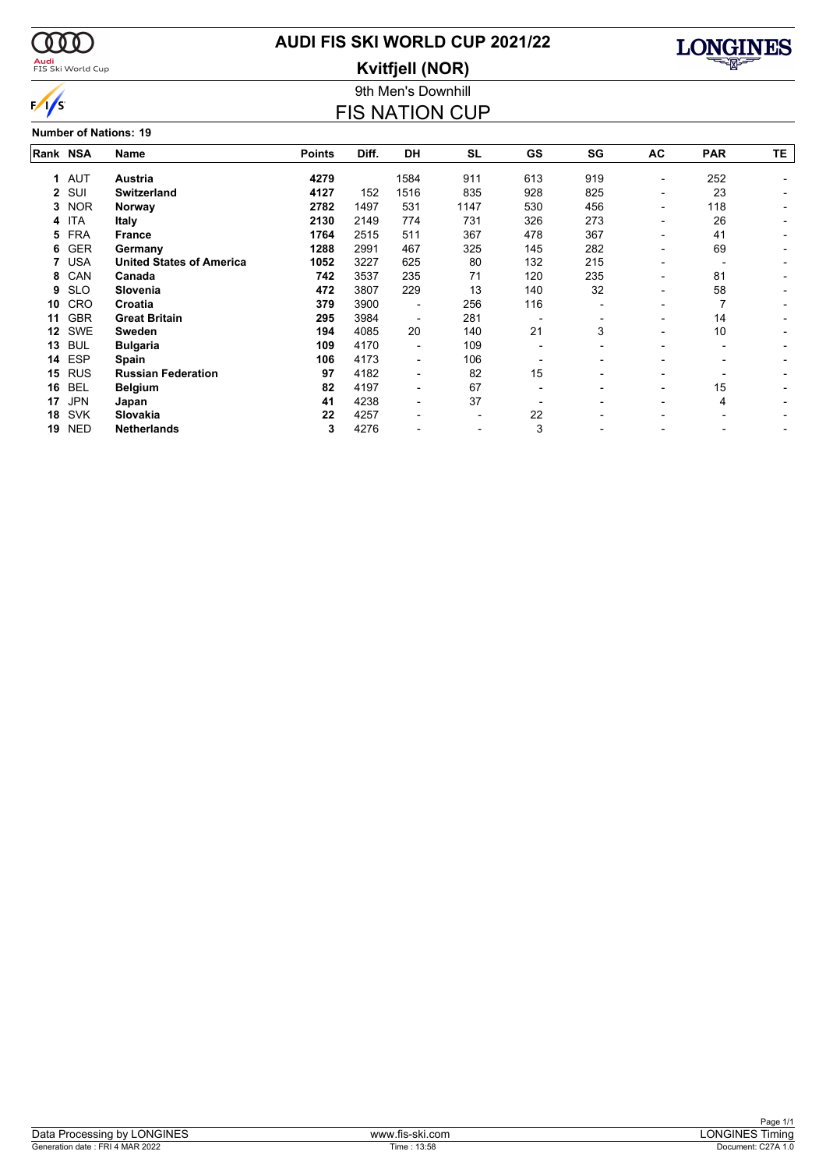

### <mark>Audi</mark><br>FIS Ski World Cup

# **AUDI FIS SKI WORLD CUP 2021/22**

**Kvitfjell (NOR)**



#### **Number of Nations: 19**

### 9th Men's Downhill FIS NATION CUP

| Rank NSA |            | Name                            | <b>Points</b> | Diff. | <b>DH</b>                | <b>SL</b> | GS  | SG  | AC                       | <b>PAR</b> | TΕ. |
|----------|------------|---------------------------------|---------------|-------|--------------------------|-----------|-----|-----|--------------------------|------------|-----|
| 1.       | <b>AUT</b> | <b>Austria</b>                  | 4279          |       | 1584                     | 911       | 613 | 919 | ٠                        | 252        |     |
| 2        | SUI        | <b>Switzerland</b>              | 4127          | 152   | 1516                     | 835       | 928 | 825 | $\overline{\phantom{0}}$ | 23         |     |
| 3        | <b>NOR</b> | Norway                          | 2782          | 1497  | 531                      | 1147      | 530 | 456 | Ξ.                       | 118        |     |
| 4        | <b>ITA</b> | <b>Italy</b>                    | 2130          | 2149  | 774                      | 731       | 326 | 273 | -                        | 26         |     |
| 5        | <b>FRA</b> | <b>France</b>                   | 1764          | 2515  | 511                      | 367       | 478 | 367 | -                        | 41         |     |
| 6        | <b>GER</b> | Germany                         | 1288          | 2991  | 467                      | 325       | 145 | 282 | -                        | 69         |     |
| 7        | <b>USA</b> | <b>United States of America</b> | 1052          | 3227  | 625                      | 80        | 132 | 215 | -                        |            |     |
| 8        | CAN        | Canada                          | 742           | 3537  | 235                      | 71        | 120 | 235 | ۰                        | 81         |     |
| 9        | <b>SLO</b> | Slovenia                        | 472           | 3807  | 229                      | 13        | 140 | 32  | -                        | 58         |     |
| 10       | CRO        | Croatia                         | 379           | 3900  |                          | 256       | 116 |     |                          |            |     |
| 11       | <b>GBR</b> | <b>Great Britain</b>            | 295           | 3984  |                          | 281       |     |     |                          | 14         |     |
| 12       | <b>SWE</b> | Sweden                          | 194           | 4085  | 20                       | 140       | 21  | 3   | -                        | 10         |     |
| 13       | <b>BUL</b> | <b>Bulgaria</b>                 | 109           | 4170  | $\overline{\phantom{a}}$ | 109       |     |     | -                        | -          |     |
| 14       | <b>ESP</b> | Spain                           | 106           | 4173  |                          | 106       |     |     |                          |            |     |
| 15       | <b>RUS</b> | <b>Russian Federation</b>       | 97            | 4182  | $\overline{\phantom{a}}$ | 82        | 15  |     |                          |            |     |
| 16       | <b>BEL</b> | <b>Belgium</b>                  | 82            | 4197  | $\overline{\phantom{a}}$ | 67        |     |     | -                        | 15         |     |
| 17       | <b>JPN</b> | Japan                           | 41            | 4238  | $\overline{\phantom{a}}$ | 37        |     |     | -                        | 4          |     |
| 18       | <b>SVK</b> | Slovakia                        | 22            | 4257  |                          |           | 22  |     |                          |            |     |
| 19       | <b>NED</b> | <b>Netherlands</b>              | 3             | 4276  |                          |           | 3   |     |                          |            |     |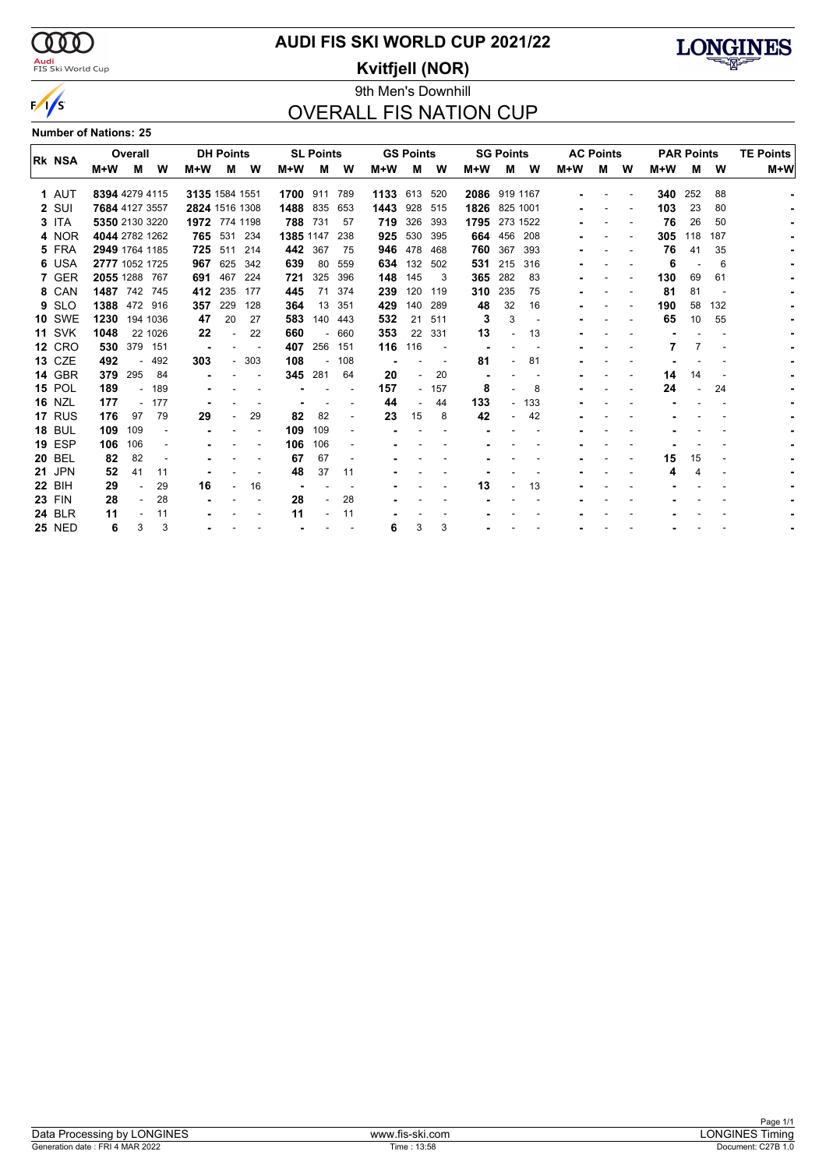

### **AUDI FIS SKI WORLD CUP 2021/22**

### 9th Men's Downhill **Kvitfjell (NOR)**



# OVERALL FIS NATION CUP

**Number of Nations: 25**

|               |                | Overall |          |                | <b>DH Points</b> |        |              | <b>SL Points</b>         |                          |              | <b>GS Points</b> |        |                | <b>SG Points</b> |     |     | <b>AC Points</b> |   | <b>PAR Points</b> |     |     | <b>TE Points</b> |
|---------------|----------------|---------|----------|----------------|------------------|--------|--------------|--------------------------|--------------------------|--------------|------------------|--------|----------------|------------------|-----|-----|------------------|---|-------------------|-----|-----|------------------|
| <b>RK NSA</b> | M+W            | м       | W        | M+W            | M                | W      | M+W          | м                        | W                        | M+W          | м                | W      | $M+W$          | М                | W   | M+W | м                | W | $M+W$             | м   | W   | $M+W$            |
| 1 AUT         | 8394 4279 4115 |         |          | 3135 1584 1551 |                  |        | 1700 911 789 |                          |                          | 1133 613 520 |                  |        | 2086 919 1167  |                  |     |     |                  |   | 340               | 252 | 88  |                  |
| 2 SUI         | 7684 4127 3557 |         |          | 2824 1516 1308 |                  |        | 1488 835     |                          | 653                      | 1443         | 928              | 515    | 1826           | 825 1001         |     |     |                  |   | 103               | 23  | 80  |                  |
| $3$ ITA       | 5350 2130 3220 |         |          | 1972 774 1198  |                  |        | 788          | 731                      | 57                       | 719          | 326              | 393    | 1795           | 273 1522         |     |     |                  |   | 76                | 26  | 50  |                  |
| 4 NOR         | 4044 2782 1262 |         |          |                | 765 531 234      |        | 1385 1147    |                          | 238                      | 925          | 530              | 395    |                | 664 456 208      |     |     |                  |   | 305               | 118 | 187 |                  |
| 5 FRA         | 2949 1764 1185 |         |          |                | 725 511          | 214    |              | 442 367                  | 75                       | 946          | 478              | 468    | 760            | 367              | 393 |     |                  |   | 76                | 41  | 35  |                  |
| 6 USA         | 2777 1052 1725 |         |          | 967            | 625              | 342    | 639          | 80                       | 559                      | 634          | 132              | 502    | 531            | 215              | 316 |     |                  |   | 6                 |     | 6   |                  |
| 7 GER         | 2055 1288 767  |         |          | 691            | 467              | 224    | 721          | 325                      | 396                      | 148          | 145              | 3      | 365            | 282              | 83  |     |                  |   | 130               | 69  | 61  |                  |
| 8 CAN         | 1487 742 745   |         |          | 412            | 235              | 177    | 445          | 71                       | 374                      | 239          | 120              | 119    | 310            | 235              | 75  |     |                  |   | 81                | 81  |     |                  |
| 9 SLO         | 1388 472 916   |         |          | 357            | 229              | 128    | 364          | 13                       | 351                      | 429          | 140              | 289    | 48             | 32               | 16  |     |                  |   | 190               | 58  | 132 |                  |
| <b>10 SWE</b> | 1230           |         | 194 1036 | 47             | 20               | 27     | 583          | 140                      | 443                      | 532          | 21               | 511    | 3              | 3                |     |     |                  |   | 65                | 10  | 55  |                  |
| <b>11 SVK</b> | 1048           |         | 22 1026  | 22             |                  | 22     | 660          | $\overline{\phantom{0}}$ | 660                      | 353          | 22               | 331    | 13             | $\overline{a}$   | 13  |     |                  |   |                   |     |     |                  |
| <b>12 CRO</b> | 530            | 379 151 |          |                |                  |        | 407          | 256                      | 151                      | 116          | 116              |        |                |                  |     |     |                  |   |                   |     |     |                  |
| <b>13 CZE</b> | 492            |         | $-492$   | 303            |                  | $-303$ | 108          | $\overline{\phantom{a}}$ | 108                      |              |                  |        | 81             |                  | 81  |     |                  |   |                   |     |     |                  |
| <b>14 GBR</b> | 379            | 295     | 84       |                |                  |        | 345          | 281                      | 64                       | 20           |                  | 20     | $\blacksquare$ |                  |     |     |                  |   | 14                | 14  |     |                  |
| <b>15 POL</b> | 189            |         | 189      |                |                  |        |              |                          |                          | 157          |                  | $-157$ | 8              |                  | 8   |     |                  |   | 24                |     | 24  |                  |
| <b>16 NZL</b> | 177            |         | $-177$   |                |                  |        |              |                          |                          | 44           |                  | 44     | 133            | $\sim$           | 133 |     |                  |   |                   |     |     |                  |
| 17 RUS        | 176            | 97      | 79       | 29             |                  | 29     | 82           | 82                       | $\overline{\phantom{a}}$ | 23           | 15               | 8      | 42             |                  | 42  |     |                  |   |                   |     |     |                  |
| <b>18 BUL</b> | 109            | 109     |          |                |                  |        | 109          | 109                      |                          |              |                  |        |                |                  |     |     |                  |   |                   |     |     |                  |
| <b>19 ESP</b> | 106            | 106     |          |                |                  |        | 106          | 106                      |                          |              |                  |        |                |                  |     |     |                  |   |                   |     |     |                  |
| <b>20 BEL</b> | 82             | 82      |          |                |                  |        | 67           | 67                       |                          |              |                  |        |                |                  |     |     |                  |   | 15                | 15  |     |                  |
| <b>21 JPN</b> | 52             | 41      | 11       |                |                  |        | 48           | 37                       | 11                       |              |                  |        |                |                  |     |     |                  |   | 4                 | Δ   |     |                  |
| <b>22 BIH</b> | 29             |         | 29       | 16             |                  | 16     |              |                          |                          |              |                  |        | 13             |                  | 13  |     |                  |   |                   |     |     |                  |
| <b>23 FIN</b> | 28             |         | 28       |                |                  |        | 28           |                          | 28                       |              |                  |        |                |                  |     |     |                  |   |                   |     |     |                  |
| <b>24 BLR</b> | 11             |         | 11       |                |                  |        | 11           |                          | 11                       |              |                  |        |                |                  |     |     |                  |   |                   |     |     |                  |
| <b>25 NED</b> | 6              | 3       | 3        |                |                  |        |              |                          |                          | 6            | 3                | 3      |                |                  |     |     |                  |   |                   |     |     |                  |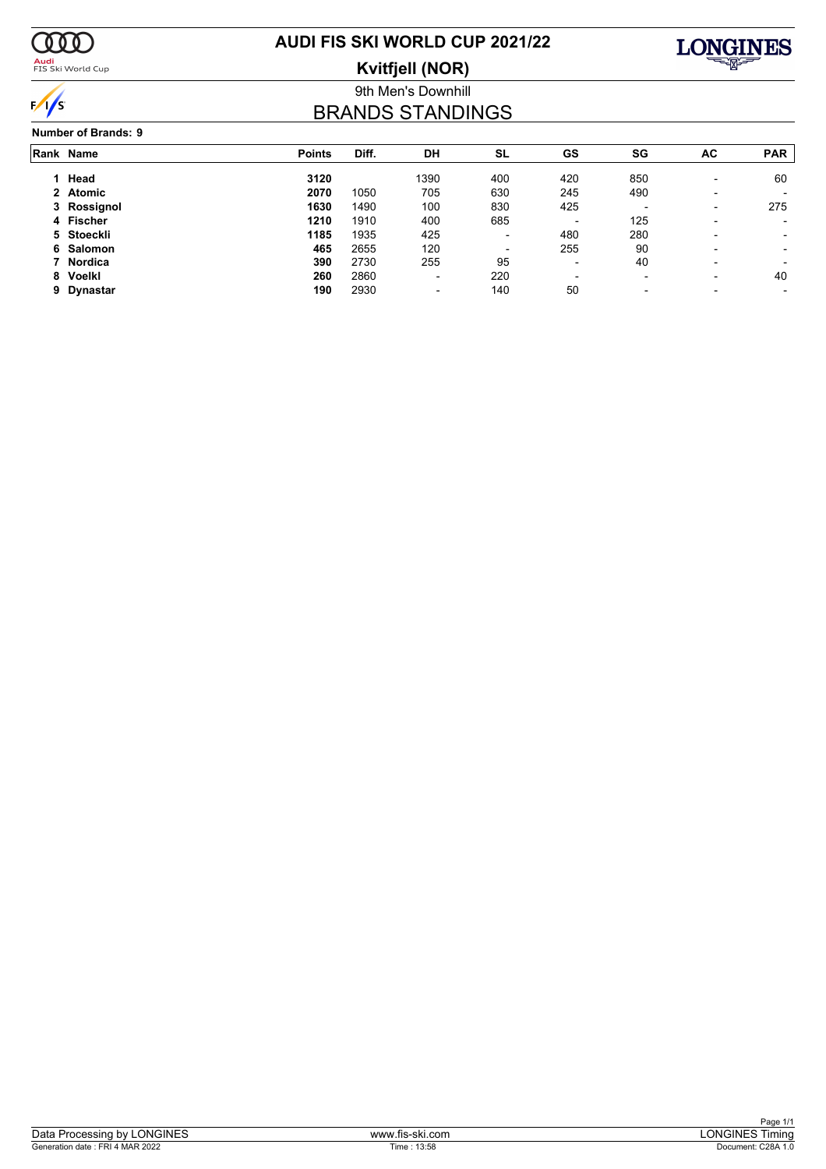

<mark>Audi</mark><br>FIS Ski World Cup

# **AUDI FIS SKI WORLD CUP 2021/22**

**Kvitfjell (NOR)**



9th Men's Downhill

# BRANDS STANDINGS

|   | Rank Name   | <b>Points</b> | Diff. | DH                       | SL                       | GS                       | SG                       | AC                       | <b>PAR</b>               |
|---|-------------|---------------|-------|--------------------------|--------------------------|--------------------------|--------------------------|--------------------------|--------------------------|
|   | Head        | 3120          |       | 1390                     | 400                      | 420                      | 850                      | $\overline{\phantom{0}}$ | 60                       |
|   | 2 Atomic    | 2070          | 1050  | 705                      | 630                      | 245                      | 490                      |                          |                          |
|   | 3 Rossignol | 1630          | 1490  | 100                      | 830                      | 425                      | $\overline{\phantom{0}}$ | -                        | 275                      |
|   | 4 Fischer   | 1210          | 1910  | 400                      | 685                      | $\overline{\phantom{0}}$ | 125                      |                          |                          |
|   | 5 Stoeckli  | 1185          | 1935  | 425                      | $\overline{\phantom{a}}$ | 480                      | 280                      |                          | $\overline{\phantom{a}}$ |
|   | 6 Salomon   | 465           | 2655  | 120                      | $\overline{\phantom{a}}$ | 255                      | 90                       |                          |                          |
|   | 7 Nordica   | 390           | 2730  | 255                      | 95                       | $\overline{\phantom{0}}$ | 40                       | $\overline{\phantom{0}}$ |                          |
|   | 8 Voelkl    | 260           | 2860  | -                        | 220                      | $\overline{\phantom{0}}$ | $\overline{\phantom{a}}$ |                          | 40                       |
| 9 | Dynastar    | 190           | 2930  | $\overline{\phantom{0}}$ | 140                      | 50                       | $\overline{\phantom{0}}$ |                          |                          |
|   |             |               |       |                          |                          |                          |                          |                          |                          |